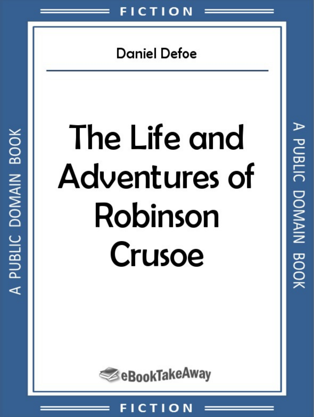## **Daniel Defoe**

# The Life and Adventures of Robinson Crusoe

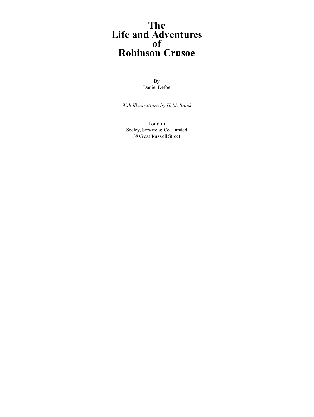#### **The Life and Adventures of Robinson Crusoe**

By Daniel Defoe

*With Illustrations by H. M. Brock*

London Seeley, Service & Co. Limited 38 Great Russell Street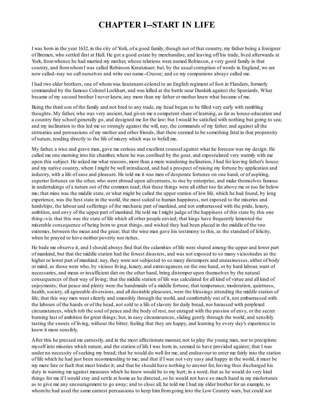#### **CHAPTER I--START IN LIFE**

I was born in the year 1632, in the city of York, of a good family, though not of that country, my father being a foreigner of Bremen, who settled first at Hull. He got a good estate by merchandise, and leaving off his trade, lived afterwards at York, fromwhence he had married my mother, whose relations were named Robinson, a very good family in that country, and fromwhomI was called Robinson Kreutznaer; but, by the usual corruption of words in England, we are now called--nay we call ourselves and write our name--Crusoe; and so my companions always called me.

I had two elder brothers, one of whomwas lieutenant-colonel to an English regiment of foot in Flanders, formerly commanded by the famous Colonel Lockhart, and was killed at the battle near Dunkirk against the Spaniards. What became of my second brother I never knew, any more than my father or mother knew what became of me.

Being the third son of the family and not bred to any trade, my head began to be filled very early with rambling thoughts. My father, who was very ancient, had given me a competent share of learning, as far as house-education and a country free school generally go, and designed me for the law; but I would be satisfied with nothing but going to sea; and my inclination to this led me so strongly against the will, nay, the commands of my father, and against all the entreaties and persuasions of my mother and other friends, that there seemed to be something fatal in that propensity of nature, tending directly to the life of misery which was to befall me.

My father, a wise and grave man, gave me serious and excellent counsel against what he foresaw was my design. He called me one morning into his chamber, where he was confined by the gout, and expostulated very warmly with me upon this subject. He asked me what reasons, more than a mere wandering inclination, I had for leaving father's house and my native country, where I might be well introduced, and had a prospect of raising my fortune by application and industry, with a life of ease and pleasure. He told me it was men of desperate fortunes on one hand, or of aspiring, superior fortunes on the other, who went abroad upon adventures, to rise by enterprise, and make themselves famous in undertakings of a nature out of the common road; that these things were all either too far above me or too far below me; that mine was the middle state, or what might be called the upper station of low life, which he had found, by long experience, was the best state in the world, the most suited to human happiness, not exposed to the miseries and hardships, the labour and sufferings of the mechanic part of mankind, and not embarrassed with the pride, luxury, ambition, and envy of the upper part of mankind. He told me I might judge of the happiness of this state by this one thing--viz. that this was the state of life which all other people envied; that kings have frequently lamented the miserable consequence of being born to great things, and wished they had been placed in the middle of the two extremes, between the mean and the great; that the wise man gave his testimony to this, as the standard of felicity, when he prayed to have neither poverty nor riches.

He bade me observe it, and I should always find that the calamities of life were shared among the upper and lower part of mankind, but that the middle station had the fewest disasters, and was not exposed to so many vicissitudes as the higher or lower part of mankind; nay, they were not subjected to so many distempers and uneasinesses, either of body or mind, as those were who, by vicious living, luxury, and extravagances on the one hand, or by hard labour, want of necessaries, and mean or insufficient diet on the other hand, bring distemper upon themselves by the natural consequences of their way of living; that the middle station of life was calculated for all kind of virtue and all kind of enjoyments; that peace and plenty were the handmaids of a middle fortune; that temperance, moderation, quietness, health, society, all agreeable diversions, and all desirable pleasures, were the blessings attending the middle station of life; that this way men went silently and smoothly through the world, and comfortably out of it, not embarrassed with the labours of the hands or of the head, not sold to a life of slavery for daily bread, nor harassed with perplexed circumstances, which rob the soul of peace and the body of rest, nor enraged with the passion of envy, or the secret burning lust of ambition for great things; but, in easy circumstances, sliding gently through the world, and sensibly tasting the sweets of living, without the bitter; feeling that they are happy, and learning by every day's experience to know it more sensibly.

After this he pressed me earnestly, and in the most affectionate manner, not to play the young man, nor to precipitate myself into miseries which nature, and the station of life I was born in, seemed to have provided against; that I was under no necessity of seeking my bread; that he would do well for me, and endeavour to enter me fairly into the station of life which he had just been recommending to me; and that if I was not very easy and happy in the world, it must be my mere fate or fault that must hinder it; and that he should have nothing to answer for, having thus discharged his duty in warning me against measures which he knew would be to my hurt; in a word, that as he would do very kind things for me if I would stay and settle at home as he directed, so he would not have so much hand in my misfortunes as to give me any encouragement to go away; and to close all, he told me I had my elder brother for an example, to whomhe had used the same earnest persuasions to keep himfromgoing into the Low Country wars, but could not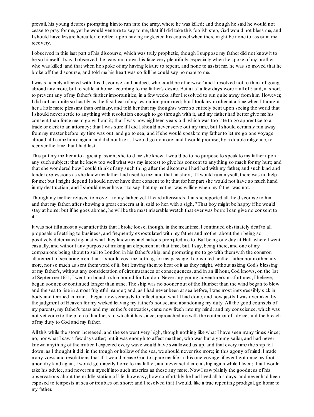prevail, his young desires prompting himto run into the army, where he was killed; and though he said he would not cease to pray for me, yet he would venture to say to me, that if I did take this foolish step, God would not bless me, and I should have leisure hereafter to reflect upon having neglected his counsel when there might be none to assist in my recovery.

I observed in this last part of his discourse, which was truly prophetic, though I suppose my father did not know it to be so himself--I say, I observed the tears run down his face very plentifully, especially when he spoke of my brother who was killed: and that when he spoke of my having leisure to repent, and none to assist me, he was so moved that he broke off the discourse, and told me his heart was so full he could say no more to me.

I was sincerely affected with this discourse, and, indeed, who could be otherwise? and I resolved not to think of going abroad any more, but to settle at home according to my father's desire. But alas! a few days wore it all off; and, in short, to prevent any of my father's further importunities, in a few weeks after I resolved to run quite away fromhim. However, I did not act quite so hastily as the first heat of my resolution prompted; but I took my mother at a time when I thought her a little more pleasant than ordinary, and told her that my thoughts were so entirely bent upon seeing the world that I should never settle to anything with resolution enough to go through with it, and my father had better give me his consent than force me to go without it; that I was now eighteen years old, which was too late to go apprentice to a trade or clerk to an attorney; that I was sure if I did I should never serve out my time, but I should certainly run away frommy master before my time was out, and go to sea; and if she would speak to my father to let me go one voyage abroad, if I came home again, and did not like it, I would go no more; and I would promise, by a double diligence, to recover the time that I had lost.

This put my mother into a great passion; she told me she knew it would be to no purpose to speak to my father upon any such subject; that he knew too well what was my interest to give his consent to anything so much for my hurt; and that she wondered how I could think of any such thing after the discourse I had had with my father, and such kind and tender expressions as she knew my father had used to me; and that, in short, if I would ruin myself, there was no help for me; but I might depend I should never have their consent to it; that for her part she would not have so much hand in my destruction; and I should never have it to say that my mother was willing when my father was not.

Though my mother refused to move it to my father, yet I heard afterwards that she reported all the discourse to him, and that my father, after showing a great concern at it, said to her, with a sigh, "That boy might be happy if he would stay at home; but if he goes abroad, he will be the most miserable wretch that ever was born: I can give no consent to it."

It was not till almost a year after this that I broke loose, though, in the meantime, I continued obstinately deaf to all proposals of settling to business, and frequently expostulated with my father and mother about their being so positively determined against what they knew my inclinations prompted me to. But being one day at Hull, where I went casually, and without any purpose of making an elopement at that time; but, I say, being there, and one of my companions being about to sail to London in his father's ship, and prompting me to go with themwith the common allurement of seafaring men, that it should cost me nothing for my passage, I consulted neither father nor mother any more, nor so much as sent themword of it; but leaving themto hear of it as they might, without asking God's blessing or my father's, without any consideration of circumstances or consequences, and in an ill hour, God knows, on the 1st of September 1651, I went on board a ship bound for London. Never any young adventurer's misfortunes, I believe, began sooner, or continued longer than mine. The ship was no sooner out of the Humber than the wind began to blow and the sea to rise in a most frightful manner; and, as I had never been at sea before, I was most inexpressibly sick in body and terrified in mind. I began now seriously to reflect upon what I had done, and how justly I was overtaken by the judgment of Heaven for my wicked leaving my father's house, and abandoning my duty. All the good counsels of my parents, my father's tears and my mother's entreaties, came now fresh into my mind; and my conscience, which was not yet come to the pitch of hardness to which it has since, reproached me with the contempt of advice, and the breach of my duty to God and my father.

All this while the stormincreased, and the sea went very high, though nothing like what I have seen many times since; no, nor what I saw a few days after; but it was enough to affect me then, who was but a young sailor, and had never known anything of the matter. I expected every wave would have swallowed us up, and that every time the ship fell down, as I thought it did, in the trough or hollow of the sea, we should never rise more; in this agony of mind, I made many vows and resolutions that if it would please God to spare my life in this one voyage, if ever I got once my foot upon dry land again, I would go directly home to my father, and never set it into a ship again while I lived; that I would take his advice, and never run myself into such miseries as these any more. Now I saw plainly the goodness of his observations about the middle station of life, how easy, how comfortably he had lived all his days, and never had been exposed to tempests at sea or troubles on shore; and I resolved that I would, like a true repenting prodigal, go home to my father.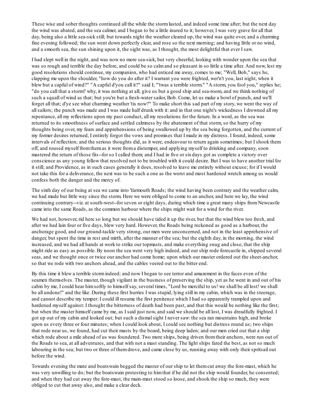These wise and sober thoughts continued all the while the stormlasted, and indeed some time after; but the next day the wind was abated, and the sea calmer, and I began to be a little inured to it; however, I was very grave for all that day, being also a little sea-sick still; but towards night the weather cleared up, the wind was quite over, and a charming fine evening followed; the sun went down perfectly clear, and rose so the next morning; and having little or no wind, and a smooth sea, the sun shining upon it, the sight was, as I thought, the most delightful that ever I saw.

I had slept well in the night, and was now no more sea-sick, but very cheerful, looking with wonder upon the sea that was so rough and terrible the day before, and could be so calmand so pleasant in so little a time after. And now, lest my good resolutions should continue, my companion, who had enticed me away, comes to me; "Well, Bob," says he, clapping me upon the shoulder, "how do you do after it? I warrant you were frighted, wer'n't you, last night, when it blew but a capful of wind?" "A capful d'you call it?" said I; "'twas a terrible storm." "A storm, you fool you," replies he; "do you call that a storm? why, it was nothing at all; give us but a good ship and sea-room, and we think nothing of such a squall of wind as that; but you're but a fresh-water sailor, Bob. Come, let us make a bowl of punch, and we'll forget all that; d'ye see what charming weather 'tis now?" To make short this sad part of my story, we went the way of allsailors; the punch was made and I was made half drunk with it: and in that one night's wickedness I drowned all my repentance, all my reflections upon my past conduct, all my resolutions for the future. In a word, as the sea was returned to its smoothness of surface and settled calmness by the abatement of that storm, so the hurry of my thoughts being over, my fears and apprehensions of being swallowed up by the sea being forgotten, and the current of my former desires returned, I entirely forgot the vows and promises that I made in my distress. I found, indeed, some intervals of reflection; and the serious thoughts did, as it were, endeavour to return again sometimes; but I shook them off, and roused myself fromthemas it were froma distemper, and applying myself to drinking and company, soon mastered the return of those fits--for so I called them; and I had in five or sixdays got as complete a victory over conscience as any young fellow that resolved not to be troubled with it could desire. But I was to have another trial for it still; and Providence, as in such cases generally it does, resolved to leave me entirely without excuse; for if I would not take this for a deliverance, the next was to be such a one as the worst and most hardened wretch among us would confess both the danger and the mercy of.

The sixth day of our being at sea we came into Yarmouth Roads; the wind having been contrary and the weather calm, we had made but little way since the storm. Here we were obliged to come to an anchor, and here we lay, the wind continuing contrary--viz. at south-west--for seven or eight days, during which time a great many ships fromNewcastle came into the same Roads, as the common harbour where the ships might wait for a wind for the river.

We had not, however, rid here so long but we should have tided it up the river, but that the wind blew too fresh, and after we had lain four or five days, blew very hard. However, the Roads being reckoned as good as a harbour, the anchorage good, and our ground-tackle very strong, our men were unconcerned, and not in the least apprehensive of danger, but spent the time in rest and mirth, after the manner of the sea; but the eighth day, in the morning, the wind increased, and we had all hands at work to strike our topmasts, and make everything snug and close, that the ship might ride as easy as possible. By noon the sea went very high indeed, and our ship rode forecastle in, shipped several seas, and we thought once or twice our anchor had come home; upon which our master ordered out the sheet-anchor, so that we rode with two anchors ahead, and the cables veered out to the bitter end.

By this time it blew a terrible stormindeed; and now I began to see terror and amazement in the faces even of the seamen themselves. The master, though vigilant in the business of preserving the ship, yet as he went in and out of his cabin by me, I could hear himsoftly to himself say, several times, "Lord be merciful to us! we shall be all lost! we shall be all undone!" and the like. During these first hurries I was stupid, lying still in my cabin, which was in the steerage, and cannot describe my temper: I could ill resume the first penitence which I had so apparently trampled upon and hardened myself against: I thought the bitterness of death had been past, and that this would be nothing like the first; but when the master himself came by me, as I said just now, and said we should be all lost, I was dreadfully frighted. I got up out of my cabin and looked out; but such a dismalsight I never saw: the sea ran mountains high, and broke upon us every three or four minutes; when I could look about, I could see nothing but distress round us; two ships that rode near us, we found, had cut their masts by the board, being deep laden; and our men cried out that a ship which rode about a mile ahead of us was foundered. Two more ships, being driven from their anchors, were run out of the Roads to sea, at all adventures, and that with not a mast standing. The light ships fared the best, as not so much labouring in the sea; but two or three of themdrove, and came close by us, running away with only their spritsail out before the wind.

Towards evening the mate and boatswain begged the master of our ship to let themcut away the fore-mast, which he was very unwilling to do; but the boatswain protesting to himthat if he did not the ship would founder, he consented; and when they had cut away the fore-mast, the main-mast stood so loose, and shook the ship so much, they were obliged to cut that away also, and make a clear deck.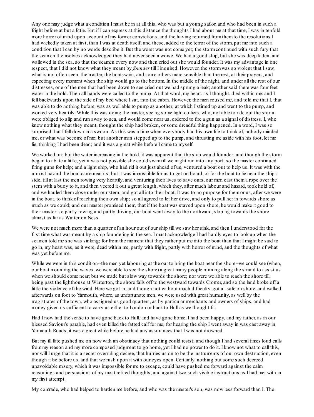Any one may judge what a condition I must be in at all this, who was but a young sailor, and who had been in such a fright before at but a little. But if I can express at this distance the thoughts I had about me at that time, I was in tenfold more horror of mind upon account of my former convictions, and the having returned fromthemto the resolutions I had wickedly taken at first, than I was at death itself; and these, added to the terror of the storm, put me into such a condition that I can by no words describe it. But the worst was not come yet; the stormcontinued with such fury that the seamen themselves acknowledged they had never seen a worse. We had a good ship, but she was deep laden, and wallowed in the sea, so that the seamen every now and then cried out she would founder. It was my advantage in one respect, that I did not know what they meant by *founder* till I inquired. However, the stormwas so violent that I saw, what is not often seen, the master, the boatswain, and some others more sensible than the rest, at their prayers, and expecting every moment when the ship would go to the bottom. In the middle of the night, and under all the rest of our distresses, one of the men that had been down to see cried out we had sprung a leak; another said there was four feet water in the hold. Then all hands were called to the pump. At that word, my heart, as I thought, died within me: and I fell backwards upon the side of my bed where I sat, into the cabin. However, the men roused me, and told me that I, that was able to do nothing before, was as well able to pump as another; at which I stirred up and went to the pump, and worked very heartily. While this was doing the master, seeing some light colliers, who, not able to ride out the storm were obliged to slip and run away to sea, and would come near us, ordered to fire a gun as a signal of distress. I, who knew nothing what they meant, thought the ship had broken, or some dreadful thing happened. In a word, I was so surprised that I fell down in a swoon. As this was a time when everybody had his own life to think of, nobody minded me, or what was become of me; but another man stepped up to the pump, and thrusting me aside with his foot, let me lie, thinking I had been dead; and it was a great while before I came to myself.

We worked on; but the water increasing in the hold, it was apparent that the ship would founder; and though the storm began to abate a little, yet it was not possible she could swimtill we might run into any port; so the master continued firing guns for help; and a light ship, who had rid it out just ahead of us, ventured a boat out to help us. It was with the utmost hazard the boat came near us; but it was impossible for us to get on board, or for the boat to lie near the ship's side, till at last the men rowing very heartily, and venturing their lives to save ours, our men cast thema rope over the stern with a buoy to it, and then veered it out a great length, which they, after much labour and hazard, took hold of, and we hauled themclose under our stern, and got all into their boat. It was to no purpose for themor us, after we were in the boat, to think of reaching their own ship; so all agreed to let her drive, and only to pull her in towards shore as much as we could; and our master promised them, that if the boat was staved upon shore, he would make it good to their master:so partly rowing and partly driving, our boat went away to the northward, sloping towards the shore almost as far as Winterton Ness.

We were not much more than a quarter of an hour out of our ship till we saw her sink, and then I understood for the first time what was meant by a ship foundering in the sea. I must acknowledge I had hardly eyes to look up when the seamen told me she was sinking; for fromthe moment that they rather put me into the boat than that I might be said to go in, my heart was, as it were, dead within me, partly with fright, partly with horror of mind, and the thoughts of what was yet before me.

While we were in this condition--the men yet labouring at the oar to bring the boat near the shore--we could see (when, our boat mounting the waves, we were able to see the shore) a great many people running along the strand to assist us when we should come near; but we made but slow way towards the shore; nor were we able to reach the shore till, being past the lighthouse at Winterton, the shore falls off to the westward towards Cromer, and so the land broke off a little the violence of the wind. Here we got in, and though not without much difficulty, got allsafe on shore, and walked afterwards on foot to Yarmouth, where, as unfortunate men, we were used with great humanity, as well by the magistrates of the town, who assigned us good quarters, as by particular merchants and owners of ships, and had money given us sufficient to carry us either to London or back to Hull as we thought fit.

Had I now had the sense to have gone back to Hull, and have gone home, I had been happy, and my father, as in our blessed Saviour's parable, had even killed the fatted calf for me; for hearing the ship I went away in was cast away in Yarmouth Roads, it was a great while before he had any assurances that I was not drowned.

But my ill fate pushed me on now with an obstinacy that nothing could resist; and though I had several times loud calls frommy reason and my more composed judgment to go home, yet I had no power to do it. I know not what to call this, nor will I urge that it is a secret overruling decree, that hurries us on to be the instruments of our own destruction, even though it be before us, and that we rush upon it with our eyes open. Certainly, nothing but some such decreed unavoidable misery, which it was impossible for me to escape, could have pushed me forward against the calm reasonings and persuasions of my most retired thoughts, and against two such visible instructions as I had met with in my first attempt.

My comrade, who had helped to harden me before, and who was the master's son, was now less forward than I. The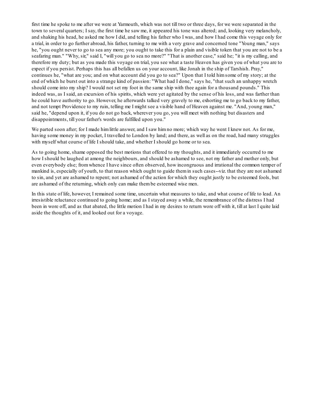first time he spoke to me after we were at Yarmouth, which was not till two or three days, for we were separated in the town to several quarters; I say, the first time he saw me, it appeared his tone was altered; and, looking very melancholy, and shaking his head, he asked me how I did, and telling his father who I was, and how I had come this voyage only for a trial, in order to go further abroad, his father, turning to me with a very grave and concerned tone "Young man," says he, "you ought never to go to sea any more; you ought to take this for a plain and visible token that you are not to be a seafaring man." "Why, sir," said I, "will you go to sea no more?" "That is another case," said he; "it is my calling, and therefore my duty; but as you made this voyage on trial, you see what a taste Heaven has given you of what you are to expect if you persist. Perhaps this has all befallen us on your account, like Jonah in the ship of Tarshish. Pray," continues he, "what are you; and on what account did you go to sea?" Upon that I told himsome of my story; at the end of which he burst out into a strange kind of passion: "What had I done," says he, "that such an unhappy wretch should come into my ship? I would not set my foot in the same ship with thee again for a thousand pounds." This indeed was, as I said, an excursion of his spirits, which were yet agitated by the sense of his loss, and was farther than he could have authority to go. However, he afterwards talked very gravely to me, exhorting me to go back to my father, and not tempt Providence to my ruin, telling me I might see a visible hand of Heaven against me. "And, young man," said he, "depend upon it, if you do not go back, wherever you go, you will meet with nothing but disasters and disappointments, till your father's words are fulfilled upon you."

We parted soon after; for I made him little answer, and I saw him no more; which way he went I knew not. As for me, having some money in my pocket, I travelled to London by land; and there, as well as on the road, had many struggles with myself what course of life I should take, and whether I should go home or to sea.

As to going home, shame opposed the best motions that offered to my thoughts, and it immediately occurred to me how I should be laughed at among the neighbours, and should be ashamed to see, not my father and mother only, but even everybody else; fromwhence I have since often observed, how incongruous and irrational the common temper of mankind is, especially of youth, to that reason which ought to guide themin such cases--viz. that they are not ashamed to sin, and yet are ashamed to repent; not ashamed of the action for which they ought justly to be esteemed fools, but are ashamed of the returning, which only can make thembe esteemed wise men.

In this state of life, however, I remained some time, uncertain what measures to take, and what course of life to lead. An irresistible reluctance continued to going home; and as I stayed away a while, the remembrance of the distress I had been in wore off, and as that abated, the little motion I had in my desires to return wore off with it, till at last I quite laid aside the thoughts of it, and looked out for a voyage.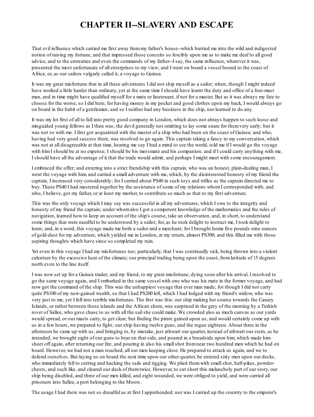#### **CHAPTER II--SLAVERY AND ESCAPE**

That evil influence which carried me first away frommy father's house--which hurried me into the wild and indigested notion of raising my fortune, and that impressed those conceits so forcibly upon me as to make me deaf to all good advice, and to the entreaties and even the commands of my father--I say, the same influence, whatever it was, presented the most unfortunate of all enterprises to my view; and I went on board a vessel bound to the coast of Africa; or, as our sailors vulgarly called it, a voyage to Guinea.

It was my great misfortune that in all these adventures I did not ship myself as a sailor; when, though I might indeed have worked a little harder than ordinary, yet at the same time I should have learnt the duty and office of a fore-mast man, and in time might have qualified myself for a mate or lieutenant, if not for a master. But as it was always my fate to choose for the worse, so I did here; for having money in my pocket and good clothes upon my back, I would always go on board in the habit of a gentleman; and so I neither had any business in the ship, nor learned to do any.

It was my lot first of all to fall into pretty good company in London, which does not always happen to such loose and misguided young fellows as I then was; the devil generally not omitting to lay some snare for themvery early; but it was not so with me. I first got acquainted with the master of a ship who had been on the coast of Guinea; and who, having had very good success there, was resolved to go again. This captain taking a fancy to my conversation, which was not at all disagreeable at that time, hearing me say I had a mind to see the world, told me if I would go the voyage with him I should be at no expense; I should be his messmate and his companion; and if I could carry anything with me, I should have all the advantage of it that the trade would admit; and perhaps I might meet with some encouragement.

I embraced the offer; and entering into a strict friendship with this captain, who was an honest, plain-dealing man, I went the voyage with him, and carried a small adventure with me, which, by the disinterested honesty of my friend the captain, I increased very considerably; for I carried about PS40 in such toys and trifles as the captain directed me to buy. These PS40 I had mustered together by the assistance of some of my relations whomI corresponded with; and who, I believe, got my father, or at least my mother, to contribute so much as that to my first adventure.

This was the only voyage which I may say was successful in all my adventures, which I owe to the integrity and honesty of my friend the captain; under whomalso I got a competent knowledge of the mathematics and the rules of navigation, learned how to keep an account of the ship's course, take an observation, and, in short, to understand some things that were needful to be understood by a sailor; for, as he took delight to instruct me, I took delight to learn; and, in a word, this voyage made me both a sailor and a merchant; for I brought home five pounds nine ounces of gold-dust for my adventure, which yielded me in London, at my return, almost PS300; and this filled me with those aspiring thoughts which have since so completed my ruin.

Yet even in this voyage I had my misfortunes too; particularly, that I was continually sick, being thrown into a violent calenture by the excessive heat of the climate; our principal trading being upon the coast, fromlatitude of 15 degrees north even to the line itself.

I was now set up for a Guinea trader; and my friend, to my great misfortune, dying soon after his arrival, I resolved to go the same voyage again, and I embarked in the same vessel with one who was his mate in the former voyage, and had now got the command of the ship. This was the unhappiest voyage that ever man made; for though I did not carry quite PS100 of my new-gained wealth, so that I had PS200 left, which I had lodged with my friend's widow, who was very just to me, yet I fell into terrible misfortunes. The first was this: our ship making her course towards the Canary Islands, or rather between those islands and the African shore, was surprised in the grey of the morning by a Turkish rover of Sallee, who gave chase to us with all the sailshe could make. We crowded also as much canvas as our yards would spread, or our masts carry, to get clear; but finding the pirate gained upon us, and would certainly come up with us in a few hours, we prepared to fight; our ship having twelve guns, and the rogue eighteen. About three in the afternoon he came up with us, and bringing to, by mistake, just athwart our quarter, instead of athwart our stern, as he intended, we brought eight of our guns to bear on that side, and poured in a broadside upon him, which made him sheer off again, after returning our fire, and pouring in also his smallshot fromnear two hundred men which he had on board. However, we had not a man touched, all our men keeping close. He prepared to attack us again, and we to defend ourselves. But laying us on board the next time upon our other quarter, he entered sixty men upon our decks, who immediately fell to cutting and hacking the sails and rigging. We plied them with small shot, half-pikes, powderchests, and such like, and cleared our deck of themtwice. However, to cut short this melancholy part of our story, our ship being disabled, and three of our men killed, and eight wounded, we were obliged to yield, and were carried all prisoners into Sallee, a port belonging to the Moors.

The usage I had there was not so dreadful as at first I apprehended; nor was I carried up the country to the emperor's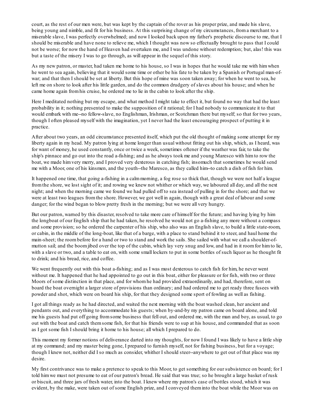court, as the rest of our men were, but was kept by the captain of the rover as his proper prize, and made his slave, being young and nimble, and fit for his business. At this surprising change of my circumstances, froma merchant to a miserable slave, I was perfectly overwhelmed; and now I looked back upon my father's prophetic discourse to me, that I should be miserable and have none to relieve me, which I thought was now so effectually brought to pass that I could not be worse; for now the hand of Heaven had overtaken me, and I was undone without redemption; but, alas! this was but a taste of the misery I was to go through, as will appear in the sequel of this story.

As my new patron, or master, had taken me home to his house, so I was in hopes that he would take me with himwhen he went to sea again, believing that it would some time or other be his fate to be taken by a Spanish or Portugal man-ofwar; and that then I should be set at liberty. But this hope of mine was soon taken away; for when he went to sea, he left me on shore to look after his little garden, and do the common drudgery of slaves about his house; and when he came home again fromhis cruise, he ordered me to lie in the cabin to look after the ship.

Here I meditated nothing but my escape, and what method I might take to effect it, but found no way that had the least probability in it; nothing presented to make the supposition of it rational; for I had nobody to communicate it to that would embark with me--no fellow-slave, no Englishman, Irishman, or Scotchman there but myself; so that for two years, though I often pleased myself with the imagination, yet I never had the least encouraging prospect of putting it in practice.

After about two years, an odd circumstance presented itself, which put the old thought of making some attempt for my liberty again in my head. My patron lying at home longer than usual without fitting out his ship, which, as I heard, was for want of money, he used constantly, once or twice a week, sometimes oftener if the weather was fair, to take the ship's pinnace and go out into the road a-fishing; and as he always took me and young Maresco with himto row the boat, we made himvery merry, and I proved very dexterous in catching fish; insomuch that sometimes he would send me with a Moor, one of his kinsmen, and the youth--the Maresco, as they called him--to catch a dish of fish for him.

It happened one time, that going a-fishing in a calmmorning, a fog rose so thick that, though we were not half a league fromthe shore, we lost sight of it; and rowing we knew not whither or which way, we laboured all day, and all the next night; and when the morning came we found we had pulled off to sea instead of pulling in for the shore; and that we were at least two leagues fromthe shore. However, we got well in again, though with a great deal of labour and some danger; for the wind began to blow pretty fresh in the morning; but we were all very hungry.

But our patron, warned by this disaster, resolved to take more care of himself for the future; and having lying by him the longboat of our English ship that he had taken, he resolved he would not go a-fishing any more without a compass and some provision; so he ordered the carpenter of his ship, who also was an English slave, to build a little state-room, or cabin, in the middle of the long-boat, like that of a barge, with a place to stand behind it to steer, and haul home the main-sheet; the roombefore for a hand or two to stand and work the sails. She sailed with what we call a shoulder-ofmutton sail; and the boomjibed over the top of the cabin, which lay very snug and low, and had in it roomfor himto lie, with a slave or two, and a table to eat on, with some small lockers to put in some bottles of such liquor as he thought fit to drink; and his bread, rice, and coffee.

We went frequently out with this boat a-fishing; and as I was most dexterous to catch fish for him, he never went without me. It happened that he had appointed to go out in this boat, either for pleasure or for fish, with two or three Moors of some distinction in that place, and for whomhe had provided extraordinarily, and had, therefore, sent on board the boat overnight a larger store of provisions than ordinary; and had ordered me to get ready three fusees with powder and shot, which were on board his ship, for that they designed some sport of fowling as well as fishing.

I got all things ready as he had directed, and waited the next morning with the boat washed clean, her ancient and pendants out, and everything to accommodate his guests; when by-and-by my patron came on board alone, and told me his guests had put off going fromsome business that fell out, and ordered me, with the man and boy, as usual, to go out with the boat and catch themsome fish, for that his friends were to sup at his house, and commanded that as soon as I got some fish I should bring it home to his house; all which I prepared to do.

This moment my former notions of deliverance darted into my thoughts, for now I found I was likely to have a little ship at my command; and my master being gone, I prepared to furnish myself, not for fishing business, but for a voyage; though I knew not, neither did I so much as consider, whither I should steer--anywhere to get out of that place was my desire.

My first contrivance was to make a pretence to speak to this Moor, to get something for our subsistence on board; for I told himwe must not presume to eat of our patron's bread. He said that was true; so he brought a large basket of rusk or biscuit, and three jars of fresh water, into the boat. I knew where my patron's case of bottles stood, which it was evident, by the make, were taken out of some English prize, and I conveyed theminto the boat while the Moor was on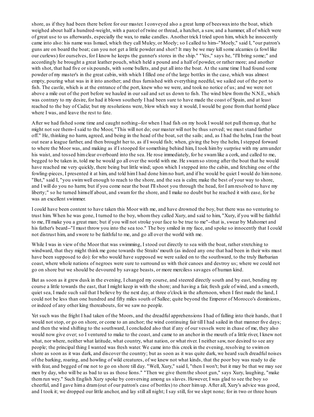shore, as if they had been there before for our master. I conveyed also a great lump of beeswaxinto the boat, which weighed about half a hundred-weight, with a parcel of twine or thread, a hatchet, a saw, and a hammer, all of which were of great use to us afterwards, especially the wax, to make candles. Another trick I tried upon him, which he innocently came into also: his name was Ismael, which they call Muley, or Moely; so I called to him--"Moely," said I, "our patron's guns are on board the boat; can you not get a little powder and shot? It may be we may killsome alcamies (a fowl like our curlews) for ourselves, for I know he keeps the gunner's stores in the ship." "Yes," says he, "I'll bring some;" and accordingly he brought a great leather pouch, which held a pound and a half of powder, or rather more; and another with shot, that had five or sixpounds, with some bullets, and put all into the boat. At the same time I had found some powder of my master's in the great cabin, with which I filled one of the large bottles in the case, which was almost empty, pouring what was in it into another; and thus furnished with everything needful, we sailed out of the port to fish. The castle, which is at the entrance of the port, knew who we were, and took no notice of us; and we were not above a mile out of the port before we hauled in our sail and set us down to fish. The wind blew fromthe N.N.E., which was contrary to my desire, for had it blown southerly I had been sure to have made the coast of Spain, and at least reached to the bay of Cadiz; but my resolutions were, blow which way it would, I would be gone fromthat horrid place where I was, and leave the rest to fate.

After we had fished some time and caught nothing--for when I had fish on my hook I would not pull themup, that he might not see them--I said to the Moor, "This will not do; our master will not be thus served; we must stand farther off." He, thinking no harm, agreed, and being in the head of the boat, set the sails; and, as I had the helm, I ran the boat out near a league farther, and then brought her to, as if I would fish; when, giving the boy the helm, I stepped forward to where the Moor was, and making as if I stooped for something behind him, I took himby surprise with my armunder his waist, and tossed himclear overboard into the sea. He rose immediately, for he swam like a cork, and called to me, begged to be taken in, told me he would go all over the world with me. He swamso strong after the boat that he would have reached me very quickly, there being but little wind; upon which I stepped into the cabin, and fetching one of the fowling-pieces, I presented it at him, and told himI had done himno hurt, and if he would be quiet I would do himnone. "But," said I, "you swimwell enough to reach to the shore, and the sea is calm; make the best of your way to shore, and I will do you no harm; but if you come near the boat I'llshoot you through the head, for I amresolved to have my liberty;" so he turned himself about, and swamfor the shore, and I make no doubt but he reached it with ease, for he was an excellent swimmer.

I could have been content to have taken this Moor with me, and have drowned the boy, but there was no venturing to trust him. When he was gone, I turned to the boy, whomthey called Xury, and said to him, "Xury, if you will be faithful to me, I'll make you a great man; but if you will not stroke your face to be true to me"--that is, swear by Mahomet and his father's beard--"I must throw you into the sea too." The boy smiled in my face, and spoke so innocently that I could not distrust him, and swore to be faithful to me, and go all over the world with me.

While I was in view of the Moor that was swimming, I stood out directly to sea with the boat, rather stretching to windward, that they might think me gone towards the Straits' mouth (as indeed any one that had been in their wits must have been supposed to do): for who would have supposed we were sailed on to the southward, to the truly Barbarian coast, where whole nations of negroes were sure to surround us with their canoes and destroy us; where we could not go on shore but we should be devoured by savage beasts, or more merciless savages of human kind.

But as soon as it grew dusk in the evening, I changed my course, and steered directly south and by east, bending my course a little towards the east, that I might keep in with the shore; and having a fair, fresh gale of wind, and a smooth, quiet sea, I made such sail that I believe by the next day, at three o'clock in the afternoon, when I first made the land, I could not be less than one hundred and fifty miles south of Sallee; quite beyond the Emperor of Morocco's dominions, or indeed of any other king thereabouts, for we saw no people.

Yet such was the fright I had taken of the Moors, and the dreadful apprehensions I had of falling into their hands, that I would not stop, or go on shore, or come to an anchor; the wind continuing fair till I had sailed in that manner five days; and then the wind shifting to the southward, I concluded also that if any of our vessels were in chase of me, they also would now give over; so I ventured to make to the coast, and came to an anchor in the mouth of a little river, I knew not what, nor where, neither what latitude, what country, what nation, or what river. I neither saw, nor desired to see any people; the principal thing I wanted was fresh water. We came into this creek in the evening, resolving to swimon shore as soon as it was dark, and discover the country; but as soon as it was quite dark, we heard such dreadful noises of the barking, roaring, and howling of wild creatures, of we knew not what kinds, that the poor boy was ready to die with fear, and begged of me not to go on shore till day. "Well, Xury," said I, "then I won't; but it may be that we may see men by day, who will be as bad to us as those lions." "Then we give themthe shoot gun," says Xury, laughing, "make themrun wey." Such English Xury spoke by conversing among us slaves. However, I was glad to see the boy so cheerful, and I gave hima dram(out of our patron's case of bottles) to cheer himup. After all, Xury's advice was good, and I took it; we dropped our little anchor, and lay still all night; I say still, for we slept none; for in two or three hours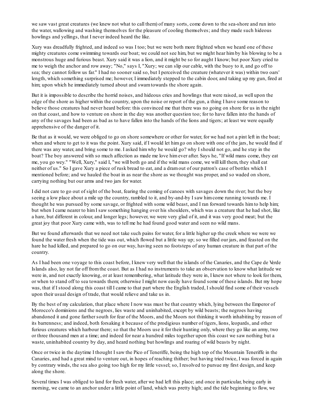we saw vast great creatures (we knew not what to call them) of many sorts, come down to the sea-shore and run into the water, wallowing and washing themselves for the pleasure of cooling themselves; and they made such hideous howlings and yellings, that I never indeed heard the like.

Xury was dreadfully frighted, and indeed so was I too; but we were both more frighted when we heard one of these mighty creatures come swimming towards our boat; we could not see him, but we might hear himby his blowing to be a monstrous huge and furious beast. Xury said it was a lion, and it might be so for aught I know; but poor Xury cried to me to weigh the anchor and row away; "No," says I, "Xury; we can slip our cable, with the buoy to it, and go off to sea; they cannot follow us far." I had no sooner said so, but I perceived the creature (whatever it was) within two oars' length, which something surprised me; however, I immediately stepped to the cabin door, and taking up my gun, fired at him; upon which he immediately turned about and swamtowards the shore again.

But it is impossible to describe the horrid noises, and hideous cries and howlings that were raised, as well upon the edge of the shore as higher within the country, upon the noise or report of the gun, a thing I have some reason to believe those creatures had never heard before: this convinced me that there was no going on shore for us in the night on that coast, and how to venture on shore in the day was another question too; for to have fallen into the hands of any of the savages had been as bad as to have fallen into the hands of the lions and tigers; at least we were equally apprehensive of the danger of it.

Be that as it would, we were obliged to go on shore somewhere or other for water, for we had not a pint left in the boat; when and where to get to it was the point. Xury said, if I would let him go on shore with one of the jars, he would find if there was any water, and bring some to me. I asked himwhy he would go? why I should not go, and he stay in the boat? The boy answered with so much affection as made me love himever after. Says he, "If wild mans come, they eat me, you go wey." "Well, Xury," said I, "we will both go and if the wild mans come, we will kill them, they shall eat neither of us." So I gave Xury a piece of rusk bread to eat, and a dramout of our patron's case of bottles which I mentioned before; and we hauled the boat in as near the shore as we thought was proper, and so waded on shore, carrying nothing but our arms and two jars for water.

I did not care to go out of sight of the boat, fearing the coming of canoes with savages down the river; but the boy seeing a low place about a mile up the country, rambled to it, and by-and-by I saw himcome running towards me. I thought he was pursued by some savage, or frighted with some wild beast, and I ran forward towards himto help him; but when I came nearer to himI saw something hanging over his shoulders, which was a creature that he had shot, like a hare, but different in colour, and longer legs; however, we were very glad of it, and it was very good meat; but the great joy that poor Xury came with, was to tell me he had found good water and seen no wild mans.

But we found afterwards that we need not take such pains for water, for a little higher up the creek where we were we found the water fresh when the tide was out, which flowed but a little way up; so we filled our jars, and feasted on the hare he had killed, and prepared to go on our way, having seen no footsteps of any human creature in that part of the country.

As I had been one voyage to this coast before, I knew very well that the islands of the Canaries, and the Cape de Verde Islands also, lay not far off fromthe coast. But as I had no instruments to take an observation to know what latitude we were in, and not exactly knowing, or at least remembering, what latitude they were in, I knew not where to look for them, or when to stand off to sea towards them; otherwise I might now easily have found some of these islands. But my hope was, that if I stood along this coast till I came to that part where the English traded, I should find some of their vessels upon their usual design of trade, that would relieve and take us in.

By the best of my calculation, that place where I now was must be that country which, lying between the Emperor of Morocco's dominions and the negroes, lies waste and uninhabited, except by wild beasts; the negroes having abandoned it and gone farther south for fear of the Moors, and the Moors not thinking it worth inhabiting by reason of its barrenness; and indeed, both forsaking it because of the prodigious number of tigers, lions, leopards, and other furious creatures which harbour there; so that the Moors use it for their hunting only, where they go like an army, two or three thousand men at a time; and indeed for near a hundred miles together upon this coast we saw nothing but a waste, uninhabited country by day, and heard nothing but howlings and roaring of wild beasts by night.

Once or twice in the daytime I thought I saw the Pico of Teneriffe, being the high top of the Mountain Teneriffe in the Canaries, and had a great mind to venture out, in hopes of reaching thither; but having tried twice, I was forced in again by contrary winds, the sea also going too high for my little vessel; so, I resolved to pursue my first design, and keep along the shore.

Several times I was obliged to land for fresh water, after we had left this place; and once in particular, being early in morning, we came to an anchor under a little point of land, which was pretty high; and the tide beginning to flow, we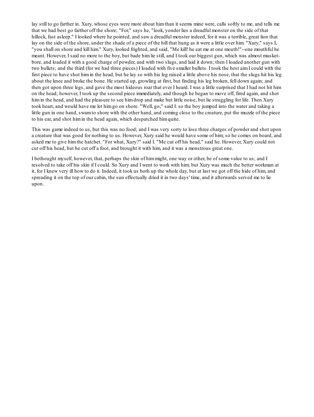lay still to go farther in. Xury, whose eyes were more about himthan it seems mine were, calls softly to me, and tells me that we had best go farther off the shore; "For," says he, "look, yonder lies a dreadful monster on the side of that hillock, fast asleep." I looked where he pointed, and saw a dreadful monster indeed, for it was a terrible, great lion that lay on the side of the shore, under the shade of a piece of the hill that hung as it were a little over him. "Xury," says I, "you shall on shore and kill him." Xury, looked frighted, and said, "Me kill! he eat me at one mouth!"--one mouthful he meant. However, I said no more to the boy, but bade himlie still, and I took our biggest gun, which was almost musketbore, and loaded it with a good charge of powder, and with two slugs, and laid it down; then I loaded another gun with two bullets; and the third (for we had three pieces) I loaded with five smaller bullets. I took the best aimI could with the first piece to have shot himin the head, but he lay so with his leg raised a little above his nose, that the slugs hit his leg about the knee and broke the bone. He started up, growling at first, but finding his leg broken, fell down again; and then got upon three legs, and gave the most hideous roar that ever I heard. I was a little surprised that I had not hit him on the head; however, I took up the second piece immediately, and though he began to move off, fired again, and shot himin the head, and had the pleasure to see himdrop and make but little noise, but lie struggling for life. Then Xury took heart, and would have me let himgo on shore. "Well, go," said I:so the boy jumped into the water and taking a little gun in one hand, swamto shore with the other hand, and coming close to the creature, put the muzzle of the piece to his ear, and shot himin the head again, which despatched himquite.

This was game indeed to us, but this was no food; and I was very sorry to lose three charges of powder and shot upon a creature that was good for nothing to us. However, Xury said he would have some of him; so he comes on board, and asked me to give himthe hatchet. "For what, Xury?" said I. "Me cut off his head," said he. However, Xury could not cut off his head, but he cut off a foot, and brought it with him, and it was a monstrous great one.

I bethought myself, however, that, perhaps the skin of himmight, one way or other, be of some value to us; and I resolved to take off his skin if I could. So Xury and I went to work with him; but Xury was much the better workman at it, for I knew very ill how to do it. Indeed, it took us both up the whole day, but at last we got off the hide of him, and spreading it on the top of our cabin, the sun effectually dried it in two days' time, and it afterwards served me to lie upon.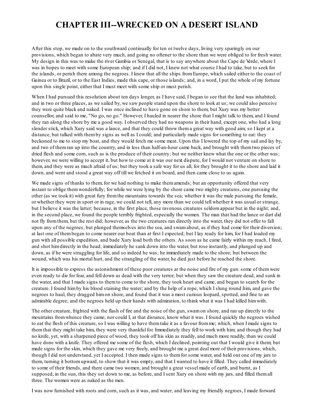#### **CHAPTER III--WRECKED ON A DESERT ISLAND**

After this stop, we made on to the southward continually for ten or twelve days, living very sparingly on our provisions, which began to abate very much, and going no oftener to the shore than we were obliged to for fresh water. My design in this was to make the river Gambia or Senegal, that is to say anywhere about the Cape de Verde, where I was in hopes to meet with some European ship; and if I did not, I knew not what course I had to take, but to seek for the islands, or perish there among the negroes. I knew that all the ships fromEurope, which sailed either to the coast of Guinea or to Brazil, or to the East Indies, made this cape, or those islands; and, in a word, I put the whole of my fortune upon this single point, either that I must meet with some ship or must perish.

When I had pursued this resolution about ten days longer, as I have said, I began to see that the land was inhabited; and in two or three places, as we sailed by, we saw people stand upon the shore to look at us; we could also perceive they were quite black and naked. I was once inclined to have gone on shore to them; but Xury was my better counsellor, and said to me, "No go, no go." However, I hauled in nearer the shore that I might talk to them, and I found they ran along the shore by me a good way. I observed they had no weapons in their hand, except one, who had a long slender stick, which Xury said was a lance, and that they could throw thema great way with good aim; so I kept at a distance, but talked with themby signs as well as I could; and particularly made signs for something to eat: they beckoned to me to stop my boat, and they would fetch me some meat. Upon this I lowered the top of my sail and lay by, and two of themran up into the country, and in less than half-an-hour came back, and brought with themtwo pieces of dried flesh and some corn, such as is the produce of their country; but we neither knew what the one or the other was; however, we were willing to accept it, but how to come at it was our next dispute, for I would not venture on shore to them, and they were as much afraid of us; but they took a safe way for us all, for they brought it to the shore and laid it down, and went and stood a great way off till we fetched it on board, and then came close to us again.

We made signs of thanks to them, for we had nothing to make them amends; but an opportunity offered that very instant to oblige themwonderfully; for while we were lying by the shore came two mighty creatures, one pursuing the other (as we took it) with great fury fromthe mountains towards the sea; whether it was the male pursuing the female, or whether they were in sport or in rage, we could not tell, any more than we could tell whether it was usual or strange, but I believe it was the latter; because, in the first place, those ravenous creatures seldomappear but in the night; and, in the second place, we found the people terribly frighted, especially the women. The man that had the lance or dart did not fly fromthem, but the rest did; however, as the two creatures ran directly into the water, they did not offer to fall upon any of the negroes, but plunged themselves into the sea, and swamabout, as if they had come for their diversion; at last one of thembegan to come nearer our boat than at first I expected; but I lay ready for him, for I had loaded my gun with all possible expedition, and bade Xury load both the others. As soon as he came fairly within my reach, I fired, and shot himdirectly in the head; immediately he sank down into the water, but rose instantly, and plunged up and down, as if he were struggling for life, and so indeed he was; he immediately made to the shore; but between the wound, which was his mortal hurt, and the strangling of the water, he died just before he reached the shore.

It is impossible to express the astonishment of these poor creatures at the noise and fire of my gun: some of them were even ready to die for fear, and fell down as dead with the very terror; but when they saw the creature dead, and sunk in the water, and that I made signs to themto come to the shore, they took heart and came, and began to search for the creature. I found himby his blood staining the water; and by the help of a rope, which I slung round him, and gave the negroes to haul, they dragged himon shore, and found that it was a most curious leopard, spotted, and fine to an admirable degree; and the negroes held up their hands with admiration, to think what it was I had killed himwith.

The other creature, frighted with the flash of fire and the noise of the gun, swamon shore, and ran up directly to the mountains fromwhence they came; nor could I, at that distance, know what it was. I found quickly the negroes wished to eat the flesh of this creature, so I was willing to have themtake it as a favour fromme; which, when I made signs to themthat they might take him, they were very thankful for. Immediately they fell to work with him; and though they had no knife, yet, with a sharpened piece of wood, they took off his skin as readily, and much more readily, than we could have done with a knife. They offered me some of the flesh, which I declined, pointing out that I would give it them; but made signs for the skin, which they gave me very freely, and brought me a great deal more of their provisions, which, though I did not understand, yet I accepted. I then made signs to themfor some water, and held out one of my jars to them, turning it bottomupward, to show that it was empty, and that I wanted to have it filled. They called immediately to some of their friends, and there came two women, and brought a great vessel made of earth, and burnt, as I supposed, in the sun, this they set down to me, as before, and I sent Xury on shore with my jars, and filled themall three. The women were as naked as the men.

I was now furnished with roots and corn, such as it was, and water; and leaving my friendly negroes, I made forward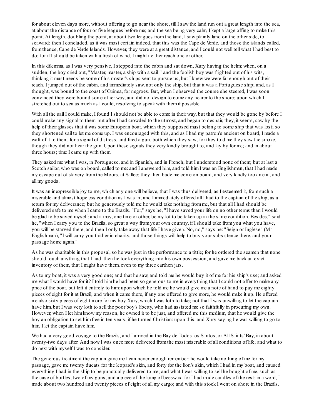for about eleven days more, without offering to go near the shore, till I saw the land run out a great length into the sea, at about the distance of four or five leagues before me; and the sea being very calm, I kept a large offing to make this point. At length, doubling the point, at about two leagues fromthe land, I saw plainly land on the other side, to seaward; then I concluded, as it was most certain indeed, that this was the Cape de Verde, and those the islands called, fromthence, Cape de Verde Islands. However, they were at a great distance, and I could not well tell what I had best to do; for if I should be taken with a fresh of wind, I might neither reach one or other.

In this dilemma, as I was very pensive, I stepped into the cabin and sat down, Xury having the helm; when, on a sudden, the boy cried out, "Master, master, a ship with a sail!" and the foolish boy was frighted out of his wits, thinking it must needs be some of his master's ships sent to pursue us, but I knew we were far enough out of their reach. I jumped out of the cabin, and immediately saw, not only the ship, but that it was a Portuguese ship; and, as I thought, was bound to the coast of Guinea, for negroes. But, when I observed the course she steered, I was soon convinced they were bound some other way, and did not design to come any nearer to the shore; upon which I stretched out to sea as much as I could, resolving to speak with themif possible.

With all the sail I could make, I found I should not be able to come in their way, but that they would be gone by before I could make any signal to them: but after I had crowded to the utmost, and began to despair, they, it seems, saw by the help of their glasses that it was some European boat, which they supposed must belong to some ship that was lost; so they shortened sail to let me come up. I was encouraged with this, and as I had my patron's ancient on board, I made a waft of it to them, for a signal of distress, and fired a gun, both which they saw; for they told me they saw the smoke, though they did not hear the gun. Upon these signals they very kindly brought to, and lay by for me; and in about three hours; time I came up with them.

They asked me what I was, in Portuguese, and in Spanish, and in French, but I understood none of them; but at last a Scotch sailor, who was on board, called to me: and I answered him, and told himI was an Englishman, that I had made my escape out of slavery fromthe Moors, at Sallee; they then bade me come on board, and very kindly took me in, and all my goods.

It was an inexpressible joy to me, which any one will believe, that I was thus delivered, as I esteemed it, fromsuch a miserable and almost hopeless condition as I was in; and I immediately offered all I had to the captain of the ship, as a return for my deliverance; but he generously told me he would take nothing fromme, but that all I had should be delivered safe to me when I came to the Brazils. "For," says he, "I have saved your life on no other terms than I would be glad to be saved myself: and it may, one time or other, be my lot to be taken up in the same condition. Besides," said he, "when I carry you to the Brazils, so great a way fromyour own country, if I should take fromyou what you have, you will be starved there, and then I only take away that life I have given. No, no," says he: "Seignior Inglese" (Mr. Englishman), "I will carry you thither in charity, and those things will help to buy your subsistence there, and your passage home again."

As he was charitable in this proposal, so he was just in the performance to a tittle; for he ordered the seamen that none should touch anything that I had: then he took everything into his own possession, and gave me back an exact inventory of them, that I might have them, even to my three earthen jars.

As to my boat, it was a very good one; and that he saw, and told me he would buy it of me for his ship's use; and asked me what I would have for it? I told himhe had been so generous to me in everything that I could not offer to make any price of the boat, but left it entirely to him: upon which he told me he would give me a note of hand to pay me eighty pieces of eight for it at Brazil; and when it came there, if any one offered to give more, he would make it up. He offered me also sixty pieces of eight more for my boy Xury, which I was loth to take; not that I was unwilling to let the captain have him, but I was very loth to sell the poor boy's liberty, who had assisted me so faithfully in procuring my own. However, when I let himknow my reason, he owned it to be just, and offered me this medium, that he would give the boy an obligation to set himfree in ten years, if he turned Christian: upon this, and Xury saying he was willing to go to him, I let the captain have him.

We had a very good voyage to the Brazils, and I arrived in the Bay de Todos los Santos, or All Saints' Bay, in about twenty-two days after. And now I was once more delivered fromthe most miserable of all conditions of life; and what to do next with myself I was to consider.

The generous treatment the captain gave me I can never enough remember: he would take nothing of me for my passage, gave me twenty ducats for the leopard's skin, and forty for the lion's skin, which I had in my boat, and caused everything I had in the ship to be punctually delivered to me; and what I was willing to sell he bought of me, such as the case of bottles, two of my guns, and a piece of the lump of beeswax--for I had made candles of the rest: in a word, I made about two hundred and twenty pieces of eight of all my cargo; and with this stock I went on shore in the Brazils.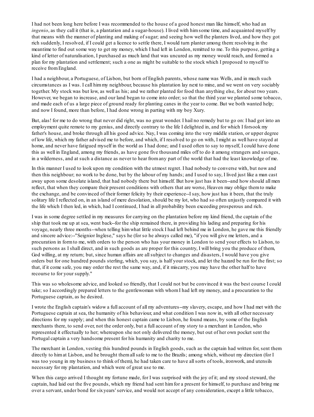I had not been long here before I was recommended to the house of a good honest man like himself, who had an *ingenio*, as they call it (that is, a plantation and a sugar-house). I lived with himsome time, and acquainted myself by that means with the manner of planting and making of sugar; and seeing how well the planters lived, and how they got rich suddenly, I resolved, if I could get a licence to settle there, I would turn planter among them: resolving in the meantime to find out some way to get my money, which I had left in London, remitted to me. To this purpose, getting a kind of letter of naturalisation, I purchased as much land that was uncured as my money would reach, and formed a plan for my plantation and settlement; such a one as might be suitable to the stock which I proposed to myself to receive fromEngland.

I had a neighbour, a Portuguese, of Lisbon, but born of English parents, whose name was Wells, and in much such circumstances as I was. I call himmy neighbour, because his plantation lay next to mine, and we went on very sociably together. My stock was but low, as well as his; and we rather planted for food than anything else, for about two years. However, we began to increase, and our land began to come into order; so that the third year we planted some tobacco, and made each of us a large piece of ground ready for planting canes in the year to come. But we both wanted help; and now I found, more than before, I had done wrong in parting with my boy Xury.

But, alas! for me to do wrong that never did right, was no great wonder. I hail no remedy but to go on: I had got into an employment quite remote to my genius, and directly contrary to the life I delighted in, and for which I forsook my father's house, and broke through all his good advice. Nay, I was coming into the very middle station, or upper degree of low life, which my father advised me to before, and which, if I resolved to go on with, I might as well have stayed at home, and never have fatigued myself in the world as I had done; and I used often to say to myself, I could have done this as well in England, among my friends, as have gone five thousand miles off to do it among strangers and savages, in a wilderness, and at such a distance as never to hear fromany part of the world that had the least knowledge of me.

In this manner I used to look upon my condition with the utmost regret. I had nobody to converse with, but now and then this neighbour; no work to be done, but by the labour of my hands; and I used to say, I lived just like a man cast away upon some desolate island, that had nobody there but himself. But how just has it been--and how should all men reflect, that when they compare their present conditions with others that are worse, Heaven may oblige themto make the exchange, and be convinced of their former felicity by their experience--I say, how just has it been, that the truly solitary life I reflected on, in an island of mere desolation, should be my lot, who had so often unjustly compared it with the life which I then led, in which, had I continued, I had in all probability been exceeding prosperous and rich.

I was in some degree settled in my measures for carrying on the plantation before my kind friend, the captain of the ship that took me up at sea, went back--for the ship remained there, in providing his lading and preparing for his voyage, nearly three months--when telling himwhat little stock I had left behind me in London, he gave me this friendly and sincere advice:--"Seignior Inglese," says he (for so he always called me), "if you will give me letters, and a procuration in formto me, with orders to the person who has your money in London to send your effects to Lisbon, to such persons as I shall direct, and in such goods as are proper for this country, I will bring you the produce of them, God willing, at my return; but, since human affairs are all subject to changes and disasters, I would have you give orders but for one hundred pounds sterling, which, you say, is half your stock, and let the hazard be run for the first; so that, if it come safe, you may order the rest the same way, and, if it miscarry, you may have the other half to have recourse to for your supply."

This was so wholesome advice, and looked so friendly, that I could not but be convinced it was the best course I could take; so I accordingly prepared letters to the gentlewoman with whomI had left my money, and a procuration to the Portuguese captain, as he desired.

I wrote the English captain's widow a full account of all my adventures--my slavery, escape, and how I had met with the Portuguese captain at sea, the humanity of his behaviour, and what condition I was now in, with all other necessary directions for my supply; and when this honest captain came to Lisbon, he found means, by some of the English merchants there, to send over, not the order only, but a full account of my story to a merchant in London, who represented it effectually to her; whereupon she not only delivered the money, but out of her own pocket sent the Portugal captain a very handsome present for his humanity and charity to me.

The merchant in London, vesting this hundred pounds in English goods, such as the captain had written for, sent them directly to himat Lisbon, and he brought themall safe to me to the Brazils; among which, without my direction (for I was too young in my business to think of them), he had taken care to have all sorts of tools, ironwork, and utensils necessary for my plantation, and which were of great use to me.

When this cargo arrived I thought my fortune made, for I was surprised with the joy of it; and my stood steward, the captain, had laid out the five pounds, which my friend had sent himfor a present for himself, to purchase and bring me over a servant, under bond for sixyears' service, and would not accept of any consideration, except a little tobacco,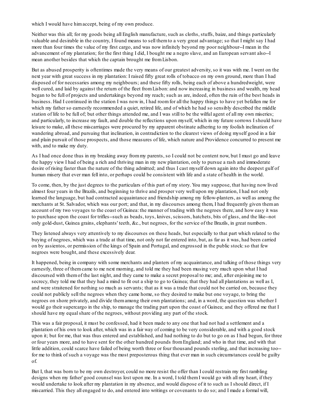which I would have him accept, being of my own produce.

Neither was this all; for my goods being all English manufacture, such as cloths, stuffs, baize, and things particularly valuable and desirable in the country, I found means to sell themto a very great advantage; so that I might say I had more than four times the value of my first cargo, and was now infinitely beyond my poor neighbour--I mean in the advancement of my plantation; for the first thing I did, I bought me a negro slave, and an European servant also--I mean another besides that which the captain brought me fromLisbon.

But as abused prosperity is oftentimes made the very means of our greatest adversity, so it was with me. I went on the next year with great success in my plantation: I raised fifty great rolls of tobacco on my own ground, more than I had disposed of for necessaries among my neighbours; and these fifty rolls, being each of above a hundredweight, were well cured, and laid by against the return of the fleet from Lisbon: and now increasing in business and wealth, my head began to be full of projects and undertakings beyond my reach; such as are, indeed, often the ruin of the best heads in business. Had I continued in the station I was now in, I had roomfor all the happy things to have yet befallen me for which my father so earnestly recommended a quiet, retired life, and of which he had so sensibly described the middle station of life to be full of; but other things attended me, and I was still to be the wilful agent of all my own miseries; and particularly, to increase my fault, and double the reflections upon myself, which in my future sorrows I should have leisure to make, all these miscarriages were procured by my apparent obstinate adhering to my foolish inclination of wandering abroad, and pursuing that inclination, in contradiction to the clearest views of doing myself good in a fair and plain pursuit of those prospects, and those measures of life, which nature and Providence concurred to present me with, and to make my duty.

As I had once done thus in my breaking away frommy parents, so I could not be content now, but I must go and leave the happy view I had of being a rich and thriving man in my new plantation, only to pursue a rash and immoderate desire of rising faster than the nature of the thing admitted; and thus I cast myself down again into the deepest gulf of human misery that ever man fell into, or perhaps could be consistent with life and a state of health in the world.

To come, then, by the just degrees to the particulars of this part of my story. You may suppose, that having now lived almost four years in the Brazils, and beginning to thrive and prosper very well upon my plantation, I had not only learned the language, but had contracted acquaintance and friendship among my fellow-planters, as well as among the merchants at St. Salvador, which was our port; and that, in my discourses among them, I had frequently given theman account of my two voyages to the coast of Guinea: the manner of trading with the negroes there, and how easy it was to purchase upon the coast for trifles--such as beads, toys, knives, scissors, hatchets, bits of glass, and the like--not only gold-dust, Guinea grains, elephants' teeth, &c., but negroes, for the service of the Brazils, in great numbers.

They listened always very attentively to my discourses on these heads, but especially to that part which related to the buying of negroes, which was a trade at that time, not only not far entered into, but, as far as it was, had been carried on by assientos, or permission of the kings of Spain and Portugal, and engrossed in the public stock: so that few negroes were bought, and these excessively dear.

It happened, being in company with some merchants and planters of my acquaintance, and talking of those things very earnestly, three of themcame to me next morning, and told me they had been musing very much upon what I had discoursed with themof the last night, and they came to make a secret proposal to me; and, after enjoining me to secrecy, they told me that they had a mind to fit out a ship to go to Guinea; that they had all plantations as well as I, and were straitened for nothing so much as servants; that as it was a trade that could not be carried on, because they could not publicly sell the negroes when they came home, so they desired to make but one voyage, to bring the negroes on shore privately, and divide themamong their own plantations; and, in a word, the question was whether I would go their supercargo in the ship, to manage the trading part upon the coast of Guinea; and they offered me that I should have my equal share of the negroes, without providing any part of the stock.

This was a fair proposal, it must be confessed, had it been made to any one that had not had a settlement and a plantation of his own to look after, which was in a fair way of coming to be very considerable, and with a good stock upon it; but for me, that was thus entered and established, and had nothing to do but to go on as I had begun, for three or four years more, and to have sent for the other hundred pounds fromEngland; and who in that time, and with that little addition, could scarce have failed of being worth three or four thousand pounds sterling, and that increasing too- for me to think of such a voyage was the most preposterous thing that ever man in such circumstances could be guilty of.

But I, that was born to be my own destroyer, could no more resist the offer than I could restrain my first rambling designs when my father' good counsel was lost upon me. In a word, I told them I would go with all my heart, if they would undertake to look after my plantation in my absence, and would dispose of it to such as I should direct, if I miscarried. This they all engaged to do, and entered into writings or covenants to do so; and I made a formal will,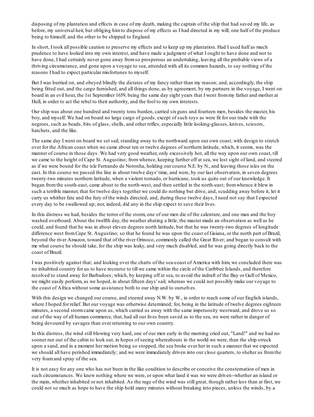disposing of my plantation and effects in case of my death, making the captain of the ship that had saved my life, as before, my universal heir, but obliging himto dispose of my effects as I had directed in my will; one half of the produce being to himself, and the other to be shipped to England.

In short, I took all possible caution to preserve my effects and to keep up my plantation. Had I used half as much prudence to have looked into my own interest, and have made a judgment of what I ought to have done and not to have done, I had certainly never gone away fromso prosperous an undertaking, leaving all the probable views of a thriving circumstance, and gone upon a voyage to sea, attended with all its common hazards, to say nothing of the reasons I had to expect particular misfortunes to myself.

But I was hurried on, and obeyed blindly the dictates of my fancy rather than my reason; and, accordingly, the ship being fitted out, and the cargo furnished, and all things done, as by agreement, by my partners in the voyage, I went on board in an evil hour, the 1st September 1659, being the same day eight years that I went frommy father and mother at Hull, in order to act the rebel to their authority, and the fool to my own interests.

Our ship was about one hundred and twenty tons burden, carried sixguns and fourteen men, besides the master, his boy, and myself. We had on board no large cargo of goods, except of such toys as were fit for our trade with the negroes, such as beads, bits of glass, shells, and other trifles, especially little looking-glasses, knives, scissors, hatchets, and the like.

The same day I went on board we set sail, standing away to the northward upon our own coast, with design to stretch over for the African coast when we came about ten or twelve degrees of northern latitude, which, it seems, was the manner of course in those days. We had very good weather, only excessively hot, all the way upon our own coast, till we came to the height of Cape St. Augustino; fromwhence, keeping further off at sea, we lost sight of land, and steered as if we were bound for the isle Fernando de Noronha, holding our course N.E. by N., and leaving those isles on the east. In this course we passed the line in about twelve days' time, and were, by our last observation, in seven degrees twenty-two minutes northern latitude, when a violent tornado, or hurricane, took us quite out of our knowledge. It began fromthe south-east, came about to the north-west, and then settled in the north-east; fromwhence it blew in such a terrible manner, that for twelve days together we could do nothing but drive, and, scudding away before it, let it carry us whither fate and the fury of the winds directed; and, during these twelve days, I need not say that I expected every day to be swallowed up; nor, indeed, did any in the ship expect to save their lives.

In this distress we had, besides the terror of the storm, one of our men die of the calenture, and one man and the boy washed overboard. About the twelfth day, the weather abating a little, the master made an observation as well as he could, and found that he was in about eleven degrees north latitude, but that he was twenty-two degrees of longitude difference west fromCape St. Augustino; so that he found he was upon the coast of Guiana, or the north part of Brazil, beyond the river Amazon, toward that of the river Orinoco, commonly called the Great River; and began to consult with me what course he should take, for the ship was leaky, and very much disabled, and he was going directly back to the coast of Brazil.

I was positively against that; and looking over the charts of the sea-coast of America with him, we concluded there was no inhabited country for us to have recourse to till we came within the circle of the Caribbee Islands, and therefore resolved to stand away for Barbadoes; which, by keeping off at sea, to avoid the indraft of the Bay or Gulf of Mexico, we might easily perform, as we hoped, in about fifteen days' sail; whereas we could not possibly make our voyage to the coast of Africa without some assistance both to our ship and to ourselves.

With this design we changed our course, and steered away N.W. by W., in order to reach some of our English islands, where I hoped for relief. But our voyage was otherwise determined; for, being in the latitude of twelve degrees eighteen minutes, a second stormcame upon us, which carried us away with the same impetuosity westward, and drove us so out of the way of all human commerce, that, had all our lives been saved as to the sea, we were rather in danger of being devoured by savages than ever returning to our own country.

In this distress, the wind still blowing very hard, one of our men early in the morning cried out, "Land!" and we had no sooner run out of the cabin to look out, in hopes of seeing whereabouts in the world we were, than the ship struck upon a sand, and in a moment her motion being so stopped, the sea broke over her in such a manner that we expected we should all have perished immediately; and we were immediately driven into our close quarters, to shelter us fromthe very foamand spray of the sea.

It is not easy for any one who has not been in the like condition to describe or conceive the consternation of men in such circumstances. We knew nothing where we were, or upon what land it was we were driven--whether an island or the main, whether inhabited or not inhabited. As the rage of the wind was still great, though rather less than at first, we could not so much as hope to have the ship hold many minutes without breaking into pieces, unless the winds, by a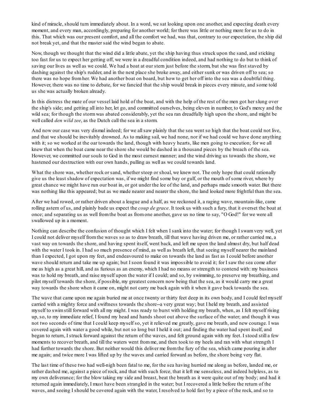kind of miracle, should turn immediately about. In a word, we sat looking upon one another, and expecting death every moment, and every man, accordingly, preparing for another world; for there was little or nothing more for us to do in this. That which was our present comfort, and all the comfort we had, was that, contrary to our expectation, the ship did not break yet, and that the master said the wind began to abate.

Now, though we thought that the wind did a little abate, yet the ship having thus struck upon the sand, and sticking too fast for us to expect her getting off, we were in a dreadful condition indeed, and had nothing to do but to think of saving our lives as well as we could. We had a boat at our stern just before the storm, but she was first staved by dashing against the ship's rudder, and in the next place she broke away, and either sunk or was driven off to sea; so there was no hope fromher. We had another boat on board, but how to get her off into the sea was a doubtful thing. However, there was no time to debate, for we fancied that the ship would break in pieces every minute, and some told us she was actually broken already.

In this distress the mate of our vessel laid hold of the boat, and with the help of the rest of the men got her slung over the ship's side; and getting all into her, let go, and committed ourselves, being eleven in number, to God's mercy and the wild sea; for though the stormwas abated considerably, yet the sea ran dreadfully high upon the shore, and might be well called *den wild zee*, as the Dutch call the sea in a storm.

And now our case was very dismal indeed; for we allsaw plainly that the sea went so high that the boat could not live, and that we should be inevitably drowned. As to making sail, we had none, nor if we had could we have done anything with it; so we worked at the oar towards the land, though with heavy hearts, like men going to execution; for we all knew that when the boat came near the shore she would be dashed in a thousand pieces by the breach of the sea. However, we committed our souls to God in the most earnest manner; and the wind driving us towards the shore, we hastened our destruction with our own hands, pulling as well as we could towards land.

What the shore was, whether rock or sand, whether steep or shoal, we knew not. The only hope that could rationally give us the least shadow of expectation was, if we might find some bay or gulf, or the mouth of some river, where by great chance we might have run our boat in, or got under the lee of the land, and perhaps made smooth water. But there was nothing like this appeared; but as we made nearer and nearer the shore, the land looked more frightful than the sea.

After we had rowed, or rather driven about a league and a half, as we reckoned it, a raging wave, mountain-like, came rolling astern of us, and plainly bade us expect the *coup de grace*. It took us with such a fury, that it overset the boat at once; and separating us as well fromthe boat as fromone another, gave us no time to say, "O God!" for we were all swallowed up in a moment.

Nothing can describe the confusion of thought which I felt when I sank into the water; for though I swamvery well, yet I could not deliver myself fromthe waves so as to draw breath, till that wave having driven me, or rather carried me, a vast way on towards the shore, and having spent itself, went back, and left me upon the land almost dry, but half dead with the water I took in. I had so much presence of mind, as well as breath left, that seeing myself nearer the mainland than I expected, I got upon my feet, and endeavoured to make on towards the land as fast as I could before another wave should return and take me up again; but I soon found it was impossible to avoid it; for I saw the sea come after me as high as a great hill, and as furious as an enemy, which I had no means or strength to contend with: my business was to hold my breath, and raise myself upon the water if I could; and so, by swimming, to preserve my breathing, and pilot myself towards the shore, if possible, my greatest concern now being that the sea, as it would carry me a great way towards the shore when it came on, might not carry me back again with it when it gave back towards the sea.

The wave that came upon me again buried me at once twenty or thirty feet deep in its own body, and I could feel myself carried with a mighty force and swiftness towards the shore--a very great way; but I held my breath, and assisted myself to swimstill forward with all my might. I was ready to burst with holding my breath, when, as I felt myself rising up, so, to my immediate relief, I found my head and hands shoot out above the surface of the water; and though it was not two seconds of time that I could keep myself so, yet it relieved me greatly, gave me breath, and new courage. I was covered again with water a good while, but not so long but I held it out; and finding the water had spent itself, and began to return, I struck forward against the return of the waves, and felt ground again with my feet. I stood still a few moments to recover breath, and till the waters went fromme, and then took to my heels and ran with what strength I had further towards the shore. But neither would this deliver me fromthe fury of the sea, which came pouring in after me again; and twice more I was lifted up by the waves and carried forward as before, the shore being very flat.

The last time of these two had well-nigh been fatal to me, for the sea having hurried me along as before, landed me, or rather dashed me, against a piece of rock, and that with such force, that it left me senseless, and indeed helpless, as to my own deliverance; for the blow taking my side and breast, beat the breath as it were quite out of my body; and had it returned again immediately, I must have been strangled in the water; but I recovered a little before the return of the waves, and seeing I should be covered again with the water, I resolved to hold fast by a piece of the rock, and so to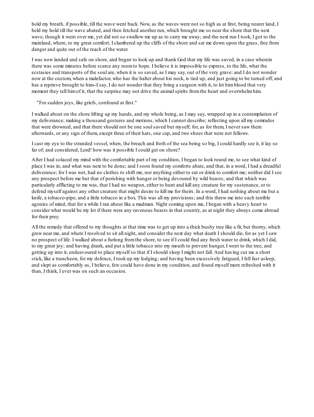hold my breath, if possible, till the wave went back. Now, as the waves were not so high as at first, being nearer land, I held my hold till the wave abated, and then fetched another run, which brought me so near the shore that the next wave, though it went over me, yet did not so swallow me up as to carry me away; and the next run I took, I got to the mainland, where, to my great comfort, I clambered up the cliffs of the shore and sat me down upon the grass, free from danger and quite out of the reach of the water.

I was now landed and safe on shore, and began to look up and thank God that my life was saved, in a case wherein there was some minutes before scarce any roomto hope. I believe it is impossible to express, to the life, what the ecstasies and transports of the soul are, when it is so saved, as I may say, out of the very grave: and I do not wonder now at the custom, when a malefactor, who has the halter about his neck, is tied up, and just going to be turned off, and has a reprieve brought to him-I say, I do not wonder that they bring a surgeon with it, to let himblood that very moment they tell him of it, that the surprise may not drive the animal spirits from the heart and overwhelm him.

"For sudden joys, like griefs, confound at first."

I walked about on the shore lifting up my hands, and my whole being, as I may say, wrapped up in a contemplation of my deliverance; making a thousand gestures and motions, which I cannot describe; reflecting upon all my comrades that were drowned, and that there should not be one soulsaved but myself; for, as for them, I never saw them afterwards, or any sign of them, except three of their hats, one cap, and two shoes that were not fellows.

I cast my eye to the stranded vessel, when, the breach and froth of the sea being so big, I could hardly see it, it lay so far of; and considered, Lord! how was it possible I could get on shore?

After I had solaced my mind with the comfortable part of my condition, I began to look round me, to see what kind of place I was in, and what was next to be done; and I soon found my comforts abate, and that, in a word, I had a dreadful deliverance; for I was wet, had no clothes to shift me, nor anything either to eat or drink to comfort me; neither did I see any prospect before me but that of perishing with hunger or being devoured by wild beasts; and that which was particularly afflicting to me was, that I had no weapon, either to hunt and kill any creature for my sustenance, or to defend myself against any other creature that might desire to kill me for theirs. In a word, I had nothing about me but a knife, a tobacco-pipe, and a little tobacco in a box. This was all my provisions; and this threw me into such terrible agonies of mind, that for a while I ran about like a madman. Night coming upon me, I began with a heavy heart to consider what would be my lot if there were any ravenous beasts in that country, as at night they always come abroad for their prey.

All the remedy that offered to my thoughts at that time was to get up into a thick bushy tree like a fir, but thorny, which grew near me, and where I resolved to sit all night, and consider the next day what death I should die, for as yet I saw no prospect of life. I walked about a furlong fromthe shore, to see if I could find any fresh water to drink, which I did, to my great joy; and having drank, and put a little tobacco into my mouth to prevent hunger, I went to the tree, and getting up into it, endeavoured to place myself so that if I should sleep I might not fall. And having cut me a short stick, like a truncheon, for my defence, I took up my lodging; and having been excessively fatigued, I fell fast asleep, and slept as comfortably as, I believe, few could have done in my condition, and found myself more refreshed with it than, I think, I ever was on such an occasion.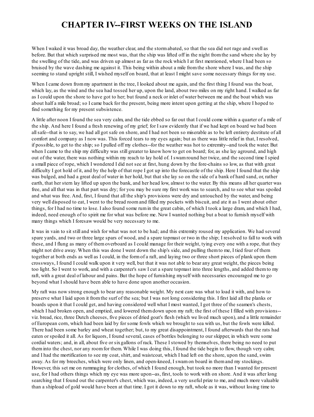#### **CHAPTER IV--FIRST WEEKS ON THE ISLAND**

When I waked it was broad day, the weather clear, and the stormabated, so that the sea did not rage and swell as before. But that which surprised me most was, that the ship was lifted off in the night fromthe sand where she lay by the swelling of the tide, and was driven up almost as far as the rock which I at first mentioned, where I had been so bruised by the wave dashing me against it. This being within about a mile fromthe shore where I was, and the ship seeming to stand upright still, I wished myself on board, that at least I might save some necessary things for my use.

When I came down from my apartment in the tree, I looked about me again, and the first thing I found was the boat, which lay, as the wind and the sea had tossed her up, upon the land, about two miles on my right hand. I walked as far as I could upon the shore to have got to her; but found a neck or inlet of water between me and the boat which was about half a mile broad; so I came back for the present, being more intent upon getting at the ship, where I hoped to find something for my present subsistence.

A little after noon I found the sea very calm, and the tide ebbed so far out that I could come within a quarter of a mile of the ship. And here I found a fresh renewing of my grief; for I saw evidently that if we had kept on board we had been allsafe--that is to say, we had all got safe on shore, and I had not been so miserable as to be left entirety destitute of all comfort and company as I now was. This forced tears to my eyes again; but as there was little relief in that, I resolved, if possible, to get to the ship; so I pulled off my clothes--for the weather was hot to extremity--and took the water. But when I came to the ship my difficulty was still greater to know how to get on board; for, as she lay aground, and high out of the water, there was nothing within my reach to lay hold of. I swamround her twice, and the second time I spied a small piece of rope, which I wondered I did not see at first, hung down by the fore-chains so low, as that with great difficulty I got hold of it, and by the help of that rope I got up into the forecastle of the ship. Here I found that the ship was bulged, and had a great deal of water in her hold, but that she lay so on the side of a bank of hard sand, or, rather earth, that her stern lay lifted up upon the bank, and her head low, almost to the water. By this means all her quarter was free, and all that was in that part was dry; for you may be sure my first work was to search, and to see what was spoiled and what was free. And, first, I found that all the ship's provisions were dry and untouched by the water, and being very well disposed to eat, I went to the bread roomand filled my pockets with biscuit, and ate it as I went about other things, for I had no time to lose. I also found some rumin the great cabin, of which I took a large dram, and which I had, indeed, need enough of to spirit me for what was before me. Now I wanted nothing but a boat to furnish myself with many things which I foresaw would be very necessary to me.

It was in vain to sit still and wish for what was not to be had; and this extremity roused my application. We had several spare yards, and two or three large spars of wood, and a spare topmast or two in the ship; I resolved to fall to work with these, and I flung as many of themoverboard as I could manage for their weight, tying every one with a rope, that they might not drive away. When this was done I went down the ship's side, and pulling themto me, I tied four of them together at both ends as well as I could, in the formof a raft, and laying two or three short pieces of plank upon them crossways, I found I could walk upon it very well, but that it was not able to bear any great weight, the pieces being too light. So I went to work, and with a carpenter's saw I cut a spare topmast into three lengths, and added themto my raft, with a great deal of labour and pains. But the hope of furnishing myself with necessaries encouraged me to go beyond what I should have been able to have done upon another occasion.

My raft was now strong enough to bear any reasonable weight. My next care was what to load it with, and how to preserve what I laid upon it fromthe surf of the sea; but I was not long considering this. I first laid all the planks or boards upon it that I could get, and having considered well what I most wanted, I got three of the seamen's chests, which I had broken open, and emptied, and lowered them down upon my raft; the first of these I filled with provisions-viz. bread, rice, three Dutch cheeses, five pieces of dried goat's flesh (which we lived much upon), and a little remainder of European corn, which had been laid by for some fowls which we brought to sea with us, but the fowls were killed. There had been some barley and wheat together; but, to my great disappointment, I found afterwards that the rats had eaten or spoiled it all. As for liquors, I found several, cases of bottles belonging to our skipper, in which were some cordial waters; and, in all, about five or sixgallons of rack. These I stowed by themselves, there being no need to put theminto the chest, nor any roomfor them. While I was doing this, I found the tide begin to flow, though very calm; and I had the mortification to see my coat, shirt, and waistcoat, which I had left on the shore, upon the sand, swim away. As for my breeches, which were only linen, and open-kneed, I swamon board in themand my stockings. However, this set me on rummaging for clothes, of which I found enough, but took no more than I wanted for present use, for I had others things which my eye was more upon--as, first, tools to work with on shore. And it was after long searching that I found out the carpenter's chest, which was, indeed, a very useful prize to me, and much more valuable than a shipload of gold would have been at that time. I got it down to my raft, whole as it was, without losing time to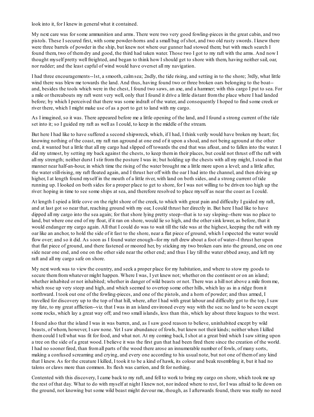look into it, for I knew in general what it contained.

My next care was for some ammunition and arms. There were two very good fowling-pieces in the great cabin, and two pistols. These I secured first, with some powder-horns and a small bag of shot, and two old rusty swords. I knew there were three barrels of powder in the ship, but knew not where our gunner had stowed them; but with much search I found them, two of themdry and good, the third had taken water. Those two I got to my raft with the arms. And now I thought myself pretty well freighted, and began to think how I should get to shore with them, having neither sail, oar, nor rudder; and the least capful of wind would have overset all my navigation.

I had three encouragements--1st, a smooth, calmsea; 2ndly, the tide rising, and setting in to the shore; 3rdly, what little wind there was blew me towards the land. And thus, having found two or three broken oars belonging to the boat-and, besides the tools which were in the chest, I found two saws, an axe, and a hammer; with this cargo I put to sea. For a mile or thereabouts my raft went very well, only that I found it drive a little distant fromthe place where I had landed before; by which I perceived that there was some indraft of the water, and consequently I hoped to find some creek or river there, which I might make use of as a port to get to land with my cargo.

As I imagined, so it was. There appeared before me a little opening of the land, and I found a strong current of the tide set into it; so I guided my raft as well as I could, to keep in the middle of the stream.

But here I had like to have suffered a second shipwreck, which, if I had, I think verily would have broken my heart; for, knowing nothing of the coast, my raft ran aground at one end of it upon a shoal, and not being aground at the other end, it wanted but a little that all my cargo had slipped off towards the end that was afloat, and to fallen into the water. I did my utmost, by setting my back against the chests, to keep themin their places, but could not thrust off the raft with all my strength; neither durst I stir fromthe posture I was in; but holding up the chests with all my might, I stood in that manner near half-an-hour, in which time the rising of the water brought me a little more upon a level; and a little after, the water still-rising, my raft floated again, and I thrust her off with the oar I had into the channel, and then driving up higher, I at length found myself in the mouth of a little river, with land on both sides, and a strong current of tide running up. I looked on both sides for a proper place to get to shore, for I was not willing to be driven too high up the river: hoping in time to see some ships at sea, and therefore resolved to place myself as near the coast as I could.

At length I spied a little cove on the right shore of the creek, to which with great pain and difficulty I guided my raft, and at last got so near that, reaching ground with my oar, I could thrust her directly in. But here I had like to have dipped all my cargo into the sea again; for that shore lying pretty steep--that is to say sloping--there was no place to land, but where one end of my float, if it ran on shore, would lie so high, and the other sink lower, as before, that it would endanger my cargo again. All that I could do was to wait till the tide was at the highest, keeping the raft with my oar like an anchor, to hold the side of it fast to the shore, near a flat piece of ground, which I expected the water would flow over; and so it did. As soon as I found water enough--for my raft drew about a foot of water--I thrust her upon that flat piece of ground, and there fastened or moored her, by sticking my two broken oars into the ground, one on one side near one end, and one on the other side near the other end; and thus I lay till the water ebbed away, and left my raft and all my cargo safe on shore.

My next work was to view the country, and seek a proper place for my habitation, and where to stow my goods to secure themfromwhatever might happen. Where I was, I yet knew not; whether on the continent or on an island; whether inhabited or not inhabited; whether in danger of wild beasts or not. There was a hill not above a mile from me, which rose up very steep and high, and which seemed to overtop some other hills, which lay as in a ridge fromit northward. I took out one of the fowling-pieces, and one of the pistols, and a horn of powder; and thus armed, I travelled for discovery up to the top of that hill, where, after I had with great labour and difficulty got to the top, I saw my fate, to my great affliction--viz. that I was in an island environed every way with the sea: no land to be seen except some rocks, which lay a great way off; and two small islands, less than this, which lay about three leagues to the west.

I found also that the island I was in was barren, and, as I saw good reason to believe, uninhabited except by wild beasts, of whom, however, I saw none. Yet I saw abundance of fowls, but knew not their kinds; neither when I killed themcould I tell what was fit for food, and what not. At my coming back, I shot at a great bird which I saw sitting upon a tree on the side of a great wood. I believe it was the first gun that had been fired there since the creation of the world. I had no sooner fired, than fromall parts of the wood there arose an innumerable number of fowls, of many sorts, making a confused screaming and crying, and every one according to his usual note, but not one of themof any kind that I knew. As for the creature I killed, I took it to be a kind of hawk, its colour and beak resembling it, but it had no talons or claws more than common. Its flesh was carrion, and fit for nothing.

Contented with this discovery, I came back to my raft, and fell to work to bring my cargo on shore, which took me up the rest of that day. What to do with myself at night I knew not, nor indeed where to rest, for I was afraid to lie down on the ground, not knowing but some wild beast might devour me, though, as I afterwards found, there was really no need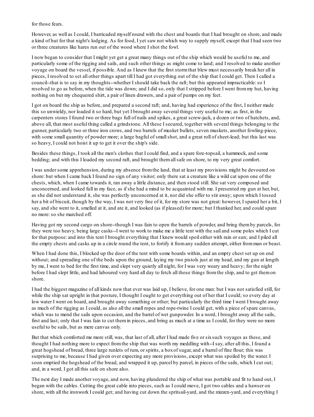for those fears.

However, as well as I could, I barricaded myself round with the chest and boards that I had brought on shore, and made a kind of hut for that night's lodging. As for food, I yet saw not which way to supply myself, except that I had seen two or three creatures like hares run out of the wood where I shot the fowl.

I now began to consider that I might yet get a great many things out of the ship which would be useful to me, and particularly some of the rigging and sails, and such other things as might come to land; and I resolved to make another voyage on board the vessel, if possible. And as I knew that the first stormthat blew must necessarily break her all in pieces, I resolved to set all other things apart till I had got everything out of the ship that I could get. Then I called a council--that is to say in my thoughts--whether I should take back the raft; but this appeared impracticable:so I resolved to go as before, when the tide was down; and I did so, only that I stripped before I went frommy hut, having nothing on but my chequered shirt, a pair of linen drawers, and a pair of pumps on my feet.

I got on board the ship as before, and prepared a second raft; and, having had experience of the first, I neither made this so unwieldy, nor loaded it so hard, but yet I brought away several things very useful to me; as first, in the carpenters stores I found two or three bags full of nails and spikes, a great screw-jack, a dozen or two of hatchets, and, above all, that most useful thing called a grindstone. All these I secured, together with several things belonging to the gunner, particularly two or three iron crows, and two barrels of musket bullets, seven muskets, another fowling-piece, with some small quantity of powder more; a large bagful of small shot, and a great roll of sheet-lead; but this last was so heavy, I could not hoist it up to get it over the ship's side.

Besides these things, I took all the men's clothes that I could find, and a spare fore-topsail, a hammock, and some bedding; and with this I loaded my second raft, and brought themallsafe on shore, to my very great comfort.

I was under some apprehension, during my absence fromthe land, that at least my provisions might be devoured on shore: but when I came back I found no sign of any visitor; only there sat a creature like a wild cat upon one of the chests, which, when I came towards it, ran away a little distance, and then stood still. She sat very composed and unconcerned, and looked full in my face, as if she had a mind to be acquainted with me. I presented my gun at her, but, as she did not understand it, she was perfectly unconcerned at it, nor did she offer to stir away; upon which I tossed her a bit of biscuit, though by the way, I was not very free of it, for my store was not great: however, I spared her a bit, I say, and she went to it, smelled at it, and ate it, and looked (as if pleased) for more; but I thanked her, and could spare no more:so she marched off.

Having got my second cargo on shore--though I was fain to open the barrels of powder, and bring themby parcels, for they were too heavy, being large casks--I went to work to make me a little tent with the sail and some poles which I cut for that purpose: and into this tent I brought everything that I knew would spoil either with rain or sun; and I piled all the empty chests and casks up in a circle round the tent, to fortify it fromany sudden attempt, either fromman or beast.

When I had done this, I blocked up the door of the tent with some boards within, and an empty chest set up on end without; and spreading one of the beds upon the ground, laying my two pistols just at my head, and my gun at length by me, I went to bed for the first time, and slept very quietly all night, for I was very weary and heavy; for the night before I had slept little, and had laboured very hard all day to fetch all those things fromthe ship, and to get themon shore.

I had the biggest magazine of all kinds now that ever was laid up, I believe, for one man: but I was not satisfied still, for while the ship sat upright in that posture, I thought I ought to get everything out of her that I could; so every day at low water I went on board, and brought away something or other; but particularly the third time I went I brought away as much of the rigging as I could, as also all the small ropes and rope-twine I could get, with a piece of spare canvas, which was to mend the sails upon occasion, and the barrel of wet gunpowder. In a word, I brought away all the sails, first and last; only that I was fain to cut themin pieces, and bring as much at a time as I could, for they were no more useful to be sails, but as mere canvas only.

But that which comforted me more still, was, that last of all, after I had made five or sixsuch voyages as these, and thought I had nothing more to expect fromthe ship that was worth my meddling with--I say, after all this, I found a great hogshead of bread, three large runlets of rum, or spirits, a boxof sugar, and a barrel of fine flour; this was surprising to me, because I had given over expecting any more provisions, except what was spoiled by the water. I soon emptied the hogshead of the bread, and wrapped it up, parcel by parcel, in pieces of the sails, which I cut out; and, in a word, I got all this safe on shore also.

The next day I made another voyage, and now, having plundered the ship of what was portable and fit to hand out, I began with the cables. Cutting the great cable into pieces, such as I could move, I got two cables and a hawser on shore, with all the ironwork I could get; and having cut down the spritsail-yard, and the mizzen-yard, and everything I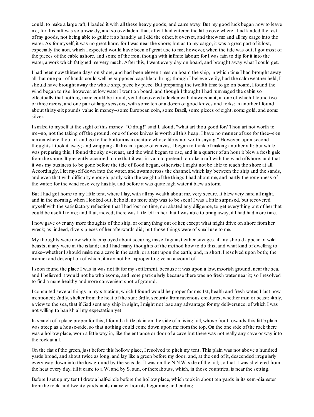could, to make a large raft, I loaded it with all these heavy goods, and came away. But my good luck began now to leave me; for this raft was so unwieldy, and so overladen, that, after I had entered the little cove where I had landed the rest of my goods, not being able to guide it so handily as I did the other, it overset, and threw me and all my cargo into the water. As for myself, it was no great harm, for I was near the shore; but as to my cargo, it was a great part of it lost, especially the iron, which I expected would have been of great use to me; however, when the tide was out, I got most of the pieces of the cable ashore, and some of the iron, though with infinite labour; for I was fain to dip for it into the water, a work which fatigued me very much. After this, I went every day on board, and brought away what I could get.

I had been now thirteen days on shore, and had been eleven times on board the ship, in which time I had brought away all that one pair of hands could well be supposed capable to bring; though I believe verily, had the calmweather held, I should have brought away the whole ship, piece by piece. But preparing the twelfth time to go on board, I found the wind began to rise: however, at low water I went on board, and though I thought I had rummaged the cabin so effectually that nothing more could be found, yet I discovered a locker with drawers in it, in one of which I found two or three razors, and one pair of large scissors, with some ten or a dozen of good knives and forks: in another I found about thirty-sixpounds value in money--some European coin, some Brazil, some pieces of eight, some gold, and some silver.

I smiled to myself at the sight of this money: "O drug!" said I, aloud, "what art thou good for? Thou art not worth to me--no, not the taking off the ground; one of those knives is worth all this heap; I have no manner of use for thee--e'en remain where thou art, and go to the bottomas a creature whose life is not worth saying." However, upon second thoughts I took it away; and wrapping all this in a piece of canvas, I began to think of making another raft; but while I was preparing this, I found the sky overcast, and the wind began to rise, and in a quarter of an hour it blew a fresh gale fromthe shore. It presently occurred to me that it was in vain to pretend to make a raft with the wind offshore; and that it was my business to be gone before the tide of flood began, otherwise I might not be able to reach the shore at all. Accordingly, I let myself down into the water, and swamacross the channel, which lay between the ship and the sands, and even that with difficulty enough, partly with the weight of the things I had about me, and partly the roughness of the water; for the wind rose very hastily, and before it was quite high water it blew a storm.

But I had got home to my little tent, where I lay, with all my wealth about me, very secure. It blew very hard all night, and in the morning, when I looked out, behold, no more ship was to be seen! I was a little surprised, but recovered myself with the satisfactory reflection that I had lost no time, nor abated any diligence, to get everything out of her that could be useful to me; and that, indeed, there was little left in her that I was able to bring away, if I had had more time.

I now gave over any more thoughts of the ship, or of anything out of her, except what might drive on shore fromher wreck; as, indeed, divers pieces of her afterwards did; but those things were of small use to me.

My thoughts were now wholly employed about securing myself against either savages, if any should appear, or wild beasts, if any were in the island; and I had many thoughts of the method how to do this, and what kind of dwelling to make--whether I should make me a cave in the earth, or a tent upon the earth; and, in short, I resolved upon both; the manner and description of which, it may not be improper to give an account of.

I soon found the place I was in was not fit for my settlement, because it was upon a low, moorish ground, near the sea, and I believed it would not be wholesome, and more particularly because there was no fresh water near it; so I resolved to find a more healthy and more convenient spot of ground.

I consulted several things in my situation, which I found would he proper for me: 1st, health and fresh water, I just now mentioned; 2ndly, shelter fromthe heat of the sun; 3rdly, security fromravenous creatures, whether man or beast; 4thly, a view to the sea, that if God sent any ship in sight, I might not lose any advantage for my deliverance, of which I was not willing to banish all my expectation yet.

In search of a place proper for this, I found a little plain on the side of a rising hill, whose front towards this little plain was steep as a house-side, so that nothing could come down upon me fromthe top. On the one side of the rock there was a hollow place, worn a little way in, like the entrance or door of a cave but there was not really any cave or way into the rock at all.

On the flat of the green, just before this hollow place, I resolved to pitch my tent. This plain was not above a hundred yards broad, and about twice as long, and lay like a green before my door; and, at the end of it, descended irregularly every way down into the low ground by the seaside. It was on the N.N.W. side of the hill; so that it was sheltered from the heat every day, till it came to a W. and by S. sun, or thereabouts, which, in those countries, is near the setting.

Before I set up my tent I drew a half-circle before the hollow place, which took in about ten yards in its semi-diameter fromthe rock, and twenty yards in its diameter fromits beginning and ending.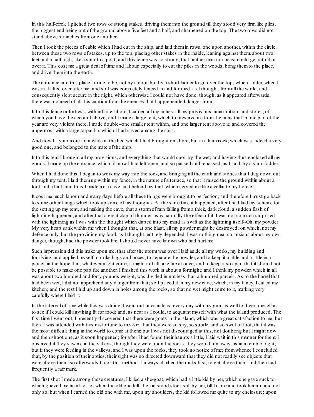In this half-circle I pitched two rows of strong stakes, driving theminto the ground till they stood very firmlike piles, the biggest end being out of the ground above five feet and a half, and sharpened on the top. The two rows did not stand above sixinches fromone another.

Then I took the pieces of cable which I had cut in the ship, and laid themin rows, one upon another, within the circle, between these two rows of stakes, up to the top, placing other stakes in the inside, leaning against them, about two feet and a half high, like a spur to a post; and this fence was so strong, that neither man nor beast could get into it or over it. This cost me a great deal of time and labour, especially to cut the piles in the woods, bring themto the place, and drive theminto the earth.

The entrance into this place I made to be, not by a door, but by a short ladder to go over the top; which ladder, when I was in, I lifted over after me; and so I was completely fenced in and fortified, as I thought, fromall the world, and consequently slept secure in the night, which otherwise I could not have done; though, as it appeared afterwards, there was no need of all this caution fromthe enemies that I apprehended danger from.

Into this fence or fortress, with infinite labour, I carried all my riches, all my provisions, ammunition, and stores, of which you have the account above; and I made a large tent, which to preserve me fromthe rains that in one part of the year are very violent there, I made double--one smaller tent within, and one larger tent above it; and covered the uppermost with a large tarpaulin, which I had saved among the sails.

And now I lay no more for a while in the bed which I had brought on shore, but in a hammock, which was indeed a very good one, and belonged to the mate of the ship.

Into this tent I brought all my provisions, and everything that would spoil by the wet; and having thus enclosed all my goods, I made up the entrance, which till now I had left open, and so passed and repassed, as I said, by a short ladder.

When I had done this, I began to work my way into the rock, and bringing all the earth and stones that I dug down out through my tent, I laid themup within my fence, in the nature of a terrace, so that it raised the ground within about a foot and a half; and thus I made me a cave, just behind my tent, which served me like a cellar to my house.

It cost me much labour and many days before all these things were brought to perfection; and therefore I must go back to some other things which took up some of my thoughts. At the same time it happened, after I had laid my scheme for the setting up my tent, and making the cave, that a stormof rain falling froma thick, dark cloud, a sudden flash of lightning happened, and after that a great clap of thunder, as is naturally the effect of it. I was not so much surprised with the lightning as I was with the thought which darted into my mind as swift as the lightning itself--Oh, my powder! My very heart sank within me when I thought that, at one blast, all my powder might be destroyed; on which, not my defence only, but the providing my food, as I thought, entirely depended. I was nothing near so anxious about my own danger, though, had the powder took fire, I should never have known who had hurt me.

Such impression did this make upon me, that after the stormwas over I laid aside all my works, my building and fortifying, and applied myself to make bags and boxes, to separate the powder, and to keep it a little and a little in a parcel, in the hope that, whatever might come, it might not all take fire at once; and to keep it so apart that it should not be possible to make one part fire another. I finished this work in about a fortnight; and I think my powder, which in all was about two hundred and forty pounds weight, was divided in not less than a hundred parcels. As to the barrel that had been wet, I did not apprehend any danger fromthat; so I placed it in my new cave, which, in my fancy, I called my kitchen; and the rest I hid up and down in holes among the rocks, so that no wet might come to it, marking very carefully where I laid it.

In the interval of time while this was doing, I went out once at least every day with my gun, as well to divert myself as to see if I could kill anything fit for food; and, as near as I could, to acquaint myself with what the island produced. The first time I went out, I presently discovered that there were goats in the island, which was a great satisfaction to me; but then it was attended with this misfortune to me--viz. that they were so shy, so subtle, and so swift of foot, that it was the most difficult thing in the world to come at them; but I was not discouraged at this, not doubting but I might now and then shoot one, as it soon happened; for after I had found their haunts a little, I laid wait in this manner for them: I observed if they saw me in the valleys, though they were upon the rocks, they would run away, as in a terrible fright; but if they were feeding in the valleys, and I was upon the rocks, they took no notice of me; fromwhence I concluded that, by the position of their optics, their sight was so directed downward that they did not readily see objects that were above them; so afterwards I took this method--I always climbed the rocks first, to get above them, and then had frequently a fair mark.

The first shot I made among these creatures, I killed a she-goat, which had a little kid by her, which she gave suck to, which grieved me heartily; for when the old one fell, the kid stood stock still by her, till I came and took her up; and not only so, but when I carried the old one with me, upon my shoulders, the kid followed me quite to my enclosure; upon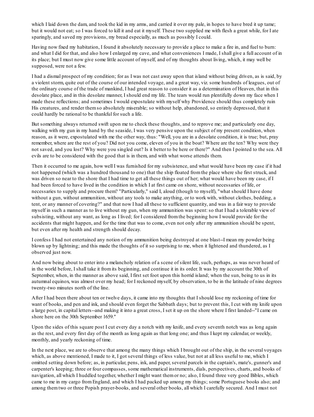which I laid down the dam, and took the kid in my arms, and carried it over my pale, in hopes to have bred it up tame; but it would not eat; so I was forced to kill it and eat it myself. These two supplied me with flesh a great while, for I ate sparingly, and saved my provisions, my bread especially, as much as possibly I could.

Having now fixed my habitation, I found it absolutely necessary to provide a place to make a fire in, and fuel to burn: and what I did for that, and also how I enlarged my cave, and what conveniences I made, I shall give a full account of in its place; but I must now give some little account of myself, and of my thoughts about living, which, it may well be supposed, were not a few.

I had a dismal prospect of my condition; for as I was not cast away upon that island without being driven, as is said, by a violent storm, quite out of the course of our intended voyage, and a great way, viz. some hundreds of leagues, out of the ordinary course of the trade of mankind, I had great reason to consider it as a determination of Heaven, that in this desolate place, and in this desolate manner, I should end my life. The tears would run plentifully down my face when I made these reflections; and sometimes I would expostulate with myself why Providence should thus completely ruin His creatures, and render themso absolutely miserable; so without help, abandoned, so entirely depressed, that it could hardly be rational to be thankful for such a life.

But something always returned swift upon me to check these thoughts, and to reprove me; and particularly one day, walking with my gun in my hand by the seaside, I was very pensive upon the subject of my present condition, when reason, as it were, expostulated with me the other way, thus: "Well, you are in a desolate condition, it is true; but, pray remember, where are the rest of you? Did not you come, eleven of you in the boat? Where are the ten? Why were they not saved, and you lost? Why were you singled out? Is it better to be here or there?" And then I pointed to the sea. All evils are to be considered with the good that is in them, and with what worse attends them.

Then it occurred to me again, how well I was furnished for my subsistence, and what would have been my case if it had not happened (which was a hundred thousand to one) that the ship floated fromthe place where she first struck, and was driven so near to the shore that I had time to get all these things out of her; what would have been my case, if I had been forced to have lived in the condition in which I at first came on shore, without necessaries of life, or necessaries to supply and procure them? "Particularly," said I, aloud (though to myself), "what should I have done without a gun, without ammunition, without any tools to make anything, or to work with, without clothes, bedding, a tent, or any manner of covering?" and that now I had all these to sufficient quantity, and was in a fair way to provide myself in such a manner as to live without my gun, when my ammunition was spent: so that I had a tolerable view of subsisting, without any want, as long as I lived; for I considered fromthe beginning how I would provide for the accidents that might happen, and for the time that was to come, even not only after my ammunition should be spent, but even after my health and strength should decay.

I confess I had not entertained any notion of my ammunition being destroyed at one blast--I mean my powder being blown up by lightning; and this made the thoughts of it so surprising to me, when it lightened and thundered, as I observed just now.

And now being about to enter into a melancholy relation of a scene of silent life, such, perhaps, as was never heard of in the world before, I shall take it fromits beginning, and continue it in its order. It was by my account the 30th of September, when, in the manner as above said, I first set foot upon this horrid island; when the sun, being to us in its autumnal equinox, was almost over my head; for I reckoned myself, by observation, to be in the latitude of nine degrees twenty-two minutes north of the line.

After I had been there about ten or twelve days, it came into my thoughts that I should lose my reckoning of time for want of books, and pen and ink, and should even forget the Sabbath days; but to prevent this, I cut with my knife upon a large post, in capital letters--and making it into a great cross, I set it up on the shore where I first landed--"I came on shore here on the 30th September 1659."

Upon the sides of this square post I cut every day a notch with my knife, and every seventh notch was as long again as the rest, and every first day of the month as long again as that long one; and thus I kept my calendar, or weekly, monthly, and yearly reckoning of time.

In the next place, we are to observe that among the many things which I brought out of the ship, in the several voyages which, as above mentioned, I made to it, I got several things of less value, but not at all less useful to me, which I omitted setting down before; as, in particular, pens, ink, and paper, several parcels in the captain's, mate's, gunner's and carpenter's keeping; three or four compasses, some mathematical instruments, dials, perspectives, charts, and books of navigation, all which I huddled together, whether I might want themor no; also, I found three very good Bibles, which came to me in my cargo fromEngland, and which I had packed up among my things; some Portuguese books also; and among themtwo or three Popish prayer-books, and several other books, all which I carefully secured. And I must not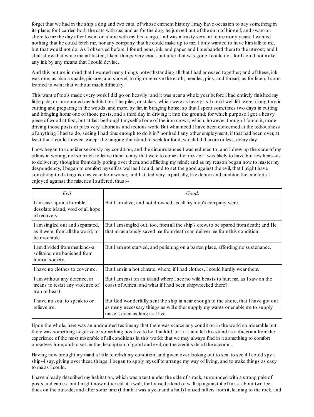forget that we had in the ship a dog and two cats, of whose eminent history I may have occasion to say something in its place; for I carried both the cats with me; and as for the dog, he jumped out of the ship of himself, and swamon shore to me the day after I went on shore with my first cargo, and was a trusty servant to me many years; I wanted nothing that he could fetch me, nor any company that he could make up to me; I only wanted to have himtalk to me, but that would not do. As I observed before, I found pens, ink, and paper, and I husbanded themto the utmost; and I shallshow that while my ink lasted, I kept things very exact, but after that was gone I could not, for I could not make any ink by any means that I could devise.

And this put me in mind that I wanted many things notwithstanding all that I had amassed together; and of these, ink was one; as also a spade, pickaxe, and shovel, to dig or remove the earth; needles, pins, and thread; as for linen, I soon learned to want that without much difficulty.

This want of tools made every work I did go on heavily; and it was near a whole year before I had entirely finished my little pale, or surrounded my habitation. The piles, or stakes, which were as heavy as I could well lift, were a long time in cutting and preparing in the woods, and more, by far, in bringing home; so that I spent sometimes two days in cutting and bringing home one of those posts, and a third day in driving it into the ground; for which purpose I got a heavy piece of wood at first, but at last bethought myself of one of the iron crows; which, however, though I found it, made driving those posts or piles very laborious and tedious work. But what need I have been concerned at the tediousness of anything I had to do, seeing I had time enough to do it in? nor had I any other employment, if that had been over, at least that I could foresee, except the ranging the island to seek for food, which I did, more or less, every day.

I now began to consider seriously my condition, and the circumstances I was reduced to; and I drew up the state of my affairs in writing, not so much to leave themto any that were to come after me--for I was likely to have but few heirs--as to deliver my thoughts fromdaily poring over them, and afflicting my mind; and as my reason began now to master my despondency, I began to comfort myself as well as I could, and to set the good against the evil, that I might have something to distinguish my case fromworse; and I stated very impartially, like debtor and creditor, the comforts I enjoyed against the miseries I suffered, thus:--

| Evil.                                                                                  | Good.                                                                                                                                                                                                   |
|----------------------------------------------------------------------------------------|---------------------------------------------------------------------------------------------------------------------------------------------------------------------------------------------------------|
| I am cast upon a horrible,<br>desolate island, void of all hope<br>of recovery.        | But I am alive; and not drowned, as all my ship's company were.                                                                                                                                         |
| I am singled out and separated,<br>as it were, from all the world, to<br>be miserable. | But I am singled out, too, from all the ship's crew, to be spared from death; and He<br>that miraculously saved me from death can deliver me from this condition.                                       |
| I am divided from mankind--a<br>solitaire; one banished from<br>human society.         | But I am not starved, and perishing on a barren place, affording no sustenance.                                                                                                                         |
| I have no clothes to cover me.                                                         | But I am in a hot climate, where, if I had clothes, I could hardly wear them.                                                                                                                           |
| I am without any defence, or<br>means to resist any violence of<br>man or beast.       | But I am cast on an island where I see no wild beasts to hurt me, as I saw on the<br>coast of Africa; and what if I had been ship wrecked there?                                                        |
| I have no soul to speak to or<br>relieve me.                                           | But God wonderfully sent the ship in near enough to the shore, that I have got out<br>as many necessary things as will either supply my wants or enable me to supply<br>myself, even as long as I live. |

Upon the whole, here was an undoubted testimony that there was scarce any condition in the world so miserable but there was something negative or something positive to be thankful for in it; and let this stand as a direction fromthe experience of the most miserable of all conditions in this world: that we may always find in it something to comfort ourselves from, and to set, in the description of good and evil, on the credit side of the account.

Having now brought my mind a little to relish my condition, and given over looking out to sea, to see if I could spy a ship--I say, giving over these things, I began to apply myself to arrange my way of living, and to make things as easy to me as I could.

I have already described my habitation, which was a tent under the side of a rock, surrounded with a strong pale of posts and cables: but I might now rather call it a wall, for I raised a kind of wall up against it of turfs, about two feet thick on the outside; and after some time (I think it was a year and a half) I raised rafters fromit, leaning to the rock, and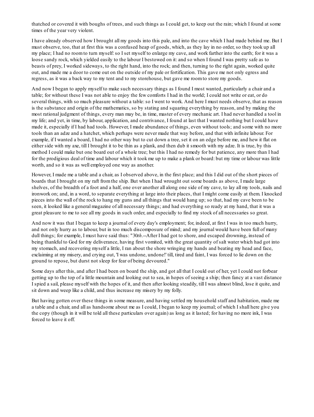thatched or covered it with boughs of trees, and such things as I could get, to keep out the rain; which I found at some times of the year very violent.

I have already observed how I brought all my goods into this pale, and into the cave which I had made behind me. But I must observe, too, that at first this was a confused heap of goods, which, as they lay in no order, so they took up all my place; I had no roomto turn myself:so I set myself to enlarge my cave, and work farther into the earth; for it was a loose sandy rock, which yielded easily to the labour I bestowed on it: and so when I found I was pretty safe as to beasts of prey, I worked sideways, to the right hand, into the rock; and then, turning to the right again, worked quite out, and made me a door to come out on the outside of my pale or fortification. This gave me not only egress and regress, as it was a back way to my tent and to my storehouse, but gave me roomto store my goods.

And now I began to apply myself to make such necessary things as I found I most wanted, particularly a chair and a table; for without these I was not able to enjoy the few comforts I had in the world; I could not write or eat, or do several things, with so much pleasure without a table: so I went to work. And here I must needs observe, that as reason is the substance and origin of the mathematics, so by stating and squaring everything by reason, and by making the most rational judgment of things, every man may be, in time, master of every mechanic art. I had never handled a tool in my life; and yet, in time, by labour, application, and contrivance, I found at last that I wanted nothing but I could have made it, especially if I had had tools. However, I made abundance of things, even without tools; and some with no more tools than an adze and a hatchet, which perhaps were never made that way before, and that with infinite labour. For example, if I wanted a board, I had no other way but to cut down a tree, set it on an edge before me, and hew it flat on either side with my axe, till I brought it to be thin as a plank, and then dub it smooth with my adze. It is true, by this method I could make but one board out of a whole tree; but this I had no remedy for but patience, any more than I had for the prodigious deal of time and labour which it took me up to make a plank or board: but my time or labour was little worth, and so it was as well employed one way as another.

However, I made me a table and a chair, as I observed above, in the first place; and this I did out of the short pieces of boards that I brought on my raft fromthe ship. But when I had wrought out some boards as above, I made large shelves, of the breadth of a foot and a half, one over another all along one side of my cave, to lay all my tools, nails and ironwork on; and, in a word, to separate everything at large into their places, that I might come easily at them. I knocked pieces into the wall of the rock to hang my guns and all things that would hang up; so that, had my cave been to be seen, it looked like a general magazine of all necessary things; and had everything so ready at my hand, that it was a great pleasure to me to see all my goods in such order, and especially to find my stock of all necessaries so great.

And now it was that I began to keep a journal of every day's employment; for, indeed, at first I was in too much hurry, and not only hurry as to labour, but in too much discomposure of mind; and my journal would have been full of many dull things; for example, I must have said thus: "30*th*.--After I had got to shore, and escaped drowning, instead of being thankful to God for my deliverance, having first vomited, with the great quantity of salt water which had got into my stomach, and recovering myself a little, I ran about the shore wringing my hands and beating my head and face, exclaiming at my misery, and crying out, 'I was undone, undone!' till, tired and faint, I was forced to lie down on the ground to repose, but durst not sleep for fear of being devoured."

Some days after this, and after I had been on board the ship, and got all that I could out of her, yet I could not forbear getting up to the top of a little mountain and looking out to sea, in hopes of seeing a ship; then fancy at a vast distance I spied a sail, please myself with the hopes of it, and then after looking steadily, till I was almost blind, lose it quite, and sit down and weep like a child, and thus increase my misery by my folly.

But having gotten over these things in some measure, and having settled my household staff and habitation, made me a table and a chair, and all as handsome about me as I could, I began to keep my journal; of which I shall here give you the copy (though in it will be told all these particulars over again) as long as it lasted; for having no more ink, I was forced to leave it off.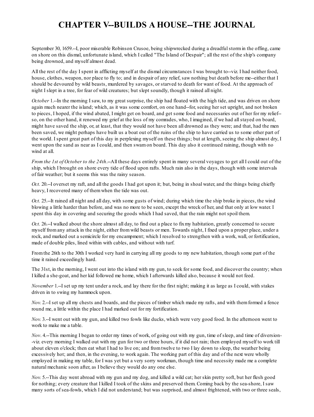### **CHAPTER V--BUILDS A HOUSE--THE JOURNAL**

September 30, 1659.--I, poor miserable Robinson Crusoe, being shipwrecked during a dreadfulstormin the offing, came on shore on this dismal, unfortunate island, which I called "The Island of Despair"; all the rest of the ship's company being drowned, and myself almost dead.

All the rest of the day I spent in afflicting myself at the dismal circumstances I was brought to--viz. I had neither food, house, clothes, weapon, nor place to fly to; and in despair of any relief, saw nothing but death before me--either that I should be devoured by wild beasts, murdered by savages, or starved to death for want of food. At the approach of night I slept in a tree, for fear of wild creatures; but slept soundly, though it rained all night.

*October* 1.--In the morning I saw, to my great surprise, the ship had floated with the high tide, and was driven on shore again much nearer the island; which, as it was some comfort, on one hand--for, seeing her set upright, and not broken to pieces, I hoped, if the wind abated, I might get on board, and get some food and necessaries out of her for my relief- so, on the other hand, it renewed my grief at the loss of my comrades, who, I imagined, if we had allstayed on board, might have saved the ship, or, at least, that they would not have been all drowned as they were; and that, had the men been saved, we might perhaps have built us a boat out of the ruins of the ship to have carried us to some other part of the world. I spent great part of this day in perplexing myself on these things; but at length, seeing the ship almost dry, I went upon the sand as near as I could, and then swamon board. This day also it continued raining, though with no wind at all.

*From the 1st of October to the 24th*.--All these days entirely spent in many several voyages to get all I could out of the ship, which I brought on shore every tide of flood upon rafts. Much rain also in the days, though with some intervals of fair weather; but it seems this was the rainy season.

*Oct.* 20.--I overset my raft, and all the goods I had got upon it; but, being in shoal water, and the things being chiefly heavy, I recovered many of themwhen the tide was out.

*Oct.* 25.--It rained all night and all day, with some gusts of wind; during which time the ship broke in pieces, the wind blowing a little harder than before, and was no more to be seen, except the wreck of her, and that only at low water. I spent this day in covering and securing the goods which I had saved, that the rain might not spoil them.

*Oct.* 26.--I walked about the shore almost all day, to find out a place to fixmy habitation, greatly concerned to secure myself fromany attack in the night, either fromwild beasts or men. Towards night, I fixed upon a proper place, under a rock, and marked out a semicircle for my encampment; which I resolved to strengthen with a work, wall, or fortification, made of double piles, lined within with cables, and without with turf.

Fromthe 26th to the 30th I worked very hard in carrying all my goods to my new habitation, though some part of the time it rained exceedingly hard.

The 31st, in the morning, I went out into the island with my gun, to seek for some food, and discover the country; when I killed a she-goat, and her kid followed me home, which I afterwards killed also, because it would not feed.

*November* 1.--I set up my tent under a rock, and lay there for the first night; making it as large as I could, with stakes driven in to swing my hammock upon.

*Nov.* 2.--I set up all my chests and boards, and the pieces of timber which made my rafts, and with them formed a fence round me, a little within the place I had marked out for my fortification.

*Nov.* 3.--I went out with my gun, and killed two fowls like ducks, which were very good food. In the afternoon went to work to make me a table.

*Nov*. 4.--This morning I began to order my times of work, of going out with my gun, time of sleep, and time of diversion- -viz. every morning I walked out with my gun for two or three hours, if it did not rain; then employed myself to work till about eleven o'clock; then eat what I had to live on; and fromtwelve to two I lay down to sleep, the weather being excessively hot; and then, in the evening, to work again. The working part of this day and of the next were wholly employed in making my table, for I was yet but a very sorry workman, though time and necessity made me a complete natural mechanic soon after, as I believe they would do any one else.

*Nov.* 5.--This day went abroad with my gun and my dog, and killed a wild cat; her skin pretty soft, but her flesh good for nothing; every creature that I killed I took of the skins and preserved them. Coming back by the sea-shore, I saw many sorts of sea-fowls, which I did not understand; but was surprised, and almost frightened, with two or three seals,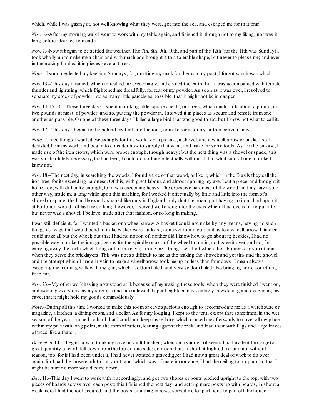which, while I was gazing at, not well knowing what they were, got into the sea, and escaped me for that time.

*Nov.* 6.--After my morning walk I went to work with my table again, and finished it, though not to my liking; nor was it long before I learned to mend it.

*Nov.* 7.--Now it began to be settled fair weather. The 7th, 8th, 9th, 10th, and part of the 12th (for the 11th was Sunday) I took wholly up to make me a chair, and with much ado brought it to a tolerable shape, but never to please me; and even in the making I pulled it in pieces several times.

*Note*.--I soon neglected my keeping Sundays; for, omitting my mark for themon my post, I forgot which was which.

*Nov.* 13.--This day it rained, which refreshed me exceedingly, and cooled the earth; but it was accompanied with terrible thunder and lightning, which frightened me dreadfully, for fear of my powder. As soon as it was over, I resolved to separate my stock of powder into as many little parcels as possible, that it might not be in danger.

*Nov.* 14, 15, 16.--These three days I spent in making little square chests, or boxes, which might hold about a pound, or two pounds at most, of powder; and so, putting the powder in, I stowed it in places as secure and remote fromone another as possible. On one of these three days I killed a large bird that was good to eat, but I knew not what to call it.

*Nov.* 17.--This day I began to dig behind my tent into the rock, to make roomfor my further conveniency.

*Note*.--Three things I wanted exceedingly for this work--viz. a pickaxe, a shovel, and a wheelbarrow or basket; so I desisted frommy work, and began to consider how to supply that want, and make me some tools. As for the pickaxe, I made use of the iron crows, which were proper enough, though heavy; but the next thing was a shovel or spade; this was so absolutely necessary, that, indeed, I could do nothing effectually without it; but what kind of one to make I knew not.

*Nov.* 18.--The next day, in searching the woods, I found a tree of that wood, or like it, which in the Brazils they call the iron-tree, for its exceeding hardness. Of this, with great labour, and almost spoiling my axe, I cut a piece, and brought it home, too, with difficulty enough, for it was exceeding heavy. The excessive hardness of the wood, and my having no other way, made me a long while upon this machine, for I worked it effectually by little and little into the formof a shovel or spade; the handle exactly shaped like ours in England, only that the board part having no iron shod upon it at bottom, it would not last me so long; however, it served well enough for the uses which I had occasion to put it to; but never was a shovel, I believe, made after that fashion, or so long in making.

I was still deficient, for I wanted a basket or a wheelbarrow. A basket I could not make by any means, having no such things as twigs that would bend to make wicker-ware--at least, none yet found out; and as to a wheelbarrow, I fancied I could make all but the wheel; but that I had no notion of; neither did I know how to go about it; besides, I had no possible way to make the iron gudgeons for the spindle or axis of the wheel to run in; so I gave it over, and so, for carrying away the earth which I dug out of the cave, I made me a thing like a hod which the labourers carry mortar in when they serve the bricklayers. This was not so difficult to me as the making the shovel: and yet this and the shovel, and the attempt which I made in vain to make a wheelbarrow, took me up no less than four days--I mean always excepting my morning walk with my gun, which I seldom failed, and very seldom failed also bringing home something fit to eat.

*Nov.* 23.--My other work having now stood still, because of my making these tools, when they were finished I went on, and working every day, as my strength and time allowed, I spent eighteen days entirely in widening and deepening my cave, that it might hold my goods commodiously.

*Note*.--During all this time I worked to make this roomor cave spacious enough to accommodate me as a warehouse or magazine, a kitchen, a dining-room, and a cellar. As for my lodging, I kept to the tent; except that sometimes, in the wet season of the year, it rained so hard that I could not keep myself dry, which caused me afterwards to cover all my place within my pale with long poles, in the form of rafters, leaning against the rock, and load them with flags and large leaves of trees, like a thatch.

*December* 10.--I began now to think my cave or vault finished, when on a sudden (it seems I had made it too large) a great quantity of earth fell down fromthe top on one side; so much that, in short, it frighted me, and not without reason, too, for if I had been under it, I had never wanted a gravedigger. I had now a great deal of work to do over again, for I had the loose earth to carry out; and, which was of more importance, I had the ceiling to prop up, so that I might be sure no more would come down.

*Dec*. 11.--This day I went to work with it accordingly, and got two shores or posts pitched upright to the top, with two pieces of boards across over each post; this I finished the next day; and setting more posts up with boards, in about a week more I had the roof secured, and the posts, standing in rows, served me for partitions to part off the house.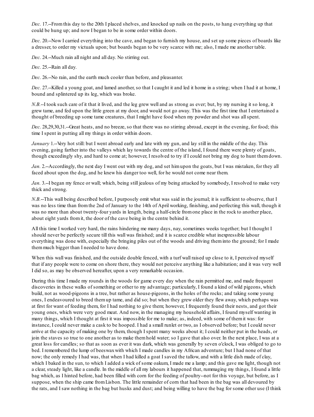*Dec.* 17.--Fromthis day to the 20th I placed shelves, and knocked up nails on the posts, to hang everything up that could be hung up; and now I began to be in some order within doors.

*Dec.* 20.--Now I carried everything into the cave, and began to furnish my house, and set up some pieces of boards like a dresser, to order my victuals upon; but boards began to be very scarce with me; also, I made me another table.

*Dec.* 24.--Much rain all night and all day. No stirring out.

*Dec.* 25.--Rain all day.

*Dec.* 26.--No rain, and the earth much cooler than before, and pleasanter.

*Dec.* 27.--Killed a young goat, and lamed another, so that I caught it and led it home in a string; when I had it at home, I bound and splintered up its leg, which was broke.

*N.B.*--I took such care of it that it lived, and the leg grew well and as strong as ever; but, by my nursing it so long, it grew tame, and fed upon the little green at my door, and would not go away. This was the first time that I entertained a thought of breeding up some tame creatures, that I might have food when my powder and shot was allspent.

*Dec.* 28,29,30,31.--Great heats, and no breeze, so that there was no stirring abroad, except in the evening, for food; this time I spent in putting all my things in order within doors.

*January* 1.--Very hot still: but I went abroad early and late with my gun, and lay still in the middle of the day. This evening, going farther into the valleys which lay towards the centre of the island, I found there were plenty of goats, though exceedingly shy, and hard to come at; however, I resolved to try if I could not bring my dog to hunt themdown.

*Jan.* 2.--Accordingly, the next day I went out with my dog, and set him upon the goats, but I was mistaken, for they all faced about upon the dog, and he knew his danger too well, for he would not come near them.

*Jan.* 3.--I began my fence or wall; which, being still jealous of my being attacked by somebody, I resolved to make very thick and strong.

*N.B.*--This wall being described before, I purposely omit what was said in the journal; it is sufficient to observe, that I was no less time than fromthe 2nd of January to the 14th of April working, finishing, and perfecting this wall, though it was no more than about twenty-four yards in length, being a half-circle from one place in the rock to another place, about eight yards fromit, the door of the cave being in the centre behind it.

All this time I worked very hard, the rains hindering me many days, nay, sometimes weeks together; but I thought I should never be perfectly secure till this wall was finished; and it is scarce credible what inexpressible labour everything was done with, especially the bringing piles out of the woods and driving theminto the ground; for I made themmuch bigger than I needed to have done.

When this wall was finished, and the outside double fenced, with a turf wall raised up close to it, I perceived myself that if any people were to come on shore there, they would not perceive anything like a habitation; and it was very well I did so, as may be observed hereafter, upon a very remarkable occasion.

During this time I made my rounds in the woods for game every day when the rain permitted me, and made frequent discoveries in these walks of something or other to my advantage; particularly, I found a kind of wild pigeons, which build, not as wood-pigeons in a tree, but rather as house-pigeons, in the holes of the rocks; and taking some young ones, I endeavoured to breed themup tame, and did so; but when they grew older they flew away, which perhaps was at first for want of feeding them, for I had nothing to give them; however, I frequently found their nests, and got their young ones, which were very good meat. And now, in the managing my household affairs, I found myself wanting in many things, which I thought at first it was impossible for me to make; as, indeed, with some of themit was: for instance, I could never make a cask to be hooped. I had a small runlet or two, as I observed before; but I could never arrive at the capacity of making one by them, though I spent many weeks about it; I could neither put in the heads, or join the staves so true to one another as to make themhold water; so I gave that also over. In the next place, I was at a great loss for candles; so that as soon as ever it was dark, which was generally by seven o'clock, I was obliged to go to bed. I remembered the lump of beeswaxwith which I made candles in my African adventure; but I had none of that now; the only remedy I had was, that when I had killed a goat I saved the tallow, and with a little dish made of clay, which I baked in the sun, to which I added a wick of some oakum, I made me a lamp; and this gave me light, though not a clear, steady light, like a candle. In the middle of all my labours it happened that, rummaging my things, I found a little bag which, as I hinted before, had been filled with corn for the feeding of poultry--not for this voyage, but before, as I suppose, when the ship came fromLisbon. The little remainder of corn that had been in the bag was all devoured by the rats, and I saw nothing in the bag but husks and dust; and being willing to have the bag for some other use (I think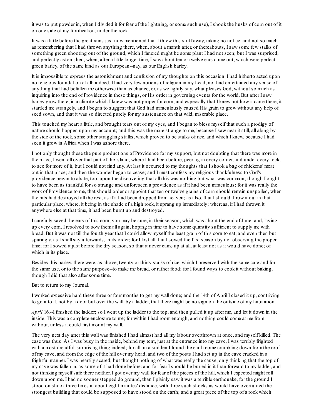it was to put powder in, when I divided it for fear of the lightning, or some such use), I shook the husks of corn out of it on one side of my fortification, under the rock.

It was a little before the great rains just now mentioned that I threw this stuff away, taking no notice, and not so much as remembering that I had thrown anything there, when, about a month after, or thereabouts, I saw some few stalks of something green shooting out of the ground, which I fancied might be some plant I had not seen; but I was surprised, and perfectly astonished, when, after a little longer time, I saw about ten or twelve ears come out, which were perfect green barley, of the same kind as our European--nay, as our English barley.

It is impossible to express the astonishment and confusion of my thoughts on this occasion. I had hitherto acted upon no religious foundation at all; indeed, I had very few notions of religion in my head, nor had entertained any sense of anything that had befallen me otherwise than as chance, or, as we lightly say, what pleases God, without so much as inquiring into the end of Providence in these things, or His order in governing events for the world. But after I saw barley grow there, in a climate which I knew was not proper for corn, and especially that I knew not how it came there, it startled me strangely, and I began to suggest that God had miraculously caused His grain to grow without any help of seed sown, and that it was so directed purely for my sustenance on that wild, miserable place.

This touched my heart a little, and brought tears out of my eyes, and I began to bless myself that such a prodigy of nature should happen upon my account; and this was the more strange to me, because I saw near it still, all along by the side of the rock, some other straggling stalks, which proved to be stalks of rice, and which I knew, because I had seen it grow in Africa when I was ashore there.

I not only thought these the pure productions of Providence for my support, but not doubting that there was more in the place, I went all over that part of the island, where I had been before, peering in every corner, and under every rock, to see for more of it, but I could not find any. At last it occurred to my thoughts that I shook a bag of chickens' meat out in that place; and then the wonder began to cease; and I must confess my religious thankfulness to God's providence began to abate, too, upon the discovering that all this was nothing but what was common; though I ought to have been as thankful for so strange and unforeseen a providence as if it had been miraculous; for it was really the work of Providence to me, that should order or appoint that ten or twelve grains of corn should remain unspoiled, when the rats had destroyed all the rest, as if it had been dropped fromheaven; as also, that I should throw it out in that particular place, where, it being in the shade of a high rock, it sprang up immediately; whereas, if I had thrown it anywhere else at that time, it had been burnt up and destroyed.

I carefully saved the ears of this corn, you may be sure, in their season, which was about the end of June; and, laying up every corn, I resolved to sow themall again, hoping in time to have some quantity sufficient to supply me with bread. But it was not till the fourth year that I could allow myself the least grain of this corn to eat, and even then but sparingly, as I shallsay afterwards, in its order; for I lost all that I sowed the first season by not observing the proper time; for I sowed it just before the dry season, so that it never came up at all, at least not as it would have done; of which in its place.

Besides this barley, there were, as above, twenty or thirty stalks of rice, which I preserved with the same care and for the same use, or to the same purpose--to make me bread, or rather food; for I found ways to cook it without baking, though I did that also after some time.

But to return to my Journal.

I worked excessive hard these three or four months to get my wall done; and the 14th of April I closed it up, contriving to go into it, not by a door but over the wall, by a ladder, that there might be no sign on the outside of my habitation.

*April* 16.--I finished the ladder; so I went up the ladder to the top, and then pulled it up after me, and let it down in the inside. This was a complete enclosure to me; for within I had roomenough, and nothing could come at me from without, unless it could first mount my wall.

The very next day after this wall was finished I had almost had all my labour overthrown at once, and myself killed. The case was thus: As I was busy in the inside, behind my tent, just at the entrance into my cave, I was terribly frighted with a most dreadful, surprising thing indeed; for all on a sudden I found the earth come crumbling down from the roof of my cave, and fromthe edge of the hill over my head, and two of the posts I had set up in the cave cracked in a frightful manner. I was heartily scared; but thought nothing of what was really the cause, only thinking that the top of my cave was fallen in, as some of it had done before: and for fear I should be buried in it I ran forward to my ladder, and not thinking myself safe there neither, I got over my wall for fear of the pieces of the hill, which I expected might roll down upon me. I had no sooner stepped do ground, than I plainly saw it was a terrible earthquake, for the ground I stood on shook three times at about eight minutes' distance, with three such shocks as would have overturned the strongest building that could be supposed to have stood on the earth; and a great piece of the top of a rock which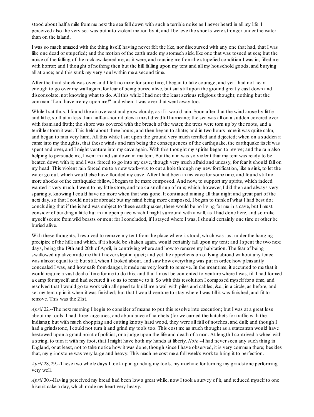stood about half a mile fromme next the sea fell down with such a terrible noise as I never heard in all my life. I perceived also the very sea was put into violent motion by it; and I believe the shocks were stronger under the water than on the island.

I was so much amazed with the thing itself, having never felt the like, nor discoursed with any one that had, that I was like one dead or stupefied; and the motion of the earth made my stomach sick, like one that was tossed at sea; but the noise of the falling of the rock awakened me, as it were, and rousing me fromthe stupefied condition I was in, filled me with horror; and I thought of nothing then but the hill falling upon my tent and all my household goods, and burying all at once; and this sunk my very soul within me a second time.

After the third shock was over, and I felt no more for some time, I began to take courage; and yet I had not heart enough to go over my wall again, for fear of being buried alive, but sat still upon the ground greatly cast down and disconsolate, not knowing what to do. All this while I had not the least serious religious thought; nothing but the common "Lord have mercy upon me!" and when it was over that went away too.

While I sat thus, I found the air overcast and grow cloudy, as if it would rain. Soon after that the wind arose by little and little, so that in less than half-an-hour it blew a most dreadful hurricane; the sea was all on a sudden covered over with foamand froth; the shore was covered with the breach of the water, the trees were torn up by the roots, and a terrible stormit was. This held about three hours, and then began to abate; and in two hours more it was quite calm, and began to rain very hard. All this while I sat upon the ground very much terrified and dejected; when on a sudden it came into my thoughts, that these winds and rain being the consequences of the earthquake, the earthquake itself was spent and over, and I might venture into my cave again. With this thought my spirits began to revive; and the rain also helping to persuade me, I went in and sat down in my tent. But the rain was so violent that my tent was ready to be beaten down with it; and I was forced to go into my cave, though very much afraid and uneasy, for fear it should fall on my head. This violent rain forced me to a new work--viz. to cut a hole through my new fortification, like a sink, to let the water go out, which would else have flooded my cave. After I had been in my cave for some time, and found still no more shocks of the earthquake follow, I began to be more composed. And now, to support my spirits, which indeed wanted it very much, I went to my little store, and took a small sup of rum; which, however, I did then and always very sparingly, knowing I could have no more when that was gone. It continued raining all that night and great part of the next day, so that I could not stir abroad; but my mind being more composed, I began to think of what I had best do; concluding that if the island was subject to these earthquakes, there would be no living for me in a cave, but I must consider of building a little hut in an open place which I might surround with a wall, as I had done here, and so make myself secure fromwild beasts or men; for I concluded, if I stayed where I was, I should certainly one time or other be buried alive.

With these thoughts, I resolved to remove my tent from the place where it stood, which was just under the hanging precipice of the hill; and which, if it should be shaken again, would certainly fall upon my tent; and I spent the two next days, being the 19th and 20th of April, in contriving where and how to remove my habitation. The fear of being swallowed up alive made me that I never slept in quiet; and yet the apprehension of lying abroad without any fence was almost equal to it; but still, when I looked about, and saw how everything was put in order, how pleasantly concealed I was, and how safe fromdanger, it made me very loath to remove. In the meantime, it occurred to me that it would require a vast deal of time for me to do this, and that I must be contented to venture where I was, till I had formed a camp for myself, and had secured it so as to remove to it. So with this resolution I composed myself for a time, and resolved that I would go to work with allspeed to build me a wall with piles and cables, &c., in a circle, as before, and set my tent up in it when it was finished; but that I would venture to stay where I was till it was finished, and fit to remove. This was the 21st.

*April* 22.--The next morning I begin to consider of means to put this resolve into execution; but I was at a great loss about my tools. I had three large axes, and abundance of hatchets (for we carried the hatchets for traffic with the Indians); but with much chopping and cutting knotty hard wood, they were all full of notches, and dull; and though I had a grindstone, I could not turn it and grind my tools too. This cost me as much thought as a statesman would have bestowed upon a grand point of politics, or a judge upon the life and death of a man. At length I contrived a wheel with a string, to turn it with my foot, that I might have both my hands at liberty. *Note*.--I had never seen any such thing in England, or at least, not to take notice how it was done, though since I have observed, it is very common there; besides that, my grindstone was very large and heavy. This machine cost me a full week's work to bring it to perfection.

*April* 28, 29.--These two whole days I took up in grinding my tools, my machine for turning my grindstone performing very well.

*April* 30.--Having perceived my bread had been low a great while, now I took a survey of it, and reduced myself to one biscuit cake a day, which made my heart very heavy.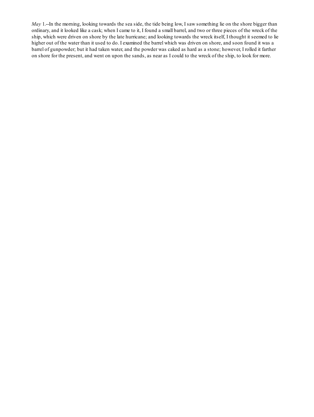*May* 1.--In the morning, looking towards the sea side, the tide being low, I saw something lie on the shore bigger than ordinary, and it looked like a cask; when I came to it, I found a small barrel, and two or three pieces of the wreck of the ship, which were driven on shore by the late hurricane; and looking towards the wreck itself, I thought it seemed to lie higher out of the water than it used to do. I examined the barrel which was driven on shore, and soon found it was a barrel of gunpowder; but it had taken water, and the powder was caked as hard as a stone; however, I rolled it farther on shore for the present, and went on upon the sands, as near as I could to the wreck of the ship, to look for more.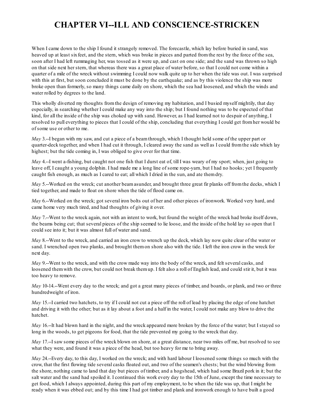#### **CHAPTER VI--ILL AND CONSCIENCE-STRICKEN**

When I came down to the ship I found it strangely removed. The forecastle, which lay before buried in sand, was heaved up at least sixfeet, and the stern, which was broke in pieces and parted fromthe rest by the force of the sea, soon after I had left rummaging her, was tossed as it were up, and cast on one side; and the sand was thrown so high on that side next her stern, that whereas there was a great place of water before, so that I could not come within a quarter of a mile of the wreck without swimming I could now walk quite up to her when the tide was out. I was surprised with this at first, but soon concluded it must be done by the earthquake; and as by this violence the ship was more broke open than formerly, so many things came daily on shore, which the sea had loosened, and which the winds and water rolled by degrees to the land.

This wholly diverted my thoughts fromthe design of removing my habitation, and I busied myself mightily, that day especially, in searching whether I could make any way into the ship; but I found nothing was to be expected of that kind, for all the inside of the ship was choked up with sand. However, as I had learned not to despair of anything, I resolved to pull everything to pieces that I could of the ship, concluding that everything I could get fromher would be of some use or other to me.

*May* 3.--I began with my saw, and cut a piece of a beamthrough, which I thought held some of the upper part or quarter-deck together, and when I had cut it through, I cleared away the sand as well as I could fromthe side which lay highest; but the tide coming in, I was obliged to give over for that time.

*May* 4.--I went a-fishing, but caught not one fish that I durst eat of, till I was weary of my sport; when, just going to leave off, I caught a young dolphin. I had made me a long line of some rope-yarn, but I had no hooks; yet I frequently caught fish enough, as much as I cared to eat; all which I dried in the sun, and ate themdry.

*May* 5.--Worked on the wreck; cut another beam asunder, and brought three great fir planks off from the decks, which I tied together, and made to float on shore when the tide of flood came on.

*May* 6.--Worked on the wreck; got several iron bolts out of her and other pieces of ironwork. Worked very hard, and came home very much tired, and had thoughts of giving it over.

*May* 7.--Went to the wreck again, not with an intent to work, but found the weight of the wreck had broke itself down, the beams being cut; that several pieces of the ship seemed to lie loose, and the inside of the hold lay so open that I could see into it; but it was almost full of water and sand.

*May* 8.--Went to the wreck, and carried an iron crow to wrench up the deck, which lay now quite clear of the water or sand. I wrenched open two planks, and brought themon shore also with the tide. I left the iron crow in the wreck for next day.

*May* 9.--Went to the wreck, and with the crow made way into the body of the wreck, and felt several casks, and loosened themwith the crow, but could not break themup. I felt also a roll of English lead, and could stir it, but it was too heavy to remove.

*May* 10-14.--Went every day to the wreck; and got a great many pieces of timber, and boards, or plank, and two or three hundredweight of iron.

*May* 15.–I carried two hatchets, to try if I could not cut a piece off the roll of lead by placing the edge of one hatchet and driving it with the other; but as it lay about a foot and a half in the water, I could not make any blow to drive the hatchet.

*May* 16.--It had blown hard in the night, and the wreck appeared more broken by the force of the water; but I stayed so long in the woods, to get pigeons for food, that the tide prevented my going to the wreck that day.

*May* 17.--I saw some pieces of the wreck blown on shore, at a great distance, near two miles off me, but resolved to see what they were, and found it was a piece of the head, but too heavy for me to bring away.

*May* 24.--Every day, to this day, I worked on the wreck; and with hard labour I loosened some things so much with the crow, that the first flowing tide several casks floated out, and two of the seamen's chests; but the wind blowing from the shore, nothing came to land that day but pieces of timber, and a hogshead, which had some Brazil pork in it; but the salt water and the sand had spoiled it. I continued this work every day to the 15th of June, except the time necessary to get food, which I always appointed, during this part of my employment, to be when the tide was up, that I might be ready when it was ebbed out; and by this time I had got timber and plank and ironwork enough to have built a good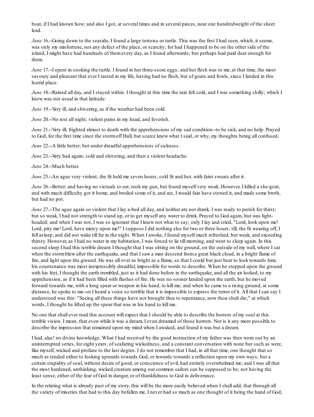boat, if I had known how; and also I got, at several times and in several pieces, near one hundredweight of the sheet lead.

*June* 16.--Going down to the seaside, I found a large tortoise or turtle. This was the first I had seen, which, it seems, was only my misfortune, not any defect of the place, or scarcity; for had I happened to be on the other side of the island, I might have had hundreds of themevery day, as I found afterwards; but perhaps had paid dear enough for them.

*June* 17.-I spent in cooking the turtle. I found in her three-score eggs; and her flesh was to me, at that time, the most savoury and pleasant that ever I tasted in my life, having had no flesh, but of goats and fowls, since I landed in this horrid place.

*June* 18.--Rained all day, and I stayed within. I thought at this time the rain felt cold, and I was something chilly; which I knew was not usual in that latitude.

*June* 19.--Very ill, and shivering, as if the weather had been cold.

*June* 20.-No rest all night; violent pains in my head, and feverish.

*June* 21.--Very ill; frighted almost to death with the apprehensions of my sad condition--to be sick, and no help. Prayed to God, for the first time since the stormoff Hull, but scarce knew what I said, or why, my thoughts being all confused.

*June* 22.--A little better; but under dreadful apprehensions of sickness.

*June* 23.--Very bad again; cold and shivering, and then a violent headache.

*June* 24.--Much better.

*June* 25.--An ague very violent; the fit held me seven hours; cold fit and hot, with faint sweats after it.

*June* 26.--Better; and having no victuals to eat, took my gun, but found myself very weak. However, I killed a she-goat, and with much difficulty got it home, and broiled some of it, and ate, I would fain have stewed it, and made some broth, but had no pot.

*June* 27.--The ague again so violent that I lay a-bed all day, and neither ate nor drank. I was ready to perish for thirst; but so weak, I had not strength to stand up, or to get myself any water to drink. Prayed to God again, but was lightheaded; and when I was not, I was so ignorant that I knew not what to say; only I lay and cried, "Lord, look upon me! Lord, pity me! Lord, have mercy upon me!" I suppose I did nothing else for two or three hours; till, the fit wearing off, I fell asleep, and did not wake till far in the night. When I awoke, I found myself much refreshed, but weak, and exceeding thirsty. However, as I had no water in my habitation, I was forced to lie till morning, and went to sleep again. In this second sleep I had this terrible dream: I thought that I was sitting on the ground, on the outside of my wall, where I sat when the storm blew after the earthquake, and that I saw a man descend from a great black cloud, in a bright flame of fire, and light upon the ground. He was all over as bright as a flame, so that I could but just bear to look towards him; his countenance was most inexpressibly dreadful, impossible for words to describe. When he stepped upon the ground with his feet, I thought the earth trembled, just as it had done before in the earthquake, and all the air looked, to my apprehension, as if it had been filled with flashes of fire. He was no sooner landed upon the earth, but he moved forward towards me, with a long spear or weapon in his hand, to kill me; and when he came to a rising ground, at some distance, he spoke to me--or I heard a voice so terrible that it is impossible to express the terror of it. All that I can say I understood was this: "Seeing all these things have not brought thee to repentance, now thou shalt die;" at which words, I thought he lifted up the spear that was in his hand to kill me.

No one that shall ever read this account will expect that I should be able to describe the horrors of my soul at this terrible vision. I mean, that even while it was a dream, I even dreamed of those horrors. Nor is it any more possible to describe the impression that remained upon my mind when I awaked, and found it was but a dream.

I had, alas! no divine knowledge. What I had received by the good instruction of my father was then worn out by an uninterrupted series, for eight years, of seafaring wickedness, and a constant conversation with none but such as were, like myself, wicked and profane to the last degree. I do not remember that I had, in all that time, one thought that so much as tended either to looking upwards towards God, or inwards towards a reflection upon my own ways; but a certain stupidity of soul, without desire of good, or conscience of evil, had entirely overwhelmed me; and I was all that the most hardened, unthinking, wicked creature among our common sailors can be supposed to be; not having the least sense, either of the fear of God in danger, or of thankfulness to God in deliverance.

In the relating what is already past of my story, this will be the more easily believed when I shall add, that through all the variety of miseries that had to this day befallen me, I never had so much as one thought of it being the hand of God,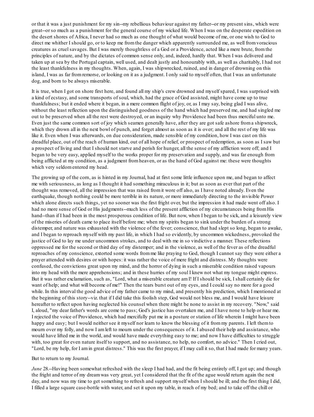or that it was a just punishment for my sin--my rebellious behaviour against my father--or my present sins, which were great--or so much as a punishment for the general course of my wicked life. When I was on the desperate expedition on the desert shores of Africa, I never had so much as one thought of what would become of me, or one wish to God to direct me whither I should go, or to keep me fromthe danger which apparently surrounded me, as well fromvoracious creatures as cruel savages. But I was merely thoughtless of a God or a Providence, acted like a mere brute, from the principles of nature, and by the dictates of common sense only, and, indeed, hardly that. When I was delivered and taken up at sea by the Portugal captain, well used, and dealt justly and honourably with, as well as charitably, I had not the least thankfulness in my thoughts. When, again, I was shipwrecked, ruined, and in danger of drowning on this island, I was as far fromremorse, or looking on it as a judgment. I only said to myself often, that I was an unfortunate dog, and born to be always miserable.

It is true, when I got on shore first here, and found all my ship's crew drowned and myself spared, I was surprised with a kind of ecstasy, and some transports of soul, which, had the grace of God assisted, might have come up to true thankfulness; but it ended where it began, in a mere common flight of joy, or, as I may say, being glad I was alive, without the least reflection upon the distinguished goodness of the hand which had preserved me, and had singled me out to be preserved when all the rest were destroyed, or an inquiry why Providence had been thus merciful unto me. Even just the same common sort of joy which seamen generally have, after they are got safe ashore froma shipwreck, which they drown all in the next bowl of punch, and forget almost as soon as it is over; and all the rest of my life was like it. Even when I was afterwards, on due consideration, made sensible of my condition, how I was cast on this dreadful place, out of the reach of human kind, out of all hope of relief, or prospect of redemption, as soon as I saw but a prospect of living and that I should not starve and perish for hunger, all the sense of my affliction wore off; and I began to be very easy, applied myself to the works proper for my preservation and supply, and was far enough from being afflicted at my condition, as a judgment fromheaven, or as the hand of God against me: these were thoughts which very seldomentered my head.

The growing up of the corn, as is hinted in my Journal, had at first some little influence upon me, and began to affect me with seriousness, as long as I thought it had something miraculous in it; but as soon as ever that part of the thought was removed, all the impression that was raised fromit wore off also, as I have noted already. Even the earthquake, though nothing could be more terrible in its nature, or more immediately directing to the invisible Power which alone directs such things, yet no sooner was the first fright over, but the impression it had made went off also. I had no more sense of God or His judgments--much less of the present affliction of my circumstances being from His hand--than if I had been in the most prosperous condition of life. But now, when I began to be sick, and a leisurely view of the miseries of death came to place itself before me; when my spirits began to sink under the burden of a strong distemper, and nature was exhausted with the violence of the fever; conscience, that had slept so long, began to awake, and I began to reproach myself with my past life, in which I had so evidently, by uncommon wickedness, provoked the justice of God to lay me under uncommon strokes, and to deal with me in so vindictive a manner. These reflections oppressed me for the second or third day of my distemper; and in the violence, as well of the fever as of the dreadful reproaches of my conscience, extorted some words fromme like praying to God, though I cannot say they were either a prayer attended with desires or with hopes: it was rather the voice of mere fright and distress. My thoughts were confused, the convictions great upon my mind, and the horror of dying in such a miserable condition raised vapours into my head with the mere apprehensions; and in these hurries of my soul I knew not what my tongue might express. But it was rather exclamation, such as, "Lord, what a miserable creature amI! If I should be sick, I shall certainly die for want of help; and what will become of me!" Then the tears burst out of my eyes, and I could say no more for a good while. In this interval the good advice of my father came to my mind, and presently his prediction, which I mentioned at the beginning of this story--viz. that if I did take this foolish step, God would not bless me, and I would have leisure hereafter to reflect upon having neglected his counsel when there might be none to assist in my recovery. "Now," said I, aloud, "my dear father's words are come to pass; God's justice has overtaken me, and I have none to help or hear me. I rejected the voice of Providence, which had mercifully put me in a posture or station of life wherein I might have been happy and easy; but I would neither see it myself nor learn to know the blessing of it from my parents. I left them to mourn over my folly, and now I amleft to mourn under the consequences of it. I abused their help and assistance, who would have lifted me in the world, and would have made everything easy to me; and now I have difficulties to struggle with, too great for even nature itself to support, and no assistance, no help, no comfort, no advice." Then I cried out, "Lord, be my help, for I amin great distress." This was the first prayer, if I may call it so, that I had made for many years.

But to return to my Journal.

*June* 28.--Having been somewhat refreshed with the sleep I had had, and the fit being entirely off, I got up; and though the fright and terror of my dreamwas very great, yet I considered that the fit of the ague would return again the next day, and now was my time to get something to refresh and support myself when I should be ill; and the first thing I did, I filled a large square case-bottle with water, and set it upon my table, in reach of my bed; and to take off the chill or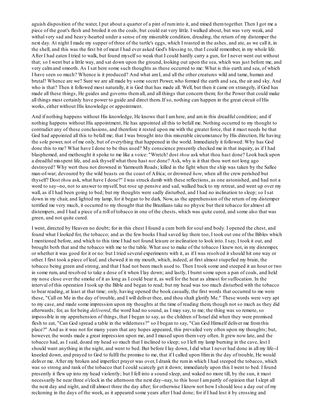aguish disposition of the water, I put about a quarter of a pint of ruminto it, and mixed themtogether. Then I got me a piece of the goat's flesh and broiled it on the coals, but could eat very little. I walked about, but was very weak, and withal very sad and heavy-hearted under a sense of my miserable condition, dreading, the return of my distemper the next day. At night I made my supper of three of the turtle's eggs, which I roasted in the ashes, and ate, as we call it, in the shell, and this was the first bit of meat I had ever asked God's blessing to, that I could remember, in my whole life. After I had eaten I tried to walk, but found myself so weak that I could hardly carry a gun, for I never went out without that; so I went but a little way, and sat down upon the ground, looking out upon the sea, which was just before me, and very calmand smooth. As I sat here some such thoughts as these occurred to me: What is this earth and sea, of which I have seen so much? Whence is it produced? And what amI, and all the other creatures wild and tame, human and brutal? Whence are we? Sure we are all made by some secret Power, who formed the earth and sea, the air and sky. And who is that? Then it followed most naturally, it is God that has made all. Well, but then it came on strangely, if God has made all these things, He guides and governs themall, and all things that concern them; for the Power that could make all things must certainly have power to guide and direct them. If so, nothing can happen in the great circuit of His works, either without His knowledge or appointment.

And if nothing happens without His knowledge, He knows that I amhere, and amin this dreadful condition; and if nothing happens without His appointment, He has appointed all this to befall me. Nothing occurred to my thought to contradict any of these conclusions, and therefore it rested upon me with the greater force, that it must needs be that God had appointed all this to befall me; that I was brought into this miserable circumstance by His direction, He having the sole power, not of me only, but of everything that happened in the world. Immediately it followed: Why has God done this to me? What have I done to be thus used? My conscience presently checked me in that inquiry, as if I had blasphemed, and methought it spoke to me like a voice: "Wretch! dost *thou* ask what thou hast done? Look back upon a dreadful misspent life, and ask thyself what thou hast *not* done? Ask, why is it that thou wert not long ago destroyed? Why wert thou not drowned in Yarmouth Roads; killed in the fight when the ship was taken by the Sallee man-of-war; devoured by the wild beasts on the coast of Africa; or drowned *here*, when all the crew perished but thyself? Dost *thou* ask, what have I done?" I was struck dumb with these reflections, as one astonished, and had not a word to say--no, not to answer to myself, but rose up pensive and sad, walked back to my retreat, and went up over my wall, as if I had been going to bed; but my thoughts were sadly disturbed, and I had no inclination to sleep; so I sat down in my chair, and lighted my lamp, for it began to be dark. Now, as the apprehension of the return of my distemper terrified me very much, it occurred to my thought that the Brazilians take no physic but their tobacco for almost all distempers, and I had a piece of a roll of tobacco in one of the chests, which was quite cured, and some also that was green, and not quite cured.

I went, directed by Heaven no doubt; for in this chest I found a cure both for soul and body. I opened the chest, and found what I looked for, the tobacco; and as the few books I had saved lay there too, I took out one of the Bibles which I mentioned before, and which to this time I had not found leisure or inclination to look into. I say, I took it out, and brought both that and the tobacco with me to the table. What use to make of the tobacco I knew not, in my distemper, or whether it was good for it or no: but I tried several experiments with it, as if I was resolved it should hit one way or other. I first took a piece of leaf, and chewed it in my mouth, which, indeed, at first almost stupefied my brain, the tobacco being green and strong, and that I had not been much used to. Then I took some and steeped it an hour or two in some rum, and resolved to take a dose of it when I lay down; and lastly, I burnt some upon a pan of coals, and held my nose close over the smoke of it as long as I could bear it, as well for the heat as almost for suffocation. In the interval of this operation I took up the Bible and began to read; but my head was too much disturbed with the tobacco to bear reading, at least at that time; only, having opened the book casually, the first words that occurred to me were these, "Call on Me in the day of trouble, and I will deliver thee, and thou shalt glorify Me." These words were very apt to my case, and made some impression upon my thoughts at the time of reading them, though not so much as they did afterwards; for, as for being *delivered*, the word had no sound, as I may say, to me; the thing was so remote, so impossible in my apprehension of things, that I began to say, as the children of Israel did when they were promised flesh to eat, "Can God spread a table in the wilderness?" so I began to say, "Can God Himself deliver me fromthis place?" And as it was not for many years that any hopes appeared, this prevailed very often upon my thoughts; but, however, the words made a great impression upon me, and I mused upon themvery often. It grew now late, and the tobacco had, as I said, dozed my head so much that I inclined to sleep; so I left my lamp burning in the cave, lest I should want anything in the night, and went to bed. But before I lay down, I did what I never had done in all my life--I kneeled down, and prayed to God to fulfil the promise to me, that if I called upon Himin the day of trouble, He would deliver me. After my broken and imperfect prayer was over, I drank the rumin which I had steeped the tobacco, which was so strong and rank of the tobacco that I could scarcely get it down; immediately upon this I went to bed. I found presently it flew up into my head violently; but I fell into a sound sleep, and waked no more till, by the sun, it must necessarily be near three o'clock in the afternoon the next day--nay, to this hour I ampartly of opinion that I slept all the next day and night, and till almost three the day after; for otherwise I know not how I should lose a day out of my reckoning in the days of the week, as it appeared some years after I had done; for if I had lost it by crossing and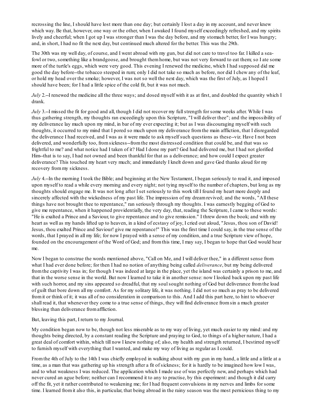recrossing the line, I should have lost more than one day; but certainly I lost a day in my account, and never knew which way. Be that, however, one way or the other, when I awaked I found myself exceedingly refreshed, and my spirits lively and cheerful; when I got up I was stronger than I was the day before, and my stomach better, for I was hungry; and, in short, I had no fit the next day, but continued much altered for the better. This was the 29th.

The 30th was my well day, of course, and I went abroad with my gun, but did not care to travel too far. I killed a seafowl or two, something like a brandgoose, and brought themhome, but was not very forward to eat them; so I ate some more of the turtle's eggs, which were very good. This evening I renewed the medicine, which I had supposed did me good the day before--the tobacco steeped in rum; only I did not take so much as before, nor did I chew any of the leaf, or hold my head over the smoke; however, I was not so well the next day, which was the first of July, as I hoped I should have been; for I had a little spice of the cold fit, but it was not much.

*July* 2.--I renewed the medicine all the three ways; and dosed myself with it as at first, and doubled the quantity which I drank.

*July* 3.--I missed the fit for good and all, though I did not recover my full strength for some weeks after. While I was thus gathering strength, my thoughts ran exceedingly upon this Scripture, "I will deliver thee"; and the impossibility of my deliverance lay much upon my mind, in bar of my ever expecting it; but as I was discouraging myself with such thoughts, it occurred to my mind that I pored so much upon my deliverance fromthe main affliction, that I disregarded the deliverance I had received, and I was as it were made to ask myself such questions as these--viz. Have I not been delivered, and wonderfully too, fromsickness--fromthe most distressed condition that could be, and that was so frightful to me? and what notice had I taken of it? Had I done my part? God had delivered me, but I had not glorified Him--that is to say, I had not owned and been thankful for that as a deliverance; and how could I expect greater deliverance? This touched my heart very much; and immediately I knelt down and gave God thanks aloud for my recovery frommy sickness.

*July* 4.-In the morning I took the Bible; and beginning at the New Testament, I began seriously to read it, and imposed upon myself to read a while every morning and every night; not tying myself to the number of chapters, but long as my thoughts should engage me. It was not long after I set seriously to this work till I found my heart more deeply and sincerely affected with the wickedness of my past life. The impression of my dreamrevived; and the words, "All these things have not brought thee to repentance," ran seriously through my thoughts. I was earnestly begging of God to give me repentance, when it happened providentially, the very day, that, reading the Scripture, I came to these words: "He is exalted a Prince and a Saviour, to give repentance and to give remission." I threw down the book; and with my heart as well as my hands lifted up to heaven, in a kind of ecstasy of joy, I cried out aloud, "Jesus, thou son of David! Jesus, thou exalted Prince and Saviour! give me repentance!" This was the first time I could say, in the true sense of the words, that I prayed in all my life; for now I prayed with a sense of my condition, and a true Scripture view of hope, founded on the encouragement of the Word of God; and fromthis time, I may say, I began to hope that God would hear me.

Now I began to construe the words mentioned above, "Call on Me, and I will deliver thee," in a different sense from what I had ever done before; for then I had no notion of anything being called *deliverance*, but my being delivered fromthe captivity I was in; for though I was indeed at large in the place, yet the island was certainly a prison to me, and that in the worse sense in the world. But now I learned to take it in another sense: now I looked back upon my past life with such horror, and my sins appeared so dreadful, that my soul sought nothing of God but deliverance from the load of guilt that bore down all my comfort. As for my solitary life, it was nothing. I did not so much as pray to be delivered fromit or think of it; it was all of no consideration in comparison to this. And I add this part here, to hint to whoever shall read it, that whenever they come to a true sense of things, they will find deliverance fromsin a much greater blessing than deliverance fromaffliction.

#### But, leaving this part, I return to my Journal.

My condition began now to be, though not less miserable as to my way of living, yet much easier to my mind: and my thoughts being directed, by a constant reading the Scripture and praying to God, to things of a higher nature, I had a great deal of comfort within, which till now I knew nothing of; also, my health and strength returned, I bestirred myself to furnish myself with everything that I wanted, and make my way of living as regular as I could.

Fromthe 4th of July to the 14th I was chiefly employed in walking about with my gun in my hand, a little and a little at a time, as a man that was gathering up his strength after a fit of sickness; for it is hardly to be imagined how low I was, and to what weakness I was reduced. The application which I made use of was perfectly new, and perhaps which had never cured an ague before; neither can I recommend it to any to practise, by this experiment: and though it did carry off the fit, yet it rather contributed to weakening me; for I had frequent convulsions in my nerves and limbs for some time. I learned fromit also this, in particular, that being abroad in the rainy season was the most pernicious thing to my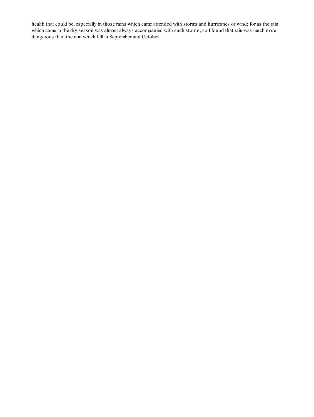health that could be, especially in those rains which came attended with storms and hurricanes of wind; for as the rain which came in the dry season was almost always accompanied with such storms, so I found that rain was much more dangerous than the rain which fell in September and October.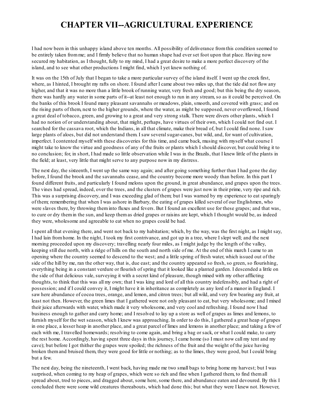### **CHAPTER VII--AGRICULTURAL EXPERIENCE**

I had now been in this unhappy island above ten months. All possibility of deliverance fromthis condition seemed to be entirely taken fromme; and I firmly believe that no human shape had ever set foot upon that place. Having now secured my habitation, as I thought, fully to my mind, I had a great desire to make a more perfect discovery of the island, and to see what other productions I might find, which I yet knew nothing of.

It was on the 15th of July that I began to take a more particular survey of the island itself. I went up the creek first, where, as I hinted, I brought my rafts on shore. I found after I came about two miles up, that the tide did not flow any higher, and that it was no more than a little brook of running water, very fresh and good; but this being the dry season, there was hardly any water in some parts of it--at least not enough to run in any stream, so as it could be perceived. On the banks of this brook I found many pleasant savannahs or meadows, plain, smooth, and covered with grass; and on the rising parts of them, next to the higher grounds, where the water, as might be supposed, never overflowed, I found a great deal of tobacco, green, and growing to a great and very strong stalk. There were divers other plants, which I had no notion of or understanding about, that might, perhaps, have virtues of their own, which I could not find out. I searched for the cassava root, which the Indians, in all that climate, make their bread of, but I could find none. I saw large plants of aloes, but did not understand them. I saw severalsugar-canes, but wild, and, for want of cultivation, imperfect. I contented myself with these discoveries for this time, and came back, musing with myself what course I might take to know the virtue and goodness of any of the fruits or plants which I should discover, but could bring it to no conclusion; for, in short, I had made so little observation while I was in the Brazils, that I knew little of the plants in the field; at least, very little that might serve to any purpose now in my distress.

The next day, the sixteenth, I went up the same way again; and after going something further than I had gone the day before, I found the brook and the savannahs cease, and the country become more woody than before. In this part I found different fruits, and particularly I found melons upon the ground, in great abundance, and grapes upon the trees. The vines had spread, indeed, over the trees, and the clusters of grapes were just now in their prime, very ripe and rich. This was a surprising discovery, and I was exceeding glad of them; but I was warned by my experience to eat sparingly of them; remembering that when I was ashore in Barbary, the eating of grapes killed several of our Englishmen, who were slaves there, by throwing theminto fluxes and fevers. But I found an excellent use for these grapes; and that was, to cure or dry themin the sun, and keep themas dried grapes or raisins are kept, which I thought would be, as indeed they were, wholesome and agreeable to eat when no grapes could be had.

I spent all that evening there, and went not back to my habitation; which, by the way, was the first night, as I might say, I had lain fromhome. In the night, I took my first contrivance, and got up in a tree, where I slept well; and the next morning proceeded upon my discovery; travelling nearly four miles, as I might judge by the length of the valley, keeping still due north, with a ridge of hills on the south and north side of me. At the end of this march I came to an opening where the country seemed to descend to the west; and a little spring of fresh water, which issued out of the side of the hill by me, ran the other way, that is, due east; and the country appeared so fresh, so green, so flourishing, everything being in a constant verdure or flourish of spring that it looked like a planted garden. I descended a little on the side of that delicious vale, surveying it with a secret kind of pleasure, though mixed with my other afflicting thoughts, to think that this was all my own; that I was king and lord of all this country indefensibly, and had a right of possession; and if I could convey it, I might have it in inheritance as completely as any lord of a manor in England. I saw here abundance of cocoa trees, orange, and lemon, and citron trees; but all wild, and very few bearing any fruit, at least not then. However, the green limes that I gathered were not only pleasant to eat, but very wholesome; and I mixed their juice afterwards with water, which made it very wholesome, and very cool and refreshing. I found now I had business enough to gather and carry home; and I resolved to lay up a store as well of grapes as limes and lemons, to furnish myself for the wet season, which I knew was approaching. In order to do this, I gathered a great heap of grapes in one place, a lesser heap in another place, and a great parcel of limes and lemons in another place; and taking a few of each with me, I travelled homewards; resolving to come again, and bring a bag or sack, or what I could make, to carry the rest home. Accordingly, having spent three days in this journey, I came home (so I must now call my tent and my cave); but before I got thither the grapes were spoiled; the richness of the fruit and the weight of the juice having broken themand bruised them, they were good for little or nothing; as to the limes, they were good, but I could bring but a few.

The next day, being the nineteenth, I went back, having made me two small bags to bring home my harvest; but I was surprised, when coming to my heap of grapes, which were so rich and fine when I gathered them, to find themall spread about, trod to pieces, and dragged about, some here, some there, and abundance eaten and devoured. By this I concluded there were some wild creatures thereabouts, which had done this; but what they were I knew not. However,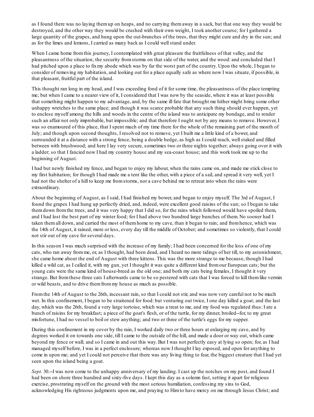as I found there was no laying themup on heaps, and no carrying themaway in a sack, but that one way they would be destroyed, and the other way they would be crushed with their own weight, I took another course; for I gathered a large quantity of the grapes, and hung upon the out-branches of the trees, that they might cure and dry in the sun; and as for the limes and lemons, I carried as many back as I could wellstand under.

When I came home fromthis journey, I contemplated with great pleasure the fruitfulness of that valley, and the pleasantness of the situation; the security fromstorms on that side of the water, and the wood: and concluded that I had pitched upon a place to fixmy abode which was by far the worst part of the country. Upon the whole, I began to consider of removing my habitation, and looking out for a place equally safe as where now I was situate, if possible, in that pleasant, fruitful part of the island.

This thought ran long in my head, and I was exceeding fond of it for some time, the pleasantness of the place tempting me; but when I came to a nearer view of it, I considered that I was now by the seaside, where it was at least possible that something might happen to my advantage, and, by the same ill fate that brought me hither might bring some other unhappy wretches to the same place; and though it was scarce probable that any such thing should ever happen, yet to enclose myself among the hills and woods in the centre of the island was to anticipate my bondage, and to render such an affair not only improbable, but impossible; and that therefore I ought not by any means to remove. However, I was so enamoured of this place, that I spent much of my time there for the whole of the remaining part of the month of July; and though upon second thoughts, I resolved not to remove, yet I built me a little kind of a bower, and surrounded it at a distance with a strong fence, being a double hedge, as high as I could reach, wellstaked and filled between with brushwood; and here I lay very secure, sometimes two or three nights together; always going over it with a ladder; so that I fancied now I had my country house and my sea-coast house; and this work took me up to the beginning of August.

I had but newly finished my fence, and began to enjoy my labour, when the rains came on, and made me stick close to my first habitation; for though I had made me a tent like the other, with a piece of a sail, and spread it very well, yet I had not the shelter of a hill to keep me fromstorms, nor a cave behind me to retreat into when the rains were extraordinary.

About the beginning of August, as I said, I had finished my bower, and began to enjoy myself. The 3rd of August, I found the grapes I had hung up perfectly dried, and, indeed, were excellent good raisins of the sun; so I began to take themdown fromthe trees, and it was very happy that I did so, for the rains which followed would have spoiled them, and I had lost the best part of my winter food; for I had above two hundred large bunches of them. No sooner had I taken themall down, and carried the most of themhome to my cave, than it began to rain; and fromhence, which was the 14th of August, it rained, more or less, every day till the middle of October; and sometimes so violently, that I could not stir out of my cave for several days.

In this season I was much surprised with the increase of my family; I had been concerned for the loss of one of my cats, who ran away fromme, or, as I thought, had been dead, and I heard no more tidings of her till, to my astonishment, she came home about the end of August with three kittens. This was the more strange to me because, though I had killed a wild cat, as I called it, with my gun, yet I thought it was quite a different kind fromour European cats; but the young cats were the same kind of house-breed as the old one; and both my cats being females, I thought it very strange. But fromthese three cats I afterwards came to be so pestered with cats that I was forced to kill themlike vermin or wild beasts, and to drive themfrommy house as much as possible.

Fromthe 14th of August to the 26th, incessant rain, so that I could not stir, and was now very careful not to be much wet. In this confinement, I began to be straitened for food: but venturing out twice, I one day killed a goat; and the last day, which was the 26th, found a very large tortoise, which was a treat to me, and my food was regulated thus: I ate a bunch of raisins for my breakfast; a piece of the goat's flesh, or of the turtle, for my dinner, broiled--for, to my great misfortune, I had no vessel to boil or stew anything; and two or three of the turtle's eggs for my supper.

During this confinement in my cover by the rain, I worked daily two or three hours at enlarging my cave, and by degrees worked it on towards one side, till I came to the outside of the hill, and made a door or way out, which came beyond my fence or wall; and so I came in and out this way. But I was not perfectly easy at lying so open; for, as I had managed myself before, I was in a perfect enclosure; whereas now I thought I lay exposed, and open for anything to come in upon me; and yet I could not perceive that there was any living thing to fear, the biggest creature that I had yet seen upon the island being a goat.

*Sept.* 30.--I was now come to the unhappy anniversary of my landing. I cast up the notches on my post, and found I had been on shore three hundred and sixty-five days. I kept this day as a solemn fast, setting it apart for religious exercise, prostrating myself on the ground with the most serious humiliation, confessing my sins to God, acknowledging His righteous judgments upon me, and praying to Himto have mercy on me through Jesus Christ; and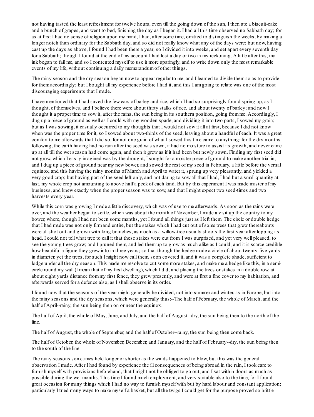not having tasted the least refreshment for twelve hours, even till the going down of the sun, I then ate a biscuit-cake and a bunch of grapes, and went to bed, finishing the day as I began it. I had all this time observed no Sabbath day; for as at first I had no sense of religion upon my mind, I had, after some time, omitted to distinguish the weeks, by making a longer notch than ordinary for the Sabbath day, and so did not really know what any of the days were; but now, having cast up the days as above, I found I had been there a year; so I divided it into weeks, and set apart every seventh day for a Sabbath; though I found at the end of my account I had lost a day or two in my reckoning. A little after this, my ink began to fail me, and so I contented myself to use it more sparingly, and to write down only the most remarkable events of my life, without continuing a daily memorandumof other things.

The rainy season and the dry season began now to appear regular to me, and I learned to divide themso as to provide for themaccordingly; but I bought all my experience before I had it, and this I amgoing to relate was one of the most discouraging experiments that I made.

I have mentioned that I had saved the few ears of barley and rice, which I had so surprisingly found spring up, as I thought, of themselves, and I believe there were about thirty stalks of rice, and about twenty of barley; and now I thought it a proper time to sow it, after the rains, the sun being in its southern position, going fromme. Accordingly, I dug up a piece of ground as well as I could with my wooden spade, and dividing it into two parts, I sowed my grain; but as I was sowing, it casually occurred to my thoughts that I would not sow it all at first, because I did not know when was the proper time for it, so I sowed about two-thirds of the seed, leaving about a handful of each. It was a great comfort to me afterwards that I did so, for not one grain of what I sowed this time came to anything: for the dry months following, the earth having had no rain after the seed was sown, it had no moisture to assist its growth, and never came up at all till the wet season had come again, and then it grew as if it had been but newly sown. Finding my first seed did not grow, which I easily imagined was by the drought, I sought for a moister piece of ground to make another trial in, and I dug up a piece of ground near my new bower, and sowed the rest of my seed in February, a little before the vernal equinox; and this having the rainy months of March and April to water it, sprung up very pleasantly, and yielded a very good crop; but having part of the seed left only, and not daring to sow all that I had, I had but a small quantity at last, my whole crop not amounting to above half a peck of each kind. But by this experiment I was made master of my business, and knew exactly when the proper season was to sow, and that I might expect two seed-times and two harvests every year.

While this corn was growing I made a little discovery, which was of use to me afterwards. As soon as the rains were over, and the weather began to settle, which was about the month of November, I made a visit up the country to my bower, where, though I had not been some months, yet I found all things just as I left them. The circle or double hedge that I had made was not only firmand entire, but the stakes which I had cut out of some trees that grew thereabouts were allshot out and grown with long branches, as much as a willow-tree usually shoots the first year after lopping its head. I could not tell what tree to call it that these stakes were cut from. I was surprised, and yet very well pleased, to see the young trees grow; and I pruned them, and led themup to grow as much alike as I could; and it is scarce credible how beautiful a figure they grew into in three years; so that though the hedge made a circle of about twenty-five yards in diameter, yet the trees, for such I might now call them, soon covered it, and it was a complete shade, sufficient to lodge under all the dry season. This made me resolve to cut some more stakes, and make me a hedge like this, in a semicircle round my wall (I mean that of my first dwelling), which I did; and placing the trees or stakes in a double row, at about eight yards distance frommy first fence, they grew presently, and were at first a fine cover to my habitation, and afterwards served for a defence also, as I shall observe in its order.

I found now that the seasons of the year might generally be divided, not into summer and winter, as in Europe, but into the rainy seasons and the dry seasons, which were generally thus:--The half of February, the whole of March, and the half of April--rainy, the sun being then on or near the equinox.

The half of April, the whole of May, June, and July, and the half of August--dry, the sun being then to the north of the line.

The half of August, the whole of September, and the half of October--rainy, the sun being then come back.

The half of October, the whole of November, December, and January, and the half of February--dry, the sun being then to the south of the line.

The rainy seasons sometimes held longer or shorter as the winds happened to blow, but this was the general observation I made. After I had found by experience the ill consequences of being abroad in the rain, I took care to furnish myself with provisions beforehand, that I might not be obliged to go out, and I sat within doors as much as possible during the wet months. This time I found much employment, and very suitable also to the time, for I found great occasion for many things which I had no way to furnish myself with but by hard labour and constant application; particularly I tried many ways to make myself a basket, but all the twigs I could get for the purpose proved so brittle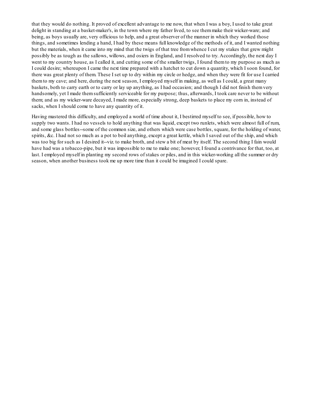that they would do nothing. It proved of excellent advantage to me now, that when I was a boy, I used to take great delight in standing at a basket-maker's, in the town where my father lived, to see themmake their wicker-ware; and being, as boys usually are, very officious to help, and a great observer of the manner in which they worked those things, and sometimes lending a hand, I had by these means full knowledge of the methods of it, and I wanted nothing but the materials, when it came into my mind that the twigs of that tree fromwhence I cut my stakes that grew might possibly be as tough as the sallows, willows, and osiers in England, and I resolved to try. Accordingly, the next day I went to my country house, as I called it, and cutting some of the smaller twigs, I found themto my purpose as much as I could desire; whereupon I came the next time prepared with a hatchet to cut down a quantity, which I soon found, for there was great plenty of them. These I set up to dry within my circle or hedge, and when they were fit for use I carried themto my cave; and here, during the next season, I employed myself in making, as well as I could, a great many baskets, both to carry earth or to carry or lay up anything, as I had occasion; and though I did not finish themvery handsomely, yet I made themsufficiently serviceable for my purpose; thus, afterwards, I took care never to be without them; and as my wicker-ware decayed, I made more, especially strong, deep baskets to place my corn in, instead of sacks, when I should come to have any quantity of it.

Having mastered this difficulty, and employed a world of time about it, I bestirred myself to see, if possible, how to supply two wants. I had no vessels to hold anything that was liquid, except two runlets, which were almost full of rum, and some glass bottles--some of the common size, and others which were case bottles, square, for the holding of water, spirits, &c. I had not so much as a pot to boil anything, except a great kettle, which I saved out of the ship, and which was too big for such as I desired it--viz. to make broth, and stew a bit of meat by itself. The second thing I fain would have had was a tobacco-pipe, but it was impossible to me to make one; however, I found a contrivance for that, too, at last. I employed myself in planting my second rows of stakes or piles, and in this wicker-working all the summer or dry season, when another business took me up more time than it could be imagined I could spare.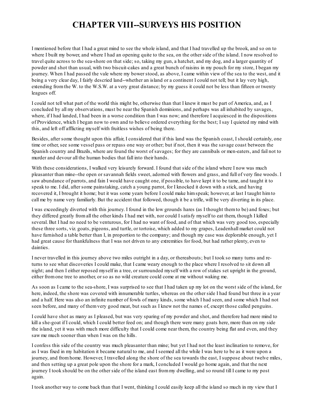# **CHAPTER VIII--SURVEYS HIS POSITION**

I mentioned before that I had a great mind to see the whole island, and that I had travelled up the brook, and so on to where I built my bower, and where I had an opening quite to the sea, on the other side of the island. I now resolved to travel quite across to the sea-shore on that side; so, taking my gun, a hatchet, and my dog, and a larger quantity of powder and shot than usual, with two biscuit-cakes and a great bunch of raisins in my pouch for my store, I began my journey. When I had passed the vale where my bower stood, as above, I came within view of the sea to the west, and it being a very clear day, I fairly descried land--whether an island or a continent I could not tell; but it lay very high, extending fromthe W. to the W.S.W. at a very great distance; by my guess it could not be less than fifteen or twenty leagues off.

I could not tell what part of the world this might be, otherwise than that I knew it must be part of America, and, as I concluded by all my observations, must be near the Spanish dominions, and perhaps was all inhabited by savages, where, if I had landed. I had been in a worse condition than I was now; and therefore I acquiesced in the dispositions of Providence, which I began now to own and to believe ordered everything for the best; I say I quieted my mind with this, and left off afflicting myself with fruitless wishes of being there.

Besides, after some thought upon this affair, I considered that if this land was the Spanish coast, I should certainly, one time or other, see some vessel pass or repass one way or other; but if not, then it was the savage coast between the Spanish country and Brazils, where are found the worst of savages; for they are cannibals or men-eaters, and fail not to murder and devour all the human bodies that fall into their hands.

With these considerations, I walked very leisurely forward. I found that side of the island where I now was much pleasanter than mine--the open or savannah fields sweet, adorned with flowers and grass, and full of very fine woods. I saw abundance of parrots, and fain I would have caught one, if possible, to have kept it to be tame, and taught it to speak to me. I did, after some painstaking, catch a young parrot, for I knocked it down with a stick, and having recovered it, I brought it home; but it was some years before I could make himspeak; however, at last I taught himto call me by name very familiarly. But the accident that followed, though it be a trifle, will be very diverting in its place.

I was exceedingly diverted with this journey. I found in the low grounds hares (as I thought themto be) and foxes; but they differed greatly fromall the other kinds I had met with, nor could I satisfy myself to eat them, though I killed several. But I had no need to be venturous, for I had no want of food, and of that which was very good too, especially these three sorts, viz. goats, pigeons, and turtle, or tortoise, which added to my grapes, Leadenhall market could not have furnished a table better than I, in proportion to the company; and though my case was deplorable enough, yet I had great cause for thankfulness that I was not driven to any extremities for food, but had rather plenty, even to dainties.

I never travelled in this journey above two miles outright in a day, or thereabouts; but I took so many turns and returns to see what discoveries I could make, that I came weary enough to the place where I resolved to sit down all night; and then I either reposed myself in a tree, or surrounded myself with a row of stakes set upright in the ground, either fromone tree to another, or so as no wild creature could come at me without waking me.

As soon as I came to the sea-shore, I was surprised to see that I had taken up my lot on the worst side of the island, for here, indeed, the shore was covered with innumerable turtles, whereas on the other side I had found but three in a year and a half. Here was also an infinite number of fowls of many kinds, some which I had seen, and some which I had not seen before, and many of themvery good meat, but such as I knew not the names of, except those called penguins.

I could have shot as many as I pleased, but was very sparing of my powder and shot, and therefore had more mind to kill a she-goat if I could, which I could better feed on; and though there were many goats here, more than on my side the island, yet it was with much more difficulty that I could come near them, the country being flat and even, and they saw me much sooner than when I was on the hills.

I confess this side of the country was much pleasanter than mine; but yet I had not the least inclination to remove, for as I was fixed in my habitation it became natural to me, and I seemed all the while I was here to be as it were upon a journey, and fromhome. However, I travelled along the shore of the sea towards the east, I suppose about twelve miles, and then setting up a great pole upon the shore for a mark, I concluded I would go home again, and that the next journey I took should be on the other side of the island east frommy dwelling, and so round till I came to my post again.

I took another way to come back than that I went, thinking I could easily keep all the island so much in my view that I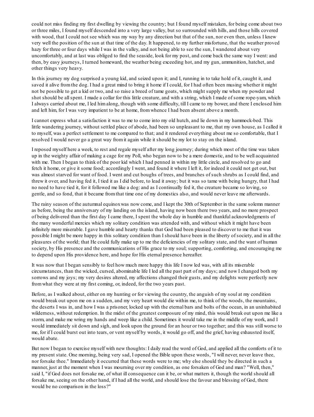could not miss finding my first dwelling by viewing the country; but I found myself mistaken, for being come about two or three miles, I found myself descended into a very large valley, but so surrounded with hills, and those hills covered with wood, that I could not see which was my way by any direction but that of the sun, nor even then, unless I knew very well the position of the sun at that time of the day. It happened, to my further misfortune, that the weather proved hazy for three or four days while I was in the valley, and not being able to see the sun, I wandered about very uncomfortably, and at last was obliged to find the seaside, look for my post, and come back the same way I went: and then, by easy journeys, I turned homeward, the weather being exceeding hot, and my gun, ammunition, hatchet, and other things very heavy.

In this journey my dog surprised a young kid, and seized upon it; and I, running in to take hold of it, caught it, and saved it alive fromthe dog. I had a great mind to bring it home if I could, for I had often been musing whether it might not be possible to get a kid or two, and so raise a breed of tame goats, which might supply me when my powder and shot should be allspent. I made a collar for this little creature, and with a string, which I made of some rope-yam, which I always carried about me, I led himalong, though with some difficulty, till I came to my bower, and there I enclosed him and left him, for I was very impatient to be at home, fromwhence I had been absent above a month.

I cannot express what a satisfaction it was to me to come into my old hutch, and lie down in my hammock-bed. This little wandering journey, without settled place of abode, had been so unpleasant to me, that my own house, as I called it to myself, was a perfect settlement to me compared to that; and it rendered everything about me so comfortable, that I resolved I would never go a great way fromit again while it should be my lot to stay on the island.

I reposed myself here a week, to rest and regale myself after my long journey; during which most of the time was taken up in the weighty affair of making a cage for my Poll, who began now to be a mere domestic, and to be well acquainted with me. Then I began to think of the poor kid which I had penned in within my little circle, and resolved to go and fetch it home, or give it some food; accordingly I went, and found it where I left it, for indeed it could not get out, but was almost starved for want of food. I went and cut boughs of trees, and branches of such shrubs as I could find, and threw it over, and having fed it, I tied it as I did before, to lead it away; but it was so tame with being hungry, that I had no need to have tied it, for it followed me like a dog: and as I continually fed it, the creature became so loving, so gentle, and so fond, that it became fromthat time one of my domestics also, and would never leave me afterwards.

The rainy season of the autumnal equinoxwas now come, and I kept the 30th of September in the same solemn manner as before, being the anniversary of my landing on the island, having now been there two years, and no more prospect of being delivered than the first day I came there, I spent the whole day in humble and thankful acknowledgments of the many wonderful mercies which my solitary condition was attended with, and without which it might have been infinitely more miserable. I gave humble and hearty thanks that God had been pleased to discover to me that it was possible I might be more happy in this solitary condition than I should have been in the liberty of society, and in all the pleasures of the world; that He could fully make up to me the deficiencies of my solitary state, and the want of human society, by His presence and the communications of His grace to my soul; supporting, comforting, and encouraging me to depend upon His providence here, and hope for His eternal presence hereafter.

It was now that I began sensibly to feel how much more happy this life I now led was, with all its miserable circumstances, than the wicked, cursed, abominable life I led all the past part of my days; and now I changed both my sorrows and my joys; my very desires altered, my affections changed their gusts, and my delights were perfectly new fromwhat they were at my first coming, or, indeed, for the two years past.

Before, as I walked about, either on my hunting or for viewing the country, the anguish of my soul at my condition would break out upon me on a sudden, and my very heart would die within me, to think of the woods, the mountains, the deserts I was in, and how I was a prisoner, locked up with the eternal bars and bolts of the ocean, in an uninhabited wilderness, without redemption. In the midst of the greatest composure of my mind, this would break out upon me like a storm, and make me wring my hands and weep like a child. Sometimes it would take me in the middle of my work, and I would immediately sit down and sigh, and look upon the ground for an hour or two together; and this was still worse to me, for if I could burst out into tears, or vent myself by words, it would go off, and the grief, having exhausted itself, would abate.

But now I began to exercise myself with new thoughts: I daily read the word of God, and applied all the comforts of it to my present state. One morning, being very sad, I opened the Bible upon these words, "I will never, never leave thee, nor forsake thee." Immediately it occurred that these words were to me; why else should they be directed in such a manner, just at the moment when I was mourning over my condition, as one forsaken of God and man? "Well, then," said I, "if God does not forsake me, of what ill consequence can it be, or what matters it, though the world should all forsake me, seeing on the other hand, if I had all the world, and should lose the favour and blessing of God, there would be no comparison in the loss?"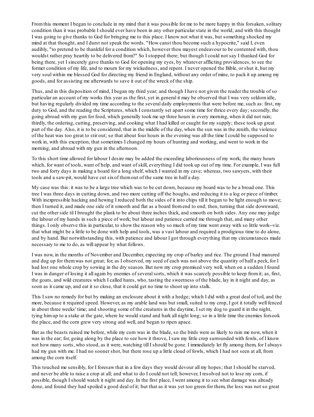Fromthis moment I began to conclude in my mind that it was possible for me to be more happy in this forsaken, solitary condition than it was probable I should ever have been in any other particular state in the world; and with this thought I was going to give thanks to God for bringing me to this place. I know not what it was, but something shocked my mind at that thought, and I durst not speak the words. "How canst thou become such a hypocrite," said I, even audibly, "to pretend to be thankful for a condition which, however thou mayest endeavour to be contented with, thou wouldst rather pray heartily to be delivered from?" So I stopped there; but though I could not say I thanked God for being there, yet I sincerely gave thanks to God for opening my eyes, by whatever afflicting providences, to see the former condition of my life, and to mourn for my wickedness, and repent. I never opened the Bible, or shut it, but my very soul within me blessed God for directing my friend in England, without any order of mine, to pack it up among my goods, and for assisting me afterwards to save it out of the wreck of the ship.

Thus, and in this disposition of mind, I began my third year; and though I have not given the reader the trouble of so particular an account of my works this year as the first, yet in general it may be observed that I was very seldomidle, but having regularly divided my time according to the several daily employments that were before me, such as: first, my duty to God, and the reading the Scriptures, which I constantly set apart some time for thrice every day; secondly, the going abroad with my gun for food, which generally took me up three hours in every morning, when it did not rain; thirdly, the ordering, cutting, preserving, and cooking what I had killed or caught for my supply; these took up great part of the day. Also, it is to be considered, that in the middle of the day, when the sun was in the zenith, the violence of the heat was too great to stir out; so that about four hours in the evening was all the time I could be supposed to work in, with this exception, that sometimes I changed my hours of hunting and working, and went to work in the morning, and abroad with my gun in the afternoon.

To this short time allowed for labour I desire may be added the exceeding laboriousness of my work; the many hours which, for want of tools, want of help, and want of skill, everything I did took up out of my time. For example, I was full two and forty days in making a board for a long shelf, which I wanted in my cave; whereas, two sawyers, with their tools and a saw-pit, would have cut sixof themout of the same tree in half a day.

My case was this: it was to be a large tree which was to be cut down, because my board was to be a broad one. This tree I was three days in cutting down, and two more cutting off the boughs, and reducing it to a log or piece of timber. With inexpressible hacking and hewing I reduced both the sides of it into chips till it began to be light enough to move; then I turned it, and made one side of it smooth and flat as a board fromend to end; then, turning that side downward, cut the other side til I brought the plank to be about three inches thick, and smooth on both sides. Any one may judge the labour of my hands in such a piece of work; but labour and patience carried me through that, and many other things. I only observe this in particular, to show the reason why so much of my time went away with so little work--viz. that what might be a little to be done with help and tools, was a vast labour and required a prodigious time to do alone, and by hand. But notwithstanding this, with patience and labour I got through everything that my circumstances made necessary to me to do, as will appear by what follows.

I was now, in the months of November and December, expecting my crop of barley and rice. The ground I had manured and dug up for themwas not great; for, as I observed, my seed of each was not above the quantity of half a peck, for I had lost one whole crop by sowing in the dry season. But now my crop promised very well, when on a sudden I found I was in danger of losing it all again by enemies of severalsorts, which it was scarcely possible to keep fromit; as, first, the goats, and wild creatures which I called hares, who, tasting the sweetness of the blade, lay in it night and day, as soon as it came up, and eat it so close, that it could get no time to shoot up into stalk.

This I saw no remedy for but by making an enclosure about it with a hedge; which I did with a great deal of toil, and the more, because it required speed. However, as my arable land was but small, suited to my crop, I got it totally well fenced in about three weeks' time; and shooting some of the creatures in the daytime, I set my dog to guard it in the night, tying himup to a stake at the gate, where he would stand and bark all night long; so in a little time the enemies forsook the place, and the corn grew very strong and well, and began to ripen apace.

But as the beasts ruined me before, while my corn was in the blade, so the birds were as likely to ruin me now, when it was in the ear; for, going along by the place to see how it throve, I saw my little crop surrounded with fowls, of I know not how many sorts, who stood, as it were, watching till I should be gone. I immediately let fly among them, for I always had my gun with me. I had no sooner shot, but there rose up a little cloud of fowls, which I had not seen at all, from among the corn itself.

This touched me sensibly, for I foresaw that in a few days they would devour all my hopes; that I should be starved, and never be able to raise a crop at all; and what to do I could not tell; however, I resolved not to lose my corn, if possible, though I should watch it night and day. In the first place, I went among it to see what damage was already done, and found they had spoiled a good deal of it; but that as it was yet too green for them, the loss was not so great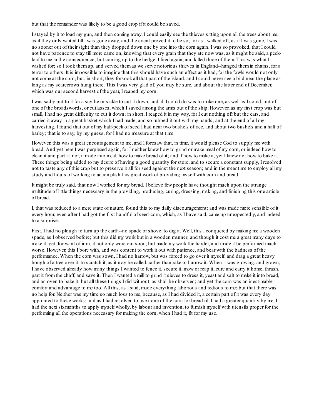but that the remainder was likely to be a good crop if it could be saved.

I stayed by it to load my gun, and then coming away, I could easily see the thieves sitting upon all the trees about me, as if they only waited till I was gone away, and the event proved it to be so; for as I walked off, as if I was gone, I was no sooner out of their sight than they dropped down one by one into the corn again. I was so provoked, that I could not have patience to stay till more came on, knowing that every grain that they ate now was, as it might be said, a peckloaf to me in the consequence; but coming up to the hedge, I fired again, and killed three of them. This was what I wished for; so I took them up, and served themas we serve notorious thieves in England--hanged them in chains, for a terror to others. It is impossible to imagine that this should have such an effect as it had, for the fowls would not only not come at the corn, but, in short, they forsook all that part of the island, and I could never see a bird near the place as long as my scarecrows hung there. This I was very glad of, you may be sure, and about the latter end of December, which was our second harvest of the year, I reaped my corn.

I was sadly put to it for a scythe or sickle to cut it down, and all I could do was to make one, as well as I could, out of one of the broadswords, or cutlasses, which I saved among the arms out of the ship. However, as my first crop was but small, I had no great difficulty to cut it down; in short, I reaped it in my way, for I cut nothing off but the ears, and carried it away in a great basket which I had made, and so rubbed it out with my hands; and at the end of all my harvesting, I found that out of my half-peck of seed I had near two bushels of rice, and about two bushels and a half of barley; that is to say, by my guess, for I had no measure at that time.

However, this was a great encouragement to me, and I foresaw that, in time, it would please God to supply me with bread. And yet here I was perplexed again, for I neither knew how to grind or make meal of my corn, or indeed how to clean it and part it; nor, if made into meal, how to make bread of it; and if how to make it, yet I knew not how to bake it. These things being added to my desire of having a good quantity for store, and to secure a constant supply, I resolved not to taste any of this crop but to preserve it all for seed against the next season; and in the meantime to employ all my study and hours of working to accomplish this great work of providing myself with corn and bread.

It might be truly said, that now I worked for my bread. I believe few people have thought much upon the strange multitude of little things necessary in the providing, producing, curing, dressing, making, and finishing this one article of bread.

I, that was reduced to a mere state of nature, found this to my daily discouragement; and was made more sensible of it every hour, even after I had got the first handful of seed-corn, which, as I have said, came up unexpectedly, and indeed to a surprise.

First, I had no plough to turn up the earth--no spade or shovel to dig it. Well, this I conquered by making me a wooden spade, as I observed before; but this did my work but in a wooden manner; and though it cost me a great many days to make it, yet, for want of iron, it not only wore out soon, but made my work the harder, and made it be performed much worse. However, this I bore with, and was content to work it out with patience, and bear with the badness of the performance. When the corn was sown, I had no harrow, but was forced to go over it myself, and drag a great heavy bough of a tree over it, to scratch it, as it may be called, rather than rake or harrow it. When it was growing, and grown, I have observed already how many things I wanted to fence it, secure it, mow or reap it, cure and carry it home, thrash, part it fromthe chaff, and save it. Then I wanted a mill to grind it sieves to dress it, yeast and salt to make it into bread, and an oven to bake it; but all these things I did without, as shall be observed; and yet the corn was an inestimable comfort and advantage to me too. All this, as I said, made everything laborious and tedious to me; but that there was no help for. Neither was my time so much loss to me, because, as I had divided it, a certain part of it was every day appointed to these works; and as I had resolved to use none of the corn for bread till I had a greater quantity by me, I had the next sixmonths to apply myself wholly, by labour and invention, to furnish myself with utensils proper for the performing all the operations necessary for making the corn, when I had it, fit for my use.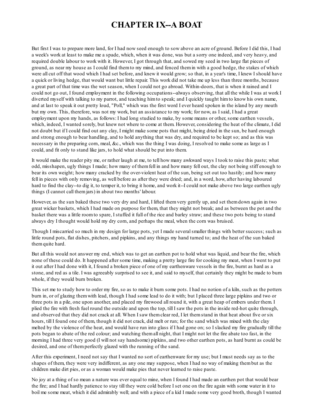#### **CHAPTER IX--A BOAT**

But first I was to prepare more land, for I had now seed enough to sow above an acre of ground. Before I did this, I had a week's work at least to make me a spade, which, when it was done, was but a sorry one indeed, and very heavy, and required double labour to work with it. However, I got through that, and sowed my seed in two large flat pieces of ground, as near my house as I could find themto my mind, and fenced themin with a good hedge, the stakes of which were all cut off that wood which I had set before, and knew it would grow; so that, in a year's time, I knew I should have a quick or living hedge, that would want but little repair. This work did not take me up less than three months, because a great part of that time was the wet season, when I could not go abroad. Within-doors, that is when it rained and I could not go out, I found employment in the following occupations--always observing, that all the while I was at work I diverted myself with talking to my parrot, and teaching himto speak; and I quickly taught himto know his own name, and at last to speak it out pretty loud, "Poll," which was the first word I ever heard spoken in the island by any mouth but my own. This, therefore, was not my work, but an assistance to my work; for now, as I said, I had a great employment upon my hands, as follows: I had long studied to make, by some means or other, some earthen vessels, which, indeed, I wanted sorely, but knew not where to come at them. However, considering the heat of the climate, I did not doubt but if I could find out any clay, I might make some pots that might, being dried in the sun, be hard enough and strong enough to bear handling, and to hold anything that was dry, and required to be kept so; and as this was necessary in the preparing corn, meal, &c., which was the thing I was doing, I resolved to make some as large as I could, and fit only to stand like jars, to hold what should be put into them.

It would make the reader pity me, or rather laugh at me, to tell how many awkward ways I took to raise this paste; what odd, misshapen, ugly things I made; how many of themfell in and how many fell out, the clay not being stiff enough to bear its own weight; how many cracked by the over-violent heat of the sun, being set out too hastily; and how many fell in pieces with only removing, as well before as after they were dried; and, in a word, how, after having laboured hard to find the clay--to dig it, to temper it, to bring it home, and work it--I could not make above two large earthen ugly things (I cannot call themjars) in about two months' labour.

However, as the sun baked these two very dry and hard, I lifted themvery gently up, and set themdown again in two great wicker baskets, which I had made on purpose for them, that they might not break; and as between the pot and the basket there was a little roomto spare, I stuffed it full of the rice and barley straw; and these two pots being to stand always dry I thought would hold my dry corn, and perhaps the meal, when the corn was bruised.

Though I miscarried so much in my design for large pots, yet I made severalsmaller things with better success; such as little round pots, flat dishes, pitchers, and pipkins, and any things my hand turned to; and the heat of the sun baked themquite hard.

But all this would not answer my end, which was to get an earthen pot to hold what was liquid, and bear the fire, which none of these could do. It happened after some time, making a pretty large fire for cooking my meat, when I went to put it out after I had done with it, I found a broken piece of one of my earthenware vessels in the fire, burnt as hard as a stone, and red as a tile. I was agreeably surprised to see it, and said to myself, that certainly they might be made to burn whole, if they would burn broken.

This set me to study how to order my fire, so as to make it burn some pots. I had no notion of a kiln, such as the potters burn in, or of glazing themwith lead, though I had some lead to do it with; but I placed three large pipkins and two or three pots in a pile, one upon another, and placed my firewood all round it, with a great heap of embers under them. I plied the fire with fresh fuel round the outside and upon the top, till I saw the pots in the inside red-hot quite through, and observed that they did not crack at all. When I saw themclear red, I let themstand in that heat about five or six hours, till I found one of them, though it did not crack, did melt or run; for the sand which was mixed with the clay melted by the violence of the heat, and would have run into glass if I had gone on; so I slacked my fire gradually till the pots began to abate of the red colour; and watching themall night, that I might not let the fire abate too fast, in the morning I had three very good (I will not say handsome) pipkins, and two other earthen pots, as hard burnt as could be desired, and one of themperfectly glazed with the running of the sand.

After this experiment, I need not say that I wanted no sort of earthenware for my use; but I must needs say as to the shapes of them, they were very indifferent, as any one may suppose, when I had no way of making thembut as the children make dirt pies, or as a woman would make pies that never learned to raise paste.

No joy at a thing of so mean a nature was ever equal to mine, when I found I had made an earthen pot that would bear the fire; and I had hardly patience to stay till they were cold before I set one on the fire again with some water in it to boil me some meat, which it did admirably well; and with a piece of a kid I made some very good broth, though I wanted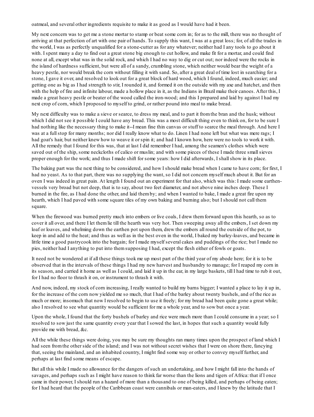oatmeal, and several other ingredients requisite to make it as good as I would have had it been.

My next concern was to get me a stone mortar to stamp or beat some corn in; for as to the mill, there was no thought of arriving at that perfection of art with one pair of hands. To supply this want, I was at a great loss; for, of all the trades in the world, I was as perfectly unqualified for a stone-cutter as for any whatever; neither had I any tools to go about it with. I spent many a day to find out a great stone big enough to cut hollow, and make fit for a mortar, and could find none at all, except what was in the solid rock, and which I had no way to dig or cut out; nor indeed were the rocks in the island of hardness sufficient, but were all of a sandy, crumbling stone, which neither would bear the weight of a heavy pestle, nor would break the corn without filling it with sand. So, after a great deal of time lost in searching for a stone, I gave it over, and resolved to look out for a great block of hard wood, which I found, indeed, much easier; and getting one as big as I had strength to stir, I rounded it, and formed it on the outside with my axe and hatchet, and then with the help of fire and infinite labour, made a hollow place in it, as the Indians in Brazil make their canoes. After this, I made a great heavy pestle or beater of the wood called the iron-wood; and this I prepared and laid by against I had my next crop of corn, which I proposed to myself to grind, or rather pound into meal to make bread.

My next difficulty was to make a sieve or searce, to dress my meal, and to part it fromthe bran and the husk; without which I did not see it possible I could have any bread. This was a most difficult thing even to think on, for to be sure I had nothing like the necessary thing to make it--I mean fine thin canvas or stuff to searce the meal through. And here I was at a full stop for many months; nor did I really know what to do. Linen I had none left but what was mere rags; I had goat's hair, but neither knew how to weave it or spin it; and had I known how, here were no tools to work it with. All the remedy that I found for this was, that at last I did remember I had, among the seamen's clothes which were saved out of the ship, some neckcloths of calico or muslin; and with some pieces of these I made three small sieves proper enough for the work; and thus I made shift for some years: how I did afterwards, I shallshow in its place.

The baking part was the next thing to be considered, and how I should make bread when I came to have corn; for first, I had no yeast. As to that part, there was no supplying the want, so I did not concern myself much about it. But for an oven I was indeed in great pain. At length I found out an experiment for that also, which was this: I made some earthenvessels very broad but not deep, that is to say, about two feet diameter, and not above nine inches deep. These I burned in the fire, as I had done the other, and laid themby; and when I wanted to bake, I made a great fire upon my hearth, which I had paved with some square tiles of my own baking and burning also; but I should not call them square.

When the firewood was burned pretty much into embers or live coals, I drew them forward upon this hearth, so as to cover it all over, and there I let themlie till the hearth was very hot. Then sweeping away all the embers, I set down my loaf or loaves, and whelming down the earthen pot upon them, drew the embers all round the outside of the pot, to keep in and add to the heat; and thus as well as in the best oven in the world, I baked my barley-loaves, and became in little time a good pastrycook into the bargain; for I made myself several cakes and puddings of the rice; but I made no pies, neither had I anything to put into themsupposing I had, except the flesh either of fowls or goats.

It need not be wondered at if all these things took me up most part of the third year of my abode here; for it is to be observed that in the intervals of these things I had my new harvest and husbandry to manage; for I reaped my corn in its season, and carried it home as well as I could, and laid it up in the ear, in my large baskets, till I had time to rub it out, for I had no floor to thrash it on, or instrument to thrash it with.

And now, indeed, my stock of corn increasing, I really wanted to build my barns bigger; I wanted a place to lay it up in, for the increase of the corn now yielded me so much, that I had of the barley about twenty bushels, and of the rice as much or more; insomuch that now I resolved to begin to use it freely; for my bread had been quite gone a great while; also I resolved to see what quantity would be sufficient for me a whole year, and to sow but once a year.

Upon the whole, I found that the forty bushels of barley and rice were much more than I could consume in a year; so I resolved to sow just the same quantity every year that I sowed the last, in hopes that such a quantity would fully provide me with bread, &c.

All the while these things were doing, you may be sure my thoughts ran many times upon the prospect of land which I had seen fromthe other side of the island; and I was not without secret wishes that I were on shore there, fancying that, seeing the mainland, and an inhabited country, I might find some way or other to convey myself further, and perhaps at last find some means of escape.

But all this while I made no allowance for the dangers of such an undertaking, and how I might fall into the hands of savages, and perhaps such as I might have reason to think far worse than the lions and tigers of Africa: that if I once came in their power, I should run a hazard of more than a thousand to one of being killed, and perhaps of being eaten; for I had heard that the people of the Caribbean coast were cannibals or man-eaters, and I knew by the latitude that I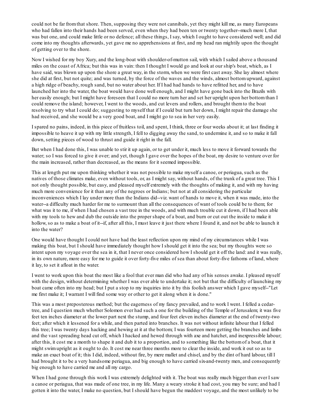could not be far fromthat shore. Then, supposing they were not cannibals, yet they might kill me, as many Europeans who had fallen into their hands had been served, even when they had been ten or twenty together--much more I, that was but one, and could make little or no defence; all these things, I say, which I ought to have considered well; and did come into my thoughts afterwards, yet gave me no apprehensions at first, and my head ran mightily upon the thought of getting over to the shore.

Now I wished for my boy Xury, and the long-boat with shoulder-of-mutton sail, with which I sailed above a thousand miles on the coast of Africa; but this was in vain: then I thought I would go and look at our ship's boat, which, as I have said, was blown up upon the shore a great way, in the storm, when we were first cast away. She lay almost where she did at first, but not quite; and was turned, by the force of the waves and the winds, almost bottomupward, against a high ridge of beachy, rough sand, but no water about her. If I had had hands to have refitted her, and to have launched her into the water, the boat would have done well enough, and I might have gone back into the Brazils with her easily enough; but I might have foreseen that I could no more turn her and set her upright upon her bottomthan I could remove the island; however, I went to the woods, and cut levers and rollers, and brought themto the boat resolving to try what I could do; suggesting to myself that if I could but turn her down, I might repair the damage she had received, and she would be a very good boat, and I might go to sea in her very easily.

I spared no pains, indeed, in this piece of fruitless toil, and spent, I think, three or four weeks about it; at last finding it impossible to heave it up with my little strength, I fell to digging away the sand, to undermine it, and so to make it fall down, setting pieces of wood to thrust and guide it right in the fall.

But when I had done this, I was unable to stir it up again, or to get under it, much less to move it forward towards the water; so I was forced to give it over; and yet, though I gave over the hopes of the boat, my desire to venture over for the main increased, rather than decreased, as the means for it seemed impossible.

This at length put me upon thinking whether it was not possible to make myself a canoe, or periagua, such as the natives of those climates make, even without tools, or, as I might say, without hands, of the trunk of a great tree. This I not only thought possible, but easy, and pleased myself extremely with the thoughts of making it, and with my having much more convenience for it than any of the negroes or Indians; but not at all considering the particular inconveniences which I lay under more than the Indians did--viz. want of hands to move it, when it was made, into the water--a difficulty much harder for me to surmount than all the consequences of want of tools could be to them; for what was it to me, if when I had chosen a vast tree in the woods, and with much trouble cut it down, if I had been able with my tools to hew and dub the outside into the proper shape of a boat, and burn or cut out the inside to make it hollow, so as to make a boat of it--if, after all this, I must leave it just there where I found it, and not be able to launch it into the water?

One would have thought I could not have had the least reflection upon my mind of my circumstances while I was making this boat, but I should have immediately thought how I should get it into the sea; but my thoughts were so intent upon my voyage over the sea in it, that I never once considered how I should get it off the land: and it was really, in its own nature, more easy for me to guide it over forty-five miles of sea than about forty-five fathoms of land, where it lay, to set it afloat in the water.

I went to work upon this boat the most like a fool that ever man did who had any of his senses awake. I pleased myself with the design, without determining whether I was ever able to undertake it; not but that the difficulty of launching my boat came often into my head; but I put a stop to my inquiries into it by this foolish answer which I gave myself--"Let me first make it; I warrant I will find some way or other to get it along when it is done."

This was a most preposterous method; but the eagerness of my fancy prevailed, and to work I went. I felled a cedartree, and I question much whether Solomon ever had such a one for the building of the Temple of Jerusalem; it was five feet ten inches diameter at the lower part next the stump, and four feet eleven inches diameter at the end of twenty-two feet; after which it lessened for a while, and then parted into branches. It was not without infinite labour that I felled this tree; I was twenty days hacking and hewing at it at the bottom; I was fourteen more getting the branches and limbs and the vast spreading head cut off, which I hacked and hewed through with axe and hatchet, and inexpressible labour; after this, it cost me a month to shape it and dub it to a proportion, and to something like the bottomof a boat, that it might swimupright as it ought to do. It cost me near three months more to clear the inside, and work it out so as to make an exact boat of it; this I did, indeed, without fire, by mere mallet and chisel, and by the dint of hard labour, till I had brought it to be a very handsome periagua, and big enough to have carried six-and-twenty men, and consequently big enough to have carried me and all my cargo.

When I had gone through this work I was extremely delighted with it. The boat was really much bigger than ever I saw a canoe or periagua, that was made of one tree, in my life. Many a weary stroke it had cost, you may be sure; and had I gotten it into the water, I make no question, but I should have begun the maddest voyage, and the most unlikely to be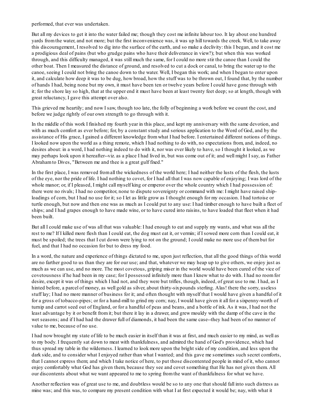performed, that ever was undertaken.

But all my devices to get it into the water failed me; though they cost me infinite labour too. It lay about one hundred yards fromthe water, and not more; but the first inconvenience was, it was up hill towards the creek. Well, to take away this discouragement, I resolved to dig into the surface of the earth, and so make a declivity: this I began, and it cost me a prodigious deal of pains (but who grudge pains who have their deliverance in view?); but when this was worked through, and this difficulty managed, it was still much the same, for I could no more stir the canoe than I could the other boat. Then I measured the distance of ground, and resolved to cut a dock or canal, to bring the water up to the canoe, seeing I could not bring the canoe down to the water. Well, I began this work; and when I began to enter upon it, and calculate how deep it was to be dug, how broad, how the stuff was to be thrown out, I found that, by the number of hands I had, being none but my own, it must have been ten or twelve years before I could have gone through with it; for the shore lay so high, that at the upper end it must have been at least twenty feet deep; so at length, though with great reluctancy, I gave this attempt over also.

This grieved me heartily; and now I saw, though too late, the folly of beginning a work before we count the cost, and before we judge rightly of our own strength to go through with it.

In the middle of this work I finished my fourth year in this place, and kept my anniversary with the same devotion, and with as much comfort as ever before; for, by a constant study and serious application to the Word of God, and by the assistance of His grace, I gained a different knowledge fromwhat I had before. I entertained different notions of things. I looked now upon the world as a thing remote, which I had nothing to do with, no expectations from, and, indeed, no desires about: in a word, I had nothing indeed to do with it, nor was ever likely to have, so I thought it looked, as we may perhaps look upon it hereafter--viz. as a place I had lived in, but was come out of it; and well might I say, as Father Abrahamto Dives, "Between me and thee is a great gulf fixed."

In the first place, I was removed fromall the wickedness of the world here; I had neither the lusts of the flesh, the lusts of the eye, nor the pride of life. I had nothing to covet, for I had all that I was now capable of enjoying; I was lord of the whole manor; or, if I pleased, I might call myself king or emperor over the whole country which I had possession of: there were no rivals; I had no competitor, none to dispute sovereignty or command with me: I might have raised shiploadings of corn, but I had no use for it; so I let as little grow as I thought enough for my occasion. I had tortoise or turtle enough, but now and then one was as much as I could put to any use: I had timber enough to have built a fleet of ships; and I had grapes enough to have made wine, or to have cured into raisins, to have loaded that fleet when it had been built.

But all I could make use of was all that was valuable: I had enough to eat and supply my wants, and what was all the rest to me? If I killed more flesh than I could eat, the dog must eat it, or vermin; if I sowed more corn than I could eat, it must be spoiled; the trees that I cut down were lying to rot on the ground; I could make no more use of thembut for fuel, and that I had no occasion for but to dress my food.

In a word, the nature and experience of things dictated to me, upon just reflection, that all the good things of this world are no farther good to us than they are for our use; and that, whatever we may heap up to give others, we enjoy just as much as we can use, and no more. The most covetous, griping miser in the world would have been cured of the vice of covetousness if he had been in my case; for I possessed infinitely more than I knew what to do with. I had no roomfor desire, except it was of things which I had not, and they were but trifles, though, indeed, of great use to me. I had, as I hinted before, a parcel of money, as well gold as silver, about thirty-sixpounds sterling. Alas! there the sorry, useless stuff lay; I had no more manner of business for it; and often thought with myself that I would have given a handful of it for a gross of tobacco-pipes; or for a hand-mill to grind my corn; nay, I would have given it all for a sixpenny-worth of turnip and carrot seed out of England, or for a handful of peas and beans, and a bottle of ink. As it was, I had not the least advantage by it or benefit fromit; but there it lay in a drawer, and grew mouldy with the damp of the cave in the wet seasons; and if I had had the drawer full of diamonds, it had been the same case--they had been of no manner of value to me, because of no use.

I had now brought my state of life to be much easier in itself than it was at first, and much easier to my mind, as well as to my body. I frequently sat down to meat with thankfulness, and admired the hand of God's providence, which had thus spread my table in the wilderness. I learned to look more upon the bright side of my condition, and less upon the dark side, and to consider what I enjoyed rather than what I wanted; and this gave me sometimes such secret comforts, that I cannot express them; and which I take notice of here, to put those discontented people in mind of it, who cannot enjoy comfortably what God has given them, because they see and covet something that He has not given them. All our discontents about what we want appeared to me to spring fromthe want of thankfulness for what we have.

Another reflection was of great use to me, and doubtless would be so to any one that should fall into such distress as mine was; and this was, to compare my present condition with what I at first expected it would be; nay, with what it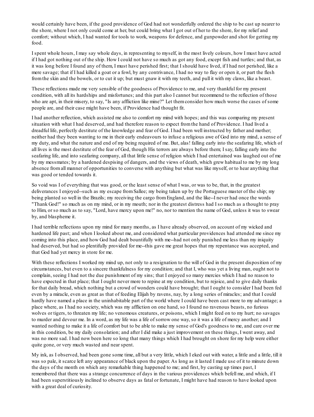would certainly have been, if the good providence of God had not wonderfully ordered the ship to be cast up nearer to the shore, where I not only could come at her, but could bring what I got out of her to the shore, for my relief and comfort; without which, I had wanted for tools to work, weapons for defence, and gunpowder and shot for getting my food.

I spent whole hours, I may say whole days, in representing to myself, in the most lively colours, how I must have acted if I had got nothing out of the ship. How I could not have so much as got any food, except fish and turtles; and that, as it was long before I found any of them, I must have perished first; that I should have lived, if I had not perished, like a mere savage; that if I had killed a goat or a fowl, by any contrivance, I had no way to flay or open it, or part the flesh fromthe skin and the bowels, or to cut it up; but must gnaw it with my teeth, and pull it with my claws, like a beast.

These reflections made me very sensible of the goodness of Providence to me, and very thankful for my present condition, with all its hardships and misfortunes; and this part also I cannot but recommend to the reflection of those who are apt, in their misery, to say, "Is any affliction like mine?" Let them consider how much worse the cases of some people are, and their case might have been, if Providence had thought fit.

I had another reflection, which assisted me also to comfort my mind with hopes; and this was comparing my present situation with what I had deserved, and had therefore reason to expect fromthe hand of Providence. I had lived a dreadful life, perfectly destitute of the knowledge and fear of God. I had been well instructed by father and mother; neither had they been wanting to me in their early endeavours to infuse a religious awe of God into my mind, a sense of my duty, and what the nature and end of my being required of me. But, alas! falling early into the seafaring life, which of all lives is the most destitute of the fear of God, though His terrors are always before them; I say, falling early into the seafaring life, and into seafaring company, all that little sense of religion which I had entertained was laughed out of me by my messmates; by a hardened despising of dangers, and the views of death, which grew habitual to me by my long absence fromall manner of opportunities to converse with anything but what was like myself, or to hear anything that was good or tended towards it.

So void was I of everything that was good, or the least sense of what I was, or was to be, that, in the greatest deliverances I enjoyed--such as my escape fromSallee; my being taken up by the Portuguese master of the ship; my being planted so well in the Brazils; my receiving the cargo fromEngland, and the like--I never had once the words "Thank God!" so much as on my mind, or in my mouth; nor in the greatest distress had I so much as a thought to pray to Him, or so much as to say, "Lord, have mercy upon me!" no, nor to mention the name of God, unless it was to swear by, and blaspheme it.

I had terrible reflections upon my mind for many months, as I have already observed, on account of my wicked and hardened life past; and when I looked about me, and considered what particular providences had attended me since my coming into this place, and how God had dealt bountifully with me--had not only punished me less than my iniquity had deserved, but had so plentifully provided for me--this gave me great hopes that my repentance was accepted, and that God had yet mercy in store for me.

With these reflections I worked my mind up, not only to a resignation to the will of God in the present disposition of my circumstances, but even to a sincere thankfulness for my condition; and that I, who was yet a living man, ought not to complain, seeing I had not the due punishment of my sins; that I enjoyed so many mercies which I had no reason to have expected in that place; that I ought never more to repine at my condition, but to rejoice, and to give daily thanks for that daily bread, which nothing but a crowd of wonders could have brought; that I ought to consider I had been fed even by a miracle, even as great as that of feeding Elijah by ravens, nay, by a long series of miracles; and that I could hardly have named a place in the uninhabitable part of the world where I could have been cast more to my advantage; a place where, as I had no society, which was my affliction on one hand, so I found no ravenous beasts, no furious wolves or tigers, to threaten my life; no venomous creatures, or poisons, which I might feed on to my hurt; no savages to murder and devour me. In a word, as my life was a life of sorrow one way, so it was a life of mercy another; and I wanted nothing to make it a life of comfort but to be able to make my sense of God's goodness to me, and care over me in this condition, be my daily consolation; and after I did make a just improvement on these things, I went away, and was no more sad. I had now been here so long that many things which I had brought on shore for my help were either quite gone, or very much wasted and near spent.

My ink, as I observed, had been gone some time, all but a very little, which I eked out with water, a little and a little, till it was so pale, it scarce left any appearance of black upon the paper. As long as it lasted I made use of it to minute down the days of the month on which any remarkable thing happened to me; and first, by casting up times past, I remembered that there was a strange concurrence of days in the various providences which befell me, and which, if I had been superstitiously inclined to observe days as fatal or fortunate, I might have had reason to have looked upon with a great deal of curiosity.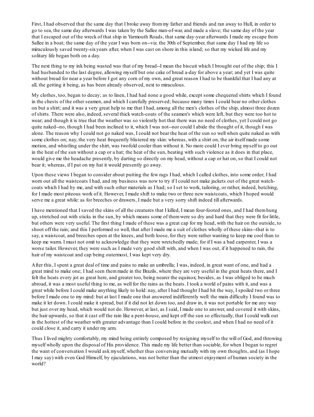First, I had observed that the same day that I broke away frommy father and friends and ran away to Hull, in order to go to sea, the same day afterwards I was taken by the Sallee man-of-war, and made a slave; the same day of the year that I escaped out of the wreck of that ship in Yarmouth Roads, that same day-year afterwards I made my escape from Sallee in a boat; the same day of the year I was born on--viz. the 30th of September, that same day I had my life so miraculously saved twenty-sixyears after, when I was cast on shore in this island; so that my wicked life and my solitary life began both on a day.

The next thing to my ink being wasted was that of my bread--I mean the biscuit which I brought out of the ship; this I had husbanded to the last degree, allowing myself but one cake of bread a-day for above a year; and yet I was quite without bread for near a year before I got any corn of my own, and great reason I had to be thankful that I had any at all, the getting it being, as has been already observed, next to miraculous.

My clothes, too, began to decay; as to linen, I had had none a good while, except some chequered shirts which I found in the chests of the other seamen, and which I carefully preserved; because many times I could bear no other clothes on but a shirt; and it was a very great help to me that I had, among all the men's clothes of the ship, almost three dozen of shirts. There were also, indeed, several thick watch-coats of the seamen's which were left, but they were too hot to wear; and though it is true that the weather was so violently hot that there was no need of clothes, yet I could not go quite naked--no, though I had been inclined to it, which I was not--nor could I abide the thought of it, though I was alone. The reason why I could not go naked was, I could not bear the heat of the sun so well when quite naked as with some clothes on; nay, the very heat frequently blistered my skin: whereas, with a shirt on, the air itself made some motion, and whistling under the shirt, was twofold cooler than without it. No more could I ever bring myself to go out in the heat of the sun without a cap or a hat; the heat of the sun, beating with such violence as it does in that place, would give me the headache presently, by darting so directly on my head, without a cap or hat on, so that I could not bear it; whereas, if I put on my hat it would presently go away.

Upon these views I began to consider about putting the few rags I had, which I called clothes, into some order; I had worn out all the waistcoats I had, and my business was now to try if I could not make jackets out of the great watchcoats which I had by me, and with such other materials as I had; so I set to work, tailoring, or rather, indeed, botching, for I made most piteous work of it. However, I made shift to make two or three new waistcoats, which I hoped would serve me a great while: as for breeches or drawers, I made but a very sorry shift indeed till afterwards.

I have mentioned that I saved the skins of all the creatures that I killed, I mean four-footed ones, and I had themhung up, stretched out with sticks in the sun, by which means some of themwere so dry and hard that they were fit for little, but others were very useful. The first thing I made of these was a great cap for my head, with the hair on the outside, to shoot off the rain; and this I performed so well, that after I made me a suit of clothes wholly of these skins--that is to say, a waistcoat, and breeches open at the knees, and both loose, for they were rather wanting to keep me cool than to keep me warm. I must not omit to acknowledge that they were wretchedly made; for if I was a bad carpenter, I was a worse tailor. However, they were such as I made very good shift with, and when I was out, if it happened to rain, the hair of my waistcoat and cap being outermost, I was kept very dry.

After this, I spent a great deal of time and pains to make an umbrella; I was, indeed, in great want of one, and had a great mind to make one; I had seen themmade in the Brazils, where they are very useful in the great heats there, and I felt the heats every jot as great here, and greater too, being nearer the equinox; besides, as I was obliged to be much abroad, it was a most useful thing to me, as well for the rains as the heats. I took a world of pains with it, and was a great while before I could make anything likely to hold: nay, after I had thought I had hit the way, I spoiled two or three before I made one to my mind: but at last I made one that answered indifferently well: the main difficulty I found was to make it let down. I could make it spread, but if it did not let down too, and draw in, it was not portable for me any way but just over my head, which would not do. However, at last, as I said, I made one to answer, and covered it with skins, the hair upwards, so that it cast off the rain like a pent-house, and kept off the sun so effectually, that I could walk out in the hottest of the weather with greater advantage than I could before in the coolest, and when I had no need of it could close it, and carry it under my arm.

Thus I lived mighty comfortably, my mind being entirely composed by resigning myself to the will of God, and throwing myself wholly upon the disposal of His providence. This made my life better than sociable, for when I began to regret the want of conversation I would ask myself, whether thus conversing mutually with my own thoughts, and (as I hope I may say) with even God Himself, by ejaculations, was not better than the utmost enjoyment of human society in the world?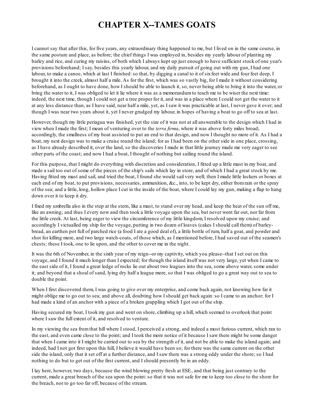### **CHAPTER X--TAMES GOATS**

I cannot say that after this, for five years, any extraordinary thing happened to me, but I lived on in the same course, in the same posture and place, as before; the chief things I was employed in, besides my yearly labour of planting my barley and rice, and curing my raisins, of both which I always kept up just enough to have sufficient stock of one year's provisions beforehand; I say, besides this yearly labour, and my daily pursuit of going out with my gun, I had one labour, to make a canoe, which at last I finished: so that, by digging a canal to it of six feet wide and four feet deep, I brought it into the creek, almost half a mile. As for the first, which was so vastly big, for I made it without considering beforehand, as I ought to have done, how I should be able to launch it, so, never being able to bring it into the water, or bring the water to it, I was obliged to let it lie where it was as a memorandumto teach me to be wiser the next time: indeed, the next time, though I could not get a tree proper for it, and was in a place where I could not get the water to it at any less distance than, as I have said, near half a mile, yet, as I saw it was practicable at last, I never gave it over; and though I was near two years about it, yet I never grudged my labour, in hopes of having a boat to go off to sea at last.

However, though my little periagua was finished, yet the size of it was not at all answerable to the design which I had in view when I made the first; I mean of venturing over to the *terra firma*, where it was above forty miles broad; accordingly, the smallness of my boat assisted to put an end to that design, and now I thought no more of it. As I had a boat, my next design was to make a cruise round the island; for as I had been on the other side in one place, crossing, as I have already described it, over the land, so the discoveries I made in that little journey made me very eager to see other parts of the coast; and now I had a boat, I thought of nothing but sailing round the island.

For this purpose, that I might do everything with discretion and consideration, I fitted up a little mast in my boat, and made a sail too out of some of the pieces of the ship's sails which lay in store, and of which I had a great stock by me. Having fitted my mast and sail, and tried the boat, I found she would sail very well; then I made little lockers or boxes at each end of my boat, to put provisions, necessaries, ammunition, &c., into, to be kept dry, either fromrain or the spray of the sea; and a little, long, hollow place I cut in the inside of the boat, where I could lay my gun, making a flap to hang down over it to keep it dry.

I fixed my umbrella also in the step at the stern, like a mast, to stand over my head, and keep the heat of the sun off me, like an awning; and thus I every now and then took a little voyage upon the sea, but never went far out, nor far from the little creek. At last, being eager to view the circumference of my little kingdom, I resolved upon my cruise; and accordingly I victualled my ship for the voyage, putting in two dozen of loaves (cakes I should call them) of barleybread, an earthen pot full of parched rice (a food I ate a good deal of), a little bottle of rum, half a goat, and powder and shot for killing more, and two large watch-coats, of those which, as I mentioned before, I had saved out of the seamen's chests; these I took, one to lie upon, and the other to cover me in the night.

It was the 6th of November, in the sixth year of my reign--or my captivity, which you please--that I set out on this voyage, and I found it much longer than I expected; for though the island itself was not very large, yet when I came to the east side of it, I found a great ledge of rocks lie out about two leagues into the sea, some above water, some under it; and beyond that a shoal of sand, lying dry half a league more, so that I was obliged to go a great way out to sea to double the point.

When I first discovered them, I was going to give over my enterprise, and come back again, not knowing how far it might oblige me to go out to sea; and above all, doubting how I should get back again:so I came to an anchor; for I had made a kind of an anchor with a piece of a broken grappling which I got out of the ship.

Having secured my boat, I took my gun and went on shore, climbing up a hill, which seemed to overlook that point where I saw the full extent of it, and resolved to venture.

In my viewing the sea fromthat hill where I stood, I perceived a strong, and indeed a most furious current, which ran to the east, and even came close to the point; and I took the more notice of it because I saw there might be some danger that when I came into it I might be carried out to sea by the strength of it, and not be able to make the island again; and indeed, had I not got first upon this hill, I believe it would have been so; for there was the same current on the other side the island, only that it set off at a further distance, and I saw there was a strong eddy under the shore; so I had nothing to do but to get out of the first current, and I should presently be in an eddy.

I lay here, however, two days, because the wind blowing pretty fresh at ESE., and that being just contrary to the current, made a great breach of the sea upon the point:so that it was not safe for me to keep too close to the shore for the breach, nor to go too far off, because of the stream.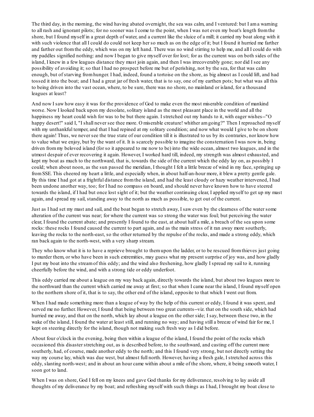The third day, in the morning, the wind having abated overnight, the sea was calm, and I ventured: but I ama warning to all rash and ignorant pilots; for no sooner was I come to the point, when I was not even my boat's length fromthe shore, but I found myself in a great depth of water, and a current like the sluice of a mill; it carried my boat along with it with such violence that all I could do could not keep her so much as on the edge of it; but I found it hurried me farther and farther out fromthe eddy, which was on my left hand. There was no wind stirring to help me, and all I could do with my paddles signified nothing: and now I began to give myself over for lost; for as the current was on both sides of the island, I knew in a few leagues distance they must join again, and then I was irrecoverably gone; nor did I see any possibility of avoiding it; so that I had no prospect before me but of perishing, not by the sea, for that was calm enough, but of starving fromhunger. I had, indeed, found a tortoise on the shore, as big almost as I could lift, and had tossed it into the boat; and I had a great jar of fresh water, that is to say, one of my earthen pots; but what was all this to being driven into the vast ocean, where, to be sure, there was no shore, no mainland or island, for a thousand leagues at least?

And now I saw how easy it was for the providence of God to make even the most miserable condition of mankind worse. Now I looked back upon my desolate, solitary island as the most pleasant place in the world and all the happiness my heart could wish for was to be but there again. I stretched out my hands to it, with eager wishes--"O happy desert!" said I, "I shall never see thee more. O miserable creature! whither am going?" Then I reproached myself with my unthankful temper, and that I had repined at my solitary condition; and now what would I give to be on shore there again! Thus, we never see the true state of our condition till it is illustrated to us by its contraries, nor know how to value what we enjoy, but by the want of it. It is scarcely possible to imagine the consternation I was now in, being driven frommy beloved island (for so it appeared to me now to be) into the wide ocean, almost two leagues, and in the utmost despair of ever recovering it again. However, I worked hard till, indeed, my strength was almost exhausted, and kept my boat as much to the northward, that is, towards the side of the current which the eddy lay on, as possibly I could; when about noon, as the sun passed the meridian, I thought I felt a little breeze of wind in my face, springing up fromSSE. This cheered my heart a little, and especially when, in about half-an-hour more, it blew a pretty gentle gale. By this time I had got at a frightful distance fromthe island, and had the least cloudy or hazy weather intervened, I had been undone another way, too; for I had no compass on board, and should never have known how to have steered towards the island, if I had but once lost sight of it; but the weather continuing clear, I applied myself to get up my mast again, and spread my sail, standing away to the north as much as possible, to get out of the current.

Just as I had set my mast and sail, and the boat began to stretch away, I saw even by the clearness of the water some alteration of the current was near; for where the current was so strong the water was foul; but perceiving the water clear, I found the current abate; and presently I found to the east, at about half a mile, a breach of the sea upon some rocks: these rocks I found caused the current to part again, and as the main stress of it ran away more southerly, leaving the rocks to the north-east, so the other returned by the repulse of the rocks, and made a strong eddy, which ran back again to the north-west, with a very sharp stream.

They who know what it is to have a reprieve brought to themupon the ladder, or to be rescued fromthieves just going to murder them, or who have been in such extremities, may guess what my present surprise of joy was, and how gladly I put my boat into the streamof this eddy; and the wind also freshening, how gladly I spread my sail to it, running cheerfully before the wind, and with a strong tide or eddy underfoot.

This eddy carried me about a league on my way back again, directly towards the island, but about two leagues more to the northward than the current which carried me away at first; so that when I came near the island, I found myself open to the northern shore of it, that is to say, the other end of the island, opposite to that which I went out from.

When I had made something more than a league of way by the help of this current or eddy, I found it was spent, and served me no further. However, I found that being between two great currents--viz. that on the south side, which had hurried me away, and that on the north, which lay about a league on the other side; I say, between these two, in the wake of the island, I found the water at least still, and running no way; and having still a breeze of wind fair for me, I kept on steering directly for the island, though not making such fresh way as I did before.

About four o'clock in the evening, being then within a league of the island, I found the point of the rocks which occasioned this disaster stretching out, as is described before, to the southward, and casting off the current more southerly, had, of course, made another eddy to the north; and this I found very strong, but not directly setting the way my course lay, which was due west, but almost full north. However, having a fresh gale, I stretched across this eddy, slanting north-west; and in about an hour came within about a mile of the shore, where, it being smooth water, I soon got to land.

When I was on shore, God I fell on my knees and gave God thanks for my deliverance, resolving to lay aside all thoughts of my deliverance by my boat; and refreshing myself with such things as I had, I brought my boat close to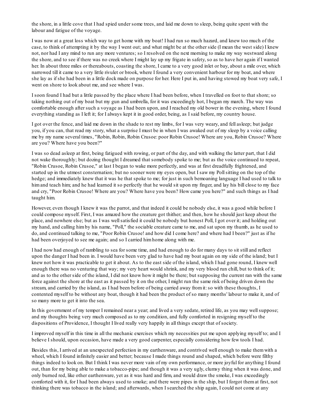the shore, in a little cove that I had spied under some trees, and laid me down to sleep, being quite spent with the labour and fatigue of the voyage.

I was now at a great loss which way to get home with my boat! I had run so much hazard, and knew too much of the case, to think of attempting it by the way I went out; and what might be at the other side (I mean the west side) I knew not, nor had I any mind to run any more ventures; so I resolved on the next morning to make my way westward along the shore, and to see if there was no creek where I might lay up my frigate in safety, so as to have her again if I wanted her. In about three miles or thereabouts, coasting the shore, I came to a very good inlet or bay, about a mile over, which narrowed till it came to a very little rivulet or brook, where I found a very convenient harbour for my boat, and where she lay as if she had been in a little dock made on purpose for her. Here I put in, and having stowed my boat very safe, I went on shore to look about me, and see where I was.

I soon found I had but a little passed by the place where I had been before, when I travelled on foot to that shore; so taking nothing out of my boat but my gun and umbrella, for it was exceedingly hot, I began my march. The way was comfortable enough after such a voyage as I had been upon, and I reached my old bower in the evening, where I found everything standing as I left it; for I always kept it in good order, being, as I said before, my country house.

I got over the fence, and laid me down in the shade to rest my limbs, for I was very weary, and fell asleep; but judge you, if you can, that read my story, what a surprise I must be in when I was awaked out of my sleep by a voice calling me by my name several times, "Robin, Robin, Robin Crusoe: poor Robin Crusoe! Where are you, Robin Crusoe? Where are you? Where have you been?"

I was so dead asleep at first, being fatigued with rowing, or part of the day, and with walking the latter part, that I did not wake thoroughly; but dozing thought I dreamed that somebody spoke to me; but as the voice continued to repeat, "Robin Crusoe, Robin Crusoe," at last I began to wake more perfectly, and was at first dreadfully frightened, and started up in the utmost consternation; but no sooner were my eyes open, but I saw my Pollsitting on the top of the hedge; and immediately knew that it was he that spoke to me; for just in such bemoaning language I had used to talk to himand teach him; and he had learned it so perfectly that he would sit upon my finger, and lay his bill close to my face and cry, "Poor Robin Crusoe! Where are you? Where have you been? How came you here?" and such things as I had taught him.

However, even though I knew it was the parrot, and that indeed it could be nobody else, it was a good while before I could compose myself. First, I was amazed how the creature got thither; and then, how he should just keep about the place, and nowhere else; but as I was wellsatisfied it could be nobody but honest Poll, I got over it; and holding out my hand, and calling himby his name, "Poll," the sociable creature came to me, and sat upon my thumb, as he used to do, and continued talking to me, "Poor Robin Crusoe! and how did I come here? and where had I been?" just as if he had been overjoyed to see me again; and so I carried himhome along with me.

I had now had enough of rambling to sea for some time, and had enough to do for many days to sit still and reflect upon the danger I had been in. I would have been very glad to have had my boat again on my side of the island; but I knew not how it was practicable to get it about. As to the east side of the island, which I had gone round, I knew well enough there was no venturing that way; my very heart would shrink, and my very blood run chill, but to think of it; and as to the other side of the island, I did not know how it might be there; but supposing the current ran with the same force against the shore at the east as it passed by it on the other, I might run the same risk of being driven down the stream, and carried by the island, as I had been before of being carried away from it: so with these thoughts, I contented myself to be without any boat, though it had been the product of so many months' labour to make it, and of so many more to get it into the sea.

In this government of my temper I remained near a year; and lived a very sedate, retired life, as you may wellsuppose; and my thoughts being very much composed as to my condition, and fully comforted in resigning myself to the dispositions of Providence, I thought I lived really very happily in all things except that of society.

I improved myself in this time in all the mechanic exercises which my necessities put me upon applying myself to; and I believe I should, upon occasion, have made a very good carpenter, especially considering how few tools I had.

Besides this, I arrived at an unexpected perfection in my earthenware, and contrived well enough to make themwith a wheel, which I found infinitely easier and better; because I made things round and shaped, which before were filthy things indeed to look on. But I think I was never more vain of my own performance, or more joyful for anything I found out, than for my being able to make a tobacco-pipe; and though it was a very ugly, clumsy thing when it was done, and only burned red, like other earthenware, yet as it was hard and firm, and would draw the smoke, I was exceedingly comforted with it, for I had been always used to smoke; and there were pipes in the ship, but I forgot themat first, not thinking there was tobacco in the island; and afterwards, when I searched the ship again, I could not come at any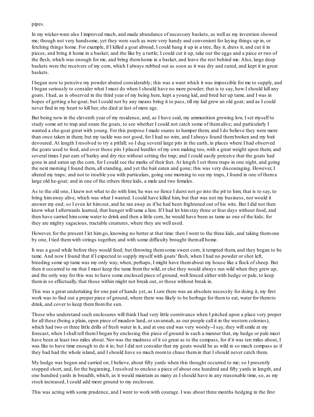pipes.

In my wicker-ware also I improved much, and made abundance of necessary baskets, as well as my invention showed me; though not very handsome, yet they were such as were very handy and convenient for laying things up in, or fetching things home. For example, if I killed a goat abroad, I could hang it up in a tree, flay it, dress it, and cut it in pieces, and bring it home in a basket; and the like by a turtle; I could cut it up, take out the eggs and a piece or two of the flesh, which was enough for me, and bring themhome in a basket, and leave the rest behind me. Also, large deep baskets were the receivers of my corn, which I always rubbed out as soon as it was dry and cured, and kept it in great baskets.

I began now to perceive my powder abated considerably; this was a want which it was impossible for me to supply, and I began seriously to consider what I must do when I should have no more powder; that is to say, how I should kill any goats. I had, as is observed in the third year of my being here, kept a young kid, and bred her up tame, and I was in hopes of getting a he-goat; but I could not by any means bring it to pass, till my kid grew an old goat; and as I could never find in my heart to kill her, she died at last of mere age.

But being now in the eleventh year of my residence, and, as I have said, my ammunition growing low, I set myself to study some art to trap and snare the goats, to see whether I could not catch some of themalive; and particularly I wanted a she-goat great with young. For this purpose I made snares to hamper them; and I do believe they were more than once taken in them; but my tackle was not good, for I had no wire, and I always found thembroken and my bait devoured. At length I resolved to try a pitfall; so I dug several large pits in the earth, in places where I had observed the goats used to feed, and over those pits I placed hurdles of my own making too, with a great weight upon them; and several times I put ears of barley and dry rice without setting the trap; and I could easily perceive that the goats had gone in and eaten up the corn, for I could see the marks of their feet. At length I set three traps in one night, and going the next morning I found them, allstanding, and yet the bait eaten and gone; this was very discouraging. However, I altered my traps; and not to trouble you with particulars, going one morning to see my traps, I found in one of thema large old he-goat; and in one of the others three kids, a male and two females.

As to the old one, I knew not what to do with him; he was so fierce I durst not go into the pit to him; that is to say, to bring himaway alive, which was what I wanted. I could have killed him, but that was not my business, nor would it answer my end; so I even let himout, and he ran away as if he had been frightened out of his wits. But I did not then know what I afterwards learned, that hunger will tame a lion. If I had let himstay three or four days without food, and then have carried himsome water to drink and then a little corn, he would have been as tame as one of the kids; for they are mighty sagacious, tractable creatures, where they are well used.

However, for the present I let himgo, knowing no better at that time: then I went to the three kids, and taking themone by one, I tied themwith strings together, and with some difficulty brought themall home.

It was a good while before they would feed; but throwing themsome sweet corn, it tempted them, and they began to be tame. And now I found that if I expected to supply myself with goats' flesh, when I had no powder or shot left, breeding some up tame was my only way, when, perhaps, I might have themabout my house like a flock of sheep. But then it occurred to me that I must keep the tame fromthe wild, or else they would always run wild when they grew up; and the only way for this was to have some enclosed piece of ground, well fenced either with hedge or pale, to keep themin so effectually, that those within might not break out, or those without break in.

This was a great undertaking for one pair of hands yet, as I saw there was an absolute necessity for doing it, my first work was to find out a proper piece of ground, where there was likely to be herbage for themto eat, water for themto drink, and cover to keep themfromthe sun.

Those who understand such enclosures will think I had very little contrivance when I pitched upon a place very proper for all these (being a plain, open piece of meadow land, or savannah, as our people call it in the western colonies), which had two or three little drills of fresh water in it, and at one end was very woody--I say, they will smile at my forecast, when I shall tell themI began by enclosing this piece of ground in such a manner that, my hedge or pale must have been at least two miles about. Nor was the madness of it so great as to the compass, for if it was ten miles about, I was like to have time enough to do it in; but I did not consider that my goats would be as wild in so much compass as if they had had the whole island, and I should have so much roomto chase themin that I should never catch them.

My hedge was begun and carried on, I believe, about fifty yards when this thought occurred to me; so I presently stopped short, and, for the beginning, I resolved to enclose a piece of about one hundred and fifty yards in length, and one hundred yards in breadth, which, as it would maintain as many as I should have in any reasonable time, so, as my stock increased, I could add more ground to my enclosure.

This was acting with some prudence, and I went to work with courage. I was about three months hedging in the first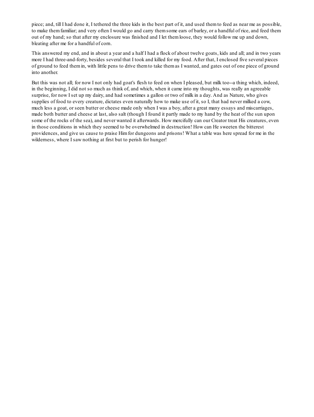piece; and, till I had done it, I tethered the three kids in the best part of it, and used themto feed as near me as possible, to make themfamiliar; and very often I would go and carry themsome ears of barley, or a handful of rice, and feed them out of my hand; so that after my enclosure was finished and I let themloose, they would follow me up and down, bleating after me for a handful of corn.

This answered my end, and in about a year and a half I had a flock of about twelve goats, kids and all; and in two years more I had three-and-forty, besides several that I took and killed for my food. After that, I enclosed five several pieces of ground to feed themin, with little pens to drive themto take themas I wanted, and gates out of one piece of ground into another.

But this was not all; for now I not only had goat's flesh to feed on when I pleased, but milk too--a thing which, indeed, in the beginning, I did not so much as think of, and which, when it came into my thoughts, was really an agreeable surprise, for now I set up my dairy, and had sometimes a gallon or two of milk in a day. And as Nature, who gives supplies of food to every creature, dictates even naturally how to make use of it, so I, that had never milked a cow, much less a goat, or seen butter or cheese made only when I was a boy, after a great many essays and miscarriages, made both butter and cheese at last, also salt (though I found it partly made to my hand by the heat of the sun upon some of the rocks of the sea), and never wanted it afterwards. How mercifully can our Creator treat His creatures, even in those conditions in which they seemed to be overwhelmed in destruction! How can He sweeten the bitterest providences, and give us cause to praise Himfor dungeons and prisons! What a table was here spread for me in the wilderness, where I saw nothing at first but to perish for hunger!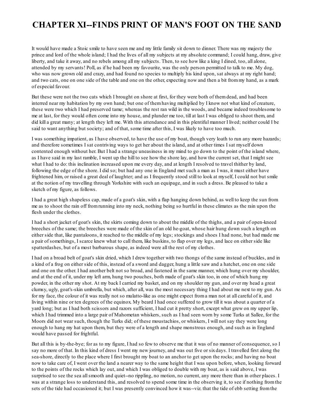# **CHAPTER XI--FINDS PRINT OF MAN'S FOOT ON THE SAND**

It would have made a Stoic smile to have seen me and my little family sit down to dinner. There was my majesty the prince and lord of the whole island; I had the lives of all my subjects at my absolute command; I could hang, draw, give liberty, and take it away, and no rebels among all my subjects. Then, to see how like a king I dined, too, all alone, attended by my servants! Poll, as if he had been my favourite, was the only person permitted to talk to me. My dog, who was now grown old and crazy, and had found no species to multiply his kind upon, sat always at my right hand; and two cats, one on one side of the table and one on the other, expecting now and then a bit frommy hand, as a mark of especial favour.

But these were not the two cats which I brought on shore at first, for they were both of themdead, and had been interred near my habitation by my own hand; but one of themhaving multiplied by I know not what kind of creature, these were two which I had preserved tame; whereas the rest ran wild in the woods, and became indeed troublesome to me at last, for they would often come into my house, and plunder me too, till at last I was obliged to shoot them, and did kill a great many; at length they left me. With this attendance and in this plentiful manner I lived; neither could I be said to want anything but society; and of that, some time after this, I was likely to have too much.

I was something impatient, as I have observed, to have the use of my boat, though very loath to run any more hazards; and therefore sometimes I sat contriving ways to get her about the island, and at other times I sat myself down contented enough without her. But I had a strange uneasiness in my mind to go down to the point of the island where, as I have said in my last ramble, I went up the hill to see how the shore lay, and how the current set, that I might see what I had to do: this inclination increased upon me every day, and at length I resolved to travel thither by land, following the edge of the shore. I did so; but had any one in England met such a man as I was, it must either have frightened him, or raised a great deal of laughter; and as I frequently stood still to look at myself, I could not but smile at the notion of my travelling through Yorkshire with such an equipage, and in such a dress. Be pleased to take a sketch of my figure, as follows.

I had a great high shapeless cap, made of a goat's skin, with a flap hanging down behind, as well to keep the sun from me as to shoot the rain off fromrunning into my neck, nothing being so hurtful in these climates as the rain upon the flesh under the clothes.

I had a short jacket of goat's skin, the skirts coming down to about the middle of the thighs, and a pair of open-kneed breeches of the same; the breeches were made of the skin of an old he-goat, whose hair hung down such a length on either side that, like pantaloons, it reached to the middle of my legs; stockings and shoes I had none, but had made me a pair of somethings, I scarce knew what to call them, like buskins, to flap over my legs, and lace on either side like spatterdashes, but of a most barbarous shape, as indeed were all the rest of my clothes.

I had on a broad belt of goat's skin dried, which I drew together with two thongs of the same instead of buckles, and in a kind of a frog on either side of this, instead of a sword and dagger, hung a little saw and a hatchet, one on one side and one on the other. I had another belt not so broad, and fastened in the same manner, which hung over my shoulder, and at the end of it, under my left arm, hung two pouches, both made of goat's skin too, in one of which hung my powder, in the other my shot. At my back I carried my basket, and on my shoulder my gun, and over my head a great clumsy, ugly, goat's-skin umbrella, but which, after all, was the most necessary thing I had about me next to my gun. As for my face, the colour of it was really not so mulatto-like as one might expect froma man not at all careful of it, and living within nine or ten degrees of the equinox. My beard I had once suffered to grow till it was about a quarter of a yard long; but as I had both scissors and razors sufficient, I had cut it pretty short, except what grew on my upper lip, which I had trimmed into a large pair of Mahometan whiskers, such as I had seen worn by some Turks at Sallee, for the Moors did not wear such, though the Turks did; of these moustachios, or whiskers, I will not say they were long enough to hang my hat upon them, but they were of a length and shape monstrous enough, and such as in England would have passed for frightful.

But all this is by-the-bye; for as to my figure, I had so few to observe me that it was of no manner of consequence, so I say no more of that. In this kind of dress I went my new journey, and was out five or sixdays. I travelled first along the sea-shore, directly to the place where I first brought my boat to an anchor to get upon the rocks; and having no boat now to take care of, I went over the land a nearer way to the same height that I was upon before, when, looking forward to the points of the rocks which lay out, and which I was obliged to double with my boat, as is said above, I was surprised to see the sea all smooth and quiet--no rippling, no motion, no current, any more there than in other places. I was at a strange loss to understand this, and resolved to spend some time in the observing it, to see if nothing from the sets of the tide had occasioned it; but I was presently convinced how it was--viz. that the tide of ebb setting fromthe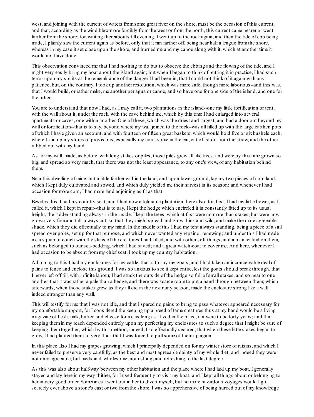west, and joining with the current of waters fromsome great river on the shore, must be the occasion of this current, and that, according as the wind blew more forcibly fromthe west or fromthe north, this current came nearer or went farther fromthe shore; for, waiting thereabouts till evening, I went up to the rock again, and then the tide of ebb being made, I plainly saw the current again as before, only that it ran farther off, being near half a league fromthe shore, whereas in my case it set close upon the shore, and hurried me and my canoe along with it, which at another time it would not have done.

This observation convinced me that I had nothing to do but to observe the ebbing and the flowing of the tide, and I might very easily bring my boat about the island again; but when I began to think of putting it in practice, I had such terror upon my spirits at the remembrance of the danger I had been in, that I could not think of it again with any patience, but, on the contrary, I took up another resolution, which was more safe, though more laborious--and this was, that I would build, or rather make, me another periagua or canoe, and so have one for one side of the island, and one for the other.

You are to understand that now I had, as I may call it, two plantations in the island--one my little fortification or tent, with the wall about it, under the rock, with the cave behind me, which by this time I had enlarged into several apartments or caves, one within another. One of these, which was the driest and largest, and had a door out beyond my wall or fortification--that is to say, beyond where my wall joined to the rock--was all filled up with the large earthen pots of which I have given an account, and with fourteen or fifteen great baskets, which would hold five or sixbushels each, where I laid up my stores of provisions, especially my corn, some in the ear, cut off short from the straw, and the other rubbed out with my hand.

As for my wall, made, as before, with long stakes or piles, those piles grew all like trees, and were by this time grown so big, and spread so very much, that there was not the least appearance, to any one's view, of any habitation behind them.

Near this dwelling of mine, but a little farther within the land, and upon lower ground, lay my two pieces of corn land, which I kept duly cultivated and sowed, and which duly yielded me their harvest in its season; and whenever I had occasion for more corn, I had more land adjoining as fit as that.

Besides this, I had my country seat, and I had now a tolerable plantation there also; for, first, I had my little bower, as I called it, which I kept in repair--that is to say, I kept the hedge which encircled it in constantly fitted up to its usual height, the ladder standing always in the inside. I kept the trees, which at first were no more than stakes, but were now grown very firmand tall, always cut, so that they might spread and grow thick and wild, and make the more agreeable shade, which they did effectually to my mind. In the middle of this I had my tent always standing, being a piece of a sail spread over poles, set up for that purpose, and which never wanted any repair or renewing; and under this I had made me a squab or couch with the skins of the creatures I had killed, and with other soft things, and a blanket laid on them, such as belonged to our sea-bedding, which I had saved; and a great watch-coat to cover me. And here, whenever I had occasion to be absent frommy chief seat, I took up my country habitation.

Adjoining to this I had my enclosures for my cattle, that is to say my goats, and I had taken an inconceivable deal of pains to fence and enclose this ground. I was so anxious to see it kept entire, lest the goats should break through, that I never left off till, with infinite labour, I had stuck the outside of the hedge so full of smallstakes, and so near to one another, that it was rather a pale than a hedge, and there was scarce roomto put a hand through between them; which afterwards, when those stakes grew, as they all did in the next rainy season, made the enclosure strong like a wall, indeed stronger than any wall.

This will testify for me that I was not idle, and that I spared no pains to bring to pass whatever appeared necessary for my comfortable support, for I considered the keeping up a breed of tame creatures thus at my hand would be a living magazine of flesh, milk, butter, and cheese for me as long as I lived in the place, if it were to be forty years; and that keeping themin my reach depended entirely upon my perfecting my enclosures to such a degree that I might be sure of keeping themtogether; which by this method, indeed, I so effectually secured, that when these little stakes began to grow, I had planted themso very thick that I was forced to pullsome of themup again.

In this place also I had my grapes growing, which I principally depended on for my winter store of raisins, and which I never failed to preserve very carefully, as the best and most agreeable dainty of my whole diet; and indeed they were not only agreeable, but medicinal, wholesome, nourishing, and refreshing to the last degree.

As this was also about half-way between my other habitation and the place where I had laid up my boat, I generally stayed and lay here in my way thither, for I used frequently to visit my boat; and I kept all things about or belonging to her in very good order. Sometimes I went out in her to divert myself, but no more hazardous voyages would I go, scarcely ever above a stone's cast or two fromthe shore, I was so apprehensive of being hurried out of my knowledge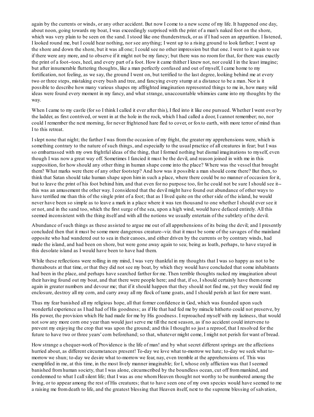again by the currents or winds, or any other accident. But now I come to a new scene of my life. It happened one day, about noon, going towards my boat, I was exceedingly surprised with the print of a man's naked foot on the shore, which was very plain to be seen on the sand. I stood like one thunderstruck, or as if I had seen an apparition. I listened, I looked round me, but I could hear nothing, nor see anything; I went up to a rising ground to look farther; I went up the shore and down the shore, but it was all one; I could see no other impression but that one. I went to it again to see if there were any more, and to observe if it might not be my fancy; but there was no roomfor that, for there was exactly the print of a foot--toes, heel, and every part of a foot. How it came thither I knew not, nor could I in the least imagine; but after innumerable fluttering thoughts, like a man perfectly confused and out of myself, I came home to my fortification, not feeling, as we say, the ground I went on, but terrified to the last degree, looking behind me at every two or three steps, mistaking every bush and tree, and fancying every stump at a distance to be a man. Nor is it possible to describe how many various shapes my affrighted imagination represented things to me in, how many wild ideas were found every moment in my fancy, and what strange, unaccountable whimsies came into my thoughts by the way.

When I came to my castle (for so I think I called it ever after this), I fled into it like one pursued. Whether I went over by the ladder, as first contrived, or went in at the hole in the rock, which I had called a door, I cannot remember; no, nor could I remember the next morning, for never frightened hare fled to cover, or foxto earth, with more terror of mind than I to this retreat.

I slept none that night; the farther I was fromthe occasion of my fright, the greater my apprehensions were, which is something contrary to the nature of such things, and especially to the usual practice of all creatures in fear; but I was so embarrassed with my own frightful ideas of the thing, that I formed nothing but dismal imaginations to myself, even though I was now a great way off. Sometimes I fancied it must be the devil, and reason joined in with me in this supposition, for how should any other thing in human shape come into the place? Where was the vessel that brought them? What marks were there of any other footstep? And how was it possible a man should come there? But then, to think that Satan should take human shape upon himin such a place, where there could be no manner of occasion for it, but to leave the print of his foot behind him, and that even for no purpose too, for he could not be sure I should see it- this was an amusement the other way. I considered that the devil might have found out abundance of other ways to have terrified me than this of the single print of a foot; that as I lived quite on the other side of the island, he would never have been so simple as to leave a mark in a place where it was ten thousand to one whether I should ever see it or not, and in the sand too, which the first surge of the sea, upon a high wind, would have defaced entirely. All this seemed inconsistent with the thing itself and with all the notions we usually entertain of the subtlety of the devil.

Abundance of such things as these assisted to argue me out of all apprehensions of its being the devil; and I presently concluded then that it must be some more dangerous creature--viz. that it must be some of the savages of the mainland opposite who had wandered out to sea in their canoes, and either driven by the currents or by contrary winds, had made the island, and had been on shore, but were gone away again to sea; being as loath, perhaps, to have stayed in this desolate island as I would have been to have had them.

While these reflections were rolling in my mind, I was very thankful in my thoughts that I was so happy as not to be thereabouts at that time, or that they did not see my boat, by which they would have concluded that some inhabitants had been in the place, and perhaps have searched farther for me. Then terrible thoughts racked my imagination about their having found out my boat, and that there were people here; and that, if so, I should certainly have themcome again in greater numbers and devour me; that if it should happen that they should not find me, yet they would find my enclosure, destroy all my corn, and carry away all my flock of tame goats, and I should perish at last for mere want.

Thus my fear banished all my religious hope, all that former confidence in God, which was founded upon such wonderful experience as I had had of His goodness; as if He that had fed me by miracle hitherto could not preserve, by His power, the provision which He had made for me by His goodness. I reproached myself with my laziness, that would not sow any more corn one year than would just serve me till the next season, as if no accident could intervene to prevent my enjoying the crop that was upon the ground; and this I thought so just a reproof, that I resolved for the future to have two or three years' corn beforehand; so that, whatever might come, I might not perish for want of bread.

How strange a chequer-work of Providence is the life of man! and by what secret different springs are the affections hurried about, as different circumstances present! To-day we love what to-morrow we hate; to-day we seek what tomorrow we shun; to-day we desire what to-morrow we fear, nay, even tremble at the apprehensions of. This was exemplified in me, at this time, in the most lively manner imaginable; for I, whose only affliction was that I seemed banished fromhuman society, that I was alone, circumscribed by the boundless ocean, cut off frommankind, and condemned to what I callsilent life; that I was as one whomHeaven thought not worthy to be numbered among the living, or to appear among the rest of His creatures; that to have seen one of my own species would have seemed to me a raising me fromdeath to life, and the greatest blessing that Heaven itself, next to the supreme blessing of salvation,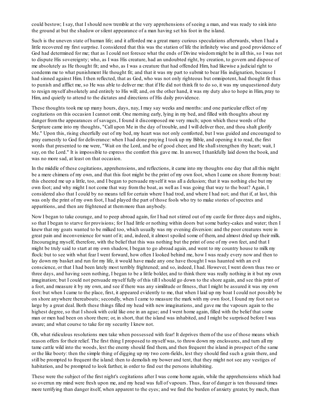could bestow; I say, that I should now tremble at the very apprehensions of seeing a man, and was ready to sink into the ground at but the shadow or silent appearance of a man having set his foot in the island.

Such is the uneven state of human life; and it afforded me a great many curious speculations afterwards, when I had a little recovered my first surprise. I considered that this was the station of life the infinitely wise and good providence of God had determined for me; that as I could not foresee what the ends of Divine wisdommight be in all this, so I was not to dispute His sovereignty; who, as I was His creature, had an undoubted right, by creation, to govern and dispose of me absolutely as He thought fit; and who, as I was a creature that had offended Him, had likewise a judicial right to condemn me to what punishment He thought fit; and that it was my part to submit to bear His indignation, because I had sinned against Him. I then reflected, that as God, who was not only righteous but omnipotent, had thought fit thus to punish and afflict me, so He was able to deliver me: that if He did not think fit to do so, it was my unquestioned duty to resign myself absolutely and entirely to His will; and, on the other hand, it was my duty also to hope in Him, pray to Him, and quietly to attend to the dictates and directions of His daily providence.

These thoughts took me up many hours, days, nay, I may say weeks and months: and one particular effect of my cogitations on this occasion I cannot omit. One morning early, lying in my bed, and filled with thoughts about my danger fromthe appearances of savages, I found it discomposed me very much; upon which these words of the Scripture came into my thoughts, "Call upon Me in the day of trouble, and I will deliver thee, and thou shalt glorify Me." Upon this, rising cheerfully out of my bed, my heart was not only comforted, but I was guided and encouraged to pray earnestly to God for deliverance: when I had done praying I took up my Bible, and opening it to read, the first words that presented to me were, "Wait on the Lord, and be of good cheer, and He shall strengthen thy heart; wait, I say, on the Lord." It is impossible to express the comfort this gave me. In answer, I thankfully laid down the book, and was no more sad, at least on that occasion.

In the middle of these cogitations, apprehensions, and reflections, it came into my thoughts one day that all this might be a mere chimera of my own, and that this foot might be the print of my own foot, when I came on shore frommy boat: this cheered me up a little, too, and I began to persuade myself it was all a delusion; that it was nothing else but my own foot; and why might I not come that way fromthe boat, as well as I was going that way to the boat? Again, I considered also that I could by no means tell for certain where I had trod, and where I had not; and that if, at last, this was only the print of my own foot, I had played the part of those fools who try to make stories of spectres and apparitions, and then are frightened at themmore than anybody.

Now I began to take courage, and to peep abroad again, for I had not stirred out of my castle for three days and nights, so that I began to starve for provisions; for I had little or nothing within doors but some barley-cakes and water; then I knew that my goats wanted to be milked too, which usually was my evening diversion: and the poor creatures were in great pain and inconvenience for want of it; and, indeed, it almost spoiled some of them, and almost dried up their milk. Encouraging myself, therefore, with the belief that this was nothing but the print of one of my own feet, and that I might be truly said to start at my own shadow, I began to go abroad again, and went to my country house to milk my flock: but to see with what fear I went forward, how often I looked behind me, how I was ready every now and then to lay down my basket and run for my life, it would have made any one have thought I was haunted with an evil conscience, or that I had been lately most terribly frightened; and so, indeed, I had. However, I went down thus two or three days, and having seen nothing, I began to be a little bolder, and to think there was really nothing in it but my own imagination; but I could not persuade myself fully of this till I should go down to the shore again, and see this print of a foot, and measure it by my own, and see if there was any similitude or fitness, that I might be assured it was my own foot: but when I came to the place, first, it appeared evidently to me, that when I laid up my boat I could not possibly be on shore anywhere thereabouts; secondly, when I came to measure the mark with my own foot, I found my foot not so large by a great deal. Both these things filled my head with new imaginations, and gave me the vapours again to the highest degree, so that I shook with cold like one in an ague; and I went home again, filled with the belief that some man or men had been on shore there; or, in short, that the island was inhabited, and I might be surprised before I was aware; and what course to take for my security I knew not.

Oh, what ridiculous resolutions men take when possessed with fear! It deprives themof the use of those means which reason offers for their relief. The first thing I proposed to myself was, to throw down my enclosures, and turn all my tame cattle wild into the woods, lest the enemy should find them, and then frequent the island in prospect of the same or the like booty: then the simple thing of digging up my two corn-fields, lest they should find such a grain there, and still be prompted to frequent the island: then to demolish my bower and tent, that they might not see any vestiges of habitation, and be prompted to look farther, in order to find out the persons inhabiting.

These were the subject of the first night's cogitations after I was come home again, while the apprehensions which had so overrun my mind were fresh upon me, and my head was full of vapours. Thus, fear of danger is ten thousand times more terrifying than danger itself, when apparent to the eyes; and we find the burden of anxiety greater, by much, than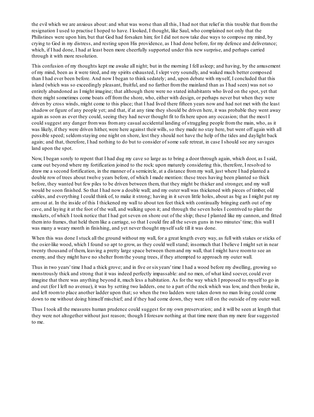the evil which we are anxious about: and what was worse than all this, I had not that relief in this trouble that fromthe resignation I used to practise I hoped to have. I looked, I thought, like Saul, who complained not only that the Philistines were upon him, but that God had forsaken him; for I did not now take due ways to compose my mind, by crying to God in my distress, and resting upon His providence, as I had done before, for my defence and deliverance; which, if I had done, I had at least been more cheerfully supported under this new surprise, and perhaps carried through it with more resolution.

This confusion of my thoughts kept me awake all night; but in the morning I fell asleep; and having, by the amusement of my mind, been as it were tired, and my spirits exhausted, I slept very soundly, and waked much better composed than I had ever been before. And now I began to think sedately; and, upon debate with myself, I concluded that this island (which was so exceedingly pleasant, fruitful, and no farther fromthe mainland than as I had seen) was not so entirely abandoned as I might imagine; that although there were no stated inhabitants who lived on the spot, yet that there might sometimes come boats off fromthe shore, who, either with design, or perhaps never but when they were driven by cross winds, might come to this place; that I had lived there fifteen years now and had not met with the least shadow or figure of any people yet; and that, if at any time they should be driven here, it was probable they went away again as soon as ever they could, seeing they had never thought fit to fixhere upon any occasion; that the most I could suggest any danger fromwas fromany casual accidental landing of straggling people fromthe main, who, as it was likely, if they were driven hither, were here against their wills, so they made no stay here, but went off again with all possible speed; seldomstaying one night on shore, lest they should not have the help of the tides and daylight back again; and that, therefore, I had nothing to do but to consider of some safe retreat, in case I should see any savages land upon the spot.

Now, I began sorely to repent that I had dug my cave so large as to bring a door through again, which door, as I said, came out beyond where my fortification joined to the rock: upon maturely considering this, therefore, I resolved to draw me a second fortification, in the manner of a semicircle, at a distance frommy wall, just where I had planted a double row of trees about twelve years before, of which I made mention: these trees having been planted so thick before, they wanted but few piles to be driven between them, that they might be thicker and stronger, and my wall would be soon finished. So that I had now a double wall; and my outer wall was thickened with pieces of timber, old cables, and everything I could think of, to make it strong; having in it seven little holes, about as big as I might put my armout at. In the inside of this I thickened my wall to about ten feet thick with continually bringing earth out of my cave, and laying it at the foot of the wall, and walking upon it; and through the seven holes I contrived to plant the muskets, of which I took notice that I had got seven on shore out of the ship; these I planted like my cannon, and fitted theminto frames, that held themlike a carriage, so that I could fire all the seven guns in two minutes' time; this wall I was many a weary month in finishing, and yet never thought myself safe till it was done.

When this was done I stuck all the ground without my wall, for a great length every way, as full with stakes or sticks of the osier-like wood, which I found so apt to grow, as they could wellstand; insomuch that I believe I might set in near twenty thousand of them, leaving a pretty large space between themand my wall, that I might have roomto see an enemy, and they might have no shelter fromthe young trees, if they attempted to approach my outer wall.

Thus in two years' time I had a thick grove; and in five or sixyears' time I had a wood before my dwelling, growing so monstrously thick and strong that it was indeed perfectly impassable: and no men, of what kind soever, could ever imagine that there was anything beyond it, much less a habitation. As for the way which I proposed to myself to go in and out (for I left no avenue), it was by setting two ladders, one to a part of the rock which was low, and then broke in, and left roomto place another ladder upon that; so when the two ladders were taken down no man living could come down to me without doing himself mischief; and if they had come down, they were still on the outside of my outer wall.

Thus I took all the measures human prudence could suggest for my own preservation; and it will be seen at length that they were not altogether without just reason; though I foresaw nothing at that time more than my mere fear suggested to me.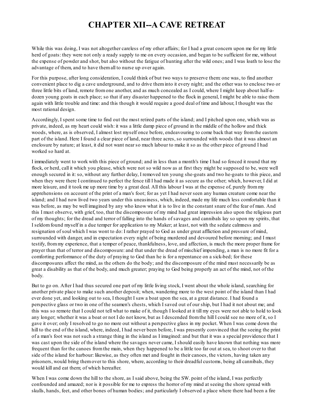### **CHAPTER XII--A CAVE RETREAT**

While this was doing, I was not altogether careless of my other affairs; for I had a great concern upon me for my little herd of goats: they were not only a ready supply to me on every occasion, and began to be sufficient for me, without the expense of powder and shot, but also without the fatigue of hunting after the wild ones; and I was loath to lose the advantage of them, and to have themall to nurse up over again.

For this purpose, after long consideration, I could think of but two ways to preserve them: one was, to find another convenient place to dig a cave underground, and to drive theminto it every night; and the other was to enclose two or three little bits of land, remote fromone another, and as much concealed as I could, where I might keep about half-adozen young goats in each place; so that if any disaster happened to the flock in general, I might be able to raise them again with little trouble and time: and this though it would require a good deal of time and labour, I thought was the most rational design.

Accordingly, I spent some time to find out the most retired parts of the island; and I pitched upon one, which was as private, indeed, as my heart could wish: it was a little damp piece of ground in the middle of the hollow and thick woods, where, as is observed, I almost lost myself once before, endeavouring to come back that way fromthe eastern part of the island. Here I found a clear piece of land, near three acres, so surrounded with woods that it was almost an enclosure by nature; at least, it did not want near so much labour to make it so as the other piece of ground I had worked so hard at.

I immediately went to work with this piece of ground; and in less than a month's time I had so fenced it round that my flock, or herd, call it which you please, which were not so wild now as at first they might be supposed to be, were well enough secured in it:so, without any further delay, I removed ten young she-goats and two he-goats to this piece, and when they were there I continued to perfect the fence till I had made it as secure as the other; which, however, I did at more leisure, and it took me up more time by a great deal. All this labour I was at the expense of, purely frommy apprehensions on account of the print of a man's foot; for as yet I had never seen any human creature come near the island; and I had now lived two years under this uneasiness, which, indeed, made my life much less comfortable than it was before, as may be well imagined by any who know what it is to live in the constant snare of the fear of man. And this I must observe, with grief, too, that the discomposure of my mind had great impression also upon the religious part of my thoughts; for the dread and terror of falling into the hands of savages and cannibals lay so upon my spirits, that I seldomfound myself in a due temper for application to my Maker; at least, not with the sedate calmness and resignation of soul which I was wont to do: I rather prayed to God as under great affliction and pressure of mind, surrounded with danger, and in expectation every night of being murdered and devoured before morning; and I must testify, frommy experience, that a temper of peace, thankfulness, love, and affection, is much the more proper frame for prayer than that of terror and discomposure: and that under the dread of mischief impending, a man is no more fit for a comforting performance of the duty of praying to God than he is for a repentance on a sick-bed; for these discomposures affect the mind, as the others do the body; and the discomposure of the mind must necessarily be as great a disability as that of the body, and much greater; praying to God being properly an act of the mind, not of the body.

But to go on. After I had thus secured one part of my little living stock, I went about the whole island, searching for another private place to make such another deposit; when, wandering more to the west point of the island than I had ever done yet, and looking out to sea, I thought I saw a boat upon the sea, at a great distance. I had found a perspective glass or two in one of the seamen's chests, which I saved out of our ship, but I had it not about me; and this was so remote that I could not tell what to make of it, though I looked at it till my eyes were not able to hold to look any longer; whether it was a boat or not I do not know, but as I descended fromthe hill I could see no more of it, so I gave it over; only I resolved to go no more out without a perspective glass in my pocket. When I was come down the hill to the end of the island, where, indeed, I had never been before, I was presently convinced that the seeing the print of a man's foot was not such a strange thing in the island as I imagined: and but that it was a special providence that I was cast upon the side of the island where the savages never came, I should easily have known that nothing was more frequent than for the canoes fromthe main, when they happened to be a little too far out at sea, to shoot over to that side of the island for harbour: likewise, as they often met and fought in their canoes, the victors, having taken any prisoners, would bring themover to this shore, where, according to their dreadful customs, being all cannibals, they would kill and eat them; of which hereafter.

When I was come down the hill to the shore, as I said above, being the SW, point of the island, I was perfectly confounded and amazed; nor is it possible for me to express the horror of my mind at seeing the shore spread with skulls, hands, feet, and other bones of human bodies; and particularly I observed a place where there had been a fire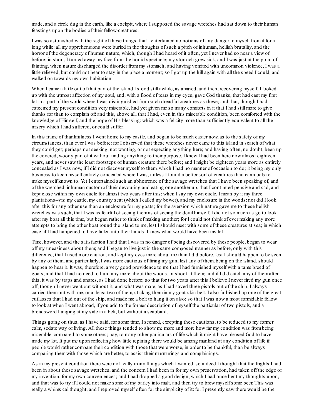made, and a circle dug in the earth, like a cockpit, where I supposed the savage wretches had sat down to their human feastings upon the bodies of their fellow-creatures.

I was so astonished with the sight of these things, that I entertained no notions of any danger to myself fromit for a long while: all my apprehensions were buried in the thoughts of such a pitch of inhuman, hellish brutality, and the horror of the degeneracy of human nature, which, though I had heard of it often, yet I never had so near a view of before; in short, I turned away my face fromthe horrid spectacle; my stomach grew sick, and I was just at the point of fainting, when nature discharged the disorder frommy stomach; and having vomited with uncommon violence, I was a little relieved, but could not bear to stay in the place a moment; so I got up the hill again with all the speed I could, and walked on towards my own habitation.

When I came a little out of that part of the island I stood still awhile, as amazed, and then, recovering myself, I looked up with the utmost affection of my soul, and, with a flood of tears in my eyes, gave God thanks, that had cast my first lot in a part of the world where I was distinguished fromsuch dreadful creatures as these; and that, though I had esteemed my present condition very miserable, had yet given me so many comforts in it that I had still more to give thanks for than to complain of: and this, above all, that I had, even in this miserable condition, been comforted with the knowledge of Himself, and the hope of His blessing: which was a felicity more than sufficiently equivalent to all the misery which I had suffered, or could suffer.

In this frame of thankfulness I went home to my castle, and began to be much easier now, as to the safety of my circumstances, than ever I was before: for I observed that these wretches never came to this island in search of what they could get; perhaps not seeking, not wanting, or not expecting anything here; and having often, no doubt, been up the covered, woody part of it without finding anything to their purpose. I knew I had been here now almost eighteen years, and never saw the least footsteps of human creature there before; and I might be eighteen years more as entirely concealed as I was now, if I did not discover myself to them, which I had no manner of occasion to do; it being my only business to keep myself entirely concealed where I was, unless I found a better sort of creatures than cannibals to make myself known to. Yet I entertained such an abhorrence of the savage wretches that I have been speaking of, and of the wretched, inhuman customof their devouring and eating one another up, that I continued pensive and sad, and kept close within my own circle for almost two years after this: when I say my own circle, I mean by it my three plantations--viz. my castle, my country seat (which I called my bower), and my enclosure in the woods: nor did I look after this for any other use than an enclosure for my goats; for the aversion which nature gave me to these hellish wretches was such, that I was as fearful of seeing themas of seeing the devil himself. I did not so much as go to look after my boat all this time, but began rather to think of making another; for I could not think of ever making any more attempts to bring the other boat round the island to me, lest I should meet with some of these creatures at sea; in which case, if I had happened to have fallen into their hands, I knew what would have been my lot.

Time, however, and the satisfaction I had that I was in no danger of being discovered by these people, began to wear off my uneasiness about them; and I began to live just in the same composed manner as before, only with this difference, that I used more caution, and kept my eyes more about me than I did before, lest I should happen to be seen by any of them; and particularly, I was more cautious of firing my gun, lest any of them, being on the island, should happen to hear it. It was, therefore, a very good providence to me that I had furnished myself with a tame breed of goats, and that I had no need to hunt any more about the woods, or shoot at them; and if I did catch any of themafter this, it was by traps and snares, as I had done before; so that for two years after this I believe I never fired my gun once off, though I never went out without it; and what was more, as I had saved three pistols out of the ship, I always carried themout with me, or at least two of them, sticking themin my goat-skin belt. I also furbished up one of the great cutlasses that I had out of the ship, and made me a belt to hang it on also; so that I was now a most formidable fellow to look at when I went abroad, if you add to the former description of myself the particular of two pistols, and a broadsword hanging at my side in a belt, but without a scabbard.

Things going on thus, as I have said, for some time, I seemed, excepting these cautions, to be reduced to my former calm, sedate way of living. All these things tended to show me more and more how far my condition was frombeing miserable, compared to some others; nay, to many other particulars of life which it might have pleased God to have made my lot. It put me upon reflecting how little repining there would be among mankind at any condition of life if people would rather compare their condition with those that were worse, in order to be thankful, than be always comparing themwith those which are better, to assist their murmurings and complainings.

As in my present condition there were not really many things which I wanted, so indeed I thought that the frights I had been in about these savage wretches, and the concern I had been in for my own preservation, had taken off the edge of my invention, for my own conveniences; and I had dropped a good design, which I had once bent my thoughts upon, and that was to try if I could not make some of my barley into malt, and then try to brew myself some beer. This was really a whimsical thought, and I reproved myself often for the simplicity of it: for I presently saw there would be the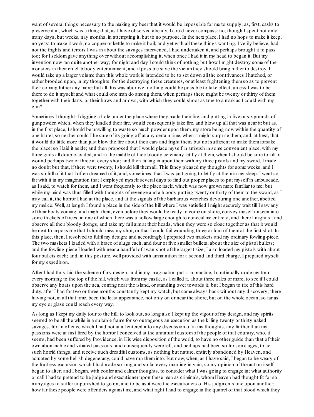want of several things necessary to the making my beer that it would be impossible for me to supply; as, first, casks to preserve it in, which was a thing that, as I have observed already, I could never compass: no, though I spent not only many days, but weeks, nay months, in attempting it, but to no purpose. In the next place, I had no hops to make it keep, no yeast to make it work, no copper or kettle to make it boil; and yet with all these things wanting, I verily believe, had not the frights and terrors I was in about the savages intervened, I had undertaken it, and perhaps brought it to pass too; for I seldomgave anything over without accomplishing it, when once I had it in my head to began it. But my invention now ran quite another way; for night and day I could think of nothing but how I might destroy some of the monsters in their cruel, bloody entertainment, and if possible save the victimthey should bring hither to destroy. It would take up a larger volume than this whole work is intended to be to set down all the contrivances I hatched, or rather brooded upon, in my thoughts, for the destroying these creatures, or at least frightening themso as to prevent their coming hither any more: but all this was abortive; nothing could be possible to take effect, unless I was to be there to do it myself: and what could one man do among them, when perhaps there might be twenty or thirty of them together with their darts, or their bows and arrows, with which they could shoot as true to a mark as I could with my gun?

Sometimes I thought if digging a hole under the place where they made their fire, and putting in five or sixpounds of gunpowder, which, when they kindled their fire, would consequently take fire, and blow up all that was near it: but as, in the first place, I should be unwilling to waste so much powder upon them, my store being now within the quantity of one barrel, so neither could I be sure of its going off at any certain time, when it might surprise them; and, at best, that it would do little more than just blow the fire about their ears and fright them, but not sufficient to make themforsake the place:so I laid it aside; and then proposed that I would place myself in ambush in some convenient place, with my three guns all double-loaded, and in the middle of their bloody ceremony let fly at them, when I should be sure to kill or wound perhaps two or three at every shot; and then falling in upon themwith my three pistols and my sword, I made no doubt but that, if there were twenty, I should kill themall. This fancy pleased my thoughts for some weeks, and I was so full of it that I often dreamed of it, and, sometimes, that I was just going to let fly at themin my sleep. I went so far with it in my imagination that I employed myself several days to find out proper places to put myself in ambuscade, as I said, to watch for them, and I went frequently to the place itself, which was now grown more familiar to me; but while my mind was thus filled with thoughts of revenge and a bloody putting twenty or thirty of them to the sword, as I may call it, the horror I had at the place, and at the signals of the barbarous wretches devouring one another, abetted my malice. Well, at length I found a place in the side of the hill where I was satisfied I might securely wait till I saw any of their boats coming; and might then, even before they would be ready to come on shore, convey myself unseen into some thickets of trees, in one of which there was a hollow large enough to conceal me entirely; and there I might sit and observe all their bloody doings, and take my full aimat their heads, when they were so close together as that it would be next to impossible that I should miss my shot, or that I could fail wounding three or four of themat the first shot. In this place, then, I resolved to fulfil my design; and accordingly I prepared two muskets and my ordinary fowling-piece. The two muskets I loaded with a brace of slugs each, and four or five smaller bullets, about the size of pistol bullets; and the fowling-piece I loaded with near a handful of swan-shot of the largest size; I also loaded my pistols with about four bullets each; and, in this posture, well provided with ammunition for a second and third charge, I prepared myself for my expedition.

After I had thus laid the scheme of my design, and in my imagination put it in practice, I continually made my tour every morning to the top of the hill, which was frommy castle, as I called it, about three miles or more, to see if I could observe any boats upon the sea, coming near the island, or standing over towards it; but I began to tire of this hard duty, after I had for two or three months constantly kept my watch, but came always back without any discovery; there having not, in all that time, been the least appearance, not only on or near the shore, but on the whole ocean, so far as my eye or glass could reach every way.

As long as I kept my daily tour to the hill, to look out, so long also I kept up the vigour of my design, and my spirits seemed to be all the while in a suitable frame for so outrageous an execution as the killing twenty or thirty naked savages, for an offence which I had not at all entered into any discussion of in my thoughts, any farther than my passions were at first fired by the horror I conceived at the unnatural customof the people of that country, who, it seems, had been suffered by Providence, in His wise disposition of the world, to have no other guide than that of their own abominable and vitiated passions; and consequently were left, and perhaps had been so for some ages, to act such horrid things, and receive such dreadful customs, as nothing but nature, entirely abandoned by Heaven, and actuated by some hellish degeneracy, could have run theminto. But now, when, as I have said, I began to be weary of the fruitless excursion which I had made so long and so far every morning in vain, so my opinion of the action itself began to alter; and I began, with cooler and calmer thoughts, to consider what I was going to engage in; what authority or call I had to pretend to be judge and executioner upon these men as criminals, whomHeaven had thought fit for so many ages to suffer unpunished to go on, and to be as it were the executioners of His judgments one upon another; how far these people were offenders against me, and what right I had to engage in the quarrel of that blood which they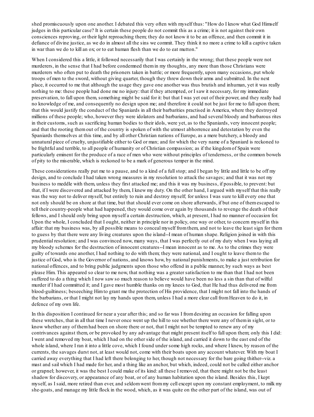shed promiscuously upon one another. I debated this very often with myself thus: "How do I know what God Himself judges in this particular case? It is certain these people do not commit this as a crime; it is not against their own consciences reproving, or their light reproaching them; they do not know it to be an offence, and then commit it in defiance of divine justice, as we do in almost all the sins we commit. They think it no more a crime to kill a captive taken in war than we do to kill an ox; or to eat human flesh than we do to eat mutton."

When I considered this a little, it followed necessarily that I was certainly in the wrong; that these people were not murderers, in the sense that I had before condemned themin my thoughts, any more than those Christians were murderers who often put to death the prisoners taken in battle; or more frequently, upon many occasions, put whole troops of men to the sword, without giving quarter, though they threw down their arms and submitted. In the next place, it occurred to me that although the usage they gave one another was thus brutish and inhuman, yet it was really nothing to me: these people had done me no injury: that if they attempted, or I saw it necessary, for my immediate preservation, to fall upon them, something might be said for it: but that I was yet out of their power, and they really had no knowledge of me, and consequently no design upon me; and therefore it could not be just for me to fall upon them; that this would justify the conduct of the Spaniards in all their barbarities practised in America, where they destroyed millions of these people; who, however they were idolators and barbarians, and had several bloody and barbarous rites in their customs, such as sacrificing human bodies to their idols, were yet, as to the Spaniards, very innocent people; and that the rooting themout of the country is spoken of with the utmost abhorrence and detestation by even the Spaniards themselves at this time, and by all other Christian nations of Europe, as a mere butchery, a bloody and unnatural piece of cruelty, unjustifiable either to God or man; and for which the very name of a Spaniard is reckoned to be frightful and terrible, to all people of humanity or of Christian compassion; as if the kingdomof Spain were particularly eminent for the produce of a race of men who were without principles of tenderness, or the common bowels of pity to the miserable, which is reckoned to be a mark of generous temper in the mind.

These considerations really put me to a pause, and to a kind of a fullstop; and I began by little and little to be off my design, and to conclude I had taken wrong measures in my resolution to attack the savages; and that it was not my business to meddle with them, unless they first attacked me; and this it was my business, if possible, to prevent: but that, if I were discovered and attacked by them, I knew my duty. On the other hand, I argued with myself that this really was the way not to deliver myself, but entirely to ruin and destroy myself; for unless I was sure to kill every one that not only should be on shore at that time, but that should ever come on shore afterwards, if but one of themescaped to tell their country-people what had happened, they would come over again by thousands to revenge the death of their fellows, and I should only bring upon myself a certain destruction, which, at present, I had no manner of occasion for. Upon the whole, I concluded that I ought, neither in principle nor in policy, one way or other, to concern myself in this affair: that my business was, by all possible means to conceal myself fromthem, and not to leave the least sign for them to guess by that there were any living creatures upon the island--I mean of human shape. Religion joined in with this prudential resolution; and I was convinced now, many ways, that I was perfectly out of my duty when I was laying all my bloody schemes for the destruction of innocent creatures--I mean innocent as to me. As to the crimes they were guilty of towards one another, I had nothing to do with them; they were national, and I ought to leave themto the justice of God, who is the Governor of nations, and knows how, by national punishments, to make a just retribution for national offences, and to bring public judgments upon those who offend in a public manner, by such ways as best please Him. This appeared so clear to me now, that nothing was a greater satisfaction to me than that I had not been suffered to do a thing which I now saw so much reason to believe would have been no less a sin than that of wilful murder if I had committed it; and I gave most humble thanks on my knees to God, that He had thus delivered me from blood-guiltiness; beseeching Himto grant me the protection of His providence, that I might not fall into the hands of the barbarians, or that I might not lay my hands upon them, unless I had a more clear call fromHeaven to do it, in defence of my own life.

In this disposition I continued for near a year after this; and so far was I fromdesiring an occasion for falling upon these wretches, that in all that time I never once went up the hill to see whether there were any of themin sight, or to know whether any of themhad been on shore there or not, that I might not be tempted to renew any of my contrivances against them, or be provoked by any advantage that might present itself to fall upon them; only this I did: I went and removed my boat, which I had on the other side of the island, and carried it down to the east end of the whole island, where I ran it into a little cove, which I found under some high rocks, and where I knew, by reason of the currents, the savages durst not, at least would not, come with their boats upon any account whatever. With my boat I carried away everything that I had left there belonging to her, though not necessary for the bare going thither--viz. a mast and sail which I had made for her, and a thing like an anchor, but which, indeed, could not be called either anchor or grapnel; however, it was the best I could make of its kind: all these I removed, that there might not be the least shadow for discovery, or appearance of any boat, or of any human habitation upon the island. Besides this, I kept myself, as I said, more retired than ever, and seldomwent frommy cell except upon my constant employment, to milk my she-goats, and manage my little flock in the wood, which, as it was quite on the other part of the island, was out of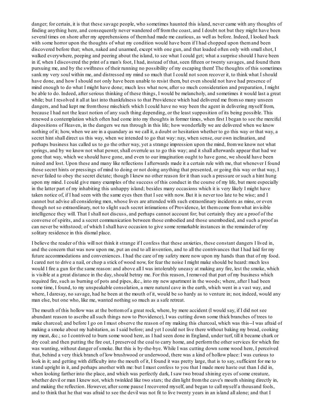danger; for certain, it is that these savage people, who sometimes haunted this island, never came with any thoughts of finding anything here, and consequently never wandered off fromthe coast, and I doubt not but they might have been several times on shore after my apprehensions of themhad made me cautious, as well as before. Indeed, I looked back with some horror upon the thoughts of what my condition would have been if I had chopped upon them and been discovered before that; when, naked and unarmed, except with one gun, and that loaded often only with small shot, I walked everywhere, peeping and peering about the island, to see what I could get; what a surprise should I have been in if, when I discovered the print of a man's foot, I had, instead of that, seen fifteen or twenty savages, and found them pursuing me, and by the swiftness of their running no possibility of my escaping them! The thoughts of this sometimes sank my very soul within me, and distressed my mind so much that I could not soon recover it, to think what I should have done, and how I should not only have been unable to resist them, but even should not have had presence of mind enough to do what I might have done; much less what now, after so much consideration and preparation, I might be able to do. Indeed, after serious thinking of these things, I would be melancholy, and sometimes it would last a great while; but I resolved it all at last into thankfulness to that Providence which had delivered me from so many unseen dangers, and had kept me fromthose mischiefs which I could have no way been the agent in delivering myself from, because I had not the least notion of any such thing depending, or the least supposition of its being possible. This renewed a contemplation which often had come into my thoughts in former times, when first I began to see the merciful dispositions of Heaven, in the dangers we run through in this life; how wonderfully we are delivered when we know nothing of it; how, when we are in a quandary as we call it, a doubt or hesitation whether to go this way or that way, a secret hint shall direct us this way, when we intended to go that way: nay, when sense, our own inclination, and perhaps business has called us to go the other way, yet a strange impression upon the mind, fromwe know not what springs, and by we know not what power, shall overrule us to go this way; and it shall afterwards appear that had we gone that way, which we should have gone, and even to our imagination ought to have gone, we should have been ruined and lost. Upon these and many like reflections I afterwards made it a certain rule with me, that whenever I found those secret hints or pressings of mind to doing or not doing anything that presented, or going this way or that way, I never failed to obey the secret dictate; though I knew no other reason for it than such a pressure or such a hint hung upon my mind. I could give many examples of the success of this conduct in the course of my life, but more especially in the latter part of my inhabiting this unhappy island; besides many occasions which it is very likely I might have taken notice of, if I had seen with the same eyes then that I see with now. But it is never too late to be wise; and I cannot but advise all considering men, whose lives are attended with such extraordinary incidents as mine, or even though not so extraordinary, not to slight such secret intimations of Providence, let themcome fromwhat invisible intelligence they will. That I shall not discuss, and perhaps cannot account for; but certainly they are a proof of the converse of spirits, and a secret communication between those embodied and those unembodied, and such a proof as can never be withstood; of which I shall have occasion to give some remarkable instances in the remainder of my solitary residence in this dismal place.

I believe the reader of this will not think it strange if I confess that these anxieties, these constant dangers I lived in, and the concern that was now upon me, put an end to all invention, and to all the contrivances that I had laid for my future accommodations and conveniences. I had the care of my safety more now upon my hands than that of my food. I cared not to drive a nail, or chop a stick of wood now, for fear the noise I might make should be heard: much less would I fire a gun for the same reason: and above all I was intolerably uneasy at making any fire, lest the smoke, which is visible at a great distance in the day, should betray me. For this reason, I removed that part of my business which required fire, such as burning of pots and pipes, &c., into my new apartment in the woods; where, after I had been some time, I found, to my unspeakable consolation, a mere natural cave in the earth, which went in a vast way, and where, I daresay, no savage, had he been at the mouth of it, would be so hardy as to venture in; nor, indeed, would any man else, but one who, like me, wanted nothing so much as a safe retreat.

The mouth of this hollow was at the bottom of a great rock, where, by mere accident (I would say, if I did not see abundant reason to ascribe allsuch things now to Providence), I was cutting down some thick branches of trees to make charcoal; and before I go on I must observe the reason of my making this charcoal, which was this--I was afraid of making a smoke about my habitation, as I said before; and yet I could not live there without baking my bread, cooking my meat, &c.; so I contrived to burn some wood here, as I had seen done in England, under turf, till it became chark or dry coal: and then putting the fire out, I preserved the coal to carry home, and performthe other services for which fire was wanting, without danger of smoke. But this is by-the-bye. While I was cutting down some wood here, I perceived that, behind a very thick branch of low brushwood or underwood, there was a kind of hollow place: I was curious to look in it; and getting with difficulty into the mouth of it, I found it was pretty large, that is to say, sufficient for me to stand upright in it, and perhaps another with me: but I must confess to you that I made more haste out than I did in, when looking farther into the place, and which was perfectly dark, I saw two broad shining eyes of some creature, whether devil or man I knew not, which twinkled like two stars; the dimlight from the cave's mouth shining directly in, and making the reflection. However, after some pause I recovered myself, and began to call myself a thousand fools, and to think that he that was afraid to see the devil was not fit to live twenty years in an island all alone; and that I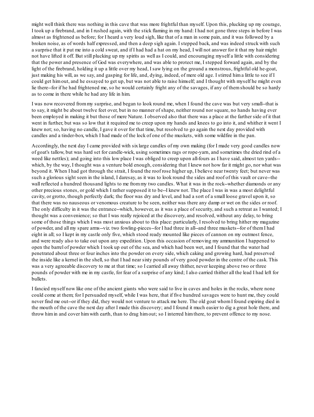might well think there was nothing in this cave that was more frightful than myself. Upon this, plucking up my courage, I took up a firebrand, and in I rushed again, with the stick flaming in my hand: I had not gone three steps in before I was almost as frightened as before; for I heard a very loud sigh, like that of a man in some pain, and it was followed by a broken noise, as of words half expressed, and then a deep sigh again. I stepped back, and was indeed struck with such a surprise that it put me into a cold sweat, and if I had had a hat on my head, I will not answer for it that my hair might not have lifted it off. But still plucking up my spirits as well as I could, and encouraging myself a little with considering that the power and presence of God was everywhere, and was able to protect me, I stepped forward again, and by the light of the firebrand, holding it up a little over my head, I saw lying on the ground a monstrous, frightful old he-goat, just making his will, as we say, and gasping for life, and, dying, indeed, of mere old age. I stirred hima little to see if I could get himout, and he essayed to get up, but was not able to raise himself; and I thought with myself he might even lie there--for if he had frightened me, so he would certainly fright any of the savages, if any of themshould be so hardy as to come in there while he had any life in him.

I was now recovered frommy surprise, and began to look round me, when I found the cave was but very small--that is to say, it might be about twelve feet over, but in no manner of shape, neither round nor square, no hands having ever been employed in making it but those of mere Nature. I observed also that there was a place at the farther side of it that went in further, but was so low that it required me to creep upon my hands and knees to go into it, and whither it went I knew not; so, having no candle, I gave it over for that time, but resolved to go again the next day provided with candles and a tinder-box, which I had made of the lock of one of the muskets, with some wildfire in the pan.

Accordingly, the next day I came provided with sixlarge candles of my own making (for I made very good candles now of goat's tallow, but was hard set for candle-wick, using sometimes rags or rope-yarn, and sometimes the dried rind of a weed like nettles); and going into this low place I was obliged to creep upon all-fours as I have said, almost ten yards-which, by the way, I thought was a venture bold enough, considering that I knew not how far it might go, nor what was beyond it. When I had got through the strait, I found the roof rose higher up, I believe near twenty feet; but never was such a glorious sight seen in the island, I daresay, as it was to look round the sides and roof of this vault or cave--the wall reflected a hundred thousand lights to me from my two candles. What it was in the rock--whether diamonds or any other precious stones, or gold which I rather supposed it to be--I knew not. The place I was in was a most delightful cavity, or grotto, though perfectly dark; the floor was dry and level, and had a sort of a small loose gravel upon it, so that there was no nauseous or venomous creature to be seen, neither was there any damp or wet on the sides or roof. The only difficulty in it was the entrance--which, however, as it was a place of security, and such a retreat as I wanted; I thought was a convenience; so that I was really rejoiced at the discovery, and resolved, without any delay, to bring some of those things which I was most anxious about to this place: particularly, I resolved to bring hither my magazine of powder, and all my spare arms--viz. two fowling-pieces--for I had three in all--and three muskets--for of themI had eight in all; so I kept in my castle only five, which stood ready mounted like pieces of cannon on my outmost fence, and were ready also to take out upon any expedition. Upon this occasion of removing my ammunition I happened to open the barrel of powder which I took up out of the sea, and which had been wet, and I found that the water had penetrated about three or four inches into the powder on every side, which caking and growing hard, had preserved the inside like a kernel in the shell, so that I had near sixty pounds of very good powder in the centre of the cask. This was a very agreeable discovery to me at that time; so I carried all away thither, never keeping above two or three pounds of powder with me in my castle, for fear of a surprise of any kind; I also carried thither all the lead I had left for bullets.

I fancied myself now like one of the ancient giants who were said to live in caves and holes in the rocks, where none could come at them; for I persuaded myself, while I was here, that if five hundred savages were to hunt me, they could never find me out--or if they did, they would not venture to attack me here. The old goat whomI found expiring died in the mouth of the cave the next day after I made this discovery; and I found it much easier to dig a great hole there, and throw himin and cover himwith earth, than to drag himout; so I interred himthere, to prevent offence to my nose.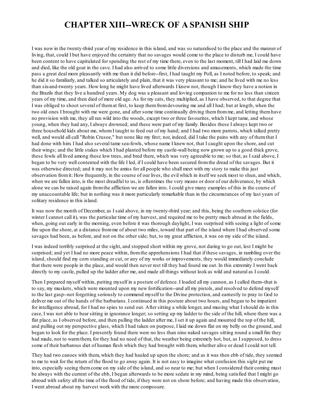### **CHAPTER XIII--WRECK OF A SPANISH SHIP**

I was now in the twenty-third year of my residence in this island, and was so naturalised to the place and the manner of living, that, could I but have enjoyed the certainty that no savages would come to the place to disturb me, I could have been content to have capitulated for spending the rest of my time there, even to the last moment, till I had laid me down and died, like the old goat in the cave. I had also arrived to some little diversions and amusements, which made the time pass a great deal more pleasantly with me than it did before--first, I had taught my Poll, as I noted before, to speak; and he did it so familiarly, and talked so articulately and plain, that it was very pleasant to me; and he lived with me no less than six-and-twenty years. How long he might have lived afterwards I know not, though I know they have a notion in the Brazils that they live a hundred years. My dog was a pleasant and loving companion to me for no less than sixteen years of my time, and then died of mere old age. As for my cats, they multiplied, as I have observed, to that degree that I was obliged to shoot several of themat first, to keep themfromdevouring me and all I had; but at length, when the two old ones I brought with me were gone, and after some time continually driving themfromme, and letting themhave no provision with me, they all ran wild into the woods, except two or three favourites, which I kept tame, and whose young, when they had any, I always drowned; and these were part of my family. Besides these I always kept two or three household kids about me, whomI taught to feed out of my hand; and I had two more parrots, which talked pretty well, and would all call "Robin Crusoe," but none like my first; nor, indeed, did I take the pains with any of themthat I had done with him. I had also several tame sea-fowls, whose name I knew not, that I caught upon the shore, and cut their wings; and the little stakes which I had planted before my castle-wall being now grown up to a good thick grove, these fowls all lived among these low trees, and bred there, which was very agreeable to me; so that, as I said above, I began to be very well contented with the life I led, if I could have been secured fromthe dread of the savages. But it was otherwise directed; and it may not be amiss for all people who shall meet with my story to make this just observation fromit: How frequently, in the course of our lives, the evil which in itself we seek most to shun, and which, when we are fallen into, is the most dreadful to us, is oftentimes the very means or door of our deliverance, by which alone we can be raised again fromthe affliction we are fallen into. I could give many examples of this in the course of my unaccountable life; but in nothing was it more particularly remarkable than in the circumstances of my last years of solitary residence in this island.

It was now the month of December, as I said above, in my twenty-third year; and this, being the southern solstice (for winter I cannot call it), was the particular time of my harvest, and required me to be pretty much abroad in the fields, when, going out early in the morning, even before it was thorough daylight, I was surprised with seeing a light of some fire upon the shore, at a distance fromme of about two miles, toward that part of the island where I had observed some savages had been, as before, and not on the other side; but, to my great affliction, it was on my side of the island.

I was indeed terribly surprised at the sight, and stopped short within my grove, not daring to go out, lest I might be surprised; and yet I had no more peace within, fromthe apprehensions I had that if these savages, in rambling over the island, should find my corn standing or cut, or any of my works or improvements, they would immediately conclude that there were people in the place, and would then never rest till they had found me out. In this extremity I went back directly to my castle, pulled up the ladder after me, and made all things without look as wild and natural as I could.

Then I prepared myself within, putting myself in a posture of defence. I loaded all my cannon, as I called them--that is to say, my muskets, which were mounted upon my new fortification--and all my pistols, and resolved to defend myself to the last gasp--not forgetting seriously to commend myself to the Divine protection, and earnestly to pray to God to deliver me out of the hands of the barbarians. I continued in this posture about two hours, and began to be impatient for intelligence abroad, for I had no spies to send out. After sitting a while longer, and musing what I should do in this case, I was not able to bear sitting in ignorance longer; so setting up my ladder to the side of the hill, where there was a flat place, as I observed before, and then pulling the ladder after me, I set it up again and mounted the top of the hill, and pulling out my perspective glass, which I had taken on purpose, I laid me down flat on my belly on the ground, and began to look for the place. I presently found there were no less than nine naked savages sitting round a small fire they had made, not to warmthem, for they had no need of that, the weather being extremely hot, but, as I supposed, to dress some of their barbarous diet of human flesh which they had brought with them, whether alive or dead I could not tell.

They had two canoes with them, which they had hauled up upon the shore; and as it was then ebb of tide, they seemed to me to wait for the return of the flood to go away again. It is not easy to imagine what confusion this sight put me into, especially seeing themcome on my side of the island, and so near to me; but when I considered their coming must be always with the current of the ebb, I began afterwards to be more sedate in my mind, being satisfied that I might go abroad with safety all the time of the flood of tide, if they were not on shore before; and having made this observation, I went abroad about my harvest work with the more composure.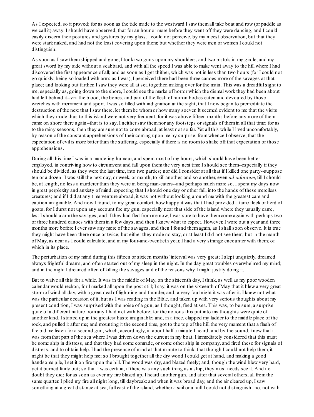As I expected, so it proved; for as soon as the tide made to the westward I saw themall take boat and row (or paddle as we call it) away. I should have observed, that for an hour or more before they went off they were dancing, and I could easily discern their postures and gestures by my glass. I could not perceive, by my nicest observation, but that they were stark naked, and had not the least covering upon them; but whether they were men or women I could not distinguish.

As soon as I saw themshipped and gone, I took two guns upon my shoulders, and two pistols in my girdle, and my great sword by my side without a scabbard, and with all the speed I was able to make went away to the hill where I had discovered the first appearance of all; and as soon as I get thither, which was not in less than two hours (for I could not go quickly, being so loaded with arms as I was), I perceived there had been three canoes more of the savages at that place; and looking out farther, I saw they were all at sea together, making over for the main. This was a dreadfulsight to me, especially as, going down to the shore, I could see the marks of horror which the dismal work they had been about had left behind it--viz. the blood, the bones, and part of the flesh of human bodies eaten and devoured by those wretches with merriment and sport. I was so filled with indignation at the sight, that I now began to premeditate the destruction of the next that I saw there, let thembe whomor how many soever. It seemed evident to me that the visits which they made thus to this island were not very frequent, for it was above fifteen months before any more of them came on shore there again--that is to say, I neither saw themnor any footsteps or signals of themin all that time; for as to the rainy seasons, then they are sure not to come abroad, at least not so far. Yet all this while I lived uncomfortably, by reason of the constant apprehensions of their coming upon me by surprise: fromwhence I observe, that the expectation of evil is more bitter than the suffering, especially if there is no roomto shake off that expectation or those apprehensions.

During all this time I was in a murdering humour, and spent most of my hours, which should have been better employed, in contriving how to circumvent and fall upon themthe very next time I should see them--especially if they should be divided, as they were the last time, into two parties; nor did I consider at all that if I killed one party--suppose ten or a dozen--I was still the next day, or week, or month, to kill another, and so another, even *ad infinitum*, till I should be, at length, no less a murderer than they were in being man-eaters--and perhaps much more so. I spent my days now in great perplexity and anxiety of mind, expecting that I should one day or other fall, into the hands of these merciless creatures; and if I did at any time venture abroad, it was not without looking around me with the greatest care and caution imaginable. And now I found, to my great comfort, how happy it was that I had provided a tame flock or herd of goats, for I durst not upon any account fire my gun, especially near that side of the island where they usually came, lest I should alarmthe savages; and if they had fled fromme now, I was sure to have themcome again with perhaps two or three hundred canoes with themin a few days, and then I knew what to expect. However, I wore out a year and three months more before I ever saw any more of the savages, and then I found themagain, as I shallsoon observe. It is true they might have been there once or twice; but either they made no stay, or at least I did not see them; but in the month of May, as near as I could calculate, and in my four-and-twentieth year, I had a very strange encounter with them; of which in its place.

The perturbation of my mind during this fifteen or sixteen months' interval was very great; I slept unquietly, dreamed always frightful dreams, and often started out of my sleep in the night. In the day great troubles overwhelmed my mind; and in the night I dreamed often of killing the savages and of the reasons why I might justify doing it.

But to waive all this for a while. It was in the middle of May, on the sixteenth day, I think, as well as my poor wooden calendar would reckon, for I marked all upon the post still; I say, it was on the sixteenth of May that it blew a very great stormof wind all day, with a great deal of lightning and thunder, and; a very foul night it was after it. I knew not what was the particular occasion of it, but as I was reading in the Bible, and taken up with very serious thoughts about my present condition, I was surprised with the noise of a gun, as I thought, fired at sea. This was, to be sure, a surprise quite of a different nature from any I had met with before; for the notions this put into my thoughts were quite of another kind. I started up in the greatest haste imaginable; and, in a trice, clapped my ladder to the middle place of the rock, and pulled it after me; and mounting it the second time, got to the top of the hill the very moment that a flash of fire bid me listen for a second gun, which, accordingly, in about half a minute I heard; and by the sound, knew that it was fromthat part of the sea where I was driven down the current in my boat. I immediately considered that this must be some ship in distress, and that they had some comrade, or some other ship in company, and fired these for signals of distress, and to obtain help. I had the presence of mind at that minute to think, that though I could not help them, it might be that they might help me; so I brought together all the dry wood I could get at hand, and making a good handsome pile, I set it on fire upon the hill. The wood was dry, and blazed freely; and, though the wind blew very hard, yet it burned fairly out; so that I was certain, if there was any such thing as a ship, they must needs see it. And no doubt they did; for as soon as ever my fire blazed up, I heard another gun, and after that several others, all fromthe same quarter. I plied my fire all night long, till daybreak: and when it was broad day, and the air cleared up, I saw something at a great distance at sea, full east of the island, whether a sail or a hull I could not distinguish--no, not with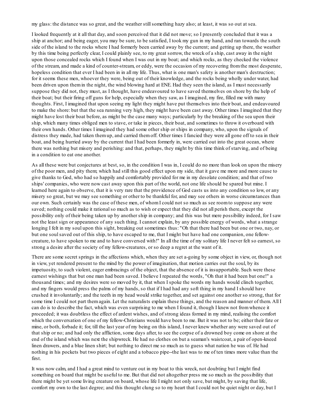my glass: the distance was so great, and the weather stillsomething hazy also; at least, it was so out at sea.

I looked frequently at it all that day, and soon perceived that it did not move; so I presently concluded that it was a ship at anchor; and being eager, you may be sure, to be satisfied, I took my gun in my hand, and ran towards the south side of the island to the rocks where I had formerly been carried away by the current; and getting up there, the weather by this time being perfectly clear, I could plainly see, to my great sorrow, the wreck of a ship, cast away in the night upon those concealed rocks which I found when I was out in my boat; and which rocks, as they checked the violence of the stream, and made a kind of counter-stream, or eddy, were the occasion of my recovering fromthe most desperate, hopeless condition that ever I had been in in all my life. Thus, what is one man's safety is another man's destruction; for it seems these men, whoever they were, being out of their knowledge, and the rocks being wholly under water, had been driven upon themin the night, the wind blowing hard at ENE. Had they seen the island, as I must necessarily suppose they did not, they must, as I thought, have endeavoured to have saved themselves on shore by the help of their boat; but their firing off guns for help, especially when they saw, as I imagined, my fire, filled me with many thoughts. First, I imagined that upon seeing my light they might have put themselves into their boat, and endeavoured to make the shore: but that the sea running very high, they might have been cast away. Other times I imagined that they might have lost their boat before, as might be the case many ways; particularly by the breaking of the sea upon their ship, which many times obliged men to stave, or take in pieces, their boat, and sometimes to throw it overboard with their own hands. Other times I imagined they had some other ship or ships in company, who, upon the signals of distress they made, had taken themup, and carried themoff. Other times I fancied they were all gone off to sea in their boat, and being hurried away by the current that I had been formerly in, were carried out into the great ocean, where there was nothing but misery and perishing: and that, perhaps, they might by this time think of starving, and of being in a condition to eat one another.

As all these were but conjectures at best, so, in the condition I was in, I could do no more than look on upon the misery of the poor men, and pity them; which had still this good effect upon my side, that it gave me more and more cause to give thanks to God, who had so happily and comfortably provided for me in my desolate condition; and that of two ships' companies, who were now cast away upon this part of the world, not one life should be spared but mine. I learned here again to observe, that it is very rare that the providence of God casts us into any condition so low, or any misery so great, but we may see something or other to be thankful for, and may see others in worse circumstances than our own. Such certainly was the case of these men, of whomI could not so much as see roomto suppose any were saved; nothing could make it rational so much as to wish or expect that they did not all perish there, except the possibility only of their being taken up by another ship in company; and this was but mere possibility indeed, for I saw not the least sign or appearance of any such thing. I cannot explain, by any possible energy of words, what a strange longing I felt in my soul upon this sight, breaking out sometimes thus: "Oh that there had been but one or two, nay, or but one soulsaved out of this ship, to have escaped to me, that I might but have had one companion, one fellowcreature, to have spoken to me and to have conversed with!" In all the time of my solitary life I never felt so earnest, so strong a desire after the society of my fellow-creatures, or so deep a regret at the want of it.

There are some secret springs in the affections which, when they are set a-going by some object in view, or, though not in view, yet rendered present to the mind by the power of imagination, that motion carries out the soul, by its impetuosity, to such violent, eager embracings of the object, that the absence of it is insupportable. Such were these earnest wishings that but one man had been saved. I believe I repeated the words, "Oh that it had been but one!" a thousand times; and my desires were so moved by it, that when I spoke the words my hands would clinch together, and my fingers would press the palms of my hands, so that if I had had any soft thing in my hand I should have crushed it involuntarily; and the teeth in my head would strike together, and set against one another so strong, that for some time I could not part themagain. Let the naturalists explain these things, and the reason and manner of them. All I can do is to describe the fact, which was even surprising to me when I found it, though I knew not fromwhence it proceeded; it was doubtless the effect of ardent wishes, and of strong ideas formed in my mind, realising the comfort which the conversation of one of my fellow-Christians would have been to me. But it was not to be; either their fate or mine, or both, forbade it; for, till the last year of my being on this island, I never knew whether any were saved out of that ship or no; and had only the affliction, some days after, to see the corpse of a drowned boy come on shore at the end of the island which was next the shipwreck. He had no clothes on but a seaman's waistcoat, a pair of open-kneed linen drawers, and a blue linen shirt; but nothing to direct me so much as to guess what nation he was of. He had nothing in his pockets but two pieces of eight and a tobacco pipe--the last was to me of ten times more value than the first.

It was now calm, and I had a great mind to venture out in my boat to this wreck, not doubting but I might find something on board that might be useful to me. But that did not altogether press me so much as the possibility that there might be yet some living creature on board, whose life I might not only save, but might, by saving that life, comfort my own to the last degree; and this thought clung so to my heart that I could not be quiet night or day, but I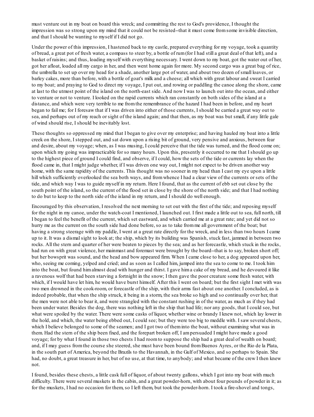must venture out in my boat on board this wreck; and committing the rest to God's providence, I thought the impression was so strong upon my mind that it could not be resisted--that it must come fromsome invisible direction, and that I should be wanting to myself if I did not go.

Under the power of this impression, I hastened back to my castle, prepared everything for my voyage, took a quantity of bread, a great pot of fresh water, a compass to steer by, a bottle of rum(for I had still a great deal of that left), and a basket of raisins; and thus, loading myself with everything necessary. I went down to my boat, got the water out of her, got her afloat, loaded all my cargo in her, and then went home again for more. My second cargo was a great bag of rice, the umbrella to set up over my head for a shade, another large pot of water, and about two dozen of small loaves, or barley cakes, more than before, with a bottle of goat's milk and a cheese; all which with great labour and sweat I carried to my boat; and praying to God to direct my voyage, I put out, and rowing or paddling the canoe along the shore, came at last to the utmost point of the island on the north-east side. And now I was to launch out into the ocean, and either to venture or not to venture. I looked on the rapid currents which ran constantly on both sides of the island at a distance, and which were very terrible to me fromthe remembrance of the hazard I had been in before, and my heart began to fail me; for I foresaw that if I was driven into either of those currents, I should be carried a great way out to sea, and perhaps out of my reach or sight of the island again; and that then, as my boat was but small, if any little gale of wind should rise, I should be inevitably lost.

These thoughts so oppressed my mind that I began to give over my enterprise; and having hauled my boat into a little creek on the shore, I stepped out, and sat down upon a rising bit of ground, very pensive and anxious, between fear and desire, about my voyage; when, as I was musing, I could perceive that the tide was turned, and the flood come on; upon which my going was impracticable for so many hours. Upon this, presently it occurred to me that I should go up to the highest piece of ground I could find, and observe, if I could, how the sets of the tide or currents lay when the flood came in, that I might judge whether, if I was driven one way out, I might not expect to be driven another way home, with the same rapidity of the currents. This thought was no sooner in my head than I cast my eye upon a little hill which sufficiently overlooked the sea both ways, and fromwhence I had a clear view of the currents or sets of the tide, and which way I was to guide myself in my return. Here I found, that as the current of ebb set out close by the south point of the island, so the current of the flood set in close by the shore of the north side; and that I had nothing to do but to keep to the north side of the island in my return, and I should do well enough.

Encouraged by this observation, I resolved the next morning to set out with the first of the tide; and reposing myself for the night in my canoe, under the watch-coat I mentioned, I launched out. I first made a little out to sea, full north, till I began to feel the benefit of the current, which set eastward, and which carried me at a great rate; and yet did not so hurry me as the current on the south side had done before, so as to take fromme all government of the boat; but having a strong steerage with my paddle, I went at a great rate directly for the wreck, and in less than two hours I came up to it. It was a dismalsight to look at; the ship, which by its building was Spanish, stuck fast, jammed in between two rocks. All the stern and quarter of her were beaten to pieces by the sea; and as her forecastle, which stuck in the rocks, had run on with great violence, her mainmast and foremast were brought by the board--that is to say, broken short off; but her bowsprit was sound, and the head and bow appeared firm. When I came close to her, a dog appeared upon her, who, seeing me coming, yelped and cried; and as soon as I called him, jumped into the sea to come to me. I took him into the boat, but found himalmost dead with hunger and thirst. I gave hima cake of my bread, and he devoured it like a ravenous wolf that had been starving a fortnight in the snow; I then gave the poor creature some fresh water, with which, if I would have let him, he would have burst himself. After this I went on board; but the first sight I met with was two men drowned in the cook-room, or forecastle of the ship, with their arms fast about one another. I concluded, as is indeed probable, that when the ship struck, it being in a storm, the sea broke so high and so continually over her, that the men were not able to bear it, and were strangled with the constant rushing in of the water, as much as if they had been under water. Besides the dog, there was nothing left in the ship that had life; nor any goods, that I could see, but what were spoiled by the water. There were some casks of liquor, whether wine or brandy I knew not, which lay lower in the hold, and which, the water being ebbed out, I could see; but they were too big to meddle with. I saw several chests, which I believe belonged to some of the seamen; and I got two of them into the boat, without examining what was in them. Had the stern of the ship been fixed, and the forepart broken off, I ampersuaded I might have made a good voyage; for by what I found in those two chests I had roomto suppose the ship had a great deal of wealth on board; and, if I may guess fromthe course she steered, she must have been bound fromBuenos Ayres, or the Rio de la Plata, in the south part of America, beyond the Brazils to the Havannah, in the Gulf of Mexico, and so perhaps to Spain. She had, no doubt, a great treasure in her, but of no use, at that time, to anybody; and what became of the crew I then knew not.

I found, besides these chests, a little cask full of liquor, of about twenty gallons, which I got into my boat with much difficulty. There were several muskets in the cabin, and a great powder-horn, with about four pounds of powder in it; as for the muskets, I had no occasion for them, so I left them, but took the powder-horn. I took a fire-shovel and tongs,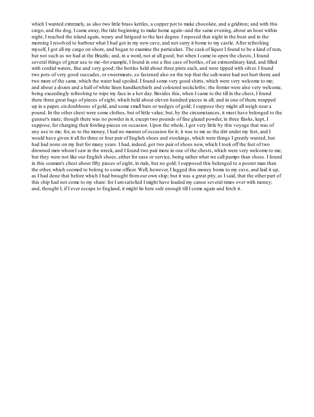which I wanted extremely, as also two little brass kettles, a copper pot to make chocolate, and a gridiron; and with this cargo, and the dog, I came away, the tide beginning to make home again--and the same evening, about an hour within night, I reached the island again, weary and fatigued to the last degree. I reposed that night in the boat and in the morning I resolved to harbour what I had got in my new cave, and not carry it home to my castle. After refreshing myself, I got all my cargo on shore, and began to examine the particulars. The cask of liquor I found to be a kind of rum, but not such as we had at the Brazils; and, in a word, not at all good; but when I came to open the chests, I found several things of great use to me--for example, I found in one a fine case of bottles, of an extraordinary kind, and filled with cordial waters, fine and very good; the bottles held about three pints each, and were tipped with silver. I found two pots of very good succades, or sweetmeats, so fastened also on the top that the salt-water had not hurt them; and two more of the same, which the water had spoiled. I found some very good shirts, which were very welcome to me; and about a dozen and a half of white linen handkerchiefs and coloured neckcloths; the former were also very welcome, being exceedingly refreshing to wipe my face in a hot day. Besides this, when I came to the till in the chest, I found there three great bags of pieces of eight, which held about eleven hundred pieces in all; and in one of them, wrapped up in a paper, sixdoubloons of gold, and some small bars or wedges of gold; I suppose they might all weigh near a pound. In the other chest were some clothes, but of little value; but, by the circumstances, it must have belonged to the gunner's mate; though there was no powder in it, except two pounds of fine glazed powder, in three flasks, kept, I suppose, for charging their fowling-pieces on occasion. Upon the whole, I got very little by this voyage that was of any use to me; for, as to the money, I had no manner of occasion for it; it was to me as the dirt under my feet, and I would have given it all for three or four pair of English shoes and stockings, which were things I greatly wanted, but had had none on my feet for many years. I had, indeed, got two pair of shoes now, which I took off the feet of two drowned men whomI saw in the wreck, and I found two pair more in one of the chests, which were very welcome to me; but they were not like our English shoes, either for ease or service, being rather what we call pumps than shoes. I found in this seaman's chest about fifty pieces of eight, in rials, but no gold: I supposed this belonged to a poorer man than the other, which seemed to belong to some officer. Well, however, I lugged this money home to my cave, and laid it up, as I had done that before which I had brought fromour own ship; but it was a great pity, as I said, that the other part of this ship had not come to my share: for I amsatisfied I might have loaded my canoe several times over with money; and, thought I, if I ever escape to England, it might lie here safe enough till I come again and fetch it.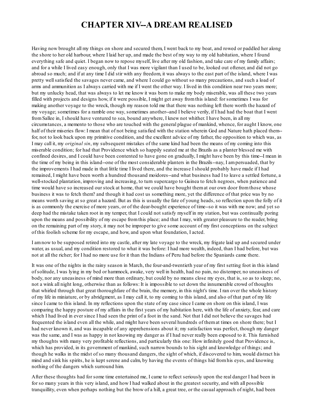#### **CHAPTER XIV--A DREAM REALISED**

Having now brought all my things on shore and secured them, I went back to my boat, and rowed or paddled her along the shore to her old harbour, where I laid her up, and made the best of my way to my old habitation, where I found everything safe and quiet. I began now to repose myself, live after my old fashion, and take care of my family affairs; and for a while I lived easy enough, only that I was more vigilant than I used to be, looked out oftener, and did not go abroad so much; and if at any time I did stir with any freedom, it was always to the east part of the island, where I was pretty wellsatisfied the savages never came, and where I could go without so many precautions, and such a load of arms and ammunition as I always carried with me if I went the other way. I lived in this condition near two years more; but my unlucky head, that was always to let me know it was born to make my body miserable, was all these two years filled with projects and designs how, if it were possible, I might get away fromthis island: for sometimes I was for making another voyage to the wreck, though my reason told me that there was nothing left there worth the hazard of my voyage; sometimes for a ramble one way, sometimes another--and I believe verily, if I had had the boat that I went fromSallee in, I should have ventured to sea, bound anywhere, I knew not whither. I have been, in all my circumstances, a memento to those who are touched with the general plague of mankind, whence, for aught I know, one half of their miseries flow: I mean that of not being satisfied with the station wherein God and Nature hath placed them- for, not to look back upon my primitive condition, and the excellent advice of my father, the opposition to which was, as I may call it, my *original sin*, my subsequent mistakes of the same kind had been the means of my coming into this miserable condition; for had that Providence which so happily seated me at the Brazils as a planter blessed me with confined desires, and I could have been contented to have gone on gradually, I might have been by this time--I mean in the time of my being in this island--one of the most considerable planters in the Brazils--nay, I ampersuaded, that by the improvements I had made in that little time I lived there, and the increase I should probably have made if I had remained, I might have been worth a hundred thousand moidores--and what business had I to leave a settled fortune, a well-stocked plantation, improving and increasing, to turn supercargo to Guinea to fetch negroes, when patience and time would have so increased our stock at home, that we could have bought themat our own door fromthose whose business it was to fetch them? and though it had cost us something more, yet the difference of that price was by no means worth saving at so great a hazard. But as this is usually the fate of young heads, so reflection upon the folly of it is as commonly the exercise of more years, or of the dear-bought experience of time--so it was with me now; and yet so deep had the mistake taken root in my temper, that I could not satisfy myself in my station, but was continually poring upon the means and possibility of my escape fromthis place; and that I may, with greater pleasure to the reader, bring on the remaining part of my story, it may not be improper to give some account of my first conceptions on the subject of this foolish scheme for my escape, and how, and upon what foundation, I acted.

I amnow to be supposed retired into my castle, after my late voyage to the wreck, my frigate laid up and secured under water, as usual, and my condition restored to what it was before: I had more wealth, indeed, than I had before, but was not at all the richer; for I had no more use for it than the Indians of Peru had before the Spaniards came there.

It was one of the nights in the rainy season in March, the four-and-twentieth year of my first setting foot in this island of solitude, I was lying in my bed or hammock, awake, very well in health, had no pain, no distemper, no uneasiness of body, nor any uneasiness of mind more than ordinary, but could by no means close my eyes, that is, so as to sleep; no, not a wink all night long, otherwise than as follows: It is impossible to set down the innumerable crowd of thoughts that whirled through that great thoroughfare of the brain, the memory, in this night's time. I ran over the whole history of my life in miniature, or by abridgment, as I may call it, to my coming to this island, and also of that part of my life since I came to this island. In my reflections upon the state of my case since I came on shore on this island, I was comparing the happy posture of my affairs in the first years of my habitation here, with the life of anxiety, fear, and care which I had lived in ever since I had seen the print of a foot in the sand. Not that I did not believe the savages had frequented the island even all the while, and might have been several hundreds of themat times on shore there; but I had never known it, and was incapable of any apprehensions about it; my satisfaction was perfect, though my danger was the same, and I was as happy in not knowing my danger as if I had never really been exposed to it. This furnished my thoughts with many very profitable reflections, and particularly this one: How infinitely good that Providence is, which has provided, in its government of mankind, such narrow bounds to his sight and knowledge of things; and though he walks in the midst of so many thousand dangers, the sight of which, if discovered to him, would distract his mind and sink his spirits, he is kept serene and calm, by having the events of things hid fromhis eyes, and knowing nothing of the dangers which surround him.

After these thoughts had for some time entertained me, I came to reflect seriously upon the real danger I had been in for so many years in this very island, and how I had walked about in the greatest security, and with all possible tranquillity, even when perhaps nothing but the brow of a hill, a great tree, or the casual approach of night, had been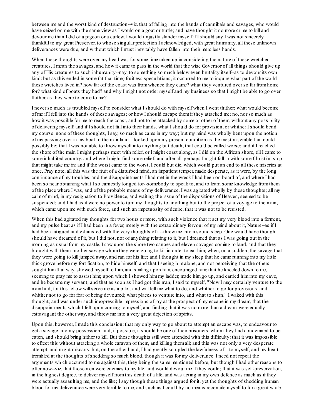between me and the worst kind of destruction--viz. that of falling into the hands of cannibals and savages, who would have seized on me with the same view as I would on a goat or turtle; and have thought it no more crime to kill and devour me than I did of a pigeon or a curlew. I would unjustly slander myself if I should say I was not sincerely thankful to my great Preserver, to whose singular protection I acknowledged, with great humanity, all these unknown deliverances were due, and without which I must inevitably have fallen into their merciless hands.

When these thoughts were over, my head was for some time taken up in considering the nature of these wretched creatures, I mean the savages, and how it came to pass in the world that the wise Governor of all things should give up any of His creatures to such inhumanity--nay, to something so much below even brutality itself--as to devour its own kind: but as this ended in some (at that time) fruitless speculations, it occurred to me to inquire what part of the world these wretches lived in? how far off the coast was fromwhence they came? what they ventured over so far fromhome for? what kind of boats they had? and why I might not order myself and my business so that I might be able to go over thither, as they were to come to me?

I never so much as troubled myself to consider what I should do with myself when I went thither; what would become of me if I fell into the hands of these savages; or how I should escape themif they attacked me; no, nor so much as how it was possible for me to reach the coast, and not to be attacked by some or other of them, without any possibility of delivering myself: and if I should not fall into their hands, what I should do for provision, or whither I should bend my course: none of these thoughts, I say, so much as came in my way; but my mind was wholly bent upon the notion of my passing over in my boat to the mainland. I looked upon my present condition as the most miserable that could possibly be; that I was not able to throw myself into anything but death, that could be called worse; and if I reached the shore of the main I might perhaps meet with relief, or I might coast along, as I did on the African shore, till I came to some inhabited country, and where I might find some relief; and after all, perhaps I might fall in with some Christian ship that might take me in: and if the worst came to the worst, I could but die, which would put an end to all these miseries at once. Pray note, all this was the fruit of a disturbed mind, an impatient temper, made desperate, as it were, by the long continuance of my troubles, and the disappointments I had met in the wreck I had been on board of, and where I had been so near obtaining what I so earnestly longed for--somebody to speak to, and to learn some knowledge fromthem of the place where I was, and of the probable means of my deliverance. I was agitated wholly by these thoughts; all my calmof mind, in my resignation to Providence, and waiting the issue of the dispositions of Heaven, seemed to be suspended; and I had as it were no power to turn my thoughts to anything but to the project of a voyage to the main, which came upon me with such force, and such an impetuosity of desire, that it was not to be resisted.

When this had agitated my thoughts for two hours or more, with such violence that it set my very blood into a ferment, and my pulse beat as if I had been in a fever, merely with the extraordinary fervour of my mind about it, Nature--as if I had been fatigued and exhausted with the very thoughts of it--threw me into a sound sleep. One would have thought I should have dreamed of it, but I did not, nor of anything relating to it, but I dreamed that as I was going out in the morning as usual frommy castle, I saw upon the shore two canoes and eleven savages coming to land, and that they brought with themanother savage whomthey were going to kill in order to eat him; when, on a sudden, the savage that they were going to kill jumped away, and ran for his life; and I thought in my sleep that he came running into my little thick grove before my fortification, to hide himself; and that I seeing himalone, and not perceiving that the others sought himthat way, showed myself to him, and smiling upon him, encouraged him: that he kneeled down to me, seeming to pray me to assist him; upon which I showed himmy ladder, made himgo up, and carried himinto my cave, and he became my servant; and that as soon as I had got this man, I said to myself, "Now I may certainly venture to the mainland, for this fellow willserve me as a pilot, and will tell me what to do, and whither to go for provisions, and whither not to go for fear of being devoured; what places to venture into, and what to shun." I waked with this thought; and was under such inexpressible impressions of joy at the prospect of my escape in my dream, that the disappointments which I felt upon coming to myself, and finding that it was no more than a dream, were equally extravagant the other way, and threw me into a very great dejection of spirits.

Upon this, however, I made this conclusion: that my only way to go about to attempt an escape was, to endeavour to get a savage into my possession: and, if possible, it should be one of their prisoners, whomthey had condemned to be eaten, and should bring hither to kill. But these thoughts still were attended with this difficulty: that it was impossible to effect this without attacking a whole caravan of them, and killing themall; and this was not only a very desperate attempt, and might miscarry, but, on the other hand, I had greatly scrupled the lawfulness of it to myself; and my heart trembled at the thoughts of shedding so much blood, though it was for my deliverance. I need not repeat the arguments which occurred to me against this, they being the same mentioned before; but though I had other reasons to offer now--viz. that those men were enemies to my life, and would devour me if they could; that it was self-preservation, in the highest degree, to deliver myself fromthis death of a life, and was acting in my own defence as much as if they were actually assaulting me, and the like; I say though these things argued for it, yet the thoughts of shedding human blood for my deliverance were very terrible to me, and such as I could by no means reconcile myself to for a great while.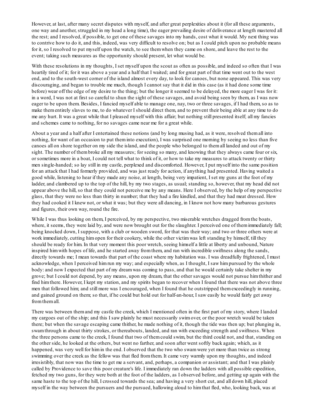However, at last, after many secret disputes with myself, and after great perplexities about it (for all these arguments, one way and another, struggled in my head a long time), the eager prevailing desire of deliverance at length mastered all the rest; and I resolved, if possible, to get one of these savages into my hands, cost what it would. My next thing was to contrive how to do it, and this, indeed, was very difficult to resolve on; but as I could pitch upon no probable means for it, so I resolved to put myself upon the watch, to see themwhen they came on shore, and leave the rest to the event; taking such measures as the opportunity should present, let what would be.

With these resolutions in my thoughts, I set myself upon the scout as often as possible, and indeed so often that I was heartily tired of it; for it was above a year and a half that I waited; and for great part of that time went out to the west end, and to the south-west corner of the island almost every day, to look for canoes, but none appeared. This was very discouraging, and began to trouble me much, though I cannot say that it did in this case (as it had done some time before) wear off the edge of my desire to the thing; but the longer it seemed to be delayed, the more eager I was for it: in a word, I was not at first so careful to shun the sight of these savages, and avoid being seen by them, as I was now eager to be upon them. Besides, I fancied myself able to manage one, nay, two or three savages, if I had them, so as to make thementirely slaves to me, to do whatever I should direct them, and to prevent their being able at any time to do me any hurt. It was a great while that I pleased myself with this affair; but nothing still presented itself; all my fancies and schemes came to nothing, for no savages came near me for a great while.

About a year and a half after I entertained these notions (and by long musing had, as it were, resolved themall into nothing, for want of an occasion to put theminto execution), I was surprised one morning by seeing no less than five canoes all on shore together on my side the island, and the people who belonged to themall landed and out of my sight. The number of them broke all my measures; for seeing so many, and knowing that they always came four or six, or sometimes more in a boat, I could not tell what to think of it, or how to take my measures to attack twenty or thirty men single-handed; so lay still in my castle, perplexed and discomforted. However, I put myself into the same position for an attack that I had formerly provided, and was just ready for action, if anything had presented. Having waited a good while, listening to hear if they made any noise, at length, being very impatient, I set my guns at the foot of my ladder, and clambered up to the top of the hill, by my two stages, as usual; standing so, however, that my head did not appear above the hill, so that they could not perceive me by any means. Here I observed, by the help of my perspective glass, that they were no less than thirty in number; that they had a fire kindled, and that they had meat dressed. How they had cooked it I knew not, or what it was; but they were all dancing, in I know not how many barbarous gestures and figures, their own way, round the fire.

While I was thus looking on them, I perceived, by my perspective, two miserable wretches dragged from the boats, where, it seems, they were laid by, and were now brought out for the slaughter. I perceived one of them immediately fall; being knocked down, I suppose, with a club or wooden sword, for that was their way; and two or three others were at work immediately, cutting himopen for their cookery, while the other victimwas left standing by himself, till they should be ready for him. In that very moment this poor wretch, seeing himself a little at liberty and unbound, Nature inspired himwith hopes of life, and he started away fromthem, and ran with incredible swiftness along the sands, directly towards me; I mean towards that part of the coast where my habitation was. I was dreadfully frightened, I must acknowledge, when I perceived himrun my way; and especially when, as I thought, I saw himpursued by the whole body: and now I expected that part of my dreamwas coming to pass, and that he would certainly take shelter in my grove; but I could not depend, by any means, upon my dream, that the other savages would not pursue himthither and find himthere. However, I kept my station, and my spirits began to recover when I found that there was not above three men that followed him; and still more was I encouraged, when I found that he outstripped themexceedingly in running, and gained ground on them; so that, if he could but hold out for half-an-hour, I saw easily he would fairly get away fromthemall.

There was between themand my castle the creek, which I mentioned often in the first part of my story, where I landed my cargoes out of the ship; and this I saw plainly he must necessarily swimover, or the poor wretch would be taken there; but when the savage escaping came thither, he made nothing of it, though the tide was then up; but plunging in, swamthrough in about thirty strokes, or thereabouts, landed, and ran with exceeding strength and swiftness. When the three persons came to the creek, I found that two of themcould swim, but the third could not, and that, standing on the other side, he looked at the others, but went no farther, and soon after went softly back again; which, as it happened, was very well for himin the end. I observed that the two who swamwere yet more than twice as strong swimming over the creek as the fellow was that fled fromthem. It came very warmly upon my thoughts, and indeed irresistibly, that now was the time to get me a servant, and, perhaps, a companion or assistant; and that I was plainly called by Providence to save this poor creature's life. I immediately ran down the ladders with all possible expedition, fetched my two guns, for they were both at the foot of the ladders, as I observed before, and getting up again with the same haste to the top of the hill, I crossed towards the sea; and having a very short cut, and all down hill, placed myself in the way between the pursuers and the pursued, hallowing aloud to himthat fled, who, looking back, was at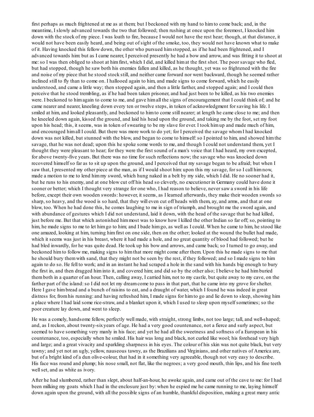first perhaps as much frightened at me as at them; but I beckoned with my hand to himto come back; and, in the meantime, I slowly advanced towards the two that followed; then rushing at once upon the foremost, I knocked him down with the stock of my piece. I was loath to fire, because I would not have the rest hear; though, at that distance, it would not have been easily heard, and being out of sight of the smoke, too, they would not have known what to make of it. Having knocked this fellow down, the other who pursued himstopped, as if he had been frightened, and I advanced towards him: but as I came nearer, I perceived presently he had a bow and arrow, and was fitting it to shoot at me:so I was then obliged to shoot at himfirst, which I did, and killed himat the first shot. The poor savage who fled, but had stopped, though he saw both his enemies fallen and killed, as he thought, yet was so frightened with the fire and noise of my piece that he stood stock still, and neither came forward nor went backward, though he seemed rather inclined still to fly than to come on. I hallooed again to him, and made signs to come forward, which he easily understood, and came a little way; then stopped again, and then a little farther, and stopped again; and I could then perceive that he stood trembling, as if he had been taken prisoner, and had just been to be killed, as his two enemies were. I beckoned to himagain to come to me, and gave himall the signs of encouragement that I could think of; and he came nearer and nearer, kneeling down every ten or twelve steps, in token of acknowledgment for saving his life. I smiled at him, and looked pleasantly, and beckoned to him to come still nearer; at length he came close to me; and then he kneeled down again, kissed the ground, and laid his head upon the ground, and taking me by the foot, set my foot upon his head; this, it seems, was in token of swearing to be my slave for ever. I took himup and made much of him, and encouraged himall I could. But there was more work to do yet; for I perceived the savage whomI had knocked down was not killed, but stunned with the blow, and began to come to himself: so I pointed to him, and showed him the savage, that he was not dead; upon this he spoke some words to me, and though I could not understand them, yet I thought they were pleasant to hear; for they were the first sound of a man's voice that I had heard, my own excepted, for above twenty-five years. But there was no time for such reflections now; the savage who was knocked down recovered himself so far as to sit up upon the ground, and I perceived that my savage began to be afraid; but when I saw that, I presented my other piece at the man, as if I would shoot him: upon this my savage, for so I call himnow, made a motion to me to lend himmy sword, which hung naked in a belt by my side, which I did. He no sooner had it, but he runs to his enemy, and at one blow cut off his head so cleverly, no executioner in Germany could have done it sooner or better; which I thought very strange for one who, I had reason to believe, never saw a sword in his life before, except their own wooden swords: however, it seems, as I learned afterwards, they make their wooden swords so sharp, so heavy, and the wood is so hard, that they will even cut off heads with them, ay, and arms, and that at one blow, too. When he had done this, he comes laughing to me in sign of triumph, and brought me the sword again, and with abundance of gestures which I did not understand, laid it down, with the head of the savage that he had killed, just before me. But that which astonished himmost was to know how I killed the other Indian so far off; so, pointing to him, he made signs to me to let him go to him; and I bade him go, as well as I could. When he came to him, he stood like one amazed, looking at him, turning himfirst on one side, then on the other; looked at the wound the bullet had made, which it seems was just in his breast, where it had made a hole, and no great quantity of blood had followed; but he had bled inwardly, for he was quite dead. He took up his bow and arrows, and came back; so I turned to go away, and beckoned himto follow me, making signs to himthat more might come after them. Upon this he made signs to me that he should bury themwith sand, that they might not be seen by the rest, if they followed; and so I made signs to him again to do so. He fell to work; and in an instant he had scraped a hole in the sand with his hands big enough to bury the first in, and then dragged himinto it, and covered him; and did so by the other also; I believe he had himburied themboth in a quarter of an hour. Then, calling away, I carried him, not to my castle, but quite away to my cave, on the farther part of the island: so I did not let my dream come to pass in that part, that he came into my grove for shelter. Here I gave himbread and a bunch of raisins to eat, and a draught of water, which I found he was indeed in great distress for, fromhis running: and having refreshed him, I made signs for himto go and lie down to sleep, showing him a place where I had laid some rice-straw, and a blanket upon it, which I used to sleep upon myself sometimes; so the poor creature lay down, and went to sleep.

He was a comely, handsome fellow, perfectly well made, with straight, strong limbs, not too large; tall, and well-shaped; and, as I reckon, about twenty-sixyears of age. He had a very good countenance, not a fierce and surly aspect, but seemed to have something very manly in his face; and yet he had all the sweetness and softness of a European in his countenance, too, especially when he smiled. His hair was long and black, not curled like wool; his forehead very high and large; and a great vivacity and sparkling sharpness in his eyes. The colour of his skin was not quite black, but very tawny; and yet not an ugly, yellow, nauseous tawny, as the Brazilians and Virginians, and other natives of America are, but of a bright kind of a dun olive-colour, that had in it something very agreeable, though not very easy to describe. His face was round and plump; his nose small, not flat, like the negroes; a very good mouth, thin lips, and his fine teeth wellset, and as white as ivory.

After he had slumbered, rather than slept, about half-an-hour, he awoke again, and came out of the cave to me: for I had been milking my goats which I had in the enclosure just by: when he espied me he came running to me, laying himself down again upon the ground, with all the possible signs of an humble, thankful disposition, making a great many antic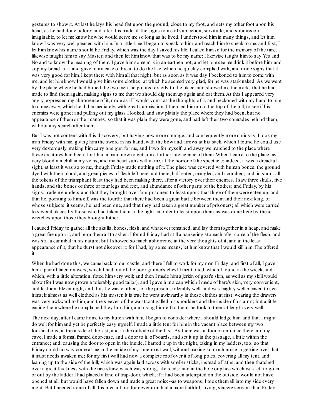gestures to show it. At last he lays his head flat upon the ground, close to my foot, and sets my other foot upon his head, as he had done before; and after this made all the signs to me of subjection, servitude, and submission imaginable, to let me know how he would serve me so long as he lived. I understood himin many things, and let him know I was very well pleased with him. In a little time I began to speak to him; and teach himto speak to me: and first, I let himknow his name should be Friday, which was the day I saved his life: I called himso for the memory of the time. I likewise taught himto say Master; and then let himknow that was to be my name: I likewise taught himto say Yes and No and to know the meaning of them. I gave himsome milk in an earthen pot, and let himsee me drink it before him, and sop my bread in it; and gave him a cake of bread to do the like, which he quickly complied with, and made signs that it was very good for him. I kept there with himall that night; but as soon as it was day I beckoned to himto come with me, and let himknow I would give himsome clothes; at which he seemed very glad, for he was stark naked. As we went by the place where he had buried the two men, he pointed exactly to the place, and showed me the marks that he had made to find themagain, making signs to me that we should dig themup again and eat them. At this I appeared very angry, expressed my abhorrence of it, made as if I would vomit at the thoughts of it, and beckoned with my hand to him to come away, which he did immediately, with great submission. I then led himup to the top of the hill, to see if his enemies were gone; and pulling out my glass I looked, and saw plainly the place where they had been, but no appearance of themor their canoes; so that it was plain they were gone, and had left their two comrades behind them, without any search after them.

But I was not content with this discovery; but having now more courage, and consequently more curiosity, I took my man Friday with me, giving himthe sword in his hand, with the bow and arrows at his back, which I found he could use very dexterously, making himcarry one gun for me, and I two for myself; and away we marched to the place where these creatures had been; for I had a mind now to get some further intelligence of them. When I came to the place my very blood ran chill in my veins, and my heart sunk within me, at the horror of the spectacle; indeed, it was a dreadful sight, at least it was so to me, though Friday made nothing of it. The place was covered with human bones, the ground dyed with their blood, and great pieces of flesh left here and there, half-eaten, mangled, and scorched; and, in short, all the tokens of the triumphant feast they had been making there, after a victory over their enemies. I saw three skulls, five hands, and the bones of three or four legs and feet, and abundance of other parts of the bodies; and Friday, by his signs, made me understand that they brought over four prisoners to feast upon; that three of themwere eaten up, and that he, pointing to himself, was the fourth; that there had been a great battle between themand their next king, of whose subjects, it seems, he had been one, and that they had taken a great number of prisoners; all which were carried to several places by those who had taken themin the fight, in order to feast upon them, as was done here by these wretches upon those they brought hither.

I caused Friday to gather all the skulls, bones, flesh, and whatever remained, and lay themtogether in a heap, and make a great fire upon it, and burn themall to ashes. I found Friday had still a hankering stomach after some of the flesh, and was still a cannibal in his nature; but I showed so much abhorrence at the very thoughts of it, and at the least appearance of it, that he durst not discover it: for I had, by some means, let himknow that I would kill himif he offered it.

When he had done this, we came back to our castle; and there I fell to work for my man Friday; and first of all, I gave hima pair of linen drawers, which I had out of the poor gunner's chest I mentioned, which I found in the wreck, and which, with a little alteration, fitted himvery well; and then I made hima jerkin of goat's skin, as well as my skill would allow (for I was now grown a tolerably good tailor); and I gave hima cap which I made of hare's skin, very convenient, and fashionable enough; and thus he was clothed, for the present, tolerably well, and was mighty well pleased to see himself almost as well clothed as his master. It is true he went awkwardly in these clothes at first: wearing the drawers was very awkward to him, and the sleeves of the waistcoat galled his shoulders and the inside of his arms; but a little easing themwhere he complained they hurt him, and using himself to them, he took to themat length very well.

The next day, after I came home to my hutch with him, I began to consider where I should lodge him: and that I might do well for himand yet be perfectly easy myself, I made a little tent for himin the vacant place between my two fortifications, in the inside of the last, and in the outside of the first. As there was a door or entrance there into my cave, I made a formal framed door-case, and a door to it, of boards, and set it up in the passage, a little within the entrance; and, causing the door to open in the inside, I barred it up in the night, taking in my ladders, too; so that Friday could no way come at me in the inside of my innermost wall, without making so much noise in getting over that it must needs awaken me; for my first wall had now a complete roof over it of long poles, covering all my tent, and leaning up to the side of the hill; which was again laid across with smaller sticks, instead of laths, and then thatched over a great thickness with the rice-straw, which was strong, like reeds; and at the hole or place which was left to go in or out by the ladder I had placed a kind of trap-door, which, if it had been attempted on the outside, would not have opened at all, but would have fallen down and made a great noise--as to weapons, I took themall into my side every night. But I needed none of all this precaution; for never man had a more faithful, loving, sincere servant than Friday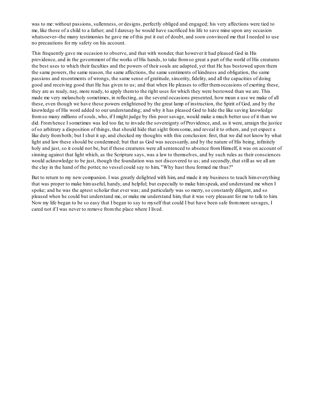was to me: without passions, sullenness, or designs, perfectly obliged and engaged; his very affections were tied to me, like those of a child to a father; and I daresay he would have sacrificed his life to save mine upon any occasion whatsoever--the many testimonies he gave me of this put it out of doubt, and soon convinced me that I needed to use no precautions for my safety on his account.

This frequently gave me occasion to observe, and that with wonder, that however it had pleased God in His providence, and in the government of the works of His hands, to take fromso great a part of the world of His creatures the best uses to which their faculties and the powers of their souls are adapted, yet that He has bestowed upon them the same powers, the same reason, the same affections, the same sentiments of kindness and obligation, the same passions and resentments of wrongs, the same sense of gratitude, sincerity, fidelity, and all the capacities of doing good and receiving good that He has given to us; and that when He pleases to offer themoccasions of exerting these, they are as ready, nay, more ready, to apply themto the right uses for which they were bestowed than we are. This made me very melancholy sometimes, in reflecting, as the several occasions presented, how mean a use we make of all these, even though we have these powers enlightened by the great lamp of instruction, the Spirit of God, and by the knowledge of His word added to our understanding; and why it has pleased God to hide the like saving knowledge fromso many millions of souls, who, if I might judge by this poor savage, would make a much better use of it than we did. Fromhence I sometimes was led too far, to invade the sovereignty of Providence, and, as it were, arraign the justice of so arbitrary a disposition of things, that should hide that sight fromsome, and reveal it to others, and yet expect a like duty fromboth; but I shut it up, and checked my thoughts with this conclusion: first, that we did not know by what light and law these should be condemned; but that as God was necessarily, and by the nature of His being, infinitely holy and just, so it could not be, but if these creatures were all sentenced to absence from Himself, it was on account of sinning against that light which, as the Scripture says, was a law to themselves, and by such rules as their consciences would acknowledge to be just, though the foundation was not discovered to us; and secondly, that still as we all are the clay in the hand of the potter, no vessel could say to him, "Why hast thou formed me thus?"

But to return to my new companion. I was greatly delighted with him, and made it my business to teach himeverything that was proper to make himuseful, handy, and helpful; but especially to make himspeak, and understand me when I spoke; and he was the aptest scholar that ever was; and particularly was so merry, so constantly diligent, and so pleased when he could but understand me, or make me understand him, that it was very pleasant for me to talk to him. Now my life began to be so easy that I began to say to myself that could I but have been safe frommore savages, I cared not if I was never to remove fromthe place where I lived.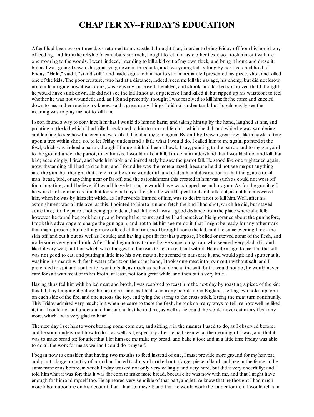## **CHAPTER XV--FRIDAY'S EDUCATION**

After I had been two or three days returned to my castle, I thought that, in order to bring Friday off fromhis horrid way of feeding, and fromthe relish of a cannibal's stomach, I ought to let himtaste other flesh; so I took himout with me one morning to the woods. I went, indeed, intending to kill a kid out of my own flock; and bring it home and dress it; but as I was going I saw a she-goat lying down in the shade, and two young kids sitting by her. I catched hold of Friday. "Hold," said I, "stand still;" and made signs to himnot to stir: immediately I presented my piece, shot, and killed one of the kids. The poor creature, who had at a distance, indeed, seen me kill the savage, his enemy, but did not know, nor could imagine how it was done, was sensibly surprised, trembled, and shook, and looked so amazed that I thought he would have sunk down. He did not see the kid I shot at, or perceive I had killed it, but ripped up his waistcoat to feel whether he was not wounded; and, as I found presently, thought I was resolved to kill him: for he came and kneeled down to me, and embracing my knees, said a great many things I did not understand; but I could easily see the meaning was to pray me not to kill him.

I soon found a way to convince himthat I would do himno harm; and taking himup by the hand, laughed at him, and pointing to the kid which I had killed, beckoned to himto run and fetch it, which he did: and while he was wondering, and looking to see how the creature was killed, I loaded my gun again. By-and-by I saw a great fowl, like a hawk, sitting upon a tree within shot; so, to let Friday understand a little what I would do, I called himto me again, pointed at the fowl, which was indeed a parrot, though I thought it had been a hawk; I say, pointing to the parrot, and to my gun, and to the ground under the parrot, to let himsee I would make it fall, I made himunderstand that I would shoot and kill that bird; accordingly, I fired, and bade himlook, and immediately he saw the parrot fall. He stood like one frightened again, notwithstanding all I had said to him; and I found he was the more amazed, because he did not see me put anything into the gun, but thought that there must be some wonderful fund of death and destruction in that thing, able to kill man, beast, bird, or anything near or far off; and the astonishment this created in himwas such as could not wear off for a long time; and I believe, if I would have let him, he would have worshipped me and my gun. As for the gun itself, he would not so much as touch it for several days after; but he would speak to it and talk to it, as if it had answered him, when he was by himself; which, as I afterwards learned of him, was to desire it not to kill him. Well, after his astonishment was a little over at this, I pointed to himto run and fetch the bird I had shot, which he did, but stayed some time; for the parrot, not being quite dead, had fluttered away a good distance fromthe place where she fell: however, he found her, took her up, and brought her to me; and as I had perceived his ignorance about the gun before, I took this advantage to charge the gun again, and not to let himsee me do it, that I might be ready for any other mark that might present; but nothing more offered at that time: so I brought home the kid, and the same evening I took the skin off, and cut it out as well as I could; and having a pot fit for that purpose, I boiled or stewed some of the flesh, and made some very good broth. After I had begun to eat some I gave some to my man, who seemed very glad of it, and liked it very well; but that which was strangest to himwas to see me eat salt with it. He made a sign to me that the salt was not good to eat; and putting a little into his own mouth, he seemed to nauseate it, and would spit and sputter at it, washing his mouth with fresh water after it: on the other hand, I took some meat into my mouth without salt, and I pretended to spit and sputter for want of salt, as much as he had done at the salt; but it would not do; he would never care for salt with meat or in his broth; at least, not for a great while, and then but a very little.

Having thus fed himwith boiled meat and broth, I was resolved to feast himthe next day by roasting a piece of the kid: this I did by hanging it before the fire on a string, as I had seen many people do in England, setting two poles up, one on each side of the fire, and one across the top, and tying the string to the cross stick, letting the meat turn continually. This Friday admired very much; but when he came to taste the flesh, he took so many ways to tell me how well he liked it, that I could not but understand him: and at last he told me, as well as he could, he would never eat man's flesh any more, which I was very glad to hear.

The next day I set himto work beating some corn out, and sifting it in the manner I used to do, as I observed before; and he soon understood how to do it as well as I, especially after he had seen what the meaning of it was, and that it was to make bread of; for after that I let himsee me make my bread, and bake it too; and in a little time Friday was able to do all the work for me as well as I could do it myself.

I began now to consider, that having two mouths to feed instead of one, I must provide more ground for my harvest, and plant a larger quantity of corn than I used to do; so I marked out a larger piece of land, and began the fence in the same manner as before, in which Friday worked not only very willingly and very hard, but did it very cheerfully: and I told himwhat it was for; that it was for corn to make more bread, because he was now with me, and that I might have enough for himand myself too. He appeared very sensible of that part, and let me know that he thought I had much more labour upon me on his account than I had for myself; and that he would work the harder for me if I would tell him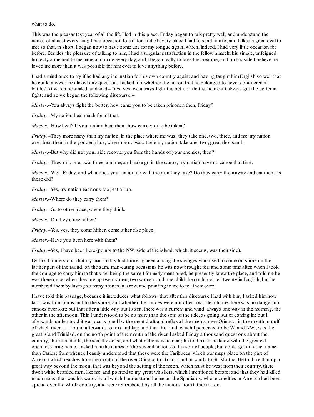what to do.

This was the pleasantest year of all the life I led in this place. Friday began to talk pretty well, and understand the names of almost everything I had occasion to call for, and of every place I had to send himto, and talked a great deal to me; so that, in short, I began now to have some use for my tongue again, which, indeed, I had very little occasion for before. Besides the pleasure of talking to him, I had a singular satisfaction in the fellow himself: his simple, unfeigned honesty appeared to me more and more every day, and I began really to love the creature; and on his side I believe he loved me more than it was possible for himever to love anything before.

I had a mind once to try if he had any inclination for his own country again; and having taught himEnglish so well that he could answer me almost any question, I asked himwhether the nation that he belonged to never conquered in battle? At which he smiled, and said--"Yes, yes, we always fight the better;" that is, he meant always get the better in fight; and so we began the following discourse:--

*Master*.--You always fight the better; how came you to be taken prisoner, then, Friday?

*Friday*.--My nation beat much for all that.

*Master*.--How beat? If your nation beat them, how came you to be taken?

*Friday*.--They more many than my nation, in the place where me was; they take one, two, three, and me: my nation over-beat themin the yonder place, where me no was; there my nation take one, two, great thousand.

*Master*.--But why did not your side recover you fromthe hands of your enemies, then?

*Friday*.--They run, one, two, three, and me, and make go in the canoe; my nation have no canoe that time.

*Master*.--Well, Friday, and what does your nation do with the men they take? Do they carry themaway and eat them, as these did?

*Friday*.--Yes, my nation eat mans too; eat all up.

*Master*.--Where do they carry them?

*Friday*.--Go to other place, where they think.

*Master*.--Do they come hither?

*Friday*.--Yes, yes, they come hither; come other else place.

*Master*.--Have you been here with them?

*Friday*.--Yes, I have been here (points to the NW. side of the island, which, it seems, was their side).

By this I understood that my man Friday had formerly been among the savages who used to come on shore on the farther part of the island, on the same man-eating occasions he was now brought for; and some time after, when I took the courage to carry himto that side, being the same I formerly mentioned, he presently knew the place, and told me he was there once, when they ate up twenty men, two women, and one child; he could not tell twenty in English, but he numbered themby laying so many stones in a row, and pointing to me to tell themover.

I have told this passage, because it introduces what follows: that after this discourse I had with him, I asked himhow far it was fromour island to the shore, and whether the canoes were not often lost. He told me there was no danger, no canoes ever lost: but that after a little way out to sea, there was a current and wind, always one way in the morning, the other in the afternoon. This I understood to be no more than the sets of the tide, as going out or coming in; but I afterwards understood it was occasioned by the great draft and refluxof the mighty river Orinoco, in the mouth or gulf of which river, as I found afterwards, our island lay; and that this land, which I perceived to be W. and NW., was the great island Trinidad, on the north point of the mouth of the river. I asked Friday a thousand questions about the country, the inhabitants, the sea, the coast, and what nations were near; he told me all he knew with the greatest openness imaginable. I asked himthe names of the several nations of his sort of people, but could get no other name than Caribs; fromwhence I easily understood that these were the Caribbees, which our maps place on the part of America which reaches fromthe mouth of the river Orinoco to Guiana, and onwards to St. Martha. He told me that up a great way beyond the moon, that was beyond the setting of the moon, which must be west fromtheir country, there dwelt white bearded men, like me, and pointed to my great whiskers, which I mentioned before; and that they had killed much mans, that was his word: by all which I understood he meant the Spaniards, whose cruelties in America had been spread over the whole country, and were remembered by all the nations fromfather to son.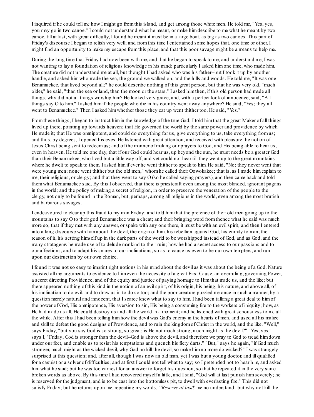I inquired if he could tell me how I might go fromthis island, and get among those white men. He told me, "Yes, yes, you may go in two canoe." I could not understand what he meant, or make himdescribe to me what he meant by two canoe, till at last, with great difficulty, I found he meant it must be in a large boat, as big as two canoes. This part of Friday's discourse I began to relish very well; and fromthis time I entertained some hopes that, one time or other, I might find an opportunity to make my escape fromthis place, and that this poor savage might be a means to help me.

During the long time that Friday had now been with me, and that he began to speak to me, and understand me, I was not wanting to lay a foundation of religious knowledge in his mind; particularly I asked himone time, who made him. The creature did not understand me at all, but thought I had asked who was his father--but I took it up by another handle, and asked himwho made the sea, the ground we walked on, and the hills and woods. He told me, "It was one Benamuckee, that lived beyond all;" he could describe nothing of this great person, but that he was very old, "much older," he said, "than the sea or land, than the moon or the stars." I asked himthen, if this old person had made all things, why did not all things worship him? He looked very grave, and, with a perfect look of innocence, said, "All things say O to him." I asked himif the people who die in his country went away anywhere? He said, "Yes; they all went to Benamuckee." Then I asked himwhether those they eat up went thither too. He said, "Yes."

Fromthese things, I began to instruct himin the knowledge of the true God; I told himthat the great Maker of all things lived up there, pointing up towards heaven; that He governed the world by the same power and providence by which He made it; that He was omnipotent, and could do everything for us, give everything to us, take everything fromus; and thus, by degrees, I opened his eyes. He listened with great attention, and received with pleasure the notion of Jesus Christ being sent to redeemus; and of the manner of making our prayers to God, and His being able to hear us, even in heaven. He told me one day, that if our God could hear us, up beyond the sun, he must needs be a greater God than their Benamuckee, who lived but a little way off, and yet could not hear till they went up to the great mountains where he dwelt to speak to them. I asked him if ever he went thither to speak to him. He said, "No; they never went that were young men; none went thither but the old men," whomhe called their Oowokakee; that is, as I made himexplain to me, their religious, or clergy; and that they went to say O (so he called saying prayers), and then came back and told themwhat Benamuckee said. By this I observed, that there is priestcraft even among the most blinded, ignorant pagans in the world; and the policy of making a secret of religion, in order to preserve the veneration of the people to the clergy, not only to be found in the Roman, but, perhaps, among all religions in the world, even among the most brutish and barbarous savages.

I endeavoured to clear up this fraud to my man Friday; and told himthat the pretence of their old men going up to the mountains to say O to their god Benamuckee was a cheat; and their bringing word fromthence what he said was much more so; that if they met with any answer, or spake with any one there, it must be with an evilspirit; and then I entered into a long discourse with himabout the devil, the origin of him, his rebellion against God, his enmity to man, the reason of it, his setting himself up in the dark parts of the world to be worshipped instead of God, and as God, and the many stratagems he made use of to delude mankind to their ruin; how he had a secret access to our passions and to our affections, and to adapt his snares to our inclinations, so as to cause us even to be our own tempters, and run upon our destruction by our own choice.

I found it was not so easy to imprint right notions in his mind about the devil as it was about the being of a God. Nature assisted all my arguments to evidence to himeven the necessity of a great First Cause, an overruling, governing Power, a secret directing Providence, and of the equity and justice of paying homage to Himthat made us, and the like; but there appeared nothing of this kind in the notion of an evilspirit, of his origin, his being, his nature, and above all, of his inclination to do evil, and to draw us in to do so too; and the poor creature puzzled me once in such a manner, by a question merely natural and innocent, that I scarce knew what to say to him. I had been talking a great deal to himof the power of God, His omnipotence, His aversion to sin, His being a consuming fire to the workers of iniquity; how, as He had made us all, He could destroy us and all the world in a moment; and he listened with great seriousness to me all the while. After this I had been telling himhow the devil was God's enemy in the hearts of men, and used all his malice and skill to defeat the good designs of Providence, and to ruin the kingdomof Christ in the world, and the like. "Well," says Friday, "but you say God is so strong, so great; is He not much strong, much might as the devil?" "Yes, yes," says I, "Friday; God is stronger than the devil--God is above the devil, and therefore we pray to God to tread himdown under our feet, and enable us to resist his temptations and quench his fiery darts." "But," says he again, "if God much stronger, much might as the wicked devil, why God no kill the devil, so make himno more do wicked?" I was strangely surprised at this question; and, after all, though I was now an old man, yet I was but a young doctor, and ill qualified for a casuist or a solver of difficulties; and at first I could not tell what to say; so I pretended not to hear him, and asked him what he said; but he was too earnest for an answer to forget his question, so that he repeated it in the very same broken words as above. By this time I had recovered myself a little, and I said, "God will at last punish himseverely; he is reserved for the judgment, and is to be cast into the bottomless pit, to dwell with everlasting fire." This did not satisfy Friday; but he returns upon me, repeating my words, "'*Reserve at last*!' me no understand--but why not kill the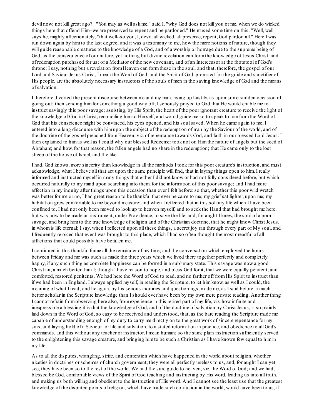devil now; not kill great ago?" "You may as well ask me," said I, "why God does not kill you or me, when we do wicked things here that offend Him--we are preserved to repent and be pardoned." He mused some time on this. "Well, well," says he, mighty affectionately, "that well--so you, I, devil, all wicked, all preserve, repent, God pardon all." Here I was run down again by himto the last degree; and it was a testimony to me, how the mere notions of nature, though they will guide reasonable creatures to the knowledge of a God, and of a worship or homage due to the supreme being of God, as the consequence of our nature, yet nothing but divine revelation can formthe knowledge of Jesus Christ, and of redemption purchased for us; of a Mediator of the new covenant, and of an Intercessor at the footstool of God's throne; I say, nothing but a revelation fromHeaven can formthese in the soul; and that, therefore, the gospel of our Lord and Saviour Jesus Christ, I mean the Word of God, and the Spirit of God, promised for the guide and sanctifier of His people, are the absolutely necessary instructors of the souls of men in the saving knowledge of God and the means of salvation.

I therefore diverted the present discourse between me and my man, rising up hastily, as upon some sudden occasion of going out; then sending himfor something a good way off, I seriously prayed to God that He would enable me to instruct savingly this poor savage; assisting, by His Spirit, the heart of the poor ignorant creature to receive the light of the knowledge of God in Christ, reconciling himto Himself, and would guide me so to speak to himfromthe Word of God that his conscience might be convinced, his eyes opened, and his soul saved. When he came again to me, I entered into a long discourse with himupon the subject of the redemption of man by the Saviour of the world, and of the doctrine of the gospel preached fromHeaven, viz. of repentance towards God, and faith in our blessed Lord Jesus. I then explained to himas well as I could why our blessed Redeemer took not on Himthe nature of angels but the seed of Abraham; and how, for that reason, the fallen angels had no share in the redemption; that He came only to the lost sheep of the house of Israel, and the like.

I had, God knows, more sincerity than knowledge in all the methods I took for this poor creature's instruction, and must acknowledge, what I believe all that act upon the same principle will find, that in laying things open to him, I really informed and instructed myself in many things that either I did not know or had not fully considered before, but which occurred naturally to my mind upon searching into them, for the information of this poor savage; and I had more affection in my inquiry after things upon this occasion than ever I felt before:so that, whether this poor wild wretch was better for me or no, I had great reason to be thankful that ever he came to me; my grief sat lighter, upon me; my habitation grew comfortable to me beyond measure: and when I reflected that in this solitary life which I have been confined to, I had not only been moved to look up to heaven myself, and to seek the Hand that had brought me here, but was now to be made an instrument, under Providence, to save the life, and, for aught I knew, the soul of a poor savage, and bring himto the true knowledge of religion and of the Christian doctrine, that he might know Christ Jesus, in whomis life eternal; I say, when I reflected upon all these things, a secret joy ran through every part of My soul, and I frequently rejoiced that ever I was brought to this place, which I had so often thought the most dreadful of all afflictions that could possibly have befallen me.

I continued in this thankful frame all the remainder of my time; and the conversation which employed the hours between Friday and me was such as made the three years which we lived there together perfectly and completely happy, if any such thing as complete happiness can be formed in a sublunary state. This savage was now a good Christian, a much better than I; though I have reason to hope, and bless God for it, that we were equally penitent, and comforted, restored penitents. We had here the Word of God to read, and no farther off fromHis Spirit to instruct than if we had been in England. I always applied myself, in reading the Scripture, to let himknow, as well as I could, the meaning of what I read; and he again, by his serious inquiries and questionings, made me, as I said before, a much better scholar in the Scripture knowledge than I should ever have been by my own mere private reading. Another thing I cannot refrain fromobserving here also, fromexperience in this retired part of my life, viz. how infinite and inexpressible a blessing it is that the knowledge of God, and of the doctrine of salvation by Christ Jesus, is so plainly laid down in the Word of God, so easy to be received and understood, that, as the bare reading the Scripture made me capable of understanding enough of my duty to carry me directly on to the great work of sincere repentance for my sins, and laying hold of a Saviour for life and salvation, to a stated reformation in practice, and obedience to all God's commands, and this without any teacher or instructor, I mean human; so the same plain instruction sufficiently served to the enlightening this savage creature, and bringing himto be such a Christian as I have known few equal to himin my life.

As to all the disputes, wrangling, strife, and contention which have happened in the world about religion, whether niceties in doctrines or schemes of church government, they were all perfectly useless to us, and, for aught I can yet see, they have been so to the rest of the world. We had the sure guide to heaven, viz. the Word of God; and we had, blessed be God, comfortable views of the Spirit of God teaching and instructing by His word, leading us into all truth, and making us both willing and obedient to the instruction of His word. And I cannot see the least use that the greatest knowledge of the disputed points of religion, which have made such confusion in the world, would have been to us, if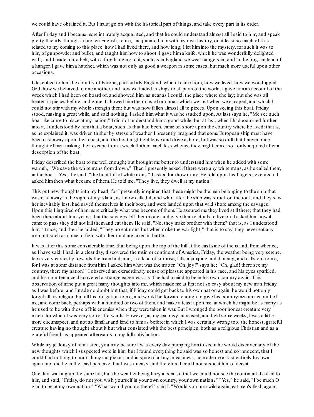we could have obtained it. But I must go on with the historical part of things, and take every part in its order.

After Friday and I became more intimately acquainted, and that he could understand almost all I said to him, and speak pretty fluently, though in broken English, to me, I acquainted himwith my own history, or at least so much of it as related to my coming to this place: how I had lived there, and how long; I let himinto the mystery, for such it was to him, of gunpowder and bullet, and taught himhow to shoot. I gave hima knife, which he was wonderfully delighted with; and I made him a belt, with a frog hanging to it, such as in England we wear hangers in; and in the frog, instead of a hanger, I gave hima hatchet, which was not only as good a weapon in some cases, but much more useful upon other occasions.

I described to himthe country of Europe, particularly England, which I came from; how we lived, how we worshipped God, how we behaved to one another, and how we traded in ships to all parts of the world. I gave himan account of the wreck which I had been on board of, and showed him, as near as I could, the place where she lay; but she was all beaten in pieces before, and gone. I showed himthe ruins of our boat, which we lost when we escaped, and which I could not stir with my whole strength then; but was now fallen almost all to pieces. Upon seeing this boat, Friday stood, musing a great while, and said nothing. I asked himwhat it was he studied upon. At last says he, "Me see such boat like come to place at my nation." I did not understand hima good while; but at last, when I had examined further into it, I understood by himthat a boat, such as that had been, came on shore upon the country where he lived: that is, as he explained it, was driven thither by stress of weather. I presently imagined that some European ship must have been cast away upon their coast, and the boat might get loose and drive ashore; but was so dull that I never once thought of men making their escape froma wreck thither, much less whence they might come:so I only inquired after a description of the boat.

Friday described the boat to me well enough; but brought me better to understand himwhen he added with some warmth, "We save the white mans fromdrown." Then I presently asked if there were any white mans, as he called them, in the boat. "Yes," he said; "the boat full of white mans." I asked himhow many. He told upon his fingers seventeen. I asked himthen what became of them. He told me, "They live, they dwell at my nation."

This put new thoughts into my head; for I presently imagined that these might be the men belonging to the ship that was cast away in the sight of my island, as I now called it; and who, after the ship was struck on the rock, and they saw her inevitably lost, had saved themselves in their boat, and were landed upon that wild shore among the savages. Upon this I inquired of himmore critically what was become of them. He assured me they lived still there; that they had been there about four years; that the savages left themalone, and gave themvictuals to live on. I asked himhow it came to pass they did not kill themand eat them. He said, "No, they make brother with them;" that is, as I understood him, a truce; and then he added, "They no eat mans but when make the war fight;" that is to say, they never eat any men but such as come to fight with themand are taken in battle.

It was after this some considerable time, that being upon the top of the hill at the east side of the island, fromwhence, as I have said, I had, in a clear day, discovered the main or continent of America, Friday, the weather being very serene, looks very earnestly towards the mainland, and, in a kind of surprise, falls a jumping and dancing, and calls out to me, for I was at some distance fromhim. I asked himwhat was the matter. "Oh, joy!" says he; "Oh, glad! there see my country, there my nation!" I observed an extraordinary sense of pleasure appeared in his face, and his eyes sparkled, and his countenance discovered a strange eagerness, as if he had a mind to be in his own country again. This observation of mine put a great many thoughts into me, which made me at first not so easy about my new man Friday as I was before; and I made no doubt but that, if Friday could get back to his own nation again, he would not only forget all his religion but all his obligation to me, and would be forward enough to give his countrymen an account of me, and come back, perhaps with a hundred or two of them, and make a feast upon me, at which he might be as merry as he used to be with those of his enemies when they were taken in war. But I wronged the poor honest creature very much, for which I was very sorry afterwards. However, as my jealousy increased, and held some weeks, I was a little more circumspect, and not so familiar and kind to himas before: in which I was certainly wrong too; the honest, grateful creature having no thought about it but what consisted with the best principles, both as a religious Christian and as a grateful friend, as appeared afterwards to my fullsatisfaction.

While my jealousy of himlasted, you may be sure I was every day pumping himto see if he would discover any of the new thoughts which I suspected were in him; but I found everything he said was so honest and so innocent, that I could find nothing to nourish my suspicion; and in spite of all my uneasiness, he made me at last entirely his own again; nor did he in the least perceive that I was uneasy, and therefore I could not suspect himof deceit.

One day, walking up the same hill, but the weather being hazy at sea, so that we could not see the continent, I called to him, and said, "Friday, do not you wish yourself in your own country, your own nation?" "Yes," he said, "I be much O glad to be at my own nation." "What would you do there?" said I. "Would you turn wild again, eat men's flesh again,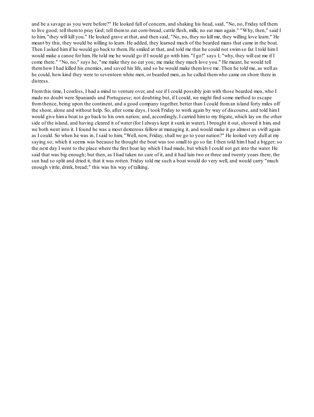and be a savage as you were before?" He looked full of concern, and shaking his head, said, "No, no, Friday tell them to live good; tell themto pray God; tell themto eat corn-bread, cattle flesh, milk; no eat man again." "Why, then," said I to him, "they will kill you." He looked grave at that, and then said, "No, no, they no kill me, they willing love learn." He meant by this, they would be willing to learn. He added, they learned much of the bearded mans that came in the boat. Then I asked himif he would go back to them. He smiled at that, and told me that he could not swimso far. I told himI would make a canoe for him. He told me he would go if I would go with him. "I go!" says I; "why, they will eat me if I come there." "No, no," says he, "me make they no eat you; me make they much love you." He meant, he would tell themhow I had killed his enemies, and saved his life, and so he would make themlove me. Then he told me, as well as he could, how kind they were to seventeen white men, or bearded men, as he called themwho came on shore there in distress.

Fromthis time, I confess, I had a mind to venture over, and see if I could possibly join with those bearded men, who I made no doubt were Spaniards and Portuguese; not doubting but, if I could, we might find some method to escape fromthence, being upon the continent, and a good company together, better than I could froman island forty miles off the shore, alone and without help. So, after some days, I took Friday to work again by way of discourse, and told himI would give hima boat to go back to his own nation; and, accordingly, I carried himto my frigate, which lay on the other side of the island, and having cleared it of water (for I always kept it sunk in water), I brought it out, showed it him, and we both went into it. I found he was a most dexterous fellow at managing it, and would make it go almost as swift again as I could. So when he was in, I said to him, "Well, now, Friday, shall we go to your nation?" He looked very dull at my saying so; which it seems was because he thought the boat was too small to go so far. I then told himI had a bigger; so the next day I went to the place where the first boat lay which I had made, but which I could not get into the water. He said that was big enough; but then, as I had taken no care of it, and it had lain two or three and twenty years there, the sun had so split and dried it, that it was rotten. Friday told me such a boat would do very well, and would carry "much enough vittle, drink, bread;" this was his way of talking.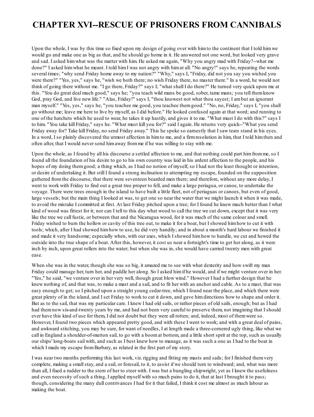## **CHAPTER XVI--RESCUE OF PRISONERS FROM CANNIBALS**

Upon the whole, I was by this time so fixed upon my design of going over with himto the continent that I told himwe would go and make one as big as that, and he should go home in it. He answered not one word, but looked very grave and sad. I asked himwhat was the matter with him. He asked me again, "Why you angry mad with Friday?--what me done?" I asked himwhat he meant. I told himI was not angry with himat all. "No angry!" says he, repeating the words several times; "why send Friday home away to my nation?" "Why," says I, "Friday, did not you say you wished you were there?" "Yes, yes," says he, "wish we both there; no wish Friday there, no master there." In a word, he would not think of going there without me. "I go there, Friday?" says I; "what shall I do there?" He turned very quick upon me at this. "You do great deal much good," says he; "you teach wild mans be good, sober, tame mans; you tell themknow God, pray God, and live new life." "Alas, Friday!" says I, "thou knowest not what thou sayest; I ambut an ignorant man myself." "Yes, yes," says he, "you teachee me good, you teachee themgood." "No, no, Friday," says I, "you shall go without me; leave me here to live by myself, as I did before." He looked confused again at that word; and running to one of the hatchets which he used to wear, he takes it up hastily, and gives it to me. "What must I do with this?" says I to him. "You take kill Friday," says he. "What must kill you for?" said I again. He returns very quick--"What you send Friday away for? Take kill Friday, no send Friday away." This he spoke so earnestly that I saw tears stand in his eyes. In a word, I so plainly discovered the utmost affection in himto me, and a firmresolution in him, that I told himthen and often after, that I would never send himaway fromme if he was willing to stay with me.

Upon the whole, as I found by all his discourse a settled affection to me, and that nothing could part him from me, so I found all the foundation of his desire to go to his own country was laid in his ardent affection to the people, and his hopes of my doing themgood; a thing which, as I had no notion of myself, so I had not the least thought or intention, or desire of undertaking it. But still I found a strong inclination to attempting my escape, founded on the supposition gathered fromthe discourse, that there were seventeen bearded men there; and therefore, without any more delay, I went to work with Friday to find out a great tree proper to fell, and make a large periagua, or canoe, to undertake the voyage. There were trees enough in the island to have built a little fleet, not of periaguas or canoes, but even of good, large vessels; but the main thing I looked at was, to get one so near the water that we might launch it when it was made, to avoid the mistake I committed at first. At last Friday pitched upon a tree; for I found he knew much better than I what kind of wood was fittest for it; nor can I tell to this day what wood to call the tree we cut down, except that it was very like the tree we call fustic, or between that and the Nicaragua wood, for it was much of the same colour and smell. Friday wished to burn the hollow or cavity of this tree out, to make it for a boat, but I showed himhow to cut it with tools; which, after I had showed himhow to use, he did very handily; and in about a month's hard labour we finished it and made it very handsome; especially when, with our axes, which I showed himhow to handle, we cut and hewed the outside into the true shape of a boat. After this, however, it cost us near a fortnight's time to get her along, as it were inch by inch, upon great rollers into the water; but when she was in, she would have carried twenty men with great ease.

When she was in the water, though she was so big, it amazed me to see with what dexterity and how swift my man Friday could manage her, turn her, and paddle her along. So I asked himif he would, and if we might venture over in her. "Yes," he said, "we venture over in her very well, though great blow wind." However I had a further design that he knew nothing of, and that was, to make a mast and a sail, and to fit her with an anchor and cable. As to a mast, that was easy enough to get; so I pitched upon a straight young cedar-tree, which I found near the place, and which there were great plenty of in the island, and I set Friday to work to cut it down, and gave himdirections how to shape and order it. But as to the sail, that was my particular care. I knew I had old sails, or rather pieces of old sails, enough; but as I had had themnow six-and-twenty years by me, and had not been very careful to preserve them, not imagining that I should ever have this kind of use for them, I did not doubt but they were all rotten; and, indeed, most of themwere so. However, I found two pieces which appeared pretty good, and with these I went to work; and with a great deal of pains, and awkward stitching, you may be sure, for want of needles, I at length made a three-cornered ugly thing, like what we call in England a shoulder-of-mutton sail, to go with a boomat bottom, and a little short sprit at the top, such as usually our ships' long-boats sail with, and such as I best knew how to manage, as it was such a one as I had to the boat in which I made my escape from Barbary, as related in the first part of my story.

I was near two months performing this last work, viz. rigging and fitting my masts and sails; for I finished themvery complete, making a smallstay, and a sail, or foresail, to it, to assist if we should turn to windward; and, what was more than all, I fixed a rudder to the stern of her to steer with. I was but a bungling shipwright, yet as I knew the usefulness and even necessity of such a thing, I applied myself with so much pains to do it, that at last I brought it to pass; though, considering the many dull contrivances I had for it that failed, I think it cost me almost as much labour as making the boat.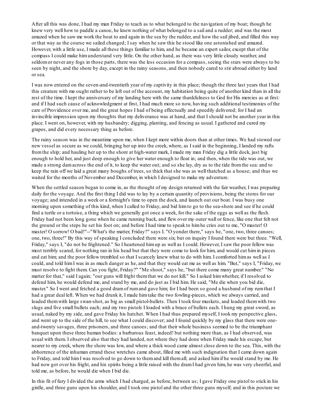After all this was done, I had my man Friday to teach as to what belonged to the navigation of my boat; though he knew very well how to paddle a canoe, he knew nothing of what belonged to a sail and a rudder; and was the most amazed when he saw me work the boat to and again in the sea by the rudder, and how the sail jibed, and filled this way or that way as the course we sailed changed; I say when he saw this he stood like one astonished and amazed. However, with a little use, I made all these things familiar to him, and he became an expert sailor, except that of the compass I could make himunderstand very little. On the other hand, as there was very little cloudy weather, and seldomor never any fogs in those parts, there was the less occasion for a compass, seeing the stars were always to be seen by night, and the shore by day, except in the rainy seasons, and then nobody cared to stir abroad either by land or sea.

I was now entered on the seven-and-twentieth year of my captivity in this place; though the three last years that I had this creature with me ought rather to be left out of the account, my habitation being quite of another kind than in all the rest of the time. I kept the anniversary of my landing here with the same thankfulness to God for His mercies as at first: and if I had such cause of acknowledgment at first, I had much more so now, having such additional testimonies of the care of Providence over me, and the great hopes I had of being effectually and speedily delivered; for I had an invincible impression upon my thoughts that my deliverance was at hand, and that I should not be another year in this place. I went on, however, with my husbandry; digging, planting, and fencing as usual. I gathered and cured my grapes, and did every necessary thing as before.

The rainy season was in the meantime upon me, when I kept more within doors than at other times. We had stowed our new vessel as secure as we could, bringing her up into the creek, where, as I said in the beginning, I landed my rafts fromthe ship; and hauling her up to the shore at high-water mark, I made my man Friday dig a little dock, just big enough to hold her, and just deep enough to give her water enough to float in; and then, when the tide was out, we made a strong damacross the end of it, to keep the water out; and so she lay, dry as to the tide fromthe sea: and to keep the rain off we laid a great many boughs of trees, so thick that she was as well thatched as a house; and thus we waited for the months of November and December, in which I designed to make my adventure.

When the settled season began to come in, as the thought of my design returned with the fair weather, I was preparing daily for the voyage. And the first thing I did was to lay by a certain quantity of provisions, being the stores for our voyage; and intended in a week or a fortnight's time to open the dock, and launch out our boat. I was busy one morning upon something of this kind, when I called to Friday, and bid himto go to the sea-shore and see if he could find a turtle or a tortoise, a thing which we generally got once a week, for the sake of the eggs as well as the flesh. Friday had not been long gone when he came running back, and flew over my outer wall or fence, like one that felt not the ground or the steps he set his foot on; and before I had time to speak to himhe cries out to me, "O master! O master! O sorrow! O bad!"--"What's the matter, Friday?" says I. "O yonder there," says he, "one, two, three canoes; one, two, three!" By this way of speaking I concluded there were six; but on inquiry I found there were but three. "Well, Friday," says I, "do not be frightened." So I heartened himup as well as I could. However, I saw the poor fellow was most terribly scared, for nothing ran in his head but that they were come to look for him, and would cut himin pieces and eat him; and the poor fellow trembled so that I scarcely knew what to do with him. I comforted himas well as I could, and told himI was in as much danger as he, and that they would eat me as well as him. "But," says I, "Friday, we must resolve to fight them. Can you fight, Friday?" "Me shoot," says he, "but there come many great number." "No matter for that," said I again; "our guns will fright themthat we do not kill." So I asked himwhether, if I resolved to defend him, he would defend me, and stand by me, and do just as I bid him. He said, "Me die when you bid die, master." So I went and fetched a good dramof rumand gave him; for I had been so good a husband of my rumthat I had a great deal left. When we had drunk it, I made him take the two fowling-pieces, which we always carried, and loaded themwith large swan-shot, as big as small pistol-bullets. Then I took four muskets, and loaded themwith two slugs and five small bullets each; and my two pistols I loaded with a brace of bullets each. I hung my great sword, as usual, naked by my side, and gave Friday his hatchet. When I had thus prepared myself, I took my perspective glass, and went up to the side of the hill, to see what I could discover; and I found quickly by my glass that there were oneand-twenty savages, three prisoners, and three canoes; and that their whole business seemed to be the triumphant banquet upon these three human bodies: a barbarous feast, indeed! but nothing more than, as I had observed, was usual with them. I observed also that they had landed, not where they had done when Friday made his escape, but nearer to my creek, where the shore was low, and where a thick wood came almost close down to the sea. This, with the abhorrence of the inhuman errand these wretches came about, filled me with such indignation that I came down again to Friday, and told himI was resolved to go down to themand kill themall; and asked himif he would stand by me. He had now got over his fright, and his spirits being a little raised with the dram I had given him, he was very cheerful, and told me, as before, he would die when I bid die.

In this fit of fury I divided the arms which I had charged, as before, between us; I gave Friday one pistol to stick in his girdle, and three guns upon his shoulder, and I took one pistol and the other three guns myself; and in this posture we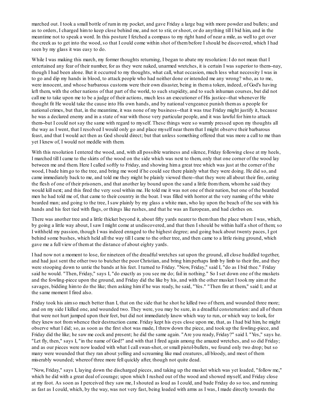marched out. I took a small bottle of rumin my pocket, and gave Friday a large bag with more powder and bullets; and as to orders, I charged himto keep close behind me, and not to stir, or shoot, or do anything till I bid him, and in the meantime not to speak a word. In this posture I fetched a compass to my right hand of near a mile, as well to get over the creek as to get into the wood, so that I could come within shot of thembefore I should be discovered, which I had seen by my glass it was easy to do.

While I was making this march, my former thoughts returning, I began to abate my resolution: I do not mean that I entertained any fear of their number, for as they were naked, unarmed wretches, it is certain I was superior to them--nay, though I had been alone. But it occurred to my thoughts, what call, what occasion, much less what necessity I was in to go and dip my hands in blood, to attack people who had neither done or intended me any wrong? who, as to me, were innocent, and whose barbarous customs were their own disaster, being in thema token, indeed, of God's having left them, with the other nations of that part of the world, to such stupidity, and to such inhuman courses, but did not call me to take upon me to be a judge of their actions, much less an executioner of His justice--that whenever He thought fit He would take the cause into His own hands, and by national vengeance punish themas a people for national crimes, but that, in the meantime, it was none of my business--that it was true Friday might justify it, because he was a declared enemy and in a state of war with those very particular people, and it was lawful for himto attack them--but I could not say the same with regard to myself. These things were so warmly pressed upon my thoughts all the way as I went, that I resolved I would only go and place myself near themthat I might observe their barbarous feast, and that I would act then as God should direct; but that unless something offered that was more a call to me than yet I knew of, I would not meddle with them.

With this resolution I entered the wood, and, with all possible wariness and silence, Friday following close at my heels, I marched till I came to the skirts of the wood on the side which was next to them, only that one corner of the wood lay between me and them. Here I called softly to Friday, and showing hima great tree which was just at the corner of the wood, I bade himgo to the tree, and bring me word if he could see there plainly what they were doing. He did so, and came immediately back to me, and told me they might be plainly viewed there--that they were all about their fire, eating the flesh of one of their prisoners, and that another lay bound upon the sand a little fromthem, whomhe said they would kill next; and this fired the very soul within me. He told me it was not one of their nation, but one of the bearded men he had told me of, that came to their country in the boat. I was filled with horror at the very naming of the white bearded man; and going to the tree, I saw plainly by my glass a white man, who lay upon the beach of the sea with his hands and his feet tied with flags, or things like rushes, and that he was an European, and had clothes on.

There was another tree and a little thicket beyond it, about fifty yards nearer to themthan the place where I was, which, by going a little way about, I saw I might come at undiscovered, and that then I should be within half a shot of them; so I withheld my passion, though I was indeed enraged to the highest degree; and going back about twenty paces, I got behind some bushes, which held all the way till I came to the other tree, and then came to a little rising ground, which gave me a full view of themat the distance of about eighty yards.

I had now not a moment to lose, for nineteen of the dreadful wretches sat upon the ground, all close huddled together, and had just sent the other two to butcher the poor Christian, and bring himperhaps limb by limb to their fire, and they were stooping down to untie the bands at his feet. I turned to Friday. "Now, Friday," said I, "do as I bid thee." Friday said he would. "Then, Friday," says I, "do exactly as you see me do; fail in nothing." So I set down one of the muskets and the fowling-piece upon the ground, and Friday did the like by his, and with the other musket I took my aimat the savages, bidding himto do the like; then asking himif he was ready, he said, "Yes." "Then fire at them," said I; and at the same moment I fired also.

Friday took his aimso much better than I, that on the side that he shot he killed two of them, and wounded three more; and on my side I killed one, and wounded two. They were, you may be sure, in a dreadful consternation: and all of them that were not hurt jumped upon their feet, but did not immediately know which way to run, or which way to look, for they knew not fromwhence their destruction came. Friday kept his eyes close upon me, that, as I had bid him, he might observe what I did; so, as soon as the first shot was made, I threw down the piece, and took up the fowling-piece, and Friday did the like; he saw me cock and present; he did the same again. "Are you ready, Friday?" said I. "Yes," says he. "Let fly, then," says I, "in the name of God!" and with that I fired again among the amazed wretches, and so did Friday; and as our pieces were now loaded with what I callswan-shot, or small pistol-bullets, we found only two drop; but so many were wounded that they ran about yelling and screaming like mad creatures, all bloody, and most of them miserably wounded; whereof three more fell quickly after, though not quite dead.

"Now, Friday," says I, laying down the discharged pieces, and taking up the musket which was yet loaded, "follow me," which he did with a great deal of courage; upon which I rushed out of the wood and showed myself, and Friday close at my foot. As soon as I perceived they saw me, I shouted as loud as I could, and bade Friday do so too, and running as fast as I could, which, by the way, was not very fast, being loaded with arms as I was, I made directly towards the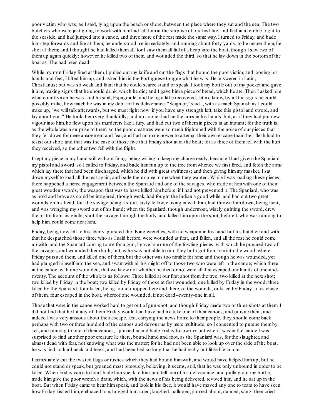poor victim, who was, as I said, lying upon the beach or shore, between the place where they sat and the sea. The two butchers who were just going to work with himhad left himat the surprise of our first fire, and fled in a terrible fright to the seaside, and had jumped into a canoe, and three more of the rest made the same way. I turned to Friday, and bade himstep forwards and fire at them; he understood me immediately, and running about forty yards, to be nearer them, he shot at them; and I thought he had killed themall, for I saw themall fall of a heap into the boat, though I saw two of themup again quickly; however, he killed two of them, and wounded the third, so that he lay down in the bottomof the boat as if he had been dead.

While my man Friday fired at them, I pulled out my knife and cut the flags that bound the poor victim; and loosing his hands and feet, I lifted himup, and asked himin the Portuguese tongue what he was. He answered in Latin, Christianus; but was so weak and faint that he could scarce stand or speak. I took my bottle out of my pocket and gave it him, making signs that he should drink, which he did; and I gave hima piece of bread, which he ate. Then I asked him what countryman he was: and he said, Espagniole; and being a little recovered, let me know, by all the signs he could possibly make, how much he was in my debt for his deliverance. "Seignior," said I, with as much Spanish as I could make up, "we will talk afterwards, but we must fight now: if you have any strength left, take this pistol and sword, and lay about you." He took themvery thankfully; and no sooner had he the arms in his hands, but, as if they had put new vigour into him, he flew upon his murderers like a fury, and had cut two of themin pieces in an instant; for the truth is, as the whole was a surprise to them, so the poor creatures were so much frightened with the noise of our pieces that they fell down for mere amazement and fear, and had no more power to attempt their own escape than their flesh had to resist our shot; and that was the case of those five that Friday shot at in the boat; for as three of themfell with the hurt they received, so the other two fell with the fright.

I kept my piece in my hand still without firing, being willing to keep my charge ready, because I had given the Spaniard my pistol and sword:so I called to Friday, and bade himrun up to the tree fromwhence we first fired, and fetch the arms which lay there that had been discharged, which he did with great swiftness; and then giving himmy musket, I sat down myself to load all the rest again, and bade themcome to me when they wanted. While I was loading these pieces, there happened a fierce engagement between the Spaniard and one of the savages, who made at himwith one of their great wooden swords, the weapon that was to have killed himbefore, if I had not prevented it. The Spaniard, who was as bold and brave as could be imagined, though weak, had fought the Indian a good while, and had cut two great wounds on his head; but the savage being a stout, lusty fellow, closing in with him, had thrown himdown, being faint, and was wringing my sword out of his hand; when the Spaniard, though undermost, wisely quitting the sword, drew the pistol fromhis girdle, shot the savage through the body, and killed himupon the spot, before I, who was running to help him, could come near him.

Friday, being now left to his liberty, pursued the flying wretches, with no weapon in his hand but his hatchet: and with that he despatched those three who as I said before, were wounded at first, and fallen, and all the rest he could come up with: and the Spaniard coming to me for a gun, I gave himone of the fowling-pieces, with which he pursued two of the savages, and wounded themboth; but as he was not able to run, they both got fromhiminto the wood, where Friday pursued them, and killed one of them, but the other was too nimble for him; and though he was wounded, yet had plunged himself into the sea, and swamwith all his might off to those two who were left in the canoe; which three in the canoe, with one wounded, that we knew not whether he died or no, were all that escaped our hands of one-andtwenty. The account of the whole is as follows: Three killed at our first shot fromthe tree; two killed at the next shot; two killed by Friday in the boat; two killed by Friday of those at first wounded; one killed by Friday in the wood; three killed by the Spaniard; four killed, being found dropped here and there, of the wounds, or killed by Friday in his chase of them; four escaped in the boat, whereof one wounded, if not dead--twenty-one in all.

Those that were in the canoe worked hard to get out of gun-shot, and though Friday made two or three shots at them, I did not find that he hit any of them. Friday would fain have had me take one of their canoes, and pursue them; and indeed I was very anxious about their escape, lest, carrying the news home to their people, they should come back perhaps with two or three hundred of the canoes and devour us by mere multitude; so I consented to pursue themby sea, and running to one of their canoes, I jumped in and bade Friday follow me: but when I was in the canoe I was surprised to find another poor creature lie there, bound hand and foot, as the Spaniard was, for the slaughter, and almost dead with fear, not knowing what was the matter; for he had not been able to look up over the side of the boat, he was tied so hard neck and heels, and had been tied so long that he had really but little life in him.

I immediately cut the twisted flags or rushes which they had bound himwith, and would have helped himup; but he could not stand or speak, but groaned most piteously, believing, it seems, still, that he was only unbound in order to be killed. When Friday came to him I bade him speak to him, and tell him of his deliverance; and pulling out my bottle, made himgive the poor wretch a dram, which, with the news of his being delivered, revived him, and he sat up in the boat. But when Friday came to hear himspeak, and look in his face, it would have moved any one to tears to have seen how Friday kissed him, embraced him, hugged him, cried, laughed, hallooed, jumped about, danced, sang; then cried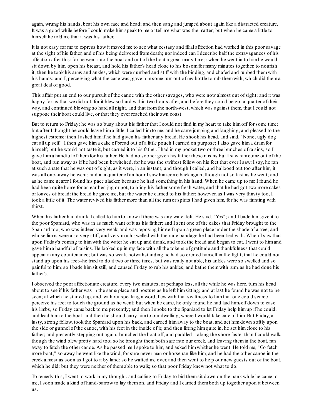again, wrung his hands, beat his own face and head; and then sang and jumped about again like a distracted creature. It was a good while before I could make himspeak to me or tell me what was the matter; but when he came a little to himself he told me that it was his father.

It is not easy for me to express how it moved me to see what ecstasy and filial affection had worked in this poor savage at the sight of his father, and of his being delivered fromdeath; nor indeed can I describe half the extravagances of his affection after this: for he went into the boat and out of the boat a great many times: when he went in to himhe would sit down by him, open his breast, and hold his father's head close to his bosomfor many minutes together, to nourish it; then he took his arms and ankles, which were numbed and stiff with the binding, and chafed and rubbed themwith his hands; and I, perceiving what the case was, gave him some rum out of my bottle to rub them with, which did thema great deal of good.

This affair put an end to our pursuit of the canoe with the other savages, who were now almost out of sight; and it was happy for us that we did not, for it blew so hard within two hours after, and before they could be got a quarter of their way, and continued blowing so hard all night, and that fromthe north-west, which was against them, that I could not suppose their boat could live, or that they ever reached their own coast.

But to return to Friday; he was so busy about his father that I could not find in my heart to take himoff for some time; but after I thought he could leave hima little, I called himto me, and he came jumping and laughing, and pleased to the highest extreme: then I asked himif he had given his father any bread. He shook his head, and said, "None; ugly dog eat all up self." I then gave hima cake of bread out of a little pouch I carried on purpose; I also gave hima dramfor himself; but he would not taste it, but carried it to his father. I had in my pocket two or three bunches of raisins, so I gave hima handful of themfor his father. He had no sooner given his father these raisins but I saw himcome out of the boat, and run away as if he had been bewitched, for he was the swiftest fellow on his feet that ever I saw: I say, he ran at such a rate that he was out of sight, as it were, in an instant; and though I called, and hallooed out too after him, it was all one--away he went; and in a quarter of an hour I saw himcome back again, though not so fast as he went; and as he came nearer I found his pace slacker, because he had something in his hand. When he came up to me I found he had been quite home for an earthen jug or pot, to bring his father some fresh water, and that he had got two more cakes or loaves of bread: the bread he gave me, but the water he carried to his father; however, as I was very thirsty too, I took a little of it. The water revived his father more than all the rumor spirits I had given him, for he was fainting with thirst.

When his father had drunk, I called to himto know if there was any water left. He said, "Yes"; and I bade himgive it to the poor Spaniard, who was in as much want of it as his father; and I sent one of the cakes that Friday brought to the Spaniard too, who was indeed very weak, and was reposing himself upon a green place under the shade of a tree; and whose limbs were also very stiff, and very much swelled with the rude bandage he had been tied with. When I saw that upon Friday's coming to himwith the water he sat up and drank, and took the bread and began to eat, I went to himand gave hima handful of raisins. He looked up in my face with all the tokens of gratitude and thankfulness that could appear in any countenance; but was so weak, notwithstanding he had so exerted himself in the fight, that he could not stand up upon his feet--he tried to do it two or three times, but was really not able, his ankles were so swelled and so painful to him; so I bade himsit still, and caused Friday to rub his ankles, and bathe themwith rum, as he had done his father's.

I observed the poor affectionate creature, every two minutes, or perhaps less, all the while he was here, turn his head about to see if his father was in the same place and posture as he left himsitting; and at last he found he was not to be seen; at which he started up, and, without speaking a word, flew with that swiftness to himthat one could scarce perceive his feet to touch the ground as he went; but when he came, he only found he had laid himself down to ease his limbs, so Friday came back to me presently; and then I spoke to the Spaniard to let Friday help himup if he could, and lead himto the boat, and then he should carry himto our dwelling, where I would take care of him. But Friday, a lusty, strong fellow, took the Spaniard upon his back, and carried himaway to the boat, and set himdown softly upon the side or gunnel of the canoe, with his feet in the inside of it; and then lifting himquite in, he set himclose to his father; and presently stepping out again, launched the boat off, and paddled it along the shore faster than I could walk, though the wind blew pretty hard too; so he brought themboth safe into our creek, and leaving themin the boat, ran away to fetch the other canoe. As he passed me I spoke to him, and asked himwhither he went. He told me, "Go fetch more boat;" so away he went like the wind, for sure never man or horse ran like him; and he had the other canoe in the creek almost as soon as I got to it by land; so he wafted me over, and then went to help our new guests out of the boat, which he did; but they were neither of themable to walk; so that poor Friday knew not what to do.

To remedy this, I went to work in my thought, and calling to Friday to bid themsit down on the bank while he came to me, I soon made a kind of hand-barrow to lay themon, and Friday and I carried themboth up together upon it between us.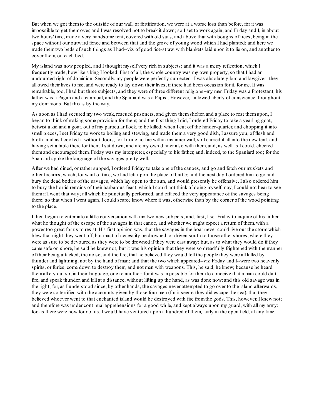But when we got themto the outside of our wall, or fortification, we were at a worse loss than before, for it was impossible to get themover, and I was resolved not to break it down; so I set to work again, and Friday and I, in about two hours' time, made a very handsome tent, covered with old sails, and above that with boughs of trees, being in the space without our outward fence and between that and the grove of young wood which I had planted; and here we made themtwo beds of such things as I had--viz. of good rice-straw, with blankets laid upon it to lie on, and another to cover them, on each bed.

My island was now peopled, and I thought myself very rich in subjects; and it was a merry reflection, which I frequently made, how like a king I looked. First of all, the whole country was my own property, so that I had an undoubted right of dominion. Secondly, my people were perfectly subjected--I was absolutely lord and lawgiver--they all owed their lives to me, and were ready to lay down their lives, if there had been occasion for it, for me. It was remarkable, too, I had but three subjects, and they were of three different religions--my man Friday was a Protestant, his father was a Pagan and a cannibal, and the Spaniard was a Papist. However, I allowed liberty of conscience throughout my dominions. But this is by the way.

As soon as I had secured my two weak, rescued prisoners, and given themshelter, and a place to rest themupon, I began to think of making some provision for them; and the first thing I did, I ordered Friday to take a yearling goat, betwixt a kid and a goat, out of my particular flock, to be killed; when I cut off the hinder-quarter, and chopping it into small pieces, I set Friday to work to boiling and stewing, and made thema very good dish, I assure you, of flesh and broth; and as I cooked it without doors, for I made no fire within my inner wall, so I carried it all into the new tent, and having set a table there for them, I sat down, and ate my own dinner also with them, and, as well as I could, cheered themand encouraged them. Friday was my interpreter, especially to his father, and, indeed, to the Spaniard too; for the Spaniard spoke the language of the savages pretty well.

After we had dined, or rather supped, I ordered Friday to take one of the canoes, and go and fetch our muskets and other firearms, which, for want of time, we had left upon the place of battle; and the next day I ordered himto go and bury the dead bodies of the savages, which lay open to the sun, and would presently be offensive. I also ordered him to bury the horrid remains of their barbarous feast, which I could not think of doing myself; nay, I could not bear to see themif I went that way; all which he punctually performed, and effaced the very appearance of the savages being there; so that when I went again, I could scarce know where it was, otherwise than by the corner of the wood pointing to the place.

I then began to enter into a little conversation with my two new subjects; and, first, I set Friday to inquire of his father what he thought of the escape of the savages in that canoe, and whether we might expect a return of them, with a power too great for us to resist. His first opinion was, that the savages in the boat never could live out the stormwhich blew that night they went off, but must of necessity be drowned, or driven south to those other shores, where they were as sure to be devoured as they were to be drowned if they were cast away; but, as to what they would do if they came safe on shore, he said he knew not; but it was his opinion that they were so dreadfully frightened with the manner of their being attacked, the noise, and the fire, that he believed they would tell the people they were all killed by thunder and lightning, not by the hand of man; and that the two which appeared--viz. Friday and I--were two heavenly spirits, or furies, come down to destroy them, and not men with weapons. This, he said, he knew; because he heard themall cry out so, in their language, one to another; for it was impossible for themto conceive that a man could dart fire, and speak thunder, and kill at a distance, without lifting up the hand, as was done now: and this old savage was in the right; for, as I understood since, by other hands, the savages never attempted to go over to the island afterwards, they were so terrified with the accounts given by those four men (for it seems they did escape the sea), that they believed whoever went to that enchanted island would be destroyed with fire fromthe gods. This, however, I knew not; and therefore was under continual apprehensions for a good while, and kept always upon my guard, with all my army: for, as there were now four of us, I would have ventured upon a hundred of them, fairly in the open field, at any time.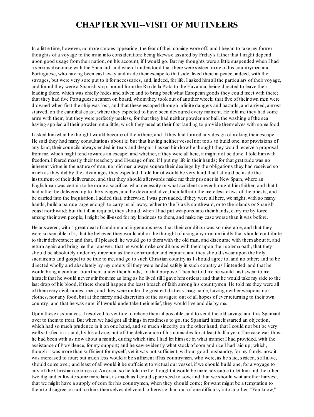#### **CHAPTER XVII--VISIT OF MUTINEERS**

In a little time, however, no more canoes appearing, the fear of their coming wore off; and I began to take my former thoughts of a voyage to the main into consideration; being likewise assured by Friday's father that I might depend upon good usage fromtheir nation, on his account, if I would go. But my thoughts were a little suspended when I had a serious discourse with the Spaniard, and when I understood that there were sixteen more of his countrymen and Portuguese, who having been cast away and made their escape to that side, lived there at peace, indeed, with the savages, but were very sore put to it for necessaries, and, indeed, for life. I asked himall the particulars of their voyage, and found they were a Spanish ship, bound fromthe Rio de la Plata to the Havanna, being directed to leave their loading there, which was chiefly hides and silver, and to bring back what European goods they could meet with there; that they had five Portuguese seamen on board, whomthey took out of another wreck; that five of their own men were drowned when first the ship was lost, and that these escaped through infinite dangers and hazards, and arrived, almost starved, on the cannibal coast, where they expected to have been devoured every moment. He told me they had some arms with them, but they were perfectly useless, for that they had neither powder nor ball, the washing of the sea having spoiled all their powder but a little, which they used at their first landing to provide themselves with some food.

I asked himwhat he thought would become of themthere, and if they had formed any design of making their escape. He said they had many consultations about it; but that having neither vessel nor tools to build one, nor provisions of any kind, their councils always ended in tears and despair. I asked himhow he thought they would receive a proposal fromme, which might tend towards an escape; and whether, if they were all here, it might not be done. I told himwith freedom, I feared mostly their treachery and ill-usage of me, if I put my life in their hands; for that gratitude was no inherent virtue in the nature of man, nor did men always square their dealings by the obligations they had received so much as they did by the advantages they expected. I told himit would be very hard that I should be made the instrument of their deliverance, and that they should afterwards make me their prisoner in New Spain, where an Englishman was certain to be made a sacrifice, what necessity or what accident soever brought himthither; and that I had rather be delivered up to the savages, and be devoured alive, than fall into the merciless claws of the priests, and be carried into the Inquisition. I added that, otherwise, I was persuaded, if they were all here, we might, with so many hands, build a barque large enough to carry us all away, either to the Brazils southward, or to the islands or Spanish coast northward; but that if, in requital, they should, when I had put weapons into their hands, carry me by force among their own people, I might be ill-used for my kindness to them, and make my case worse than it was before.

He answered, with a great deal of candour and ingenuousness, that their condition was so miserable, and that they were so sensible of it, that he believed they would abhor the thought of using any man unkindly that should contribute to their deliverance; and that, if I pleased, he would go to themwith the old man, and discourse with themabout it, and return again and bring me their answer; that he would make conditions with themupon their solemn oath, that they should be absolutely under my direction as their commander and captain; and they should swear upon the holy sacraments and gospel to be true to me, and go to such Christian country as I should agree to, and no other; and to be directed wholly and absolutely by my orders till they were landed safely in such country as I intended, and that he would bring a contract fromthem, under their hands, for that purpose. Then he told me he would first swear to me himself that he would never stir fromme as long as he lived till I gave himorders; and that he would take my side to the last drop of his blood, if there should happen the least breach of faith among his countrymen. He told me they were all of themvery civil, honest men, and they were under the greatest distress imaginable, having neither weapons nor clothes, nor any food, but at the mercy and discretion of the savages; out of all hopes of ever returning to their own country; and that he was sure, if I would undertake their relief, they would live and die by me.

Upon these assurances, I resolved to venture to relieve them, if possible, and to send the old savage and this Spaniard over to themto treat. But when we had got all things in readiness to go, the Spaniard himself started an objection, which had so much prudence in it on one hand, and so much sincerity on the other hand, that I could not but be very wellsatisfied in it; and, by his advice, put off the deliverance of his comrades for at least half a year. The case was thus: he had been with us now about a month, during which time I had let himsee in what manner I had provided, with the assistance of Providence, for my support; and he saw evidently what stock of corn and rice I had laid up; which, though it was more than sufficient for myself, yet it was not sufficient, without good husbandry, for my family, now it was increased to four; but much less would it be sufficient if his countrymen, who were, as he said, sixteen, still alive, should come over; and least of all would it be sufficient to victual our vessel, if we should build one, for a voyage to any of the Christian colonies of America; so he told me he thought it would be more advisable to let himand the other two dig and cultivate some more land, as much as I could spare seed to sow, and that we should wait another harvest, that we might have a supply of corn for his countrymen, when they should come; for want might be a temptation to themto disagree, or not to think themselves delivered, otherwise than out of one difficulty into another. "You know,"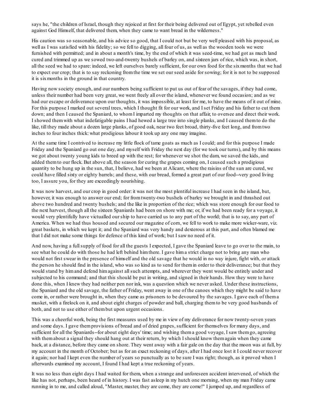says he, "the children of Israel, though they rejoiced at first for their being delivered out of Egypt, yet rebelled even against God Himself, that delivered them, when they came to want bread in the wilderness."

His caution was so seasonable, and his advice so good, that I could not but be very well pleased with his proposal, as well as I was satisfied with his fidelity; so we fell to digging, all four of us, as well as the wooden tools we were furnished with permitted; and in about a month's time, by the end of which it was seed-time, we had got as much land cured and trimmed up as we sowed two-and-twenty bushels of barley on, and sixteen jars of rice, which was, in short, all the seed we had to spare: indeed, we left ourselves barely sufficient, for our own food for the sixmonths that we had to expect our crop; that is to say reckoning fromthe time we set our seed aside for sowing; for it is not to be supposed it is sixmonths in the ground in that country.

Having now society enough, and our numbers being sufficient to put us out of fear of the savages, if they had come, unless their number had been very great, we went freely all over the island, whenever we found occasion; and as we had our escape or deliverance upon our thoughts, it was impossible, at least for me, to have the means of it out of mine. For this purpose I marked out several trees, which I thought fit for our work, and I set Friday and his father to cut them down; and then I caused the Spaniard, to whomI imparted my thoughts on that affair, to oversee and direct their work. I showed themwith what indefatigable pains I had hewed a large tree into single planks, and I caused themto do the like, till they made about a dozen large planks, of good oak, near two feet broad, thirty-five feet long, and fromtwo inches to four inches thick: what prodigious labour it took up any one may imagine.

At the same time I contrived to increase my little flock of tame goats as much as I could; and for this purpose I made Friday and the Spaniard go out one day, and myself with Friday the next day (for we took our turns), and by this means we got about twenty young kids to breed up with the rest; for whenever we shot the dam, we saved the kids, and added themto our flock. But above all, the season for curing the grapes coming on, I caused such a prodigious quantity to be hung up in the sun, that, I believe, had we been at Alicant, where the raisins of the sun are cured, we could have filled sixty or eighty barrels; and these, with our bread, formed a great part of our food--very good living too, I assure you, for they are exceedingly nourishing.

It was now harvest, and our crop in good order: it was not the most plentiful increase I had seen in the island, but, however, it was enough to answer our end; for fromtwenty-two bushels of barley we brought in and thrashed out above two hundred and twenty bushels; and the like in proportion of the rice; which was store enough for our food to the next harvest, though all the sixteen Spaniards had been on shore with me; or, if we had been ready for a voyage, it would very plentifully have victualled our ship to have carried us to any part of the world; that is to say, any part of America. When we had thus housed and secured our magazine of corn, we fell to work to make more wicker-ware, viz. great baskets, in which we kept it; and the Spaniard was very handy and dexterous at this part, and often blamed me that I did not make some things for defence of this kind of work; but I saw no need of it.

And now, having a fullsupply of food for all the guests I expected, I gave the Spaniard leave to go over to the main, to see what he could do with those he had left behind himthere. I gave hima strict charge not to bring any man who would not first swear in the presence of himself and the old savage that he would in no way injure, fight with, or attack the person he should find in the island, who was so kind as to send for themin order to their deliverance; but that they would stand by himand defend himagainst allsuch attempts, and wherever they went would be entirely under and subjected to his command; and that this should be put in writing, and signed in their hands. How they were to have done this, when I knew they had neither pen nor ink, was a question which we never asked. Under these instructions, the Spaniard and the old savage, the father of Friday, went away in one of the canoes which they might be said to have come in, or rather were brought in, when they came as prisoners to be devoured by the savages. I gave each of thema musket, with a firelock on it, and about eight charges of powder and ball, charging themto be very good husbands of both, and not to use either of thembut upon urgent occasions.

This was a cheerful work, being the first measures used by me in view of my deliverance for now twenty-seven years and some days. I gave themprovisions of bread and of dried grapes, sufficient for themselves for many days, and sufficient for all the Spaniards--for about eight days' time; and wishing thema good voyage, I saw them go, agreeing with them about a signal they should hang out at their return, by which I should know them again when they came back, at a distance, before they came on shore. They went away with a fair gale on the day that the moon was at full, by my account in the month of October; but as for an exact reckoning of days, after I had once lost it I could never recover it again; nor had I kept even the number of years so punctually as to be sure I was right; though, as it proved when I afterwards examined my account, I found I had kept a true reckoning of years.

It was no less than eight days I had waited for them, when a strange and unforeseen accident intervened, of which the like has not, perhaps, been heard of in history. I was fast asleep in my hutch one morning, when my man Friday came running in to me, and called aloud, "Master, master, they are come, they are come!" I jumped up, and regardless of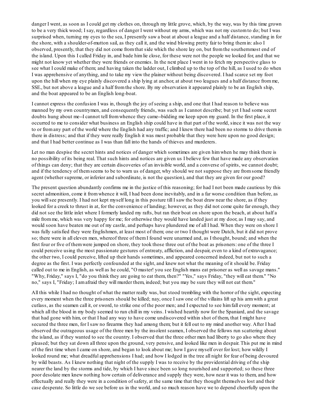danger I went, as soon as I could get my clothes on, through my little grove, which, by the way, was by this time grown to be a very thick wood; I say, regardless of danger I went without my arms, which was not my customto do; but I was surprised when, turning my eyes to the sea, I presently saw a boat at about a league and a half distance, standing in for the shore, with a shoulder-of-mutton sail, as they call it, and the wind blowing pretty fair to bring themin: also I observed, presently, that they did not come fromthat side which the shore lay on, but fromthe southernmost end of the island. Upon this I called Friday in, and bade himlie close, for these were not the people we looked for, and that we might not know yet whether they were friends or enemies. In the next place I went in to fetch my perspective glass to see what I could make of them; and having taken the ladder out, I climbed up to the top of the hill, as I used to do when I was apprehensive of anything, and to take my view the plainer without being discovered. I had scarce set my foot upon the hill when my eye plainly discovered a ship lying at anchor, at about two leagues and a half distance fromme, SSE., but not above a league and a half fromthe shore. By my observation it appeared plainly to be an English ship, and the boat appeared to be an English long-boat.

I cannot express the confusion I was in, though the joy of seeing a ship, and one that I had reason to believe was manned by my own countrymen, and consequently friends, was such as I cannot describe; but yet I had some secret doubts hung about me--I cannot tell fromwhence they came--bidding me keep upon my guard. In the first place, it occurred to me to consider what business an English ship could have in that part of the world, since it was not the way to or fromany part of the world where the English had any traffic; and I knew there had been no storms to drive themin there in distress; and that if they were really English it was most probable that they were here upon no good design; and that I had better continue as I was than fall into the hands of thieves and murderers.

Let no man despise the secret hints and notices of danger which sometimes are given himwhen he may think there is no possibility of its being real. That such hints and notices are given us I believe few that have made any observation of things can deny; that they are certain discoveries of an invisible world, and a converse of spirits, we cannot doubt; and if the tendency of themseems to be to warn us of danger, why should we not suppose they are fromsome friendly agent (whether supreme, or inferior and subordinate, is not the question), and that they are given for our good?

The present question abundantly confirms me in the justice of this reasoning; for had I not been made cautious by this secret admonition, come it from whence it will, I had been done inevitably, and in a far worse condition than before, as you willsee presently. I had not kept myself long in this posture till I saw the boat draw near the shore, as if they looked for a creek to thrust in at, for the convenience of landing; however, as they did not come quite far enough, they did not see the little inlet where I formerly landed my rafts, but ran their boat on shore upon the beach, at about half a mile fromme, which was very happy for me; for otherwise they would have landed just at my door, as I may say, and would soon have beaten me out of my castle, and perhaps have plundered me of all I had. When they were on shore I was fully satisfied they were Englishmen, at least most of them; one or two I thought were Dutch, but it did not prove so; there were in all eleven men, whereof three of themI found were unarmed and, as I thought, bound; and when the first four or five of themwere jumped on shore, they took those three out of the boat as prisoners: one of the three I could perceive using the most passionate gestures of entreaty, affliction, and despair, even to a kind of extravagance; the other two, I could perceive, lifted up their hands sometimes, and appeared concerned indeed, but not to such a degree as the first. I was perfectly confounded at the sight, and knew not what the meaning of it should be. Friday called out to me in English, as well as he could, "O master! you see English mans eat prisoner as well as savage mans." "Why, Friday," says I, "do you think they are going to eat them, then?" "Yes," says Friday, "they will eat them." "No no," says I, "Friday; I amafraid they will murder them, indeed; but you may be sure they will not eat them."

All this while I had no thought of what the matter really was, but stood trembling with the horror of the sight, expecting every moment when the three prisoners should be killed; nay, once I saw one of the villains lift up his armwith a great cutlass, as the seamen call it, or sword, to strike one of the poor men; and I expected to see himfall every moment; at which all the blood in my body seemed to run chill in my veins. I wished heartily now for the Spaniard, and the savage that had gone with him, or that I had any way to have come undiscovered within shot of them, that I might have secured the three men, for I saw no firearms they had among them; but it fell out to my mind another way. After I had observed the outrageous usage of the three men by the insolent seamen, I observed the fellows run scattering about the island, as if they wanted to see the country. I observed that the three other men had liberty to go also where they pleased; but they sat down all three upon the ground, very pensive, and looked like men in despair. This put me in mind of the first time when I came on shore, and began to look about me; how I gave myself over for lost; how wildly I looked round me; what dreadful apprehensions I had; and how I lodged in the tree all night for fear of being devoured by wild beasts. As I knew nothing that night of the supply I was to receive by the providential driving of the ship nearer the land by the storms and tide, by which I have since been so long nourished and supported; so these three poor desolate men knew nothing how certain of deliverance and supply they were, how near it was to them, and how effectually and really they were in a condition of safety, at the same time that they thought themselves lost and their case desperate. So little do we see before us in the world, and so much reason have we to depend cheerfully upon the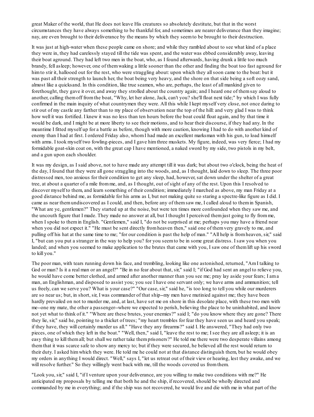great Maker of the world, that He does not leave His creatures so absolutely destitute, but that in the worst circumstances they have always something to be thankful for, and sometimes are nearer deliverance than they imagine; nay, are even brought to their deliverance by the means by which they seemto be brought to their destruction.

It was just at high-water when these people came on shore; and while they rambled about to see what kind of a place they were in, they had carelessly stayed till the tide was spent, and the water was ebbed considerably away, leaving their boat aground. They had left two men in the boat, who, as I found afterwards, having drunk a little too much brandy, fell asleep; however, one of themwaking a little sooner than the other and finding the boat too fast aground for himto stir it, hallooed out for the rest, who were straggling about: upon which they all soon came to the boat: but it was past all their strength to launch her, the boat being very heavy, and the shore on that side being a soft oozy sand, almost like a quicksand. In this condition, like true seamen, who are, perhaps, the least of all mankind given to forethought, they gave it over, and away they strolled about the country again; and I heard one of themsay aloud to another, calling themoff fromthe boat, "Why, let her alone, Jack, can't you? she'll float next tide;" by which I was fully confirmed in the main inquiry of what countrymen they were. All this while I kept myself very close, not once daring to stir out of my castle any farther than to my place of observation near the top of the hill: and very glad I was to think how well it was fortified. I knew it was no less than ten hours before the boat could float again, and by that time it would be dark, and I might be at more liberty to see their motions, and to hear their discourse, if they had any. In the meantime I fitted myself up for a battle as before, though with more caution, knowing I had to do with another kind of enemy than I had at first. I ordered Friday also, whomI had made an excellent marksman with his gun, to load himself with arms. I took myself two fowling-pieces, and I gave him three muskets. My figure, indeed, was very fierce; I had my formidable goat-skin coat on, with the great cap I have mentioned, a naked sword by my side, two pistols in my belt, and a gun upon each shoulder.

It was my design, as I said above, not to have made any attempt till it was dark; but about two o'clock, being the heat of the day, I found that they were all gone straggling into the woods, and, as I thought, laid down to sleep. The three poor distressed men, too anxious for their condition to get any sleep, had, however, sat down under the shelter of a great tree, at about a quarter of a mile fromme, and, as I thought, out of sight of any of the rest. Upon this I resolved to discover myself to them, and learn something of their condition; immediately I marched as above, my man Friday at a good distance behind me, as formidable for his arms as I, but not making quite so staring a spectre-like figure as I did. I came as near themundiscovered as I could, and then, before any of themsaw me, I called aloud to themin Spanish, "What are ye, gentlemen?" They started up at the noise, but were ten times more confounded when they saw me, and the uncouth figure that I made. They made no answer at all, but I thought I perceived themjust going to fly fromme, when I spoke to themin English. "Gentlemen," said I, "do not be surprised at me; perhaps you may have a friend near when you did not expect it." "He must be sent directly fromheaven then," said one of themvery gravely to me, and pulling off his hat at the same time to me; "for our condition is past the help of man." "All help is fromheaven, sir," said I, "but can you put a stranger in the way to help you? for you seemto be in some great distress. I saw you when you landed; and when you seemed to make application to the brutes that came with you, I saw one of themlift up his sword to kill you."

The poor man, with tears running down his face, and trembling, looking like one astonished, returned, "AmI talking to God or man? Is it a real man or an angel?" "Be in no fear about that, sir," said I; "if God had sent an angel to relieve you, he would have come better clothed, and armed after another manner than you see me; pray lay aside your fears; I ama man, an Englishman, and disposed to assist you; you see I have one servant only; we have arms and ammunition; tell us freely, can we serve you? What is your case?" "Our case, sir," said he, "is too long to tell you while our murderers are so near us; but, in short, sir, I was commander of that ship--my men have mutinied against me; they have been hardly prevailed on not to murder me, and, at last, have set me on shore in this desolate place, with these two men with me--one my mate, the other a passenger--where we expected to perish, believing the place to be uninhabited, and know not yet what to think of it." "Where are these brutes, your enemies?" said I; "do you know where they are gone? There they lie, sir," said he, pointing to a thicket of trees; "my heart trembles for fear they have seen us and heard you speak; if they have, they will certainly murder us all." "Have they any firearms?" said I. He answered, "They had only two pieces, one of which they left in the boat." "Well, then," said I, "leave the rest to me; I see they are all asleep; it is an easy thing to kill themall; but shall we rather take themprisoners?" He told me there were two desperate villains among themthat it was scarce safe to show any mercy to; but if they were secured, he believed all the rest would return to their duty. I asked himwhich they were. He told me he could not at that distance distinguish them, but he would obey my orders in anything I would direct. "Well," says I, "let us retreat out of their view or hearing, lest they awake, and we will resolve further." So they willingly went back with me, till the woods covered us fromthem.

"Look you, sir," said I, "if I venture upon your deliverance, are you willing to make two conditions with me?" He anticipated my proposals by telling me that both he and the ship, if recovered, should be wholly directed and commanded by me in everything; and if the ship was not recovered, he would live and die with me in what part of the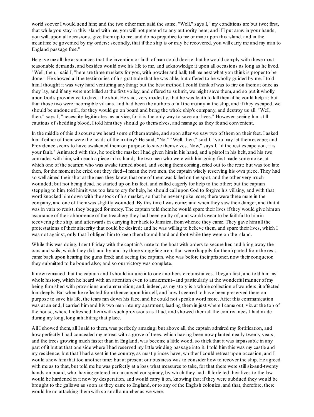world soever I would send him; and the two other men said the same. "Well," says I, "my conditions are but two; first, that while you stay in this island with me, you will not pretend to any authority here; and if I put arms in your hands, you will, upon all occasions, give themup to me, and do no prejudice to me or mine upon this island, and in the meantime be governed by my orders; secondly, that if the ship is or may be recovered, you will carry me and my man to England passage free."

He gave me all the assurances that the invention or faith of man could devise that he would comply with these most reasonable demands, and besides would owe his life to me, and acknowledge it upon all occasions as long as he lived. "Well, then," said I, "here are three muskets for you, with powder and ball; tell me next what you think is proper to be done." He showed all the testimonies of his gratitude that he was able, but offered to be wholly guided by me. I told him I thought it was very hard venturing anything; but the best method I could think of was to fire on themat once as they lay, and if any were not killed at the first volley, and offered to submit, we might save them, and so put it wholly upon God's providence to direct the shot. He said, very modestly, that he was loath to kill themif he could help it; but that those two were incorrigible villains, and had been the authors of all the mutiny in the ship, and if they escaped, we should be undone still, for they would go on board and bring the whole ship's company, and destroy us all. "Well, then," says I, "necessity legitimates my advice, for it is the only way to save our lives." However, seeing himstill cautious of shedding blood, I told himthey should go themselves, and manage as they found convenient.

In the middle of this discourse we heard some of themawake, and soon after we saw two of themon their feet. I asked him if either of them were the heads of the mutiny? He said, "No." "Well, then," said I, "you may let themescape; and Providence seems to have awakened themon purpose to save themselves. Now," says I, "if the rest escape you, it is your fault." Animated with this, he took the musket I had given himin his hand, and a pistol in his belt, and his two comrades with him, with each a piece in his hand; the two men who were with himgoing first made some noise, at which one of the seamen who was awake turned about, and seeing them coming, cried out to the rest; but was too late then, for the moment he cried out they fired--I mean the two men, the captain wisely reserving his own piece. They had so well aimed their shot at the men they knew, that one of themwas killed on the spot, and the other very much wounded; but not being dead, he started up on his feet, and called eagerly for help to the other; but the captain stepping to him, told himit was too late to cry for help, he should call upon God to forgive his villainy, and with that word knocked himdown with the stock of his musket, so that he never spoke more; there were three more in the company, and one of themwas slightly wounded. By this time I was come; and when they saw their danger, and that it was in vain to resist, they begged for mercy. The captain told them he would spare their lives if they would give him an assurance of their abhorrence of the treachery they had been guilty of, and would swear to be faithful to himin recovering the ship, and afterwards in carrying her back to Jamaica, fromwhence they came. They gave himall the protestations of their sincerity that could be desired; and he was willing to believe them, and spare their lives, which I was not against, only that I obliged himto keep thembound hand and foot while they were on the island.

While this was doing, I sent Friday with the captain's mate to the boat with orders to secure her, and bring away the oars and sails, which they did; and by-and-by three straggling men, that were (happily for them) parted fromthe rest, came back upon hearing the guns fired; and seeing the captain, who was before their prisoner, now their conqueror, they submitted to be bound also; and so our victory was complete.

It now remained that the captain and I should inquire into one another's circumstances. I began first, and told himmy whole history, which he heard with an attention even to amazement--and particularly at the wonderful manner of my being furnished with provisions and ammunition; and, indeed, as my story is a whole collection of wonders, it affected himdeeply. But when he reflected fromthence upon himself, and how I seemed to have been preserved there on purpose to save his life, the tears ran down his face, and he could not speak a word more. After this communication was at an end, I carried himand his two men into my apartment, leading themin just where I came out, viz. at the top of the house, where I refreshed themwith such provisions as I had, and showed themall the contrivances I had made during my long, long inhabiting that place.

All I showed them, all I said to them, was perfectly amazing; but above all, the captain admired my fortification, and how perfectly I had concealed my retreat with a grove of trees, which having been now planted nearly twenty years, and the trees growing much faster than in England, was become a little wood, so thick that it was impassable in any part of it but at that one side where I had reserved my little winding passage into it. I told himthis was my castle and my residence, but that I had a seat in the country, as most princes have, whither I could retreat upon occasion, and I would show himthat too another time; but at present our business was to consider how to recover the ship. He agreed with me as to that, but told me he was perfectly at a loss what measures to take, for that there were still six-and-twenty hands on board, who, having entered into a cursed conspiracy, by which they had all forfeited their lives to the law, would be hardened in it now by desperation, and would carry it on, knowing that if they were subdued they would be brought to the gallows as soon as they came to England, or to any of the English colonies, and that, therefore, there would be no attacking themwith so small a number as we were.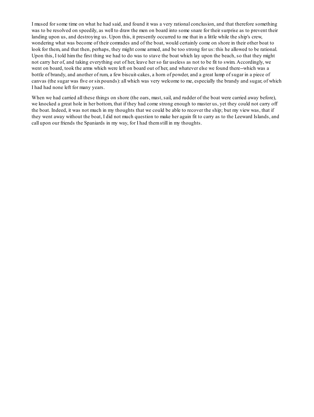I mused for some time on what he had said, and found it was a very rational conclusion, and that therefore something was to be resolved on speedily, as well to draw the men on board into some snare for their surprise as to prevent their landing upon us, and destroying us. Upon this, it presently occurred to me that in a little while the ship's crew, wondering what was become of their comrades and of the boat, would certainly come on shore in their other boat to look for them, and that then, perhaps, they might come armed, and be too strong for us: this he allowed to be rational. Upon this, I told himthe first thing we had to do was to stave the boat which lay upon the beach, so that they might not carry her of, and taking everything out of her, leave her so far useless as not to be fit to swim. Accordingly, we went on board, took the arms which were left on board out of her, and whatever else we found there--which was a bottle of brandy, and another of rum, a few biscuit-cakes, a horn of powder, and a great lump of sugar in a piece of canvas (the sugar was five or sixpounds): all which was very welcome to me, especially the brandy and sugar, of which I had had none left for many years.

When we had carried all these things on shore (the oars, mast, sail, and rudder of the boat were carried away before), we knocked a great hole in her bottom, that if they had come strong enough to master us, yet they could not carry off the boat. Indeed, it was not much in my thoughts that we could be able to recover the ship; but my view was, that if they went away without the boat, I did not much question to make her again fit to carry as to the Leeward Islands, and call upon our friends the Spaniards in my way, for I had themstill in my thoughts.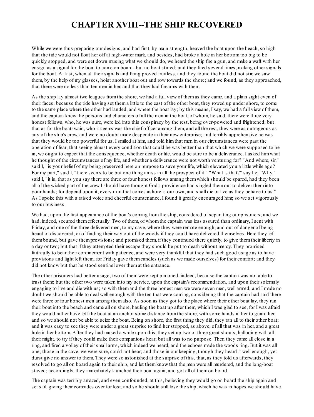# **CHAPTER XVIII--THE SHIP RECOVERED**

While we were thus preparing our designs, and had first, by main strength, heaved the boat upon the beach, so high that the tide would not float her off at high-water mark, and besides, had broke a hole in her bottomtoo big to be quickly stopped, and were set down musing what we should do, we heard the ship fire a gun, and make a waft with her ensign as a signal for the boat to come on board--but no boat stirred; and they fired several times, making other signals for the boat. At last, when all their signals and firing proved fruitless, and they found the boat did not stir, we saw them, by the help of my glasses, hoist another boat out and row towards the shore; and we found, as they approached, that there were no less than ten men in her, and that they had firearms with them.

As the ship lay almost two leagues fromthe shore, we had a full view of themas they came, and a plain sight even of their faces; because the tide having set thema little to the east of the other boat, they rowed up under shore, to come to the same place where the other had landed, and where the boat lay; by this means, I say, we had a full view of them, and the captain knew the persons and characters of all the men in the boat, of whom, he said, there were three very honest fellows, who, he was sure, were led into this conspiracy by the rest, being over-powered and frightened; but that as for the boatswain, who it seems was the chief officer among them, and all the rest, they were as outrageous as any of the ship's crew, and were no doubt made desperate in their new enterprise; and terribly apprehensive he was that they would be too powerful for us. I smiled at him, and told himthat men in our circumstances were past the operation of fear; that seeing almost every condition that could be was better than that which we were supposed to be in, we ought to expect that the consequence, whether death or life, would be sure to be a deliverance. I asked himwhat he thought of the circumstances of my life, and whether a deliverance were not worth venturing for? "And where, sir," said I, "is your belief of my being preserved here on purpose to save your life, which elevated you a little while ago? For my part," said I, "there seems to be but one thing amiss in all the prospect of it." "What is that?" say he. "Why," said I, "it is, that as you say there are three or four honest fellows among themwhich should be spared, had they been all of the wicked part of the crew I should have thought God's providence had singled themout to deliver theminto your hands; for depend upon it, every man that comes ashore is our own, and shall die or live as they behave to us." As I spoke this with a raised voice and cheerful countenance, I found it greatly encouraged him; so we set vigorously to our business.

We had, upon the first appearance of the boat's coming from the ship, considered of separating our prisoners; and we had, indeed, secured themeffectually. Two of them, of whomthe captain was less assured than ordinary, I sent with Friday, and one of the three delivered men, to my cave, where they were remote enough, and out of danger of being heard or discovered, or of finding their way out of the woods if they could have delivered themselves. Here they left thembound, but gave themprovisions; and promised them, if they continued there quietly, to give themtheir liberty in a day or two; but that if they attempted their escape they should be put to death without mercy. They promised faithfully to bear their confinement with patience, and were very thankful that they had such good usage as to have provisions and light left them; for Friday gave themcandles (such as we made ourselves) for their comfort; and they did not know but that he stood sentinel over themat the entrance.

The other prisoners had better usage; two of themwere kept pinioned, indeed, because the captain was not able to trust them; but the other two were taken into my service, upon the captain's recommendation, and upon their solemnly engaging to live and die with us; so with themand the three honest men we were seven men, well armed; and I made no doubt we should be able to deal well enough with the ten that were coming, considering that the captain had said there were three or four honest men among themalso. As soon as they got to the place where their other boat lay, they ran their boat into the beach and came all on shore, hauling the boat up after them, which I was glad to see, for I was afraid they would rather have left the boat at an anchor some distance fromthe shore, with some hands in her to guard her, and so we should not be able to seize the boat. Being on shore, the first thing they did, they ran all to their other boat; and it was easy to see they were under a great surprise to find her stripped, as above, of all that was in her, and a great hole in her bottom. After they had mused a while upon this, they set up two or three great shouts, hallooing with all their might, to try if they could make their companions hear; but all was to no purpose. Then they came all close in a ring, and fired a volley of their small arms, which indeed we heard, and the echoes made the woods ring. But it was all one; those in the cave, we were sure, could not hear; and those in our keeping, though they heard it well enough, yet durst give no answer to them. They were so astonished at the surprise of this, that, as they told us afterwards, they resolved to go all on board again to their ship, and let themknow that the men were all murdered, and the long-boat staved; accordingly, they immediately launched their boat again, and got all of themon board.

The captain was terribly amazed, and even confounded, at this, believing they would go on board the ship again and set sail, giving their comrades over for lost, and so he should still lose the ship, which he was in hopes we should have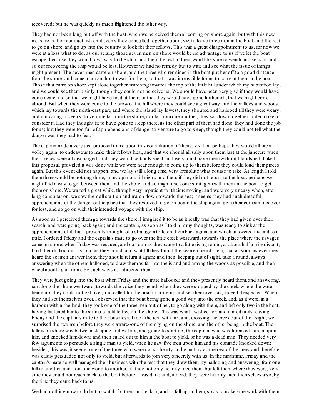recovered; but he was quickly as much frightened the other way.

They had not been long put off with the boat, when we perceived themall coming on shore again; but with this new measure in their conduct, which it seems they consulted together upon, viz. to leave three men in the boat, and the rest to go on shore, and go up into the country to look for their fellows. This was a great disappointment to us, for now we were at a loss what to do, as our seizing those seven men on shore would be no advantage to us if we let the boat escape; because they would row away to the ship, and then the rest of themwould be sure to weigh and set sail, and so our recovering the ship would be lost. However we had no remedy but to wait and see what the issue of things might present. The seven men came on shore, and the three who remained in the boat put her off to a good distance fromthe shore, and came to an anchor to wait for them; so that it was impossible for us to come at themin the boat. Those that came on shore kept close together, marching towards the top of the little hill under which my habitation lay; and we could see themplainly, though they could not perceive us. We should have been very glad if they would have come nearer us, so that we might have fired at them, or that they would have gone farther off, that we might come abroad. But when they were come to the brow of the hill where they could see a great way into the valleys and woods, which lay towards the north-east part, and where the island lay lowest, they shouted and hallooed till they were weary; and not caring, it seems, to venture far fromthe shore, nor far fromone another, they sat down together under a tree to consider it. Had they thought fit to have gone to sleep there, as the other part of themhad done, they had done the job for us; but they were too full of apprehensions of danger to venture to go to sleep, though they could not tell what the danger was they had to fear.

The captain made a very just proposal to me upon this consultation of theirs, viz. that perhaps they would all fire a volley again, to endeavour to make their fellows hear, and that we should allsally upon themjust at the juncture when their pieces were all discharged, and they would certainly yield, and we should have themwithout bloodshed. I liked this proposal, provided it was done while we were near enough to come up to thembefore they could load their pieces again. But this event did not happen; and we lay still a long time, very irresolute what course to take. At length I told themthere would be nothing done, in my opinion, till night; and then, if they did not return to the boat, perhaps we might find a way to get between themand the shore, and so might use some stratagemwith themin the boat to get themon shore. We waited a great while, though very impatient for their removing; and were very uneasy when, after long consultation, we saw them all start up and march down towards the sea; it seems they had such dreadful apprehensions of the danger of the place that they resolved to go on board the ship again, give their companions over for lost, and so go on with their intended voyage with the ship.

As soon as I perceived themgo towards the shore, I imagined it to be as it really was that they had given over their search, and were going back again; and the captain, as soon as I told himmy thoughts, was ready to sink at the apprehensions of it; but I presently thought of a stratagemto fetch themback again, and which answered my end to a tittle. I ordered Friday and the captain's mate to go over the little creek westward, towards the place where the savages came on shore, when Friday was rescued, and so soon as they came to a little rising round, at about half a mile distant, I bid themhalloo out, as loud as they could, and wait till they found the seamen heard them; that as soon as ever they heard the seamen answer them, they should return it again; and then, keeping out of sight, take a round, always answering when the others hallooed, to draw themas far into the island and among the woods as possible, and then wheel about again to me by such ways as I directed them.

They were just going into the boat when Friday and the mate hallooed; and they presently heard them, and answering, ran along the shore westward, towards the voice they heard, when they were stopped by the creek, where the water being up, they could not get over, and called for the boat to come up and set themover; as, indeed, I expected. When they had set themselves over, I observed that the boat being gone a good way into the creek, and, as it were, in a harbour within the land, they took one of the three men out of her, to go along with them, and left only two in the boat, having fastened her to the stump of a little tree on the shore. This was what I wished for; and immediately leaving Friday and the captain's mate to their business, I took the rest with me; and, crossing the creek out of their sight, we surprised the two men before they were aware--one of themlying on the shore, and the other being in the boat. The fellow on shore was between sleeping and waking, and going to start up; the captain, who was foremost, ran in upon him, and knocked himdown; and then called out to him in the boat to yield, or he was a dead man. They needed very few arguments to persuade a single man to yield, when he saw five men upon himand his comrade knocked down: besides, this was, it seems, one of the three who were not so hearty in the mutiny as the rest of the crew, and therefore was easily persuaded not only to yield, but afterwards to join very sincerely with us. In the meantime, Friday and the captain's mate so well managed their business with the rest that they drew them, by hallooing and answering, fromone hill to another, and from one wood to another, till they not only heartily tired them, but left them where they were, very sure they could not reach back to the boat before it was dark; and, indeed, they were heartily tired themselves also, by the time they came back to us.

We had nothing now to do but to watch for them in the dark, and to fall upon them, so as to make sure work with them.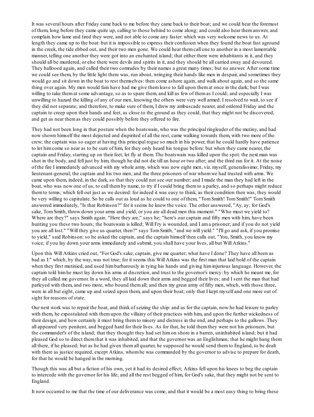It was several hours after Friday came back to me before they came back to their boat; and we could hear the foremost of them, long before they came quite up, calling to those behind to come along; and could also hear themanswer, and complain how lame and tired they were, and not able to come any faster: which was very welcome news to us. At length they came up to the boat: but it is impossible to express their confusion when they found the boat fast aground in the creek, the tide ebbed out, and their two men gone. We could hear themcall one to another in a most lamentable manner, telling one another they were got into an enchanted island; that either there were inhabitants in it, and they should all be murdered, or else there were devils and spirits in it, and they should be all carried away and devoured. They hallooed again, and called their two comrades by their names a great many times; but no answer. After some time we could see them, by the little light there was, run about, wringing their hands like men in despair, and sometimes they would go and sit down in the boat to rest themselves: then come ashore again, and walk about again, and so the same thing over again. My men would fain have had me give themleave to fall upon themat once in the dark; but I was willing to take themat some advantage, so as to spare them, and kill as few of themas I could; and especially I was unwilling to hazard the killing of any of our men, knowing the others were very well armed. I resolved to wait, to see if they did not separate; and therefore, to make sure of them, I drew my ambuscade nearer, and ordered Friday and the captain to creep upon their hands and feet, as close to the ground as they could, that they might not be discovered, and get as near themas they could possibly before they offered to fire.

They had not been long in that posture when the boatswain, who was the principal ringleader of the mutiny, and had now shown himself the most dejected and dispirited of all the rest, came walking towards them, with two more of the crew; the captain was so eager at having this principal rogue so much in his power, that he could hardly have patience to let himcome so near as to be sure of him, for they only heard his tongue before: but when they came nearer, the captain and Friday, starting up on their feet, let fly at them. The boatswain was killed upon the spot: the next man was shot in the body, and fell just by him, though he did not die till an hour or two after; and the third ran for it. At the noise of the fire I immediately advanced with my whole army, which was now eight men, viz. myself, generalissimo; Friday, my lieutenant-general; the captain and his two men, and the three prisoners of war whomwe had trusted with arms. We came upon them, indeed, in the dark, so that they could not see our number; and I made the man they had left in the boat, who was now one of us, to call themby name, to try if I could bring themto a parley, and so perhaps might reduce themto terms; which fell out just as we desired: for indeed it was easy to think, as their condition then was, they would be very willing to capitulate. So he calls out as loud as he could to one of them, "TomSmith! TomSmith!" TomSmith answered immediately, "Is that Robinson?" for it seems he knew the voice. The other answered, "Ay, ay; for God's sake, TomSmith, throw down your arms and yield, or you are all dead men this moment." "Who must we yield to? Where are they?" says Smith again. "Here they are," says he; "here's our captain and fifty men with him, have been hunting you these two hours; the boatswain is killed; Will Fry is wounded, and I ama prisoner; and if you do not yield you are all lost." "Will they give us quarter, then?" says TomSmith, "and we will yield." "I'll go and ask, if you promise to yield," said Robinson:so he asked the captain, and the captain himself then calls out, "You, Smith, you know my voice; if you lay down your arms immediately and submit, you shall have your lives, all but Will Atkins."

Upon this Will Atkins cried out, "For God's sake, captain, give me quarter; what have I done? They have all been as bad as I:" which, by the way, was not true; for it seems this Will Atkins was the first man that laid hold of the captain when they first mutinied, and used himbarbarously in tying his hands and giving himinjurious language. However, the captain told himhe must lay down his arms at discretion, and trust to the governor's mercy: by which he meant me, for they all called me governor. In a word, they all laid down their arms and begged their lives; and I sent the man that had parleyed with them, and two more, who bound themall; and then my great army of fifty men, which, with those three, were in all but eight, came up and seized upon them, and upon their boat; only that I kept myself and one more out of sight for reasons of state.

Our next work was to repair the boat, and think of seizing the ship: and as for the captain, now he had leisure to parley with them, he expostulated with themupon the villainy of their practices with him, and upon the further wickedness of their design, and how certainly it must bring themto misery and distress in the end, and perhaps to the gallows. They all appeared very penitent, and begged hard for their lives. As for that, he told themthey were not his prisoners, but the commander's of the island; that they thought they had set himon shore in a barren, uninhabited island; but it had pleased God so to direct themthat it was inhabited, and that the governor was an Englishman; that he might hang them all there, if he pleased; but as he had given themall quarter, he supposed he would send themto England, to be dealt with there as justice required, except Atkins, whom he was commanded by the governor to advise to prepare for death, for that he would be hanged in the morning.

Though this was all but a fiction of his own, yet it had its desired effect; Atkins fell upon his knees to beg the captain to intercede with the governor for his life; and all the rest begged of him, for God's sake, that they might not be sent to England.

It now occurred to me that the time of our deliverance was come, and that it would be a most easy thing to bring these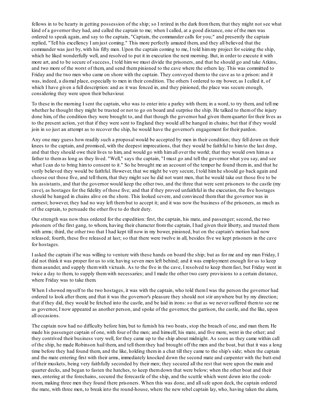fellows in to be hearty in getting possession of the ship; so I retired in the dark fromthem, that they might not see what kind of a governor they had, and called the captain to me; when I called, at a good distance, one of the men was ordered to speak again, and say to the captain, "Captain, the commander calls for you;" and presently the captain replied, "Tell his excellency I amjust coming." This more perfectly amazed them, and they all believed that the commander was just by, with his fifty men. Upon the captain coming to me, I told himmy project for seizing the ship, which he liked wonderfully well, and resolved to put it in execution the next morning. But, in order to execute it with more art, and to be secure of success, I told himwe must divide the prisoners, and that he should go and take Atkins, and two more of the worst of them, and send thempinioned to the cave where the others lay. This was committed to Friday and the two men who came on shore with the captain. They conveyed themto the cave as to a prison: and it was, indeed, a dismal place, especially to men in their condition. The others I ordered to my bower, as I called it, of which I have given a full description: and as it was fenced in, and they pinioned, the place was secure enough, considering they were upon their behaviour.

To these in the morning I sent the captain, who was to enter into a parley with them; in a word, to try them, and tell me whether he thought they might be trusted or not to go on board and surprise the ship. He talked to themof the injury done him, of the condition they were brought to, and that though the governor had given themquarter for their lives as to the present action, yet that if they were sent to England they would all be hanged in chains; but that if they would join in so just an attempt as to recover the ship, he would have the governor's engagement for their pardon.

Any one may guess how readily such a proposal would be accepted by men in their condition; they fell down on their knees to the captain, and promised, with the deepest imprecations, that they would be faithful to himto the last drop, and that they should owe their lives to him, and would go with himall over the world; that they would own himas a father to themas long as they lived. "Well," says the captain, "I must go and tell the governor what you say, and see what I can do to bring him to consent to it." So he brought me an account of the temper he found them in, and that he verily believed they would be faithful. However, that we might be very secure, I told himhe should go back again and choose out those five, and tell them, that they might see he did not want men, that he would take out those five to be his assistants, and that the governor would keep the other two, and the three that were sent prisoners to the castle (my cave), as hostages for the fidelity of those five; and that if they proved unfaithful in the execution, the five hostages should be hanged in chains alive on the shore. This looked severe, and convinced themthat the governor was in earnest; however, they had no way left thembut to accept it; and it was now the business of the prisoners, as much as of the captain, to persuade the other five to do their duty.

Our strength was now thus ordered for the expedition: first, the captain, his mate, and passenger; second, the two prisoners of the first gang, to whom, having their character fromthe captain, I had given their liberty, and trusted them with arms; third, the other two that I had kept till now in my bower, pinioned, but on the captain's motion had now released; fourth, these five released at last; so that there were twelve in all, besides five we kept prisoners in the cave for hostages.

I asked the captain if he was willing to venture with these hands on board the ship; but as for me and my man Friday, I did not think it was proper for us to stir, having seven men left behind; and it was employment enough for us to keep themasunder, and supply themwith victuals. As to the five in the cave, I resolved to keep themfast, but Friday went in twice a day to them, to supply themwith necessaries; and I made the other two carry provisions to a certain distance, where Friday was to take them.

When I showed myself to the two hostages, it was with the captain, who told them I was the person the governor had ordered to look after them; and that it was the governor's pleasure they should not stir anywhere but by my direction; that if they did, they would be fetched into the castle, and be laid in irons:so that as we never suffered themto see me as governor, I now appeared as another person, and spoke of the governor, the garrison, the castle, and the like, upon all occasions.

The captain now had no difficulty before him, but to furnish his two boats, stop the breach of one, and man them. He made his passenger captain of one, with four of the men; and himself, his mate, and five more, went in the other; and they contrived their business very well, for they came up to the ship about midnight. As soon as they came within call of the ship, he made Robinson hail them, and tell themthey had brought off the men and the boat, but that it was a long time before they had found them, and the like, holding themin a chat till they came to the ship's side; when the captain and the mate entering first with their arms, immediately knocked down the second mate and carpenter with the butt-end of their muskets, being very faithfully seconded by their men; they secured all the rest that were upon the main and quarter decks, and began to fasten the hatches, to keep themdown that were below; when the other boat and their men, entering at the forechains, secured the forecastle of the ship, and the scuttle which went down into the cookroom, making three men they found there prisoners. When this was done, and allsafe upon deck, the captain ordered the mate, with three men, to break into the round-house, where the new rebel captain lay, who, having taken the alarm,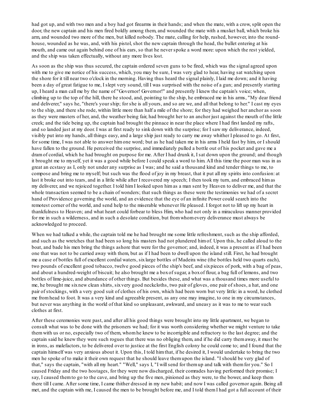had got up, and with two men and a boy had got firearms in their hands; and when the mate, with a crow, split open the door, the new captain and his men fired boldly among them, and wounded the mate with a musket ball, which broke his arm, and wounded two more of the men, but killed nobody. The mate, calling for help, rushed, however, into the roundhouse, wounded as he was, and, with his pistol, shot the new captain through the head, the bullet entering at his mouth, and came out again behind one of his ears, so that he never spoke a word more: upon which the rest yielded, and the ship was taken effectually, without any more lives lost.

As soon as the ship was thus secured, the captain ordered seven guns to be fired, which was the signal agreed upon with me to give me notice of his success, which, you may be sure, I was very glad to hear, having sat watching upon the shore for it till near two o'clock in the morning. Having thus heard the signal plainly, I laid me down; and it having been a day of great fatigue to me, I slept very sound, till I was surprised with the noise of a gun; and presently starting up, I heard a man call me by the name of "Governor! Governor!" and presently I knew the captain's voice; when, climbing up to the top of the hill, there he stood, and, pointing to the ship, he embraced me in his arms, "My dear friend and deliverer," says he, "there's your ship; for she is all yours, and so are we, and all that belong to her." I cast my eyes to the ship, and there she rode, within little more than half a mile of the shore; for they had weighed her anchor as soon as they were masters of her, and, the weather being fair, had brought her to an anchor just against the mouth of the little creek; and the tide being up, the captain had brought the pinnace in near the place where I had first landed my rafts, and so landed just at my door. I was at first ready to sink down with the surprise; for I saw my deliverance, indeed, visibly put into my hands, all things easy, and a large ship just ready to carry me away whither I pleased to go. At first, for some time, I was not able to answer himone word; but as he had taken me in his arms I held fast by him, or I should have fallen to the ground. He perceived the surprise, and immediately pulled a bottle out of his pocket and gave me a dramof cordial, which he had brought on purpose for me. After I had drunk it, I sat down upon the ground; and though it brought me to myself, yet it was a good while before I could speak a word to him. All this time the poor man was in as great an ecstasy as I, only not under any surprise as I was; and he said a thousand kind and tender things to me, to compose and bring me to myself; but such was the flood of joy in my breast, that it put all my spirits into confusion: at last it broke out into tears, and in a little while after I recovered my speech; I then took my turn, and embraced himas my deliverer, and we rejoiced together. I told himI looked upon himas a man sent by Heaven to deliver me, and that the whole transaction seemed to be a chain of wonders; that such things as these were the testimonies we had of a secret hand of Providence governing the world, and an evidence that the eye of an infinite Power could search into the remotest corner of the world, and send help to the miserable whenever He pleased. I forgot not to lift up my heart in thankfulness to Heaven; and what heart could forbear to bless Him, who had not only in a miraculous manner provided for me in such a wilderness, and in such a desolate condition, but fromwhomevery deliverance must always be acknowledged to proceed.

When we had talked a while, the captain told me he had brought me some little refreshment, such as the ship afforded, and such as the wretches that had been so long his masters had not plundered himof. Upon this, he called aloud to the boat, and bade his men bring the things ashore that were for the governor; and, indeed, it was a present as if I had been one that was not to be carried away with them, but as if I had been to dwell upon the island still. First, he had brought me a case of bottles full of excellent cordial waters, sixlarge bottles of Madeira wine (the bottles held two quarts each), two pounds of excellent good tobacco, twelve good pieces of the ship's beef, and sixpieces of pork, with a bag of peas, and about a hundred-weight of biscuit; he also brought me a boxof sugar, a boxof flour, a bag full of lemons, and two bottles of lime-juice, and abundance of other things. But besides these, and what was a thousand times more useful to me, he brought me sixnew clean shirts, sixvery good neckcloths, two pair of gloves, one pair of shoes, a hat, and one pair of stockings, with a very good suit of clothes of his own, which had been worn but very little: in a word, he clothed me fromhead to foot. It was a very kind and agreeable present, as any one may imagine, to one in my circumstances, but never was anything in the world of that kind so unpleasant, awkward, and uneasy as it was to me to wear such clothes at first.

After these ceremonies were past, and after all his good things were brought into my little apartment, we began to consult what was to be done with the prisoners we had; for it was worth considering whether we might venture to take themwith us or no, especially two of them, whomhe knew to be incorrigible and refractory to the last degree; and the captain said he knew they were such rogues that there was no obliging them, and if he did carry themaway, it must be in irons, as malefactors, to be delivered over to justice at the first English colony he could come to; and I found that the captain himself was very anxious about it. Upon this, I told himthat, if he desired it, I would undertake to bring the two men he spoke of to make it their own request that he should leave themupon the island. "I should be very glad of that," says the captain, "with all my heart." "Well," says I, "I willsend for themup and talk with themfor you." So I caused Friday and the two hostages, for they were now discharged, their comrades having performed their promise; I say, I caused themto go to the cave, and bring up the five men, pinioned as they were, to the bower, and keep them there till I came. After some time, I came thither dressed in my new habit; and now I was called governor again. Being all met, and the captain with me, I caused the men to be brought before me, and I told themI had got a full account of their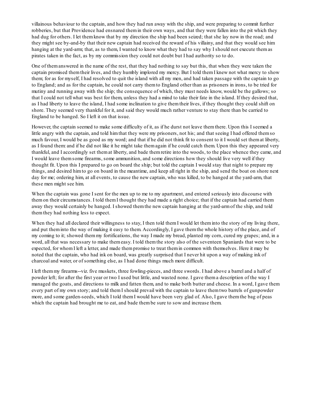villainous behaviour to the captain, and how they had run away with the ship, and were preparing to commit further robberies, but that Providence had ensnared themin their own ways, and that they were fallen into the pit which they had dug for others. I let themknow that by my direction the ship had been seized; that she lay now in the road; and they might see by-and-by that their new captain had received the reward of his villainy, and that they would see him hanging at the yard-arm; that, as to them, I wanted to know what they had to say why I should not execute themas pirates taken in the fact, as by my commission they could not doubt but I had authority so to do.

One of themanswered in the name of the rest, that they had nothing to say but this, that when they were taken the captain promised themtheir lives, and they humbly implored my mercy. But I told themI knew not what mercy to show them; for as for myself, I had resolved to quit the island with all my men, and had taken passage with the captain to go to England; and as for the captain, he could not carry themto England other than as prisoners in irons, to be tried for mutiny and running away with the ship; the consequence of which, they must needs know, would be the gallows; so that I could not tell what was best for them, unless they had a mind to take their fate in the island. If they desired that, as I had liberty to leave the island, I had some inclination to give themtheir lives, if they thought they could shift on shore. They seemed very thankful for it, and said they would much rather venture to stay there than be carried to England to be hanged. So I left it on that issue.

However, the captain seemed to make some difficulty of it, as if he durst not leave themthere. Upon this I seemed a little angry with the captain, and told himthat they were my prisoners, not his; and that seeing I had offered themso much favour, I would be as good as my word; and that if he did not think fit to consent to it I would set themat liberty, as I found them: and if he did not like it he might take themagain if he could catch them. Upon this they appeared very thankful, and I accordingly set themat liberty, and bade themretire into the woods, to the place whence they came, and I would leave themsome firearms, some ammunition, and some directions how they should live very well if they thought fit. Upon this I prepared to go on board the ship; but told the captain I would stay that night to prepare my things, and desired himto go on board in the meantime, and keep all right in the ship, and send the boat on shore next day for me; ordering him, at all events, to cause the new captain, who was killed, to be hanged at the yard-arm, that these men might see him.

When the captain was gone I sent for the men up to me to my apartment, and entered seriously into discourse with themon their circumstances. I told themI thought they had made a right choice; that if the captain had carried them away they would certainly be hanged. I showed themthe new captain hanging at the yard-armof the ship, and told themthey had nothing less to expect.

When they had all declared their willingness to stay, I then told them I would let them into the story of my living there, and put theminto the way of making it easy to them. Accordingly, I gave themthe whole history of the place, and of my coming to it; showed themmy fortifications, the way I made my bread, planted my corn, cured my grapes; and, in a word, all that was necessary to make themeasy. I told themthe story also of the seventeen Spaniards that were to be expected, for whomI left a letter, and made thempromise to treat themin common with themselves. Here it may be noted that the captain, who had ink on board, was greatly surprised that I never hit upon a way of making ink of charcoal and water, or of something else, as I had done things much more difficult.

I left themmy firearms--viz. five muskets, three fowling-pieces, and three swords. I had above a barrel and a half of powder left; for after the first year or two I used but little, and wasted none. I gave thema description of the way I managed the goats, and directions to milk and fatten them, and to make both butter and cheese. In a word, I gave them every part of my own story; and told themI should prevail with the captain to leave themtwo barrels of gunpowder more, and some garden-seeds, which I told themI would have been very glad of. Also, I gave themthe bag of peas which the captain had brought me to eat, and bade them be sure to sow and increase them.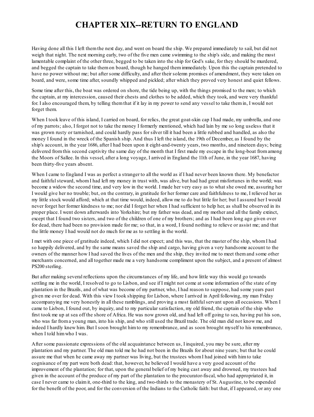# **CHAPTER XIX--RETURN TO ENGLAND**

Having done all this I left themthe next day, and went on board the ship. We prepared immediately to sail, but did not weigh that night. The next morning early, two of the five men came swimming to the ship's side, and making the most lamentable complaint of the other three, begged to be taken into the ship for God's sake, for they should be murdered, and begged the captain to take themon board, though he hanged themimmediately. Upon this the captain pretended to have no power without me; but after some difficulty, and after their solemn promises of amendment, they were taken on board, and were, some time after, soundly whipped and pickled; after which they proved very honest and quiet fellows.

Some time after this, the boat was ordered on shore, the tide being up, with the things promised to the men; to which the captain, at my intercession, caused their chests and clothes to be added, which they took, and were very thankful for. I also encouraged them, by telling themthat if it lay in my power to send any vessel to take themin, I would not forget them.

When I took leave of this island, I carried on board, for relics, the great goat-skin cap I had made, my umbrella, and one of my parrots; also, I forgot not to take the money I formerly mentioned, which had lain by me so long useless that it was grown rusty or tarnished, and could hardly pass for silver till it had been a little rubbed and handled, as also the money I found in the wreck of the Spanish ship. And thus I left the island, the 19th of December, as I found by the ship's account, in the year 1686, after I had been upon it eight-and-twenty years, two months, and nineteen days; being delivered fromthis second captivity the same day of the month that I first made my escape in the long-boat fromamong the Moors of Sallee. In this vessel, after a long voyage, I arrived in England the 11th of June, in the year 1687, having been thirty-five years absent.

When I came to England I was as perfect a stranger to all the world as if I had never been known there. My benefactor and faithful steward, whom I had left my money in trust with, was alive, but had had great misfortunes in the world; was become a widow the second time, and very low in the world. I made her very easy as to what she owed me, assuring her I would give her no trouble; but, on the contrary, in gratitude for her former care and faithfulness to me, I relieved her as my little stock would afford; which at that time would, indeed, allow me to do but little for her; but I assured her I would never forget her former kindness to me; nor did I forget her when I had sufficient to help her, as shall be observed in its proper place. I went down afterwards into Yorkshire; but my father was dead, and my mother and all the family extinct, except that I found two sisters, and two of the children of one of my brothers; and as I had been long ago given over for dead, there had been no provision made for me; so that, in a word, I found nothing to relieve or assist me; and that the little money I had would not do much for me as to settling in the world.

I met with one piece of gratitude indeed, which I did not expect; and this was, that the master of the ship, whomI had so happily delivered, and by the same means saved the ship and cargo, having given a very handsome account to the owners of the manner how I had saved the lives of the men and the ship, they invited me to meet themand some other merchants concerned, and all together made me a very handsome compliment upon the subject, and a present of almost PS200 sterling.

But after making several reflections upon the circumstances of my life, and how little way this would go towards settling me in the world, I resolved to go to Lisbon, and see if I might not come at some information of the state of my plantation in the Brazils, and of what was become of my partner, who, I had reason to suppose, had some years past given me over for dead. With this view I took shipping for Lisbon, where I arrived in April following, my man Friday accompanying me very honestly in all these ramblings, and proving a most faithfulservant upon all occasions. When I came to Lisbon, I found out, by inquiry, and to my particular satisfaction, my old friend, the captain of the ship who first took me up at sea off the shore of Africa. He was now grown old, and had left off going to sea, having put his son, who was far froma young man, into his ship, and who still used the Brazil trade. The old man did not know me, and indeed I hardly knew him. But I soon brought himto my remembrance, and as soon brought myself to his remembrance, when I told himwho I was.

After some passionate expressions of the old acquaintance between us, I inquired, you may be sure, after my plantation and my partner. The old man told me he had not been in the Brazils for about nine years; but that he could assure me that when he came away my partner was living, but the trustees whomI had joined with himto take cognisance of my part were both dead: that, however, he believed I would have a very good account of the improvement of the plantation; for that, upon the general belief of my being cast away and drowned, my trustees had given in the account of the produce of my part of the plantation to the procurator-fiscal, who had appropriated it, in case I never came to claimit, one-third to the king, and two-thirds to the monastery of St. Augustine, to be expended for the benefit of the poor, and for the conversion of the Indians to the Catholic faith: but that, if I appeared, or any one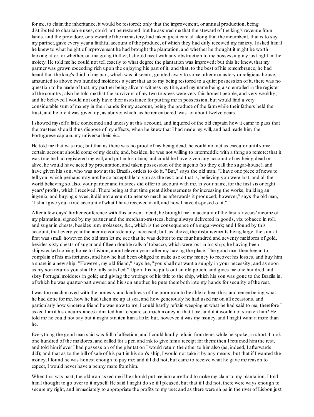for me, to claimthe inheritance, it would be restored; only that the improvement, or annual production, being distributed to charitable uses, could not be restored: but he assured me that the steward of the king's revenue from lands, and the providore, or steward of the monastery, had taken great care all along that the incumbent, that is to say my partner, gave every year a faithful account of the produce, of which they had duly received my moiety. I asked himif he knew to what height of improvement he had brought the plantation, and whether he thought it might be worth looking after; or whether, on my going thither, I should meet with any obstruction to my possessing my just right in the moiety. He told me he could not tell exactly to what degree the plantation was improved; but this he knew, that my partner was grown exceeding rich upon the enjoying his part of it; and that, to the best of his remembrance, he had heard that the king's third of my part, which was, it seems, granted away to some other monastery or religious house, amounted to above two hundred moidores a year: that as to my being restored to a quiet possession of it, there was no question to be made of that, my partner being alive to witness my title, and my name being also enrolled in the register of the country; also he told me that the survivors of my two trustees were very fair, honest people, and very wealthy; and he believed I would not only have their assistance for putting me in possession, but would find a very considerable sumof money in their hands for my account, being the produce of the farmwhile their fathers held the trust, and before it was given up, as above; which, as he remembered, was for about twelve years.

I showed myself a little concerned and uneasy at this account, and inquired of the old captain how it came to pass that the trustees should thus dispose of my effects, when he knew that I had made my will, and had made him, the Portuguese captain, my universal heir, &c.

He told me that was true; but that as there was no proof of my being dead, he could not act as executor untilsome certain account should come of my death; and, besides, he was not willing to intermeddle with a thing so remote: that it was true he had registered my will, and put in his claim; and could he have given any account of my being dead or alive, he would have acted by procuration, and taken possession of the ingenio (so they call the sugar-house), and have given his son, who was now at the Brazils, orders to do it. "But," says the old man, "I have one piece of news to tell you, which perhaps may not be so acceptable to you as the rest; and that is, believing you were lost, and all the world believing so also, your partner and trustees did offer to account with me, in your name, for the first sixor eight years' profits, which I received. There being at that time great disbursements for increasing the works, building an ingenio, and buying slaves, it did not amount to near so much as afterwards it produced; however," says the old man, "I shall give you a true account of what I have received in all, and how I have disposed of it."

After a few days' further conference with this ancient friend, he brought me an account of the first sixyears' income of my plantation, signed by my partner and the merchant-trustees, being always delivered in goods, viz. tobacco in roll, and sugar in chests, besides rum, molasses, &c., which is the consequence of a sugar-work; and I found by this account, that every year the income considerably increased; but, as above, the disbursements being large, the sumat first was small: however, the old man let me see that he was debtor to me four hundred and seventy moidores of gold, besides sixty chests of sugar and fifteen double rolls of tobacco, which were lost in his ship; he having been shipwrecked coming home to Lisbon, about eleven years after my having the place. The good man then began to complain of his misfortunes, and how he had been obliged to make use of my money to recover his losses, and buy him a share in a new ship. "However, my old friend," says he, "you shall not want a supply in your necessity; and as soon as my son returns you shall be fully satisfied." Upon this he pulls out an old pouch, and gives me one hundred and sixty Portugal moidores in gold; and giving the writings of his title to the ship, which his son was gone to the Brazils in, of which he was quarter-part owner, and his son another, he puts themboth into my hands for security of the rest.

I was too much moved with the honesty and kindness of the poor man to be able to bear this; and remembering what he had done for me, how he had taken me up at sea, and how generously he had used me on all occasions, and particularly how sincere a friend he was now to me, I could hardly refrain weeping at what he had said to me; therefore I asked himif his circumstances admitted himto spare so much money at that time, and if it would not straiten him? He told me he could not say but it might straiten hima little; but, however, it was my money, and I might want it more than he.

Everything the good man said was full of affection, and I could hardly refrain fromtears while he spoke; in short, I took one hundred of the moidores, and called for a pen and ink to give hima receipt for them: then I returned himthe rest, and told himif ever I had possession of the plantation I would return the other to himalso (as, indeed, I afterwards did); and that as to the bill of sale of his part in his son's ship, I would not take it by any means; but that if I wanted the money, I found he was honest enough to pay me; and if I did not, but came to receive what he gave me reason to expect, I would never have a penny more fromhim.

When this was past, the old man asked me if he should put me into a method to make my claimto my plantation. I told him I thought to go over to it myself. He said I might do so if I pleased, but that if I did not, there were ways enough to secure my right, and immediately to appropriate the profits to my use: and as there were ships in the river of Lisbon just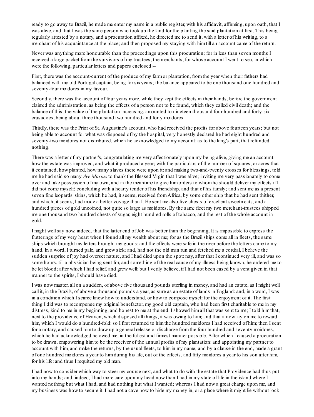ready to go away to Brazil, he made me enter my name in a public register, with his affidavit, affirming, upon oath, that I was alive, and that I was the same person who took up the land for the planting the said plantation at first. This being regularly attested by a notary, and a procuration affixed, he directed me to send it, with a letter of his writing, to a merchant of his acquaintance at the place; and then proposed my staying with himtill an account came of the return.

Never was anything more honourable than the proceedings upon this procuration; for in less than seven months I received a large packet fromthe survivors of my trustees, the merchants, for whose account I went to sea, in which were the following, particular letters and papers enclosed:--

First, there was the account-current of the produce of my farmor plantation, fromthe year when their fathers had balanced with my old Portugal captain, being for sixyears; the balance appeared to be one thousand one hundred and seventy-four moidores in my favour.

Secondly, there was the account of four years more, while they kept the effects in their hands, before the government claimed the administration, as being the effects of a person not to be found, which they called civil death; and the balance of this, the value of the plantation increasing, amounted to nineteen thousand four hundred and forty-six crusadoes, being about three thousand two hundred and forty moidores.

Thirdly, there was the Prior of St. Augustine's account, who had received the profits for above fourteen years; but not being able to account for what was disposed of by the hospital, very honestly declared he had eight hundred and seventy-two moidores not distributed, which he acknowledged to my account: as to the king's part, that refunded nothing.

There was a letter of my partner's, congratulating me very affectionately upon my being alive, giving me an account how the estate was improved, and what it produced a year; with the particulars of the number of squares, or acres that it contained, how planted, how many slaves there were upon it: and making two-and-twenty crosses for blessings, told me he had said so many *Ave Marias* to thank the Blessed Virgin that I was alive; inviting me very passionately to come over and take possession of my own, and in the meantime to give himorders to whomhe should deliver my effects if I did not come myself; concluding with a hearty tender of his friendship, and that of his family; and sent me as a present seven fine leopards' skins, which he had, it seems, received fromAfrica, by some other ship that he had sent thither, and which, it seems, had made a better voyage than I. He sent me also five chests of excellent sweetmeats, and a hundred pieces of gold uncoined, not quite so large as moidores. By the same fleet my two merchant-trustees shipped me one thousand two hundred chests of sugar, eight hundred rolls of tobacco, and the rest of the whole account in gold.

I might wellsay now, indeed, that the latter end of Job was better than the beginning. It is impossible to express the flutterings of my very heart when I found all my wealth about me; for as the Brazilships come all in fleets, the same ships which brought my letters brought my goods: and the effects were safe in the river before the letters came to my hand. In a word, I turned pale, and grew sick; and, had not the old man run and fetched me a cordial, I believe the sudden surprise of joy had overset nature, and I had died upon the spot: nay, after that I continued very ill, and was so some hours, till a physician being sent for, and something of the real cause of my illness being known, he ordered me to be let blood; after which I had relief, and grew well: but I verily believe, if I had not been eased by a vent given in that manner to the spirits, I should have died.

I was now master, all on a sudden, of above five thousand pounds sterling in money, and had an estate, as I might well call it, in the Brazils, of above a thousand pounds a year, as sure as an estate of lands in England: and, in a word, I was in a condition which I scarce knew how to understand, or how to compose myself for the enjoyment of it. The first thing I did was to recompense my original benefactor, my good old captain, who had been first charitable to me in my distress, kind to me in my beginning, and honest to me at the end. I showed himall that was sent to me; I told him that, next to the providence of Heaven, which disposed all things, it was owing to him; and that it now lay on me to reward him, which I would do a hundred-fold: so I first returned to him the hundred moidores I had received of him; then I sent for a notary, and caused himto draw up a general release or discharge fromthe four hundred and seventy moidores, which he had acknowledged he owed me, in the fullest and firmest manner possible. After which I caused a procuration to be drawn, empowering himto be the receiver of the annual profits of my plantation: and appointing my partner to account with him, and make the returns, by the usual fleets, to himin my name; and by a clause in the end, made a grant of one hundred moidores a year to himduring his life, out of the effects, and fifty moidores a year to his son after him, for his life: and thus I requited my old man.

I had now to consider which way to steer my course next, and what to do with the estate that Providence had thus put into my hands; and, indeed, I had more care upon my head now than I had in my state of life in the island where I wanted nothing but what I had, and had nothing but what I wanted; whereas I had now a great charge upon me, and my business was how to secure it. I had not a cave now to hide my money in, or a place where it might lie without lock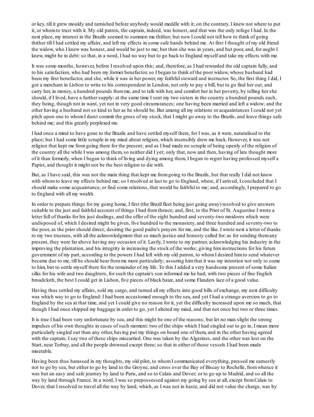or key, till it grew mouldy and tarnished before anybody would meddle with it; on the contrary, I knew not where to put it, or whomto trust with it. My old patron, the captain, indeed, was honest, and that was the only refuge I had. In the next place, my interest in the Brazils seemed to summon me thither; but now I could not tell how to think of going thither till I had settled my affairs, and left my effects in some safe hands behind me. At first I thought of my old friend the widow, who I knew was honest, and would be just to me; but then she was in years, and but poor, and, for aught I knew, might be in debt: so that, in a word, I had no way but to go back to England myself and take my effects with me.

It was some months, however, before I resolved upon this; and, therefore, as I had rewarded the old captain fully, and to his satisfaction, who had been my former benefactor, so I began to think of the poor widow, whose husband had been my first benefactor, and she, while it was in her power, my faithfulsteward and instructor. So, the first thing I did, I got a merchant in Lisbon to write to his correspondent in London, not only to pay a bill, but to go find her out, and carry her, in money, a hundred pounds fromme, and to talk with her, and comfort her in her poverty, by telling her she should, if I lived, have a further supply: at the same time I sent my two sisters in the country a hundred pounds each, they being, though not in want, yet not in very good circumstances; one having been married and left a widow; and the other having a husband not so kind to her as he should be. But among all my relations or acquaintances I could not yet pitch upon one to whomI durst commit the gross of my stock, that I might go away to the Brazils, and leave things safe behind me; and this greatly perplexed me.

I had once a mind to have gone to the Brazils and have settled myself there, for I was, as it were, naturalised to the place; but I had some little scruple in my mind about religion, which insensibly drew me back. However, it was not religion that kept me fromgoing there for the present; and as I had made no scruple of being openly of the religion of the country all the while I was among them, so neither did I yet; only that, now and then, having of late thought more of it than formerly, when I began to think of living and dying among them, I began to regret having professed myself a Papist, and thought it might not be the best religion to die with.

But, as I have said, this was not the main thing that kept me fromgoing to the Brazils, but that really I did not know with whom to leave my effects behind me; so I resolved at last to go to England, where, if I arrived, I concluded that I should make some acquaintance, or find some relations, that would be faithful to me; and, accordingly, I prepared to go to England with all my wealth.

In order to prepare things for my going home, I first (the Brazil fleet being just going away) resolved to give answers suitable to the just and faithful account of things I had fromthence; and, first, to the Prior of St. Augustine I wrote a letter full of thanks for his just dealings, and the offer of the eight hundred and seventy-two moidores which were undisposed of, which I desired might be given, five hundred to the monastery, and three hundred and seventy-two to the poor, as the prior should direct; desiring the good padre's prayers for me, and the like. I wrote next a letter of thanks to my two trustees, with all the acknowledgment that so much justice and honesty called for: as for sending themany present, they were far above having any occasion of it. Lastly, I wrote to my partner, acknowledging his industry in the improving the plantation, and his integrity in increasing the stock of the works; giving himinstructions for his future government of my part, according to the powers I had left with my old patron, to whomI desired himto send whatever became due to me, till he should hear fromme more particularly; assuring himthat it was my intention not only to come to him, but to settle myself there for the remainder of my life. To this I added a very handsome present of some Italian silks for his wife and two daughters, for such the captain's son informed me he had; with two pieces of fine English broadcloth, the best I could get in Lisbon, five pieces of black baize, and some Flanders lace of a good value.

Having thus settled my affairs, sold my cargo, and turned all my effects into good bills of exchange, my next difficulty was which way to go to England: I had been accustomed enough to the sea, and yet I had a strange aversion to go to England by the sea at that time, and yet I could give no reason for it, yet the difficulty increased upon me so much, that though I had once shipped my baggage in order to go, yet I altered my mind, and that not once but two or three times.

It is true I had been very unfortunate by sea, and this might be one of the reasons; but let no man slight the strong impulses of his own thoughts in cases of such moment: two of the ships which I had singled out to go in, I mean more particularly singled out than any other, having put my things on board one of them, and in the other having agreed with the captain; I say two of these ships miscarried. One was taken by the Algerines, and the other was lost on the Start, near Torbay, and all the people drowned except three; so that in either of those vessels I had been made miserable.

Having been thus harassed in my thoughts, my old pilot, to whomI communicated everything, pressed me earnestly not to go by sea, but either to go by land to the Groyne, and cross over the Bay of Biscay to Rochelle, fromwhence it was but an easy and safe journey by land to Paris, and so to Calais and Dover; or to go up to Madrid, and so all the way by land through France. In a word, I was so prepossessed against my going by sea at all, except fromCalais to Dover, that I resolved to travel all the way by land; which, as I was not in haste, and did not value the charge, was by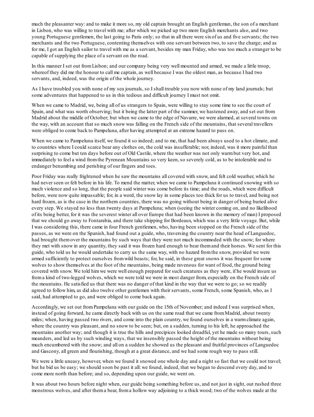much the pleasanter way: and to make it more so, my old captain brought an English gentleman, the son of a merchant in Lisbon, who was willing to travel with me; after which we picked up two more English merchants also, and two young Portuguese gentlemen, the last going to Paris only; so that in all there were sixof us and five servants; the two merchants and the two Portuguese, contenting themselves with one servant between two, to save the charge; and as for me, I got an English sailor to travel with me as a servant, besides my man Friday, who was too much a stranger to be capable of supplying the place of a servant on the road.

In this manner I set out fromLisbon; and our company being very well mounted and armed, we made a little troop, whereof they did me the honour to call me captain, as well because I was the oldest man, as because I had two servants, and, indeed, was the origin of the whole journey.

As I have troubled you with none of my sea journals, so I shall trouble you now with none of my land journals; but some adventures that happened to us in this tedious and difficult journey I must not omit.

When we came to Madrid, we, being all of us strangers to Spain, were willing to stay some time to see the court of Spain, and what was worth observing; but it being the latter part of the summer, we hastened away, and set out from Madrid about the middle of October; but when we came to the edge of Navarre, we were alarmed, at several towns on the way, with an account that so much snow was falling on the French side of the mountains, that several travellers were obliged to come back to Pampeluna, after having attempted at an extreme hazard to pass on.

When we came to Pampeluna itself, we found it so indeed; and to me, that had been always used to a hot climate, and to countries where I could scarce bear any clothes on, the cold was insufferable; nor, indeed, was it more painful than surprising to come but ten days before out of Old Castile, where the weather was not only warmbut very hot, and immediately to feel a wind fromthe Pyrenean Mountains so very keen, so severely cold, as to be intolerable and to endanger benumbing and perishing of our fingers and toes.

Poor Friday was really frightened when he saw the mountains all covered with snow, and felt cold weather, which he had never seen or felt before in his life. To mend the matter, when we came to Pampeluna it continued snowing with so much violence and so long, that the people said winter was come before its time; and the roads, which were difficult before, were now quite impassable; for, in a word, the snow lay in some places too thick for us to travel, and being not hard frozen, as is the case in the northern countries, there was no going without being in danger of being buried alive every step. We stayed no less than twenty days at Pampeluna; when (seeing the winter coming on, and no likelihood of its being better, for it was the severest winter all over Europe that had been known in the memory of man) I proposed that we should go away to Fontarabia, and there take shipping for Bordeaux, which was a very little voyage. But, while I was considering this, there came in four French gentlemen, who, having been stopped on the French side of the passes, as we were on the Spanish, had found out a guide, who, traversing the country near the head of Languedoc, had brought themover the mountains by such ways that they were not much incommoded with the snow; for where they met with snow in any quantity, they said it was frozen hard enough to bear themand their horses. We sent for this guide, who told us he would undertake to carry us the same way, with no hazard fromthe snow, provided we were armed sufficiently to protect ourselves fromwild beasts; for, he said, in these great snows it was frequent for some wolves to show themselves at the foot of the mountains, being made ravenous for want of food, the ground being covered with snow. We told himwe were well enough prepared for such creatures as they were, if he would insure us froma kind of two-legged wolves, which we were told we were in most danger from, especially on the French side of the mountains. He satisfied us that there was no danger of that kind in the way that we were to go; so we readily agreed to follow him, as did also twelve other gentlemen with their servants, some French, some Spanish, who, as I said, had attempted to go, and were obliged to come back again.

Accordingly, we set out fromPampeluna with our guide on the 15th of November; and indeed I was surprised when, instead of going forward, he came directly back with us on the same road that we came fromMadrid, about twenty miles; when, having passed two rivers, and come into the plain country, we found ourselves in a warmclimate again, where the country was pleasant, and no snow to be seen; but, on a sudden, turning to his left, he approached the mountains another way; and though it is true the hills and precipices looked dreadful, yet he made so many tours, such meanders, and led us by such winding ways, that we insensibly passed the height of the mountains without being much encumbered with the snow; and all on a sudden he showed us the pleasant and fruitful provinces of Languedoc and Gascony, all green and flourishing, though at a great distance, and we had some rough way to pass still.

We were a little uneasy, however, when we found it snowed one whole day and a night so fast that we could not travel; but he bid us be easy; we should soon be past it all: we found, indeed, that we began to descend every day, and to come more north than before; and so, depending upon our guide, we went on.

It was about two hours before night when, our guide being something before us, and not just in sight, out rushed three monstrous wolves, and after thema bear, froma hollow way adjoining to a thick wood; two of the wolves made at the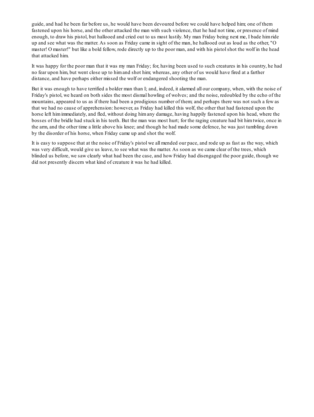guide, and had he been far before us, he would have been devoured before we could have helped him; one of them fastened upon his horse, and the other attacked the man with such violence, that he had not time, or presence of mind enough, to draw his pistol, but hallooed and cried out to us most lustily. My man Friday being next me, I bade himride up and see what was the matter. As soon as Friday came in sight of the man, he hallooed out as loud as the other, "O master! O master!" but like a bold fellow, rode directly up to the poor man, and with his pistolshot the wolf in the head that attacked him.

It was happy for the poor man that it was my man Friday; for, having been used to such creatures in his country, he had no fear upon him, but went close up to himand shot him; whereas, any other of us would have fired at a farther distance, and have perhaps either missed the wolf or endangered shooting the man.

But it was enough to have terrified a bolder man than I; and, indeed, it alarmed all our company, when, with the noise of Friday's pistol, we heard on both sides the most dismal howling of wolves; and the noise, redoubled by the echo of the mountains, appeared to us as if there had been a prodigious number of them; and perhaps there was not such a few as that we had no cause of apprehension: however, as Friday had killed this wolf, the other that had fastened upon the horse left himimmediately, and fled, without doing himany damage, having happily fastened upon his head, where the bosses of the bridle had stuck in his teeth. But the man was most hurt; for the raging creature had bit himtwice, once in the arm, and the other time a little above his knee; and though he had made some defence, he was just tumbling down by the disorder of his horse, when Friday came up and shot the wolf.

It is easy to suppose that at the noise of Friday's pistol we all mended our pace, and rode up as fast as the way, which was very difficult, would give us leave, to see what was the matter. As soon as we came clear of the trees, which blinded us before, we saw clearly what had been the case, and how Friday had disengaged the poor guide, though we did not presently discern what kind of creature it was he had killed.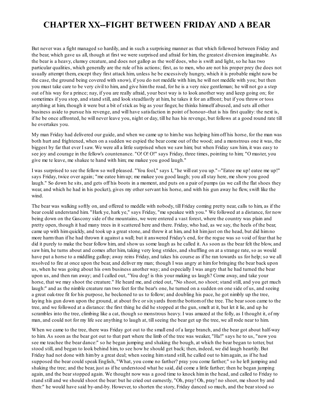## <span id="page-110-0"></span>**CHAPTER XX--FIGHT BETWEEN FRIDAY AND A BEAR**

But never was a fight managed so hardily, and in such a surprising manner as that which followed between Friday and the bear, which gave us all, though at first we were surprised and afraid for him, the greatest diversion imaginable. As the bear is a heavy, clumsy creature, and does not gallop as the wolf does, who is swift and light, so he has two particular qualities, which generally are the rule of his actions; first, as to men, who are not his proper prey (he does not usually attempt them, except they first attack him, unless he be excessively hungry, which it is probable might now be the case, the ground being covered with snow), if you do not meddle with him, he will not meddle with you; but then you must take care to be very civil to him, and give himthe road, for he is a very nice gentleman; he will not go a step out of his way for a prince; nay, if you are really afraid, your best way is to look another way and keep going on; for sometimes if you stop, and stand still, and look steadfastly at him, he takes it for an affront; but if you throw or toss anything at him, though it were but a bit of stick as big as your finger, he thinks himself abused, and sets all other business aside to pursue his revenge, and will have satisfaction in point of honour--that is his first quality: the next is, if he be once affronted, he will never leave you, night or day, till he has his revenge, but follows at a good round rate till he overtakes you.

My man Friday had delivered our guide, and when we came up to himhe was helping himoff his horse, for the man was both hurt and frightened, when on a sudden we espied the bear come out of the wood; and a monstrous one it was, the biggest by far that ever I saw. We were all a little surprised when we saw him; but when Friday saw him, it was easy to see joy and courage in the fellow's countenance. "O! O! O!" says Friday, three times, pointing to him; "O master, you give me te leave, me shakee te hand with him; me makee you good laugh."

I was surprised to see the fellow so well pleased. "You fool," says I, "he will eat you up."--"Eatee me up! eatee me up!" says Friday, twice over again; "me eatee himup; me makee you good laugh; you allstay here, me show you good laugh." So down he sits, and gets off his boots in a moment, and puts on a pair of pumps (as we call the flat shoes they wear, and which he had in his pocket), gives my other servant his horse, and with his gun away he flew, swift like the wind.

The bear was walking softly on, and offered to meddle with nobody, till Friday coming pretty near, calls to him, as if the bear could understand him. "Hark ye, hark ye," says Friday, "me speakee with you." We followed at a distance, for now being down on the Gascony side of the mountains, we were entered a vast forest, where the country was plain and pretty open, though it had many trees in it scattered here and there. Friday, who had, as we say, the heels of the bear, came up with himquickly, and took up a great stone, and threw it at him, and hit himjust on the head, but did himno more harmthan if he had thrown it against a wall; but it answered Friday's end, for the rogue was so void of fear that he did it purely to make the bear follow him, and show us some laugh as he called it. As soon as the bear felt the blow, and saw him, he turns about and comes after him, taking very long strides, and shuffling on at a strange rate, so as would have put a horse to a middling gallop; away reins Friday, and takes his course as if he ran towards us for help; so we all resolved to fire at once upon the bear, and deliver my man; though I was angry at himfor bringing the bear back upon us, when he was going about his own business another way; and especially I was angry that he had turned the bear upon us, and then ran away; and I called out, "You dog! is this your making us laugh? Come away, and take your horse, that we may shoot the creature." He heard me, and cried out, "No shoot, no shoot; stand still, and you get much laugh:" and as the nimble creature ran two feet for the bear's one, he turned on a sudden on one side of us, and seeing a great oak-tree fit for his purpose, he beckoned to us to follow; and doubling his pace, he got nimbly up the tree, laying his gun down upon the ground, at about five or sixyards fromthe bottomof the tree. The bear soon came to the tree, and we followed at a distance: the first thing he did he stopped at the gun, smelt at it, but let it lie, and up he scrambles into the tree, climbing like a cat, though so monstrous heavy. I was amazed at the folly, as I thought it, of my man, and could not for my life see anything to laugh at, tillseeing the bear get up the tree, we all rode near to him.

When we came to the tree, there was Friday got out to the small end of a large branch, and the bear got about half-way to him. As soon as the bear got out to that part where the limb of the tree was weaker, "Ha!" says he to us, "now you see me teachee the bear dance:" so he began jumping and shaking the bough, at which the bear began to totter, but stood still, and began to look behind him, to see how he should get back; then, indeed, we did laugh heartily. But Friday had not done with himby a great deal; when seeing himstand still, he called out to himagain, as if he had supposed the bear could speak English, "What, you come no farther? pray you come farther;" so he left jumping and shaking the tree; and the bear, just as if he understood what he said, did come a little farther; then he began jumping again, and the bear stopped again. We thought now was a good time to knock himin the head, and called to Friday to stand still and we should shoot the bear: but he cried out earnestly, "Oh, pray! Oh, pray! no shoot, me shoot by and then:" he would have said by-and-by. However, to shorten the story, Friday danced so much, and the bear stood so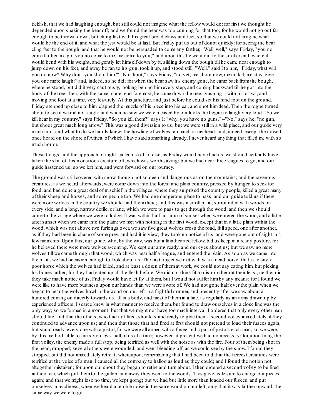ticklish, that we had laughing enough, but still could not imagine what the fellow would do: for first we thought he depended upon shaking the bear off; and we found the bear was too cunning for that too; for he would not go out far enough to be thrown down, but clung fast with his great broad claws and feet, so that we could not imagine what would be the end of it, and what the jest would be at last. But Friday put us out of doubt quickly: for seeing the bear cling fast to the bough, and that he would not be persuaded to come any farther, "Well, well," says Friday, "you no come farther, me go; you no come to me, me come to you;" and upon this he went out to the smaller end, where it would bend with his weight, and gently let himself down by it, sliding down the bough till he came near enough to jump down on his feet, and away he ran to his gun, took it up, and stood still. "Well," said I to him, "Friday, what will you do now? Why don't you shoot him?" "No shoot," says Friday, "no yet; me shoot now, me no kill; me stay, give you one more laugh:" and, indeed, so he did; for when the bear saw his enemy gone, he came back fromthe bough, where he stood, but did it very cautiously, looking behind himevery step, and coming backward till he got into the body of the tree, then, with the same hinder end foremost, he came down the tree, grasping it with his claws, and moving one foot at a time, very leisurely. At this juncture, and just before he could set his hind foot on the ground, Friday stepped up close to him, clapped the muzzle of his piece into his ear, and shot himdead. Then the rogue turned about to see if we did not laugh; and when he saw we were pleased by our looks, he began to laugh very loud. "So we kill bear in my country," says Friday. "So you kill them?" says I; "why, you have no guns."--"No," says he, "no gun, but shoot great much long arrow." This was a good diversion to us; but we were still in a wild place, and our guide very much hurt, and what to do we hardly knew; the howling of wolves ran much in my head; and, indeed, except the noise I once heard on the shore of Africa, of which I have said something already, I never heard anything that filled me with so much horror.

These things, and the approach of night, called us off, or else, as Friday would have had us, we should certainly have taken the skin of this monstrous creature off, which was worth saving; but we had near three leagues to go, and our guide hastened us; so we left him, and went forward on our journey.

The ground was still covered with snow, though not so deep and dangerous as on the mountains; and the ravenous creatures, as we heard afterwards, were come down into the forest and plain country, pressed by hunger, to seek for food, and had done a great deal of mischief in the villages, where they surprised the country people, killed a great many of their sheep and horses, and some people too. We had one dangerous place to pass, and our guide told us if there were more wolves in the country we should find themthere; and this was a small plain, surrounded with woods on every side, and a long, narrow defile, or lane, which we were to pass to get through the wood, and then we should come to the village where we were to lodge. It was within half-an-hour of sunset when we entered the wood, and a little after sunset when we came into the plain: we met with nothing in the first wood, except that in a little plain within the wood, which was not above two furlongs over, we saw five great wolves cross the road, fullspeed, one after another, as if they had been in chase of some prey, and had it in view; they took no notice of us, and were gone out of sight in a few moments. Upon this, our guide, who, by the way, was but a fainthearted fellow, bid us keep in a ready posture, for he believed there were more wolves a-coming. We kept our arms ready, and our eyes about us; but we saw no more wolves till we came through that wood, which was near half a league, and entered the plain. As soon as we came into the plain, we had occasion enough to look about us. The first object we met with was a dead horse; that is to say, a poor horse which the wolves had killed, and at least a dozen of themat work, we could not say eating him, but picking his bones rather; for they had eaten up all the flesh before. We did not think fit to disturb themat their feast, neither did they take much notice of us. Friday would have let fly at them, but I would not suffer himby any means; for I found we were like to have more business upon our hands than we were aware of. We had not gone half over the plain when we began to hear the wolves howl in the wood on our left in a frightful manner, and presently after we saw about a hundred coming on directly towards us, all in a body, and most of themin a line, as regularly as an army drawn up by experienced officers. I scarce knew in what manner to receive them, but found to draw ourselves in a close line was the only way; so we formed in a moment; but that we might not have too much interval, I ordered that only every other man should fire, and that the others, who had not fired, should stand ready to give thema second volley immediately, if they continued to advance upon us; and then that those that had fired at first should not pretend to load their fusees again, but stand ready, every one with a pistol, for we were all armed with a fusee and a pair of pistols each man; so we were, by this method, able to fire sixvolleys, half of us at a time; however, at present we had no necessity; for upon firing the first volley, the enemy made a fullstop, being terrified as well with the noise as with the fire. Four of thembeing shot in the head, dropped; several others were wounded, and went bleeding off, as we could see by the snow. I found they stopped, but did not immediately retreat; whereupon, remembering that I had been told that the fiercest creatures were terrified at the voice of a man, I caused all the company to halloo as loud as they could; and I found the notion not altogether mistaken; for upon our shout they began to retire and turn about. I then ordered a second volley to be fired in their rear, which put themto the gallop, and away they went to the woods. This gave us leisure to charge our pieces again; and that we might lose no time, we kept going; but we had but little more than loaded our fusees, and put ourselves in readiness, when we heard a terrible noise in the same wood on our left, only that it was farther onward, the same way we were to go.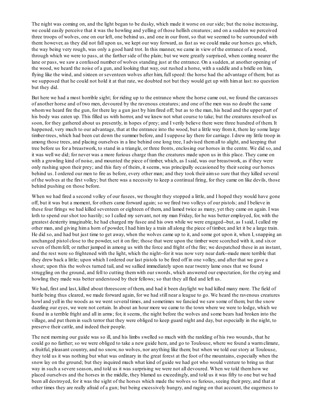The night was coming on, and the light began to be dusky, which made it worse on our side; but the noise increasing, we could easily perceive that it was the howling and yelling of those hellish creatures; and on a sudden we perceived three troops of wolves, one on our left, one behind us, and one in our front, so that we seemed to be surrounded with them: however, as they did not fall upon us, we kept our way forward, as fast as we could make our horses go, which, the way being very rough, was only a good hard trot. In this manner, we came in view of the entrance of a wood, through which we were to pass, at the farther side of the plain; but we were greatly surprised, when coming nearer the lane or pass, we saw a confused number of wolves standing just at the entrance. On a sudden, at another opening of the wood, we heard the noise of a gun, and looking that way, out rushed a horse, with a saddle and a bridle on him, flying like the wind, and sixteen or seventeen wolves after him, full speed: the horse had the advantage of them; but as we supposed that he could not hold it at that rate, we doubted not but they would get up with himat last: no question but they did.

But here we had a most horrible sight; for riding up to the entrance where the horse came out, we found the carcasses of another horse and of two men, devoured by the ravenous creatures; and one of the men was no doubt the same whom we heard fire the gun, for there lay a gun just by himfired off; but as to the man, his head and the upper part of his body was eaten up. This filled us with horror, and we knew not what course to take; but the creatures resolved us soon, for they gathered about us presently, in hopes of prey; and I verily believe there were three hundred of them. It happened, very much to our advantage, that at the entrance into the wood, but a little way fromit, there lay some large timber-trees, which had been cut down the summer before, and I suppose lay there for carriage. I drew my little troop in among those trees, and placing ourselves in a line behind one long tree, I advised themall to alight, and keeping that tree before us for a breastwork, to stand in a triangle, or three fronts, enclosing our horses in the centre. We did so, and it was well we did; for never was a more furious charge than the creatures made upon us in this place. They came on with a growling kind of noise, and mounted the piece of timber, which, as I said, was our breastwork, as if they were only rushing upon their prey; and this fury of theirs, it seems, was principally occasioned by their seeing our horses behind us. I ordered our men to fire as before, every other man; and they took their aimso sure that they killed several of the wolves at the first volley; but there was a necessity to keep a continual firing, for they came on like devils, those behind pushing on those before.

When we had fired a second volley of our fusees, we thought they stopped a little, and I hoped they would have gone off, but it was but a moment, for others came forward again; so we fired two volleys of our pistols; and I believe in these four firings we had killed seventeen or eighteen of them, and lamed twice as many, yet they came on again. I was loth to spend our shot too hastily; so I called my servant, not my man Friday, for he was better employed, for, with the greatest dexterity imaginable, he had charged my fusee and his own while we were engaged--but, as I said, I called my other man, and giving hima horn of powder, I had himlay a train all along the piece of timber, and let it be a large train. He did so, and had but just time to get away, when the wolves came up to it, and some got upon it, when I, snapping an unchanged pistol close to the powder, set it on fire; those that were upon the timber were scorched with it, and sixor seven of themfell; or rather jumped in among us with the force and fright of the fire; we despatched these in an instant, and the rest were so frightened with the light, which the night--for it was now very near dark--made more terrible that they drew back a little; upon which I ordered our last pistols to be fired off in one volley, and after that we gave a shout; upon this the wolves turned tail, and we sallied immediately upon near twenty lame ones that we found struggling on the ground, and fell to cutting themwith our swords, which answered our expectation, for the crying and howling they made was better understood by their fellows; so that they all fled and left us.

We had, first and last, killed about threescore of them, and had it been daylight we had killed many more. The field of battle being thus cleared, we made forward again, for we had still near a league to go. We heard the ravenous creatures howl and yell in the woods as we went several times, and sometimes we fancied we saw some of them; but the snow dazzling our eyes, we were not certain. In about an hour more we came to the town where we were to lodge, which we found in a terrible fright and all in arms; for, it seems, the night before the wolves and some bears had broken into the village, and put themin such terror that they were obliged to keep guard night and day, but especially in the night, to preserve their cattle, and indeed their people.

The next morning our guide was so ill, and his limbs swelled so much with the rankling of his two wounds, that he could go no farther; so we were obliged to take a new guide here, and go to Toulouse, where we found a warmclimate, a fruitful, pleasant country, and no snow, no wolves, nor anything like them; but when we told our story at Toulouse, they told us it was nothing but what was ordinary in the great forest at the foot of the mountains, especially when the snow lay on the ground; but they inquired much what kind of guide we had got who would venture to bring us that way in such a severe season, and told us it was surprising we were not all devoured. When we told themhow we placed ourselves and the horses in the middle, they blamed us exceedingly, and told us it was fifty to one but we had been all destroyed, for it was the sight of the horses which made the wolves so furious, seeing their prey, and that at other times they are really afraid of a gun; but being excessively hungry, and raging on that account, the eagerness to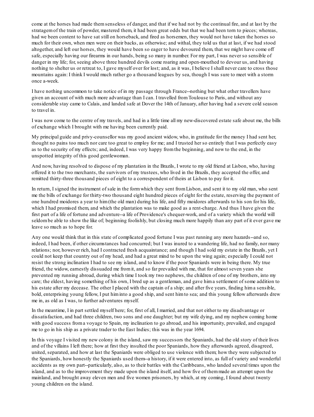come at the horses had made themsenseless of danger, and that if we had not by the continual fire, and at last by the stratagemof the train of powder, mastered them, it had been great odds but that we had been torn to pieces; whereas, had we been content to have sat still on horseback, and fired as horsemen, they would not have taken the horses so much for their own, when men were on their backs, as otherwise; and withal, they told us that at last, if we had stood altogether, and left our horses, they would have been so eager to have devoured them, that we might have come off safe, especially having our firearms in our hands, being so many in number. For my part, I was never so sensible of danger in my life; for, seeing above three hundred devils come roaring and open-mouthed to devour us, and having nothing to shelter us or retreat to, I gave myself over for lost; and, as it was, I believe I shall never care to cross those mountains again: I think I would much rather go a thousand leagues by sea, though I was sure to meet with a storm once a-week.

I have nothing uncommon to take notice of in my passage through France--nothing but what other travellers have given an account of with much more advantage than I can. I travelled fromToulouse to Paris, and without any considerable stay came to Calais, and landed safe at Dover the 14th of January, after having had a severe cold season to travel in.

I was now come to the centre of my travels, and had in a little time all my new-discovered estate safe about me, the bills of exchange which I brought with me having been currently paid.

My principal guide and privy-counsellor was my good ancient widow, who, in gratitude for the money I had sent her, thought no pains too much nor care too great to employ for me; and I trusted her so entirely that I was perfectly easy as to the security of my effects; and, indeed, I was very happy fromthe beginning, and now to the end, in the unspotted integrity of this good gentlewoman.

And now, having resolved to dispose of my plantation in the Brazils, I wrote to my old friend at Lisbon, who, having offered it to the two merchants, the survivors of my trustees, who lived in the Brazils, they accepted the offer, and remitted thirty-three thousand pieces of eight to a correspondent of theirs at Lisbon to pay for it.

In return, I signed the instrument of sale in the formwhich they sent fromLisbon, and sent it to my old man, who sent me the bills of exchange for thirty-two thousand eight hundred pieces of eight for the estate, reserving the payment of one hundred moidores a year to him(the old man) during his life, and fifty moidores afterwards to his son for his life, which I had promised them, and which the plantation was to make good as a rent-charge. And thus I have given the first part of a life of fortune and adventure--a life of Providence's chequer-work, and of a variety which the world will seldombe able to show the like of; beginning foolishly, but closing much more happily than any part of it ever gave me leave so much as to hope for.

Any one would think that in this state of complicated good fortune I was past running any more hazards--and so, indeed, I had been, if other circumstances had concurred; but I was inured to a wandering life, had no family, nor many relations; nor, however rich, had I contracted fresh acquaintance; and though I had sold my estate in the Brazils, yet I could not keep that country out of my head, and had a great mind to be upon the wing again; especially I could not resist the strong inclination I had to see my island, and to know if the poor Spaniards were in being there. My true friend, the widow, earnestly dissuaded me fromit, and so far prevailed with me, that for almost seven years she prevented my running abroad, during which time I took my two nephews, the children of one of my brothers, into my care; the eldest, having something of his own, I bred up as a gentleman, and gave hima settlement of some addition to his estate after my decease. The other I placed with the captain of a ship; and after five years, finding hima sensible, bold, enterprising young fellow, I put himinto a good ship, and sent himto sea; and this young fellow afterwards drew me in, as old as I was, to further adventures myself.

In the meantime, I in part settled myself here; for, first of all, I married, and that not either to my disadvantage or dissatisfaction, and had three children, two sons and one daughter; but my wife dying, and my nephew coming home with good success from a voyage to Spain, my inclination to go abroad, and his importunity, prevailed, and engaged me to go in his ship as a private trader to the East Indies; this was in the year 1694.

In this voyage I visited my new colony in the island, saw my successors the Spaniards, had the old story of their lives and of the villains I left there; how at first they insulted the poor Spaniards, how they afterwards agreed, disagreed, united, separated, and how at last the Spaniards were obliged to use violence with them; how they were subjected to the Spaniards, how honestly the Spaniards used them--a history, if it were entered into, as full of variety and wonderful accidents as my own part--particularly, also, as to their battles with the Caribbeans, who landed several times upon the island, and as to the improvement they made upon the island itself, and how five of themmade an attempt upon the mainland, and brought away eleven men and five women prisoners, by which, at my coming, I found about twenty young children on the island.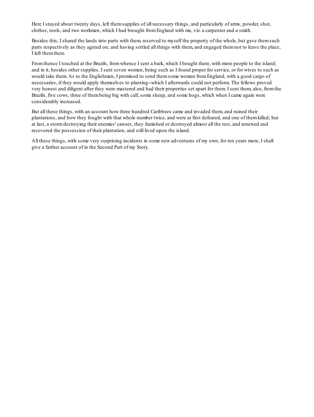Here I stayed about twenty days, left themsupplies of all necessary things, and particularly of arms, powder, shot, clothes, tools, and two workmen, which I had brought fromEngland with me, viz. a carpenter and a smith.

Besides this, I shared the lands into parts with them, reserved to myself the property of the whole, but gave themsuch parts respectively as they agreed on; and having settled all things with them, and engaged themnot to leave the place, I left themthere.

From thence I touched at the Brazils, from whence I sent a bark, which I bought there, with more people to the island; and in it, besides other supplies, I sent seven women, being such as I found proper for service, or for wives to such as would take them. As to the Englishmen, I promised to send themsome women fromEngland, with a good cargo of necessaries, if they would apply themselves to planting--which I afterwards could not perform. The fellows proved very honest and diligent after they were mastered and had their properties set apart for them. I sent them, also, fromthe Brazils, five cows, three of thembeing big with calf, some sheep, and some hogs, which when I came again were considerably increased.

But all these things, with an account how three hundred Caribbees came and invaded them, and ruined their plantations, and how they fought with that whole number twice, and were at first defeated, and one of themkilled; but at last, a stormdestroying their enemies' canoes, they famished or destroyed almost all the rest, and renewed and recovered the possession of their plantation, and still lived upon the island.

All these things, with some very surprising incidents in some new adventures of my own, for ten years more, I shall give a farther account of in the Second Part of my Story.